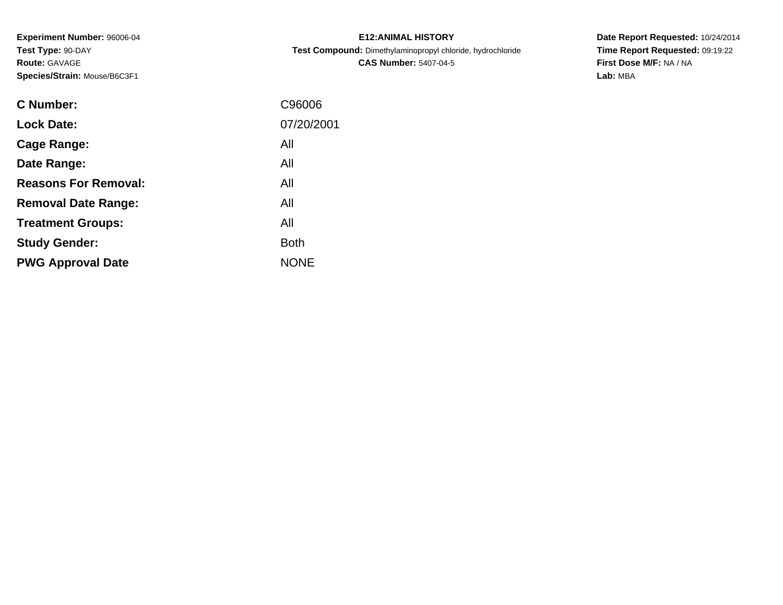**Experiment Number:** 96006-04**Test Type:** 90-DAY**Route:** GAVAGE**Species/Strain:** Mouse/B6C3F1

| <b>E12: ANIMAL HISTORY</b>                                 |
|------------------------------------------------------------|
| Test Compound: Dimethylaminopropyl chloride, hydrochloride |
| <b>CAS Number: 5407-04-5</b>                               |

**Date Report Requested:** 10/24/2014 **Time Report Requested:** 09:19:22**First Dose M/F:** NA / NA**Lab:** MBA

| C Number:                   | C96006      |
|-----------------------------|-------------|
| <b>Lock Date:</b>           | 07/20/2001  |
| Cage Range:                 | All         |
| Date Range:                 | All         |
| <b>Reasons For Removal:</b> | All         |
| <b>Removal Date Range:</b>  | All         |
| <b>Treatment Groups:</b>    | All         |
| <b>Study Gender:</b>        | <b>Both</b> |
| <b>PWG Approval Date</b>    | <b>NONE</b> |
|                             |             |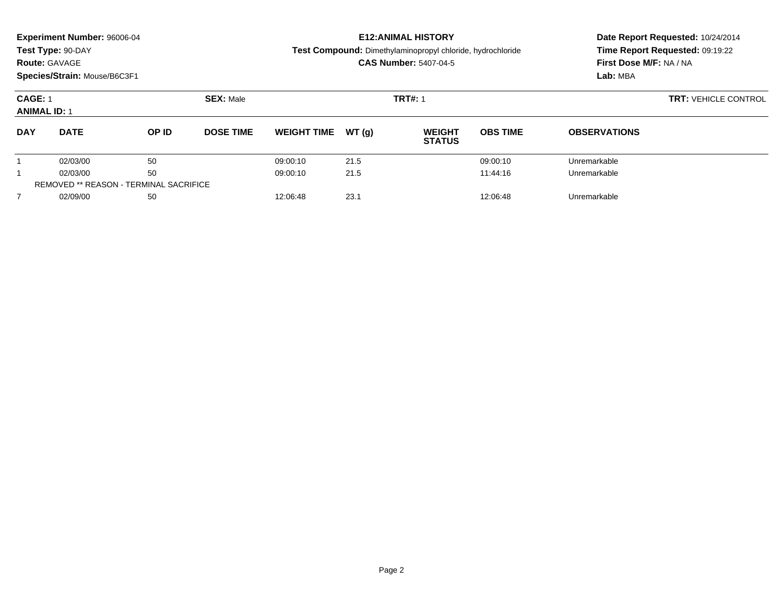| <b>Experiment Number: 96006-04</b><br>Test Type: 90-DAY<br><b>Route: GAVAGE</b><br>Species/Strain: Mouse/B6C3F1 |                                               |       |                  |                    |       | <b>E12: ANIMAL HISTORY</b><br>Test Compound: Dimethylaminopropyl chloride, hydrochloride<br><b>CAS Number: 5407-04-5</b> |                             | Date Report Requested: 10/24/2014<br>Time Report Requested: 09:19:22<br>First Dose M/F: NA / NA<br>Lab: MBA |  |
|-----------------------------------------------------------------------------------------------------------------|-----------------------------------------------|-------|------------------|--------------------|-------|--------------------------------------------------------------------------------------------------------------------------|-----------------------------|-------------------------------------------------------------------------------------------------------------|--|
| <b>CAGE: 1</b><br><b>ANIMAL ID: 1</b>                                                                           |                                               |       | <b>SEX: Male</b> |                    |       | <b>TRT#: 1</b>                                                                                                           | <b>TRT: VEHICLE CONTROL</b> |                                                                                                             |  |
| <b>DAY</b>                                                                                                      | <b>DATE</b>                                   | OP ID | <b>DOSE TIME</b> | <b>WEIGHT TIME</b> | WT(q) | <b>WEIGHT</b><br><b>STATUS</b>                                                                                           | <b>OBS TIME</b>             | <b>OBSERVATIONS</b>                                                                                         |  |
|                                                                                                                 | 02/03/00                                      | 50    |                  | 09:00:10           | 21.5  |                                                                                                                          | 09:00:10                    | Unremarkable                                                                                                |  |
|                                                                                                                 | 02/03/00                                      | 50    |                  | 09:00:10           | 21.5  |                                                                                                                          | Unremarkable                |                                                                                                             |  |
|                                                                                                                 | <b>REMOVED ** REASON - TERMINAL SACRIFICE</b> |       |                  |                    |       |                                                                                                                          |                             |                                                                                                             |  |
|                                                                                                                 | 02/09/00                                      | 50    |                  | 12:06:48           | 23.1  |                                                                                                                          | Unremarkable                |                                                                                                             |  |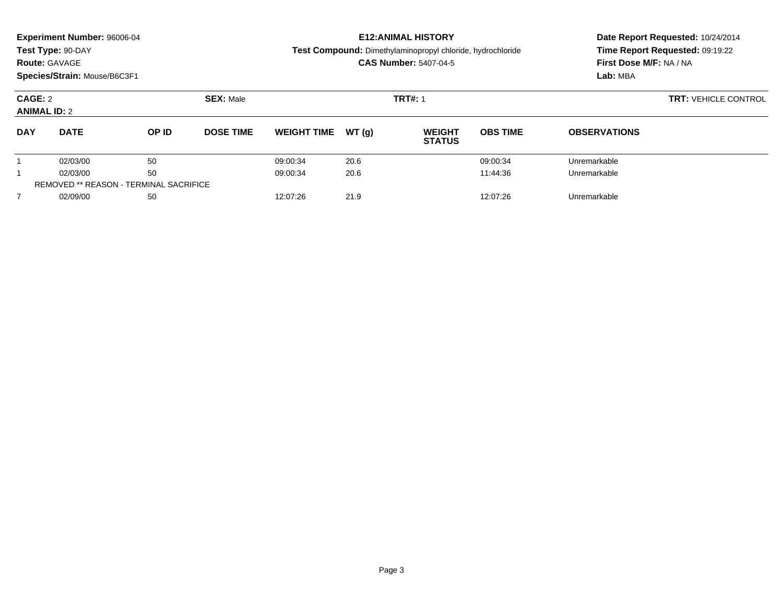| <b>Experiment Number: 96006-04</b><br>Test Type: 90-DAY<br><b>Route: GAVAGE</b><br>Species/Strain: Mouse/B6C3F1 |                                               |       |                  |                    |       | <b>E12: ANIMAL HISTORY</b><br>Test Compound: Dimethylaminopropyl chloride, hydrochloride<br><b>CAS Number: 5407-04-5</b> |                             | Date Report Requested: 10/24/2014<br>Time Report Requested: 09:19:22<br>First Dose M/F: NA / NA<br>Lab: MBA |  |
|-----------------------------------------------------------------------------------------------------------------|-----------------------------------------------|-------|------------------|--------------------|-------|--------------------------------------------------------------------------------------------------------------------------|-----------------------------|-------------------------------------------------------------------------------------------------------------|--|
| CAGE: 2<br><b>ANIMAL ID: 2</b>                                                                                  |                                               |       | <b>SEX: Male</b> |                    |       | <b>TRT#: 1</b>                                                                                                           | <b>TRT: VEHICLE CONTROL</b> |                                                                                                             |  |
| <b>DAY</b>                                                                                                      | <b>DATE</b>                                   | OP ID | <b>DOSE TIME</b> | <b>WEIGHT TIME</b> | WT(q) | <b>WEIGHT</b><br><b>STATUS</b>                                                                                           | <b>OBS TIME</b>             | <b>OBSERVATIONS</b>                                                                                         |  |
|                                                                                                                 | 02/03/00                                      | 50    |                  | 09:00:34           | 20.6  |                                                                                                                          | 09:00:34                    | Unremarkable                                                                                                |  |
|                                                                                                                 | 02/03/00                                      | 50    |                  | 09:00:34           | 20.6  |                                                                                                                          | 11:44:36                    | Unremarkable                                                                                                |  |
|                                                                                                                 | <b>REMOVED ** REASON - TERMINAL SACRIFICE</b> |       |                  |                    |       |                                                                                                                          |                             |                                                                                                             |  |
| $\overline{7}$                                                                                                  | 02/09/00                                      | 50    |                  | 12:07:26           | 21.9  |                                                                                                                          | 12:07:26                    | Unremarkable                                                                                                |  |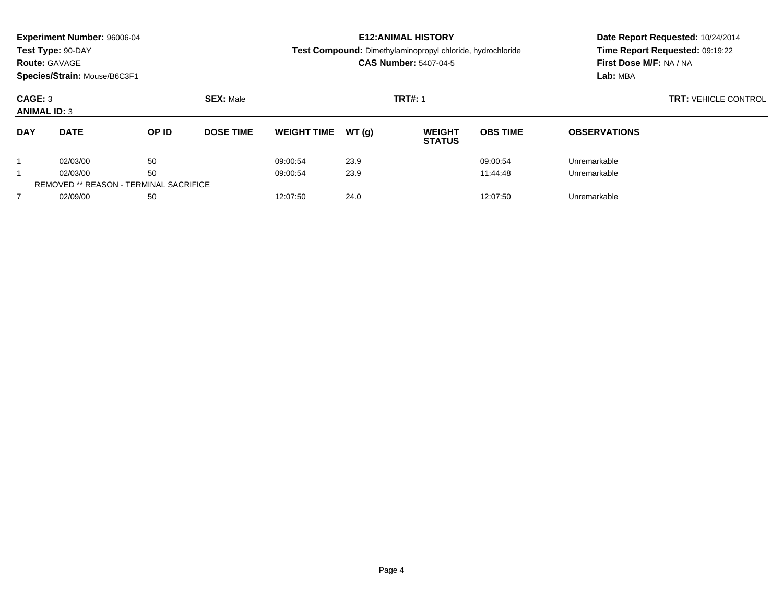| Experiment Number: 96006-04<br>Test Type: 90-DAY<br><b>Route: GAVAGE</b><br>Species/Strain: Mouse/B6C3F1 |                                               |       |                  |                    |       | <b>E12: ANIMAL HISTORY</b><br>Test Compound: Dimethylaminopropyl chloride, hydrochloride<br><b>CAS Number: 5407-04-5</b> |                             | Date Report Requested: 10/24/2014<br>Time Report Requested: 09:19:22<br>First Dose M/F: NA / NA<br>Lab: MBA |  |
|----------------------------------------------------------------------------------------------------------|-----------------------------------------------|-------|------------------|--------------------|-------|--------------------------------------------------------------------------------------------------------------------------|-----------------------------|-------------------------------------------------------------------------------------------------------------|--|
| CAGE: 3<br><b>ANIMAL ID: 3</b>                                                                           |                                               |       | <b>SEX: Male</b> |                    |       | <b>TRT#: 1</b>                                                                                                           | <b>TRT: VEHICLE CONTROL</b> |                                                                                                             |  |
| <b>DAY</b>                                                                                               | <b>DATE</b>                                   | OP ID | <b>DOSE TIME</b> | <b>WEIGHT TIME</b> | WT(q) | <b>WEIGHT</b><br><b>STATUS</b>                                                                                           | <b>OBS TIME</b>             | <b>OBSERVATIONS</b>                                                                                         |  |
|                                                                                                          | 02/03/00                                      | 50    |                  | 09:00:54           | 23.9  |                                                                                                                          | 09:00:54                    | Unremarkable                                                                                                |  |
|                                                                                                          | 02/03/00                                      | 50    |                  | 09:00:54           | 23.9  |                                                                                                                          | Unremarkable                |                                                                                                             |  |
|                                                                                                          | <b>REMOVED ** REASON - TERMINAL SACRIFICE</b> |       |                  |                    |       |                                                                                                                          |                             |                                                                                                             |  |
| 7                                                                                                        | 02/09/00                                      | 50    |                  | 12:07:50           | 24.0  |                                                                                                                          | Unremarkable                |                                                                                                             |  |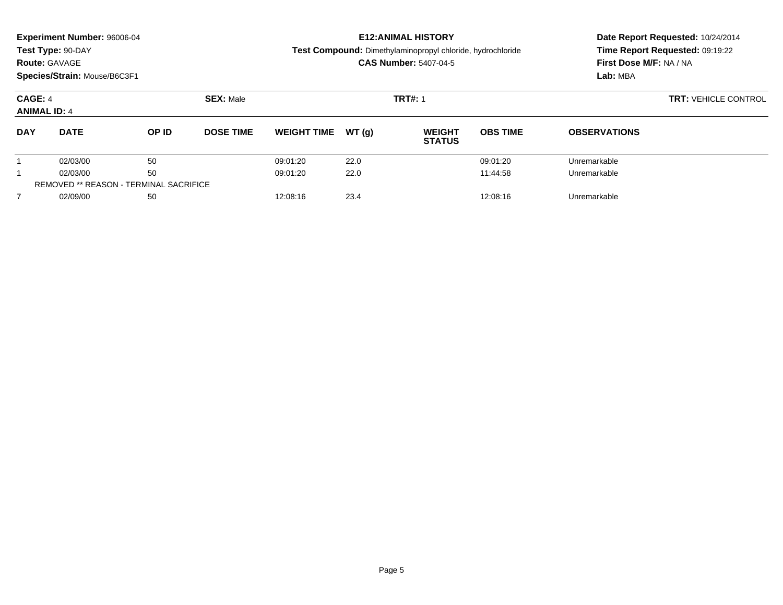| <b>Experiment Number: 96006-04</b><br>Test Type: 90-DAY<br><b>Route: GAVAGE</b><br>Species/Strain: Mouse/B6C3F1 |                                               |       |                  |                              |       | <b>E12: ANIMAL HISTORY</b><br>Test Compound: Dimethylaminopropyl chloride, hydrochloride<br><b>CAS Number: 5407-04-5</b> |                             | Date Report Requested: 10/24/2014<br>Time Report Requested: 09:19:22<br>First Dose M/F: NA / NA<br>Lab: MBA |  |
|-----------------------------------------------------------------------------------------------------------------|-----------------------------------------------|-------|------------------|------------------------------|-------|--------------------------------------------------------------------------------------------------------------------------|-----------------------------|-------------------------------------------------------------------------------------------------------------|--|
| CAGE: 4<br><b>ANIMAL ID: 4</b>                                                                                  |                                               |       | <b>SEX: Male</b> |                              |       | <b>TRT#: 1</b>                                                                                                           | <b>TRT: VEHICLE CONTROL</b> |                                                                                                             |  |
| <b>DAY</b>                                                                                                      | <b>DATE</b>                                   | OP ID | <b>DOSE TIME</b> | <b>WEIGHT TIME</b>           | WT(q) | <b>WEIGHT</b><br><b>STATUS</b>                                                                                           | <b>OBS TIME</b>             | <b>OBSERVATIONS</b>                                                                                         |  |
|                                                                                                                 | 02/03/00                                      | 50    |                  | 09:01:20                     | 22.0  |                                                                                                                          | 09:01:20                    | Unremarkable                                                                                                |  |
|                                                                                                                 | 02/03/00                                      | 50    |                  | 09:01:20                     | 22.0  |                                                                                                                          | Unremarkable                |                                                                                                             |  |
|                                                                                                                 | <b>REMOVED ** REASON - TERMINAL SACRIFICE</b> |       |                  |                              |       |                                                                                                                          |                             |                                                                                                             |  |
|                                                                                                                 | 02/09/00                                      | 50    |                  | 23.4<br>12:08:16<br>12:08:16 |       |                                                                                                                          |                             | Unremarkable                                                                                                |  |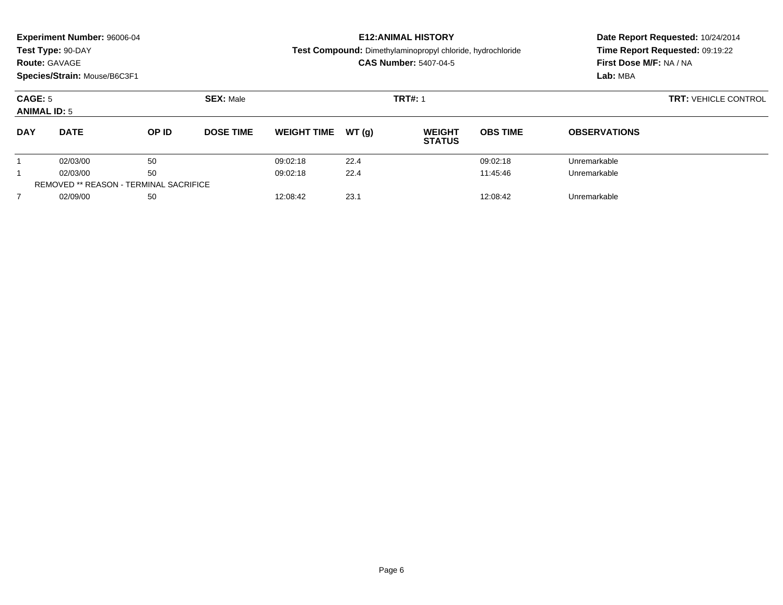| <b>Experiment Number: 96006-04</b><br>Test Type: 90-DAY<br><b>Route: GAVAGE</b><br>Species/Strain: Mouse/B6C3F1 |                                               |       |                  |                    |       | <b>E12: ANIMAL HISTORY</b><br>Test Compound: Dimethylaminopropyl chloride, hydrochloride<br><b>CAS Number: 5407-04-5</b> |                             | Date Report Requested: 10/24/2014<br>Time Report Requested: 09:19:22<br>First Dose M/F: NA / NA<br>Lab: MBA |  |
|-----------------------------------------------------------------------------------------------------------------|-----------------------------------------------|-------|------------------|--------------------|-------|--------------------------------------------------------------------------------------------------------------------------|-----------------------------|-------------------------------------------------------------------------------------------------------------|--|
| CAGE: 5<br><b>ANIMAL ID: 5</b>                                                                                  |                                               |       | <b>SEX: Male</b> |                    |       | <b>TRT#: 1</b>                                                                                                           | <b>TRT: VEHICLE CONTROL</b> |                                                                                                             |  |
| <b>DAY</b>                                                                                                      | <b>DATE</b>                                   | OP ID | <b>DOSE TIME</b> | <b>WEIGHT TIME</b> | WT(q) | <b>WEIGHT</b><br><b>STATUS</b>                                                                                           | <b>OBS TIME</b>             | <b>OBSERVATIONS</b>                                                                                         |  |
|                                                                                                                 | 02/03/00                                      | 50    |                  | 09:02:18           | 22.4  |                                                                                                                          | 09:02:18                    | Unremarkable                                                                                                |  |
|                                                                                                                 | 02/03/00                                      | 50    |                  | 09:02:18           | 22.4  |                                                                                                                          | 11:45:46                    | Unremarkable                                                                                                |  |
|                                                                                                                 | <b>REMOVED ** REASON - TERMINAL SACRIFICE</b> |       |                  |                    |       |                                                                                                                          |                             |                                                                                                             |  |
|                                                                                                                 | 02/09/00                                      | 50    |                  | 12:08:42           | 23.1  |                                                                                                                          | Unremarkable                |                                                                                                             |  |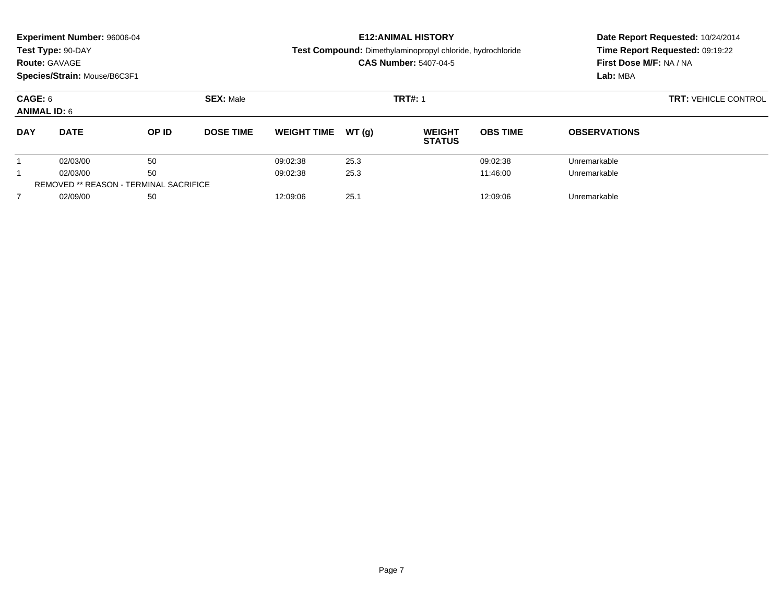| <b>Experiment Number: 96006-04</b><br>Test Type: 90-DAY<br><b>Route: GAVAGE</b><br>Species/Strain: Mouse/B6C3F1 |                                               |       |                  |                    |       | <b>E12: ANIMAL HISTORY</b><br>Test Compound: Dimethylaminopropyl chloride, hydrochloride<br><b>CAS Number: 5407-04-5</b> |                 | Date Report Requested: 10/24/2014<br>Time Report Requested: 09:19:22<br>First Dose M/F: NA / NA<br>Lab: MBA |
|-----------------------------------------------------------------------------------------------------------------|-----------------------------------------------|-------|------------------|--------------------|-------|--------------------------------------------------------------------------------------------------------------------------|-----------------|-------------------------------------------------------------------------------------------------------------|
| CAGE: 6<br><b>ANIMAL ID: 6</b>                                                                                  |                                               |       | <b>SEX: Male</b> |                    |       | <b>TRT#: 1</b>                                                                                                           |                 | <b>TRT: VEHICLE CONTROL</b>                                                                                 |
| <b>DAY</b>                                                                                                      | <b>DATE</b>                                   | OP ID | <b>DOSE TIME</b> | <b>WEIGHT TIME</b> | WT(g) | <b>WEIGHT</b><br><b>STATUS</b>                                                                                           | <b>OBS TIME</b> | <b>OBSERVATIONS</b>                                                                                         |
|                                                                                                                 | 02/03/00                                      | 50    |                  | 09:02:38           | 25.3  |                                                                                                                          | 09:02:38        | Unremarkable                                                                                                |
|                                                                                                                 | 02/03/00                                      | 50    |                  | 09:02:38           | 25.3  |                                                                                                                          | Unremarkable    |                                                                                                             |
|                                                                                                                 | <b>REMOVED ** REASON - TERMINAL SACRIFICE</b> |       |                  |                    |       |                                                                                                                          |                 |                                                                                                             |
|                                                                                                                 | 02/09/00                                      | 50    |                  | 12:09:06           | 25.1  |                                                                                                                          | Unremarkable    |                                                                                                             |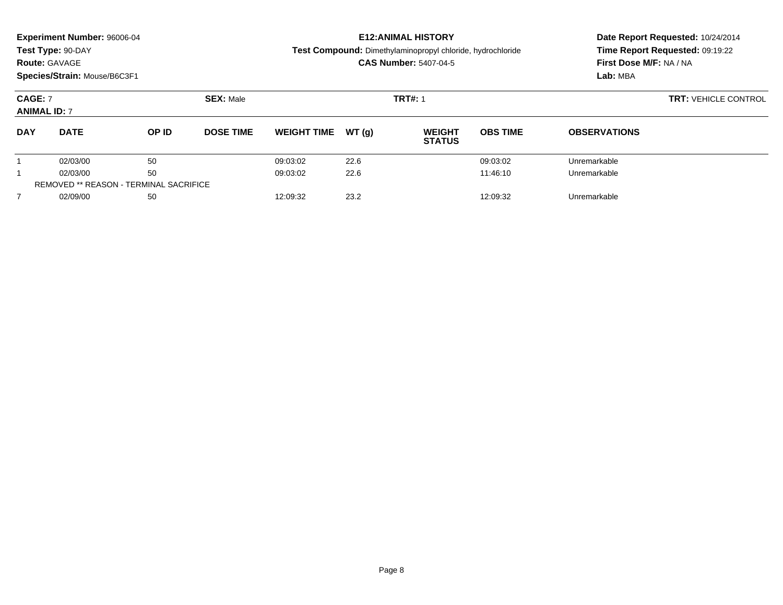| <b>Experiment Number: 96006-04</b><br>Test Type: 90-DAY<br><b>Route: GAVAGE</b><br>Species/Strain: Mouse/B6C3F1 |                                               |       |                  |                    |       | <b>E12: ANIMAL HISTORY</b><br>Test Compound: Dimethylaminopropyl chloride, hydrochloride<br><b>CAS Number: 5407-04-5</b> |                             | Date Report Requested: 10/24/2014<br>Time Report Requested: 09:19:22<br>First Dose M/F: NA / NA<br>Lab: MBA |
|-----------------------------------------------------------------------------------------------------------------|-----------------------------------------------|-------|------------------|--------------------|-------|--------------------------------------------------------------------------------------------------------------------------|-----------------------------|-------------------------------------------------------------------------------------------------------------|
| <b>CAGE: 7</b><br><b>ANIMAL ID: 7</b>                                                                           |                                               |       | <b>SEX: Male</b> |                    |       | <b>TRT#: 1</b>                                                                                                           | <b>TRT: VEHICLE CONTROL</b> |                                                                                                             |
| <b>DAY</b>                                                                                                      | <b>DATE</b>                                   | OP ID | <b>DOSE TIME</b> | <b>WEIGHT TIME</b> | WT(q) | <b>WEIGHT</b><br><b>STATUS</b>                                                                                           | <b>OBS TIME</b>             | <b>OBSERVATIONS</b>                                                                                         |
|                                                                                                                 | 02/03/00                                      | 50    |                  | 09:03:02           | 22.6  |                                                                                                                          | 09:03:02                    | Unremarkable                                                                                                |
|                                                                                                                 | 02/03/00                                      | 50    |                  | 09:03:02           | 22.6  |                                                                                                                          | Unremarkable                |                                                                                                             |
|                                                                                                                 | <b>REMOVED ** REASON - TERMINAL SACRIFICE</b> |       |                  |                    |       |                                                                                                                          |                             |                                                                                                             |
| $\overline{7}$                                                                                                  | 02/09/00                                      | 50    |                  | 12:09:32           | 23.2  |                                                                                                                          | 12:09:32                    | Unremarkable                                                                                                |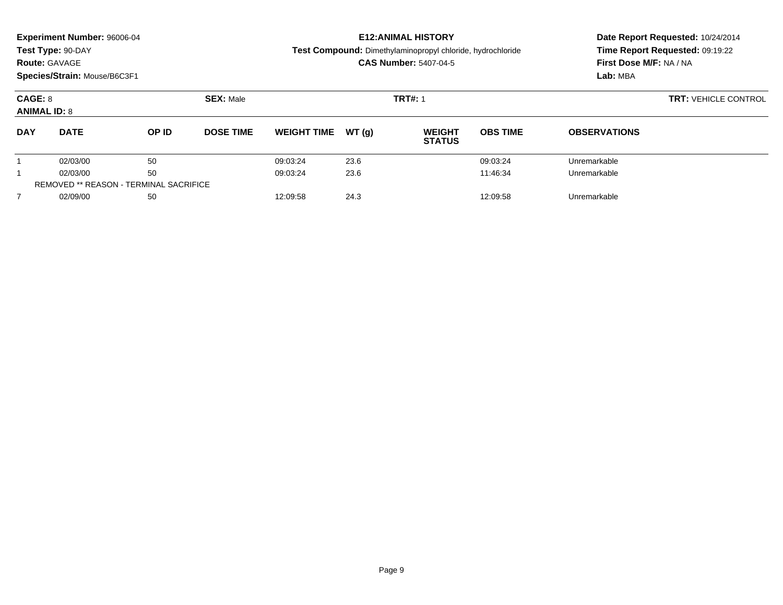| <b>Experiment Number: 96006-04</b><br>Test Type: 90-DAY<br><b>Route: GAVAGE</b><br>Species/Strain: Mouse/B6C3F1 |                                               |       |                  |                              |       | <b>E12: ANIMAL HISTORY</b><br>Test Compound: Dimethylaminopropyl chloride, hydrochloride<br><b>CAS Number: 5407-04-5</b> |                             | Date Report Requested: 10/24/2014<br>Time Report Requested: 09:19:22<br>First Dose M/F: NA / NA<br>Lab: MBA |  |
|-----------------------------------------------------------------------------------------------------------------|-----------------------------------------------|-------|------------------|------------------------------|-------|--------------------------------------------------------------------------------------------------------------------------|-----------------------------|-------------------------------------------------------------------------------------------------------------|--|
| CAGE: 8<br><b>ANIMAL ID: 8</b>                                                                                  |                                               |       | <b>SEX: Male</b> |                              |       | <b>TRT#: 1</b>                                                                                                           | <b>TRT: VEHICLE CONTROL</b> |                                                                                                             |  |
| <b>DAY</b>                                                                                                      | <b>DATE</b>                                   | OP ID | <b>DOSE TIME</b> | <b>WEIGHT TIME</b>           | WT(q) | <b>WEIGHT</b><br><b>STATUS</b>                                                                                           | <b>OBS TIME</b>             | <b>OBSERVATIONS</b>                                                                                         |  |
|                                                                                                                 | 02/03/00                                      | 50    |                  | 09:03:24                     | 23.6  |                                                                                                                          | 09:03:24                    | Unremarkable                                                                                                |  |
|                                                                                                                 | 02/03/00                                      | 50    |                  | 09:03:24                     | 23.6  |                                                                                                                          | 11:46:34                    | Unremarkable                                                                                                |  |
|                                                                                                                 | <b>REMOVED ** REASON - TERMINAL SACRIFICE</b> |       |                  |                              |       |                                                                                                                          |                             |                                                                                                             |  |
|                                                                                                                 | 02/09/00                                      | 50    |                  | 24.3<br>12:09:58<br>12:09:58 |       |                                                                                                                          |                             | Unremarkable                                                                                                |  |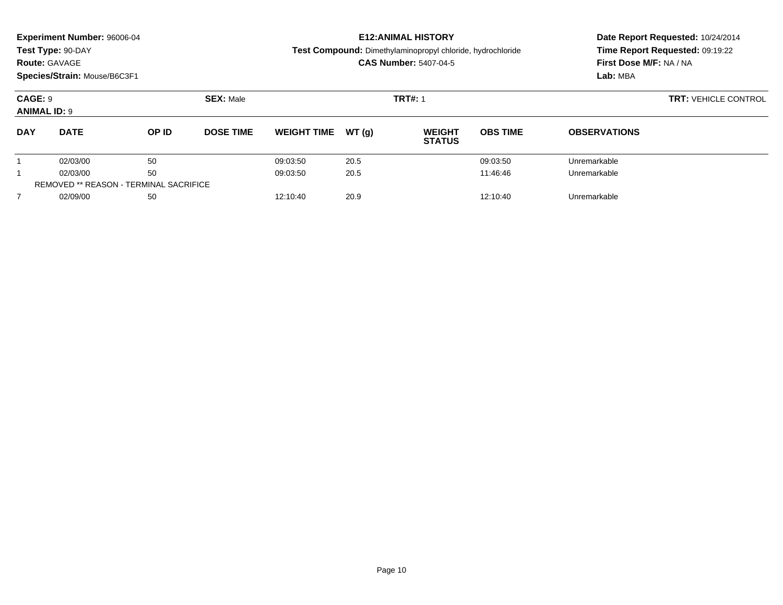| <b>Experiment Number: 96006-04</b><br>Test Type: 90-DAY<br><b>Route: GAVAGE</b><br>Species/Strain: Mouse/B6C3F1 |                                                |       |                  |                    |       | <b>E12: ANIMAL HISTORY</b><br>Test Compound: Dimethylaminopropyl chloride, hydrochloride<br><b>CAS Number: 5407-04-5</b> |                 | Date Report Requested: 10/24/2014<br>Time Report Requested: 09:19:22<br>First Dose M/F: NA / NA<br>Lab: MBA |
|-----------------------------------------------------------------------------------------------------------------|------------------------------------------------|-------|------------------|--------------------|-------|--------------------------------------------------------------------------------------------------------------------------|-----------------|-------------------------------------------------------------------------------------------------------------|
| CAGE: 9<br><b>ANIMAL ID: 9</b>                                                                                  |                                                |       | <b>SEX: Male</b> |                    |       | <b>TRT#: 1</b>                                                                                                           |                 | <b>TRT: VEHICLE CONTROL</b>                                                                                 |
| <b>DAY</b>                                                                                                      | <b>DATE</b>                                    | OP ID | <b>DOSE TIME</b> | <b>WEIGHT TIME</b> | WT(g) | <b>WEIGHT</b><br><b>STATUS</b>                                                                                           | <b>OBS TIME</b> | <b>OBSERVATIONS</b>                                                                                         |
|                                                                                                                 | 02/03/00                                       | 50    |                  | 09:03:50           | 20.5  |                                                                                                                          | 09:03:50        | Unremarkable                                                                                                |
|                                                                                                                 | 02/03/00                                       | 50    |                  | 09:03:50           | 20.5  |                                                                                                                          | 11:46:46        | Unremarkable                                                                                                |
|                                                                                                                 | <b>REMOVED ** REASON - TERMINAL SACRIFICE</b>  |       |                  |                    |       |                                                                                                                          |                 |                                                                                                             |
|                                                                                                                 | 20.9<br>02/09/00<br>50<br>12:10:40<br>12:10:40 |       |                  |                    |       |                                                                                                                          | Unremarkable    |                                                                                                             |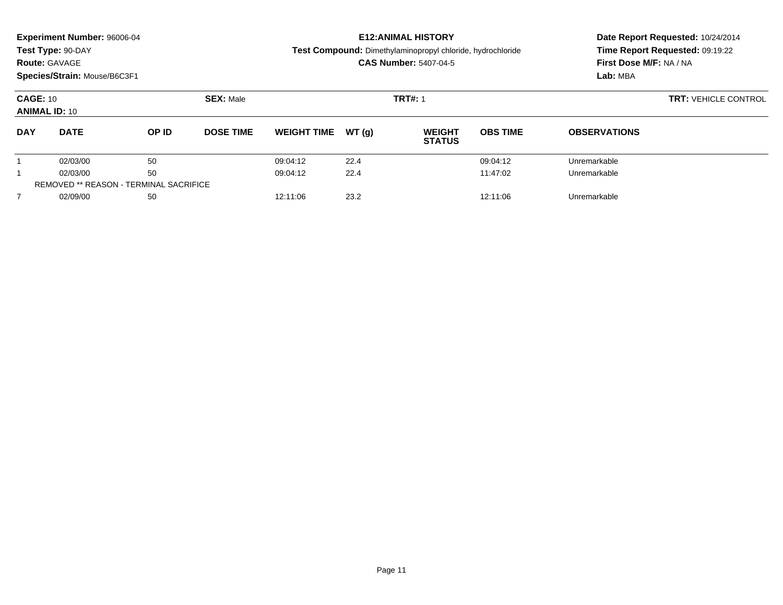| <b>Experiment Number: 96006-04</b><br>Test Type: 90-DAY<br><b>Route: GAVAGE</b><br>Species/Strain: Mouse/B6C3F1 |                                               |       |                  |                    |       | <b>E12: ANIMAL HISTORY</b><br>Test Compound: Dimethylaminopropyl chloride, hydrochloride<br><b>CAS Number: 5407-04-5</b> |                             | Date Report Requested: 10/24/2014<br>Time Report Requested: 09:19:22<br>First Dose M/F: NA / NA<br>Lab: MBA |
|-----------------------------------------------------------------------------------------------------------------|-----------------------------------------------|-------|------------------|--------------------|-------|--------------------------------------------------------------------------------------------------------------------------|-----------------------------|-------------------------------------------------------------------------------------------------------------|
| <b>CAGE: 10</b><br><b>ANIMAL ID: 10</b>                                                                         |                                               |       | <b>SEX: Male</b> |                    |       | <b>TRT#: 1</b>                                                                                                           | <b>TRT: VEHICLE CONTROL</b> |                                                                                                             |
| <b>DAY</b>                                                                                                      | <b>DATE</b>                                   | OP ID | <b>DOSE TIME</b> | <b>WEIGHT TIME</b> | WT(q) | <b>WEIGHT</b><br><b>STATUS</b>                                                                                           | <b>OBS TIME</b>             | <b>OBSERVATIONS</b>                                                                                         |
|                                                                                                                 | 02/03/00                                      | 50    |                  | 09:04:12           | 22.4  |                                                                                                                          | 09:04:12                    | Unremarkable                                                                                                |
|                                                                                                                 | 02/03/00                                      | 50    |                  | 09:04:12           | 22.4  |                                                                                                                          | Unremarkable                |                                                                                                             |
|                                                                                                                 | <b>REMOVED ** REASON - TERMINAL SACRIFICE</b> |       |                  |                    |       |                                                                                                                          |                             |                                                                                                             |
| $\overline{7}$                                                                                                  | 02/09/00                                      | 50    |                  | 12:11:06           | 23.2  |                                                                                                                          | 12:11:06                    | Unremarkable                                                                                                |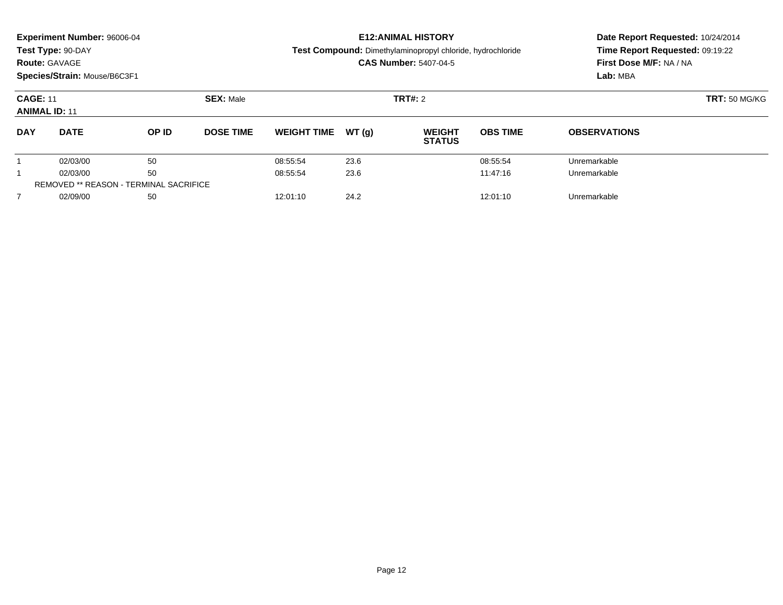| <b>Experiment Number: 96006-04</b><br>Test Type: 90-DAY<br><b>Route: GAVAGE</b><br>Species/Strain: Mouse/B6C3F1 |             |                                               |                  |                    |       | <b>E12: ANIMAL HISTORY</b><br>Test Compound: Dimethylaminopropyl chloride, hydrochloride<br><b>CAS Number: 5407-04-5</b> | Date Report Requested: 10/24/2014<br>Time Report Requested: 09:19:22<br>First Dose M/F: NA / NA<br>Lab: MBA |                     |  |
|-----------------------------------------------------------------------------------------------------------------|-------------|-----------------------------------------------|------------------|--------------------|-------|--------------------------------------------------------------------------------------------------------------------------|-------------------------------------------------------------------------------------------------------------|---------------------|--|
| <b>CAGE: 11</b><br><b>ANIMAL ID: 11</b>                                                                         |             |                                               | <b>SEX: Male</b> |                    |       | <b>TRT#: 2</b>                                                                                                           | <b>TRT: 50 MG/KG</b>                                                                                        |                     |  |
| <b>DAY</b>                                                                                                      | <b>DATE</b> | OP ID                                         | <b>DOSE TIME</b> | <b>WEIGHT TIME</b> | WT(q) | <b>WEIGHT</b><br><b>STATUS</b>                                                                                           | <b>OBS TIME</b>                                                                                             | <b>OBSERVATIONS</b> |  |
|                                                                                                                 | 02/03/00    | 50                                            |                  | 08:55:54           | 23.6  |                                                                                                                          | 08:55:54                                                                                                    | Unremarkable        |  |
|                                                                                                                 | 02/03/00    | 50                                            |                  | 08:55:54           | 23.6  |                                                                                                                          | 11:47:16                                                                                                    | Unremarkable        |  |
|                                                                                                                 |             | <b>REMOVED ** REASON - TERMINAL SACRIFICE</b> |                  |                    |       |                                                                                                                          |                                                                                                             |                     |  |
| $\overline{7}$                                                                                                  | 02/09/00    | 50                                            |                  | 12:01:10           | 24.2  |                                                                                                                          | 12:01:10                                                                                                    | Unremarkable        |  |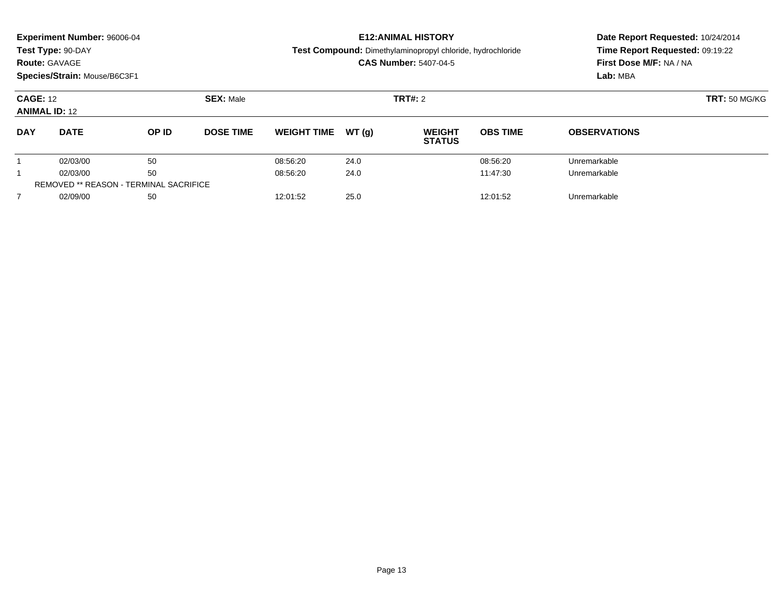|                                         | <b>Experiment Number: 96006-04</b><br>Test Type: 90-DAY<br><b>Route: GAVAGE</b><br>Species/Strain: Mouse/B6C3F1 |       |                  |                    |       | <b>E12: ANIMAL HISTORY</b><br>Test Compound: Dimethylaminopropyl chloride, hydrochloride<br><b>CAS Number: 5407-04-5</b> | Date Report Requested: 10/24/2014<br>Time Report Requested: 09:19:22<br>First Dose M/F: NA / NA<br>Lab: MBA |                     |  |
|-----------------------------------------|-----------------------------------------------------------------------------------------------------------------|-------|------------------|--------------------|-------|--------------------------------------------------------------------------------------------------------------------------|-------------------------------------------------------------------------------------------------------------|---------------------|--|
| <b>CAGE: 12</b><br><b>ANIMAL ID: 12</b> |                                                                                                                 |       | <b>SEX: Male</b> |                    |       | <b>TRT#: 2</b>                                                                                                           | <b>TRT: 50 MG/KG</b>                                                                                        |                     |  |
| <b>DAY</b>                              | <b>DATE</b>                                                                                                     | OP ID | <b>DOSE TIME</b> | <b>WEIGHT TIME</b> | WT(q) | <b>WEIGHT</b><br><b>STATUS</b>                                                                                           | <b>OBS TIME</b>                                                                                             | <b>OBSERVATIONS</b> |  |
|                                         | 02/03/00                                                                                                        | 50    |                  | 08:56:20           | 24.0  |                                                                                                                          | 08:56:20                                                                                                    | Unremarkable        |  |
|                                         | 02/03/00                                                                                                        | 50    |                  | 08:56:20           | 24.0  |                                                                                                                          | 11:47:30                                                                                                    | Unremarkable        |  |
|                                         | <b>REMOVED ** REASON - TERMINAL SACRIFICE</b>                                                                   |       |                  |                    |       |                                                                                                                          |                                                                                                             |                     |  |
| $\overline{7}$                          | 02/09/00                                                                                                        | 50    |                  | 12:01:52           | 25.0  |                                                                                                                          | 12:01:52                                                                                                    | Unremarkable        |  |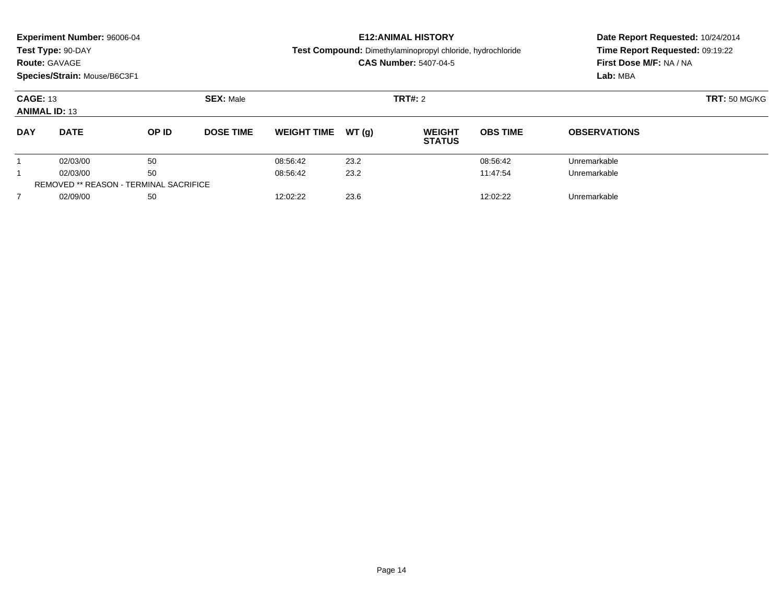|                                         | <b>Experiment Number: 96006-04</b><br>Test Type: 90-DAY<br><b>Route: GAVAGE</b><br>Species/Strain: Mouse/B6C3F1 |       |                  |                    |       | <b>E12: ANIMAL HISTORY</b><br>Test Compound: Dimethylaminopropyl chloride, hydrochloride<br><b>CAS Number: 5407-04-5</b> | Date Report Requested: 10/24/2014<br>Time Report Requested: 09:19:22<br>First Dose M/F: NA / NA<br>Lab: MBA |                     |  |
|-----------------------------------------|-----------------------------------------------------------------------------------------------------------------|-------|------------------|--------------------|-------|--------------------------------------------------------------------------------------------------------------------------|-------------------------------------------------------------------------------------------------------------|---------------------|--|
| <b>CAGE: 13</b><br><b>ANIMAL ID: 13</b> |                                                                                                                 |       | <b>SEX: Male</b> |                    |       | <b>TRT#: 2</b>                                                                                                           | <b>TRT: 50 MG/KG</b>                                                                                        |                     |  |
| <b>DAY</b>                              | <b>DATE</b>                                                                                                     | OP ID | <b>DOSE TIME</b> | <b>WEIGHT TIME</b> | WT(q) | <b>WEIGHT</b><br><b>STATUS</b>                                                                                           | <b>OBS TIME</b>                                                                                             | <b>OBSERVATIONS</b> |  |
|                                         | 02/03/00                                                                                                        | 50    |                  | 08:56:42           | 23.2  |                                                                                                                          | 08:56:42                                                                                                    | Unremarkable        |  |
|                                         | 02/03/00                                                                                                        | 50    |                  | 08:56:42           | 23.2  |                                                                                                                          | 11:47:54                                                                                                    | Unremarkable        |  |
|                                         | <b>REMOVED ** REASON - TERMINAL SACRIFICE</b>                                                                   |       |                  |                    |       |                                                                                                                          |                                                                                                             |                     |  |
| $\overline{7}$                          | 02/09/00                                                                                                        | 50    |                  | 12:02:22           | 23.6  |                                                                                                                          | 12:02:22                                                                                                    | Unremarkable        |  |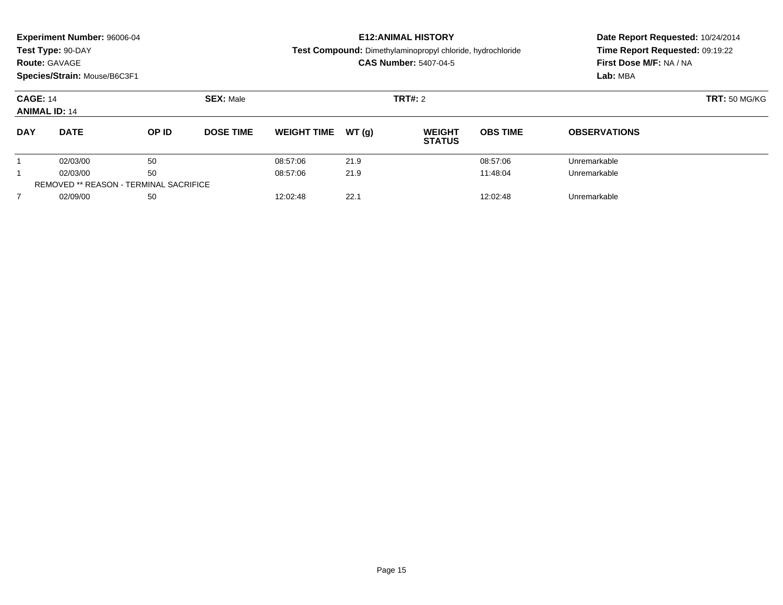| <b>Route: GAVAGE</b>                    | <b>Experiment Number: 96006-04</b><br>Test Type: 90-DAY<br>Species/Strain: Mouse/B6C3F1 |       |                  |                    |       | <b>E12: ANIMAL HISTORY</b><br>Test Compound: Dimethylaminopropyl chloride, hydrochloride<br><b>CAS Number: 5407-04-5</b> | Date Report Requested: 10/24/2014<br>Time Report Requested: 09:19:22<br>First Dose M/F: NA / NA<br>Lab: MBA |                     |  |
|-----------------------------------------|-----------------------------------------------------------------------------------------|-------|------------------|--------------------|-------|--------------------------------------------------------------------------------------------------------------------------|-------------------------------------------------------------------------------------------------------------|---------------------|--|
| <b>CAGE: 14</b><br><b>ANIMAL ID: 14</b> |                                                                                         |       | <b>SEX: Male</b> |                    |       | <b>TRT#: 2</b>                                                                                                           | <b>TRT: 50 MG/KG</b>                                                                                        |                     |  |
| <b>DAY</b>                              | <b>DATE</b>                                                                             | OP ID | <b>DOSE TIME</b> | <b>WEIGHT TIME</b> | WT(q) | <b>WEIGHT</b><br><b>STATUS</b>                                                                                           | <b>OBS TIME</b>                                                                                             | <b>OBSERVATIONS</b> |  |
|                                         | 02/03/00                                                                                | 50    |                  | 08:57:06           | 21.9  |                                                                                                                          | 08:57:06                                                                                                    | Unremarkable        |  |
|                                         | 02/03/00                                                                                | 50    |                  | 08:57:06           | 21.9  |                                                                                                                          | 11:48:04                                                                                                    | Unremarkable        |  |
|                                         | <b>REMOVED ** REASON - TERMINAL SACRIFICE</b>                                           |       |                  |                    |       |                                                                                                                          |                                                                                                             |                     |  |
| $\overline{7}$                          | 02/09/00                                                                                | 50    |                  | 12:02:48           | 22.1  |                                                                                                                          | 12:02:48                                                                                                    | Unremarkable        |  |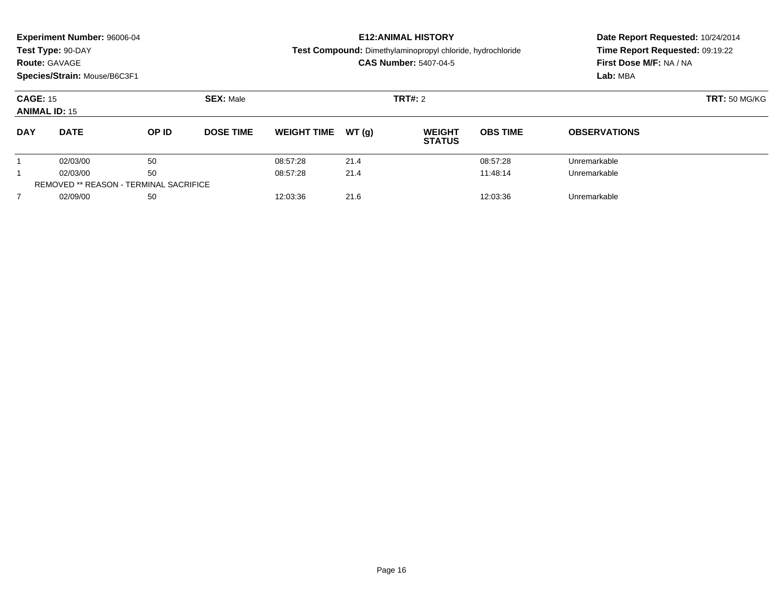|                                         | <b>Experiment Number: 96006-04</b><br>Test Type: 90-DAY<br><b>Route: GAVAGE</b><br>Species/Strain: Mouse/B6C3F1 |       |                  |                    |       | <b>E12:ANIMAL HISTORY</b><br>Test Compound: Dimethylaminopropyl chloride, hydrochloride<br><b>CAS Number: 5407-04-5</b> | Date Report Requested: 10/24/2014<br>Time Report Requested: 09:19:22<br>First Dose M/F: NA / NA<br>Lab: MBA |                     |  |
|-----------------------------------------|-----------------------------------------------------------------------------------------------------------------|-------|------------------|--------------------|-------|-------------------------------------------------------------------------------------------------------------------------|-------------------------------------------------------------------------------------------------------------|---------------------|--|
| <b>CAGE: 15</b><br><b>ANIMAL ID: 15</b> |                                                                                                                 |       | <b>SEX: Male</b> |                    |       | <b>TRT#: 2</b>                                                                                                          | <b>TRT: 50 MG/KG</b>                                                                                        |                     |  |
| <b>DAY</b>                              | <b>DATE</b>                                                                                                     | OP ID | <b>DOSE TIME</b> | <b>WEIGHT TIME</b> | WT(q) | <b>WEIGHT</b><br><b>STATUS</b>                                                                                          | <b>OBS TIME</b>                                                                                             | <b>OBSERVATIONS</b> |  |
|                                         | 02/03/00                                                                                                        | 50    |                  | 08:57:28           | 21.4  |                                                                                                                         | 08:57:28                                                                                                    | Unremarkable        |  |
|                                         | 02/03/00                                                                                                        | 50    |                  | 08:57:28           | 21.4  |                                                                                                                         | 11:48:14                                                                                                    | Unremarkable        |  |
|                                         | <b>REMOVED ** REASON - TERMINAL SACRIFICE</b>                                                                   |       |                  |                    |       |                                                                                                                         |                                                                                                             |                     |  |
| $\overline{7}$                          | 02/09/00                                                                                                        | 50    |                  | 12:03:36           | 21.6  |                                                                                                                         | 12:03:36                                                                                                    | Unremarkable        |  |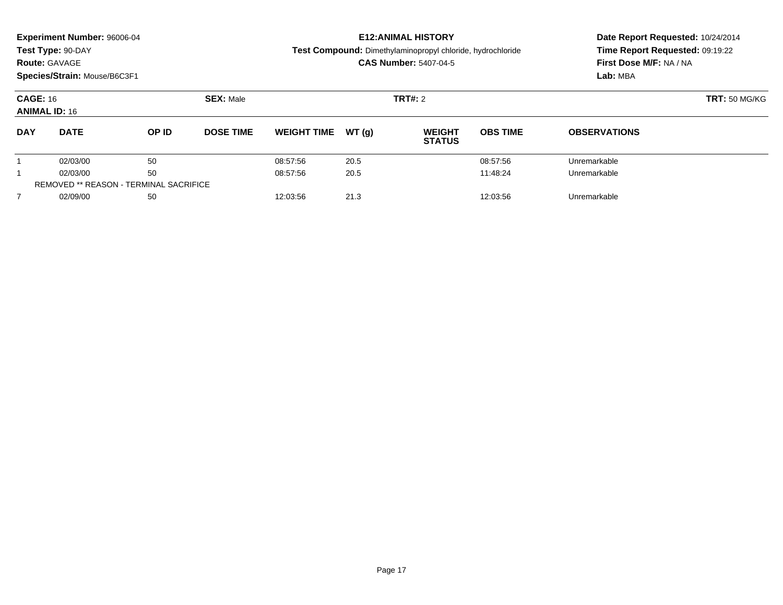| Experiment Number: 96006-04<br>Test Type: 90-DAY<br><b>Route: GAVAGE</b><br>Species/Strain: Mouse/B6C3F1 |             |                                               |                  |                    |       | <b>E12: ANIMAL HISTORY</b><br>Test Compound: Dimethylaminopropyl chloride, hydrochloride<br><b>CAS Number: 5407-04-5</b> | Date Report Requested: 10/24/2014<br>Time Report Requested: 09:19:22<br>First Dose M/F: NA / NA<br>Lab: MBA |                     |
|----------------------------------------------------------------------------------------------------------|-------------|-----------------------------------------------|------------------|--------------------|-------|--------------------------------------------------------------------------------------------------------------------------|-------------------------------------------------------------------------------------------------------------|---------------------|
| <b>CAGE: 16</b><br><b>ANIMAL ID: 16</b>                                                                  |             |                                               | <b>SEX: Male</b> |                    |       | <b>TRT#: 2</b>                                                                                                           | <b>TRT: 50 MG/KG</b>                                                                                        |                     |
| <b>DAY</b>                                                                                               | <b>DATE</b> | OP ID                                         | <b>DOSE TIME</b> | <b>WEIGHT TIME</b> | WT(q) | <b>WEIGHT</b><br><b>STATUS</b>                                                                                           | <b>OBS TIME</b>                                                                                             | <b>OBSERVATIONS</b> |
|                                                                                                          | 02/03/00    | 50                                            |                  | 08:57:56           | 20.5  |                                                                                                                          | 08:57:56                                                                                                    | Unremarkable        |
|                                                                                                          | 02/03/00    | 50                                            |                  | 08:57:56           | 20.5  |                                                                                                                          | 11:48:24                                                                                                    | Unremarkable        |
|                                                                                                          |             | <b>REMOVED ** REASON - TERMINAL SACRIFICE</b> |                  |                    |       |                                                                                                                          |                                                                                                             |                     |
| $\overline{7}$                                                                                           | 02/09/00    | 50                                            |                  | 12:03:56           | 21.3  |                                                                                                                          | 12:03:56                                                                                                    | Unremarkable        |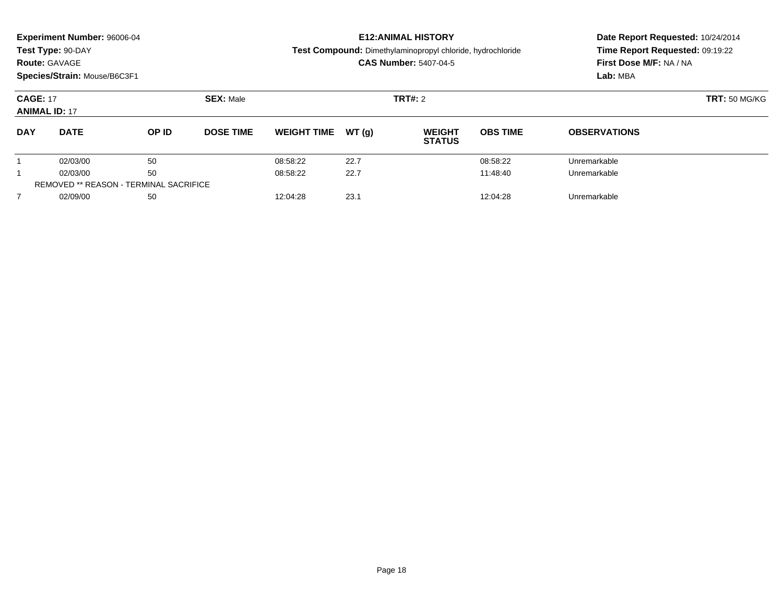| <b>Route: GAVAGE</b>                    | <b>Experiment Number: 96006-04</b><br>Test Type: 90-DAY<br>Species/Strain: Mouse/B6C3F1 |       |                  |                    |       | <b>E12: ANIMAL HISTORY</b><br>Test Compound: Dimethylaminopropyl chloride, hydrochloride<br><b>CAS Number: 5407-04-5</b> | Date Report Requested: 10/24/2014<br>Time Report Requested: 09:19:22<br>First Dose M/F: NA / NA<br>Lab: MBA |                     |
|-----------------------------------------|-----------------------------------------------------------------------------------------|-------|------------------|--------------------|-------|--------------------------------------------------------------------------------------------------------------------------|-------------------------------------------------------------------------------------------------------------|---------------------|
| <b>CAGE: 17</b><br><b>ANIMAL ID: 17</b> |                                                                                         |       | <b>SEX: Male</b> |                    |       | <b>TRT#: 2</b>                                                                                                           | <b>TRT: 50 MG/KG</b>                                                                                        |                     |
| <b>DAY</b>                              | <b>DATE</b>                                                                             | OP ID | <b>DOSE TIME</b> | <b>WEIGHT TIME</b> | WT(q) | <b>WEIGHT</b><br><b>STATUS</b>                                                                                           | <b>OBS TIME</b>                                                                                             | <b>OBSERVATIONS</b> |
|                                         | 02/03/00                                                                                | 50    |                  | 08:58:22           | 22.7  |                                                                                                                          | 08:58:22                                                                                                    | Unremarkable        |
|                                         | 02/03/00                                                                                | 50    |                  | 08:58:22           | 22.7  |                                                                                                                          | 11:48:40                                                                                                    | Unremarkable        |
|                                         | <b>REMOVED ** REASON - TERMINAL SACRIFICE</b>                                           |       |                  |                    |       |                                                                                                                          |                                                                                                             |                     |
| $\overline{7}$                          | 02/09/00                                                                                | 50    |                  | 12:04:28           | 23.1  |                                                                                                                          | 12:04:28                                                                                                    | Unremarkable        |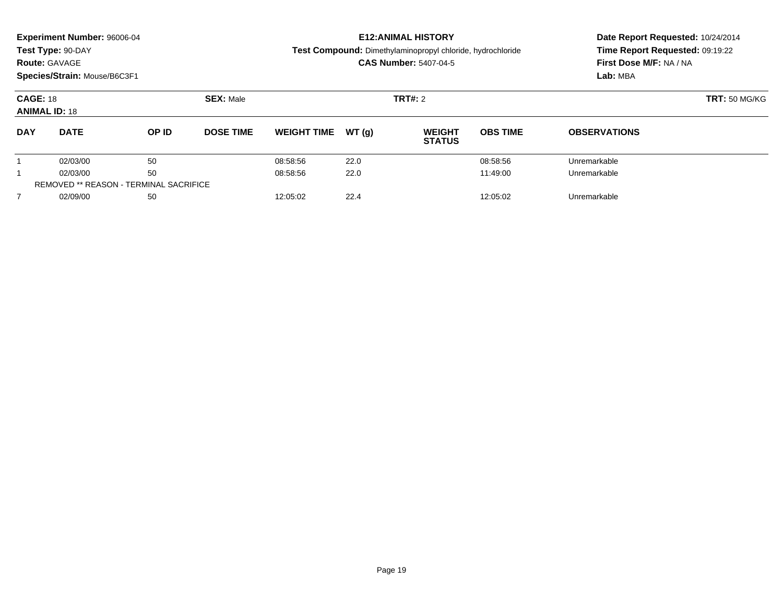|                                         | <b>Experiment Number: 96006-04</b><br>Test Type: 90-DAY<br><b>Route: GAVAGE</b><br>Species/Strain: Mouse/B6C3F1 |       |                  |                    |       | <b>E12: ANIMAL HISTORY</b><br>Test Compound: Dimethylaminopropyl chloride, hydrochloride<br><b>CAS Number: 5407-04-5</b> | Date Report Requested: 10/24/2014<br>Time Report Requested: 09:19:22<br>First Dose M/F: NA / NA<br>Lab: MBA |                     |  |
|-----------------------------------------|-----------------------------------------------------------------------------------------------------------------|-------|------------------|--------------------|-------|--------------------------------------------------------------------------------------------------------------------------|-------------------------------------------------------------------------------------------------------------|---------------------|--|
| <b>CAGE: 18</b><br><b>ANIMAL ID: 18</b> |                                                                                                                 |       | <b>SEX: Male</b> |                    |       | <b>TRT#: 2</b>                                                                                                           | <b>TRT: 50 MG/KG</b>                                                                                        |                     |  |
| <b>DAY</b>                              | <b>DATE</b>                                                                                                     | OP ID | <b>DOSE TIME</b> | <b>WEIGHT TIME</b> | WT(q) | <b>WEIGHT</b><br><b>STATUS</b>                                                                                           | <b>OBS TIME</b>                                                                                             | <b>OBSERVATIONS</b> |  |
|                                         | 02/03/00                                                                                                        | 50    |                  | 08:58:56           | 22.0  |                                                                                                                          | 08:58:56                                                                                                    | Unremarkable        |  |
|                                         | 02/03/00                                                                                                        | 50    |                  | 08:58:56           | 22.0  |                                                                                                                          | 11:49:00                                                                                                    | Unremarkable        |  |
|                                         | <b>REMOVED ** REASON - TERMINAL SACRIFICE</b>                                                                   |       |                  |                    |       |                                                                                                                          |                                                                                                             |                     |  |
| $\overline{7}$                          | 02/09/00                                                                                                        | 50    |                  | 12:05:02           | 22.4  |                                                                                                                          | 12:05:02                                                                                                    | Unremarkable        |  |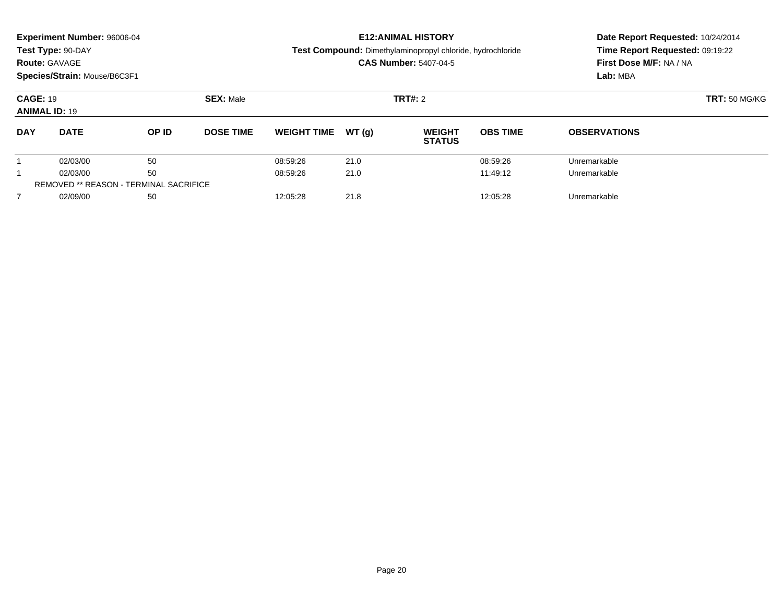| <b>Experiment Number: 96006-04</b><br>Test Type: 90-DAY<br><b>Route: GAVAGE</b><br>Species/Strain: Mouse/B6C3F1 |                                               |       |                  |                    |        | <b>E12: ANIMAL HISTORY</b><br>Test Compound: Dimethylaminopropyl chloride, hydrochloride<br><b>CAS Number: 5407-04-5</b> | Date Report Requested: 10/24/2014<br>Time Report Requested: 09:19:22<br>First Dose M/F: NA / NA<br>Lab: MBA |                     |  |
|-----------------------------------------------------------------------------------------------------------------|-----------------------------------------------|-------|------------------|--------------------|--------|--------------------------------------------------------------------------------------------------------------------------|-------------------------------------------------------------------------------------------------------------|---------------------|--|
| <b>CAGE: 19</b><br><b>ANIMAL ID: 19</b>                                                                         |                                               |       | <b>SEX: Male</b> |                    |        | <b>TRT#: 2</b>                                                                                                           | <b>TRT: 50 MG/KG</b>                                                                                        |                     |  |
| <b>DAY</b>                                                                                                      | <b>DATE</b>                                   | OP ID | <b>DOSE TIME</b> | <b>WEIGHT TIME</b> | WT (q) | <b>WEIGHT</b><br><b>STATUS</b>                                                                                           | <b>OBS TIME</b>                                                                                             | <b>OBSERVATIONS</b> |  |
|                                                                                                                 | 02/03/00                                      | 50    |                  | 08:59:26           | 21.0   |                                                                                                                          | 08:59:26                                                                                                    | Unremarkable        |  |
|                                                                                                                 | 02/03/00                                      | 50    |                  | 08:59:26           | 21.0   |                                                                                                                          | 11:49:12                                                                                                    | Unremarkable        |  |
|                                                                                                                 | <b>REMOVED ** REASON - TERMINAL SACRIFICE</b> |       |                  |                    |        |                                                                                                                          |                                                                                                             |                     |  |
| 7                                                                                                               | 02/09/00                                      | 50    |                  | 12:05:28           | 21.8   |                                                                                                                          | 12:05:28                                                                                                    | Unremarkable        |  |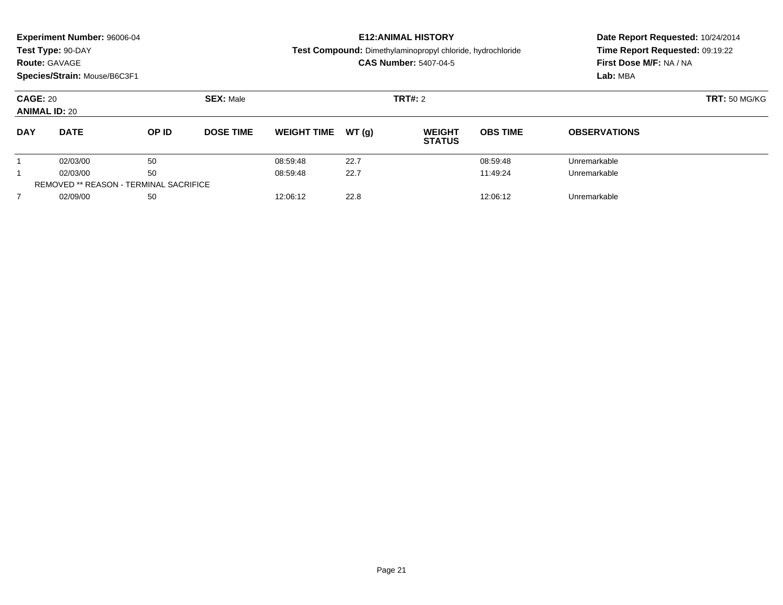| Experiment Number: 96006-04<br>Test Type: 90-DAY<br><b>Route: GAVAGE</b><br>Species/Strain: Mouse/B6C3F1 |             |                                               |                  |                    |       | <b>E12: ANIMAL HISTORY</b><br>Test Compound: Dimethylaminopropyl chloride, hydrochloride<br><b>CAS Number: 5407-04-5</b> | Date Report Requested: 10/24/2014<br>Time Report Requested: 09:19:22<br>First Dose M/F: NA / NA<br>Lab: MBA |                     |  |
|----------------------------------------------------------------------------------------------------------|-------------|-----------------------------------------------|------------------|--------------------|-------|--------------------------------------------------------------------------------------------------------------------------|-------------------------------------------------------------------------------------------------------------|---------------------|--|
| <b>CAGE: 20</b><br><b>ANIMAL ID: 20</b>                                                                  |             |                                               | <b>SEX: Male</b> |                    |       | <b>TRT#: 2</b>                                                                                                           | <b>TRT: 50 MG/KG</b>                                                                                        |                     |  |
| <b>DAY</b>                                                                                               | <b>DATE</b> | OP ID                                         | <b>DOSE TIME</b> | <b>WEIGHT TIME</b> | WT(q) | <b>WEIGHT</b><br><b>STATUS</b>                                                                                           | <b>OBS TIME</b>                                                                                             | <b>OBSERVATIONS</b> |  |
|                                                                                                          | 02/03/00    | 50                                            |                  | 08:59:48           | 22.7  |                                                                                                                          | 08:59:48                                                                                                    | Unremarkable        |  |
|                                                                                                          | 02/03/00    | 50                                            |                  | 08:59:48           | 22.7  |                                                                                                                          | 11:49:24                                                                                                    | Unremarkable        |  |
|                                                                                                          |             | <b>REMOVED ** REASON - TERMINAL SACRIFICE</b> |                  |                    |       |                                                                                                                          |                                                                                                             |                     |  |
| $\overline{7}$                                                                                           | 02/09/00    | 50                                            |                  | 12:06:12           | 22.8  |                                                                                                                          | 12:06:12                                                                                                    | Unremarkable        |  |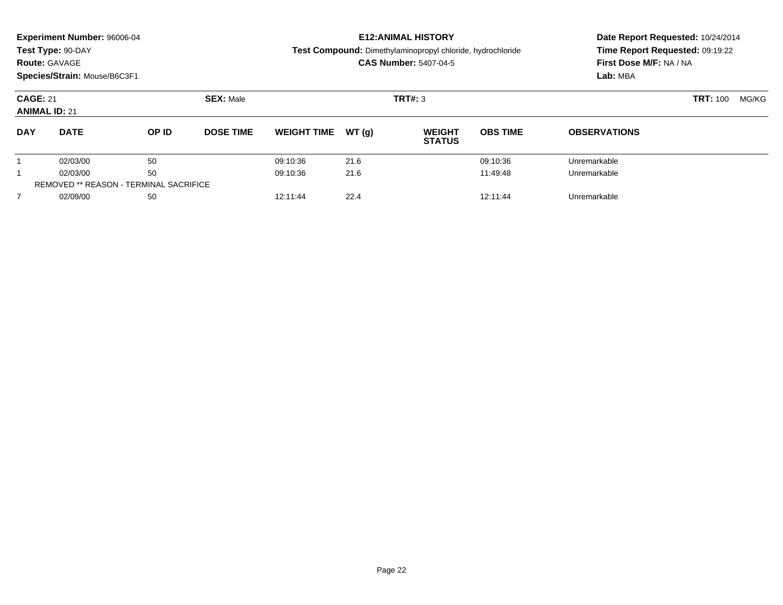| <b>Route: GAVAGE</b>                          | <b>Experiment Number: 96006-04</b><br>Test Type: 90-DAY<br>Species/Strain: Mouse/B6C3F1 |       |                  |                    |       | <b>E12:ANIMAL HISTORY</b><br>Test Compound: Dimethylaminopropyl chloride, hydrochloride<br><b>CAS Number: 5407-04-5</b> | Date Report Requested: 10/24/2014<br>Time Report Requested: 09:19:22<br>First Dose M/F: NA / NA<br>Lab: MBA |                     |                 |       |
|-----------------------------------------------|-----------------------------------------------------------------------------------------|-------|------------------|--------------------|-------|-------------------------------------------------------------------------------------------------------------------------|-------------------------------------------------------------------------------------------------------------|---------------------|-----------------|-------|
| <b>CAGE: 21</b><br><b>ANIMAL ID: 21</b>       |                                                                                         |       | <b>SEX: Male</b> | TRT#: 3            |       |                                                                                                                         |                                                                                                             |                     | <b>TRT: 100</b> | MG/KG |
| <b>DAY</b>                                    | <b>DATE</b>                                                                             | OP ID | <b>DOSE TIME</b> | <b>WEIGHT TIME</b> | WT(q) | <b>WEIGHT</b><br><b>STATUS</b>                                                                                          | <b>OBS TIME</b>                                                                                             | <b>OBSERVATIONS</b> |                 |       |
|                                               | 02/03/00                                                                                | 50    |                  | 09:10:36           | 21.6  |                                                                                                                         | 09:10:36                                                                                                    | Unremarkable        |                 |       |
|                                               | 02/03/00                                                                                | 50    |                  | 09:10:36           | 21.6  |                                                                                                                         | 11:49:48                                                                                                    | Unremarkable        |                 |       |
| <b>REMOVED ** REASON - TERMINAL SACRIFICE</b> |                                                                                         |       |                  |                    |       |                                                                                                                         |                                                                                                             |                     |                 |       |
| $\overline{7}$                                | 02/09/00                                                                                | 50    |                  | 12:11:44           | 22.4  |                                                                                                                         | 12:11:44                                                                                                    | Unremarkable        |                 |       |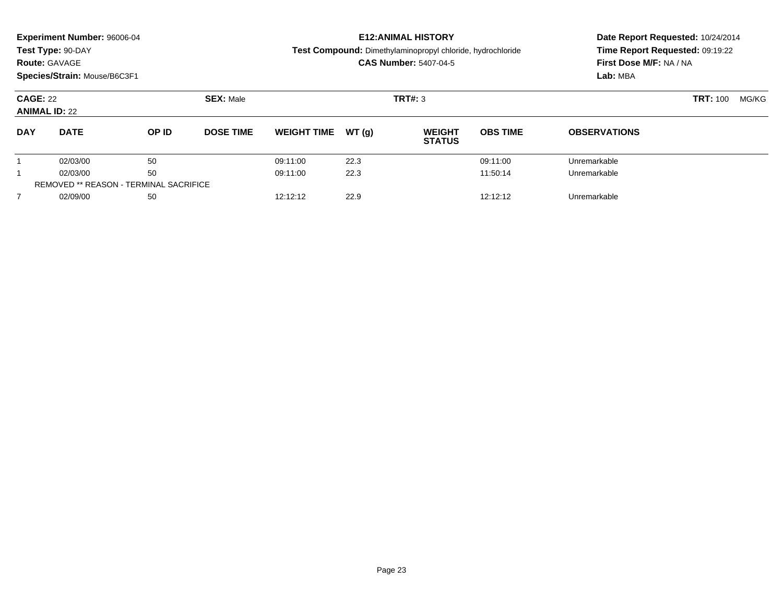|                                               | <b>Experiment Number: 96006-04</b><br>Test Type: 90-DAY<br><b>Route: GAVAGE</b><br>Species/Strain: Mouse/B6C3F1 |       |                  |                    |        | <b>E12: ANIMAL HISTORY</b><br>Test Compound: Dimethylaminopropyl chloride, hydrochloride<br><b>CAS Number: 5407-04-5</b> | Date Report Requested: 10/24/2014<br>Time Report Requested: 09:19:22<br>First Dose M/F: NA / NA<br>Lab: MBA |                     |  |       |
|-----------------------------------------------|-----------------------------------------------------------------------------------------------------------------|-------|------------------|--------------------|--------|--------------------------------------------------------------------------------------------------------------------------|-------------------------------------------------------------------------------------------------------------|---------------------|--|-------|
| <b>CAGE: 22</b><br><b>ANIMAL ID: 22</b>       |                                                                                                                 |       | <b>SEX: Male</b> |                    |        | TRT#: 3                                                                                                                  |                                                                                                             | <b>TRT: 100</b>     |  | MG/KG |
| <b>DAY</b>                                    | <b>DATE</b>                                                                                                     | OP ID | <b>DOSE TIME</b> | <b>WEIGHT TIME</b> | WT (q) | <b>WEIGHT</b><br><b>STATUS</b>                                                                                           | <b>OBS TIME</b>                                                                                             | <b>OBSERVATIONS</b> |  |       |
|                                               | 02/03/00                                                                                                        | 50    |                  | 09:11:00           | 22.3   |                                                                                                                          | 09:11:00                                                                                                    | Unremarkable        |  |       |
|                                               | 02/03/00                                                                                                        | 50    |                  | 09:11:00           | 22.3   |                                                                                                                          | 11:50:14                                                                                                    | Unremarkable        |  |       |
| <b>REMOVED ** REASON - TERMINAL SACRIFICE</b> |                                                                                                                 |       |                  |                    |        |                                                                                                                          |                                                                                                             |                     |  |       |
| $\overline{7}$                                | 02/09/00                                                                                                        | 50    |                  | 12:12:12           | 22.9   |                                                                                                                          | 12:12:12                                                                                                    | Unremarkable        |  |       |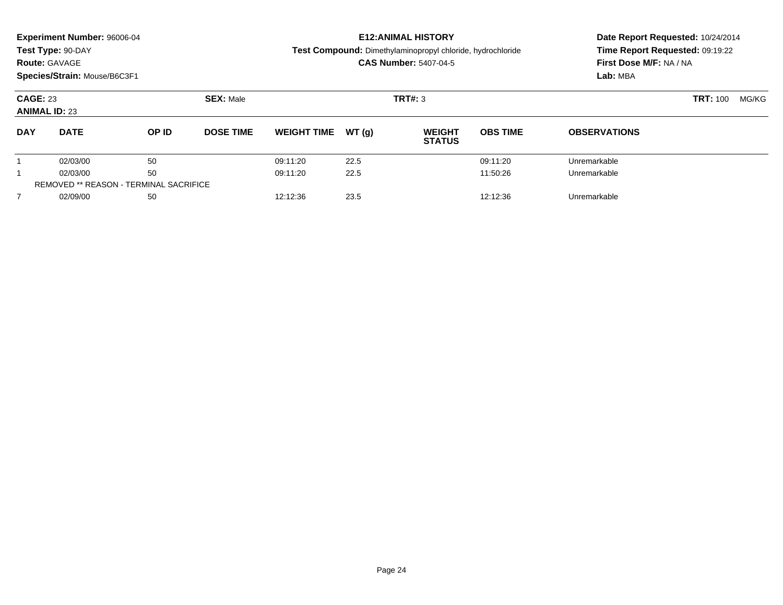|                | <b>Experiment Number: 96006-04</b><br>Test Type: 90-DAY<br><b>Route: GAVAGE</b><br>Species/Strain: Mouse/B6C3F1 |                                               |                  | <b>E12: ANIMAL HISTORY</b><br>Test Compound: Dimethylaminopropyl chloride, hydrochloride<br><b>CAS Number: 5407-04-5</b> |        |                                |                 | Date Report Requested: 10/24/2014<br>Time Report Requested: 09:19:22<br>First Dose M/F: NA / NA<br>Lab: MBA |                 |       |
|----------------|-----------------------------------------------------------------------------------------------------------------|-----------------------------------------------|------------------|--------------------------------------------------------------------------------------------------------------------------|--------|--------------------------------|-----------------|-------------------------------------------------------------------------------------------------------------|-----------------|-------|
|                | <b>CAGE: 23</b><br><b>ANIMAL ID: 23</b>                                                                         |                                               | <b>SEX: Male</b> |                                                                                                                          |        | TRT#: 3                        |                 |                                                                                                             | <b>TRT: 100</b> | MG/KG |
| <b>DAY</b>     | <b>DATE</b>                                                                                                     | OP ID                                         | <b>DOSE TIME</b> | <b>WEIGHT TIME</b>                                                                                                       | WT (q) | <b>WEIGHT</b><br><b>STATUS</b> | <b>OBS TIME</b> | <b>OBSERVATIONS</b>                                                                                         |                 |       |
|                | 02/03/00                                                                                                        | 50                                            |                  | 09:11:20                                                                                                                 | 22.5   |                                | 09:11:20        | Unremarkable                                                                                                |                 |       |
|                | 02/03/00                                                                                                        | 50                                            |                  | 09:11:20                                                                                                                 | 22.5   |                                | 11:50:26        | Unremarkable                                                                                                |                 |       |
|                |                                                                                                                 | <b>REMOVED ** REASON - TERMINAL SACRIFICE</b> |                  |                                                                                                                          |        |                                |                 |                                                                                                             |                 |       |
| $\overline{7}$ | 02/09/00                                                                                                        | 50                                            |                  | 12:12:36                                                                                                                 | 23.5   |                                | 12:12:36        | Unremarkable                                                                                                |                 |       |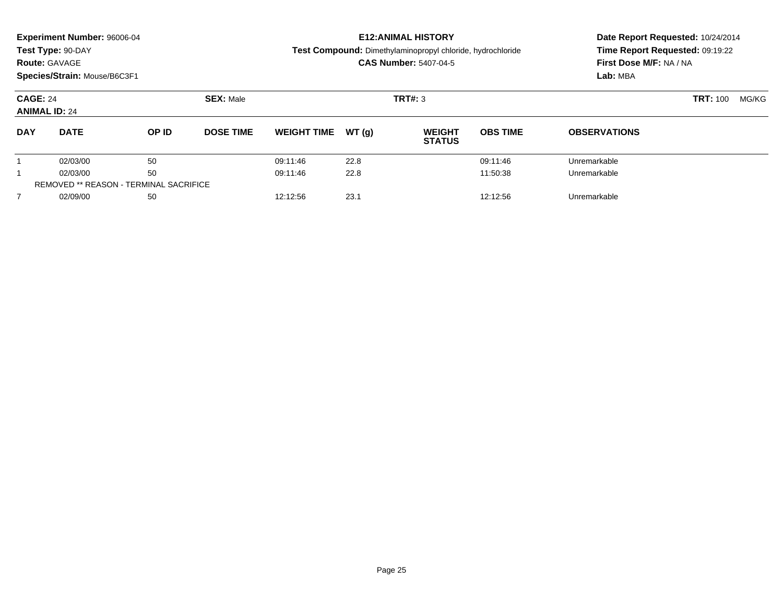|                | <b>Experiment Number: 96006-04</b><br>Test Type: 90-DAY<br><b>Route: GAVAGE</b><br>Species/Strain: Mouse/B6C3F1 |                                               |                  | <b>E12: ANIMAL HISTORY</b><br>Test Compound: Dimethylaminopropyl chloride, hydrochloride<br><b>CAS Number: 5407-04-5</b> |        |                                |                 | Date Report Requested: 10/24/2014<br>Time Report Requested: 09:19:22<br>First Dose M/F: NA / NA<br>Lab: MBA |                 |       |
|----------------|-----------------------------------------------------------------------------------------------------------------|-----------------------------------------------|------------------|--------------------------------------------------------------------------------------------------------------------------|--------|--------------------------------|-----------------|-------------------------------------------------------------------------------------------------------------|-----------------|-------|
|                | <b>CAGE: 24</b><br><b>ANIMAL ID: 24</b>                                                                         |                                               | <b>SEX: Male</b> |                                                                                                                          |        | TRT#: 3                        |                 |                                                                                                             | <b>TRT: 100</b> | MG/KG |
| <b>DAY</b>     | <b>DATE</b>                                                                                                     | OP ID                                         | <b>DOSE TIME</b> | <b>WEIGHT TIME</b>                                                                                                       | WT (q) | <b>WEIGHT</b><br><b>STATUS</b> | <b>OBS TIME</b> | <b>OBSERVATIONS</b>                                                                                         |                 |       |
|                | 02/03/00                                                                                                        | 50                                            |                  | 09:11:46                                                                                                                 | 22.8   |                                | 09:11:46        | Unremarkable                                                                                                |                 |       |
|                | 02/03/00                                                                                                        | 50                                            |                  | 09:11:46                                                                                                                 | 22.8   |                                | 11:50:38        | Unremarkable                                                                                                |                 |       |
|                |                                                                                                                 | <b>REMOVED ** REASON - TERMINAL SACRIFICE</b> |                  |                                                                                                                          |        |                                |                 |                                                                                                             |                 |       |
| $\overline{7}$ | 02/09/00                                                                                                        | 50                                            |                  | 12:12:56                                                                                                                 | 23.1   |                                | 12:12:56        | Unremarkable                                                                                                |                 |       |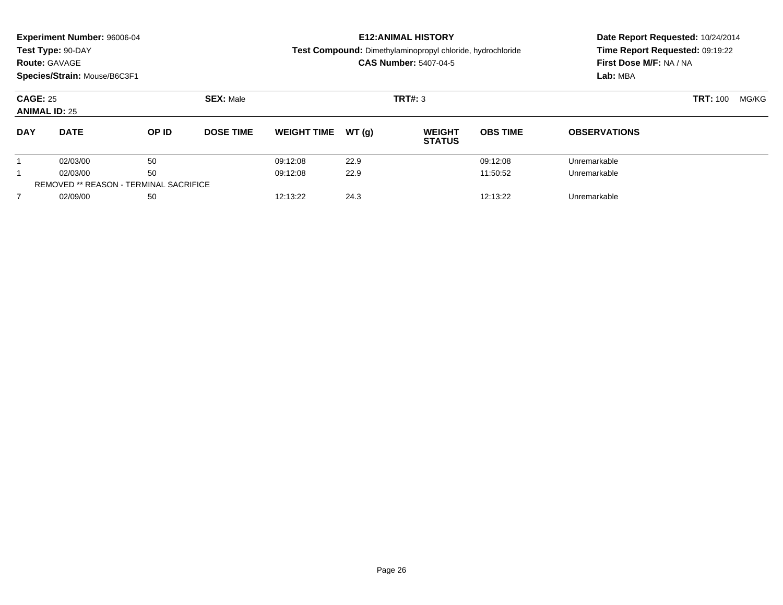|                | <b>Experiment Number: 96006-04</b><br>Test Type: 90-DAY<br><b>Route: GAVAGE</b><br>Species/Strain: Mouse/B6C3F1 |                                               |                  | <b>E12: ANIMAL HISTORY</b><br>Test Compound: Dimethylaminopropyl chloride, hydrochloride<br><b>CAS Number: 5407-04-5</b> |        |                                |                 | Date Report Requested: 10/24/2014<br>Time Report Requested: 09:19:22<br>First Dose M/F: NA / NA<br>Lab: MBA |                 |       |
|----------------|-----------------------------------------------------------------------------------------------------------------|-----------------------------------------------|------------------|--------------------------------------------------------------------------------------------------------------------------|--------|--------------------------------|-----------------|-------------------------------------------------------------------------------------------------------------|-----------------|-------|
|                | <b>CAGE: 25</b><br><b>ANIMAL ID: 25</b>                                                                         |                                               | <b>SEX: Male</b> |                                                                                                                          |        | TRT#: 3                        |                 |                                                                                                             | <b>TRT: 100</b> | MG/KG |
| <b>DAY</b>     | <b>DATE</b>                                                                                                     | OP ID                                         | <b>DOSE TIME</b> | <b>WEIGHT TIME</b>                                                                                                       | WT (q) | <b>WEIGHT</b><br><b>STATUS</b> | <b>OBS TIME</b> | <b>OBSERVATIONS</b>                                                                                         |                 |       |
|                | 02/03/00                                                                                                        | 50                                            |                  | 09:12:08                                                                                                                 | 22.9   |                                | 09:12:08        | Unremarkable                                                                                                |                 |       |
|                | 02/03/00                                                                                                        | 50                                            |                  | 09:12:08                                                                                                                 | 22.9   |                                | 11:50:52        | Unremarkable                                                                                                |                 |       |
|                |                                                                                                                 | <b>REMOVED ** REASON - TERMINAL SACRIFICE</b> |                  |                                                                                                                          |        |                                |                 |                                                                                                             |                 |       |
| $\overline{7}$ | 02/09/00                                                                                                        | 50                                            |                  | 12:13:22                                                                                                                 | 24.3   |                                | 12:13:22        | Unremarkable                                                                                                |                 |       |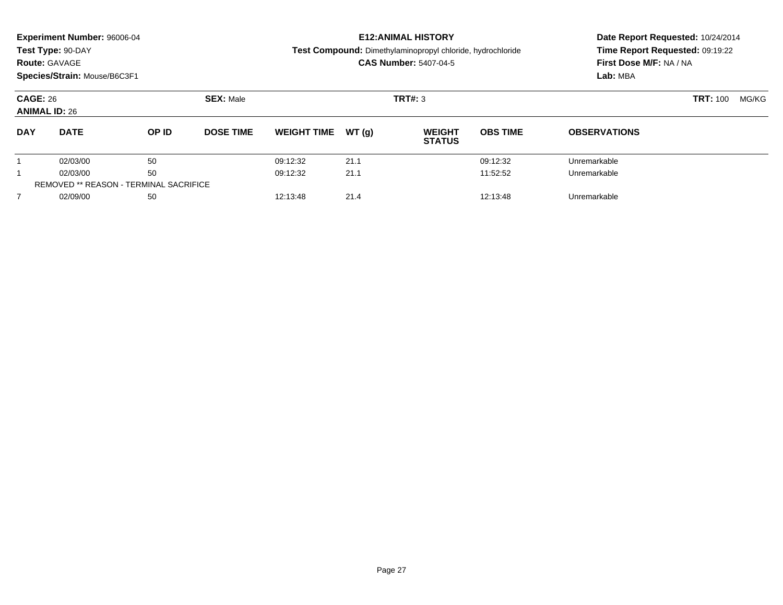|                | <b>Experiment Number: 96006-04</b><br>Test Type: 90-DAY<br><b>Route: GAVAGE</b><br>Species/Strain: Mouse/B6C3F1 |       |                  | <b>E12: ANIMAL HISTORY</b><br>Test Compound: Dimethylaminopropyl chloride, hydrochloride<br><b>CAS Number: 5407-04-5</b> |       |                                |                 | Date Report Requested: 10/24/2014<br>Time Report Requested: 09:19:22<br>First Dose M/F: NA / NA<br>Lab: MBA |       |  |
|----------------|-----------------------------------------------------------------------------------------------------------------|-------|------------------|--------------------------------------------------------------------------------------------------------------------------|-------|--------------------------------|-----------------|-------------------------------------------------------------------------------------------------------------|-------|--|
|                | <b>CAGE: 26</b><br><b>ANIMAL ID: 26</b>                                                                         |       | <b>SEX: Male</b> |                                                                                                                          |       | <b>TRT#: 3</b>                 |                 | <b>TRT: 100</b>                                                                                             | MG/KG |  |
| <b>DAY</b>     | <b>DATE</b>                                                                                                     | OP ID | <b>DOSE TIME</b> | <b>WEIGHT TIME</b>                                                                                                       | WT(q) | <b>WEIGHT</b><br><b>STATUS</b> | <b>OBS TIME</b> | <b>OBSERVATIONS</b>                                                                                         |       |  |
|                | 02/03/00                                                                                                        | 50    |                  | 09:12:32                                                                                                                 | 21.1  |                                | 09:12:32        | Unremarkable                                                                                                |       |  |
|                | 02/03/00                                                                                                        | 50    |                  | 09:12:32                                                                                                                 | 21.1  |                                | 11:52:52        | Unremarkable                                                                                                |       |  |
|                | <b>REMOVED ** REASON - TERMINAL SACRIFICE</b>                                                                   |       |                  |                                                                                                                          |       |                                |                 |                                                                                                             |       |  |
| $\overline{7}$ | 02/09/00                                                                                                        | 50    |                  | 12:13:48                                                                                                                 | 21.4  |                                | 12:13:48        | Unremarkable                                                                                                |       |  |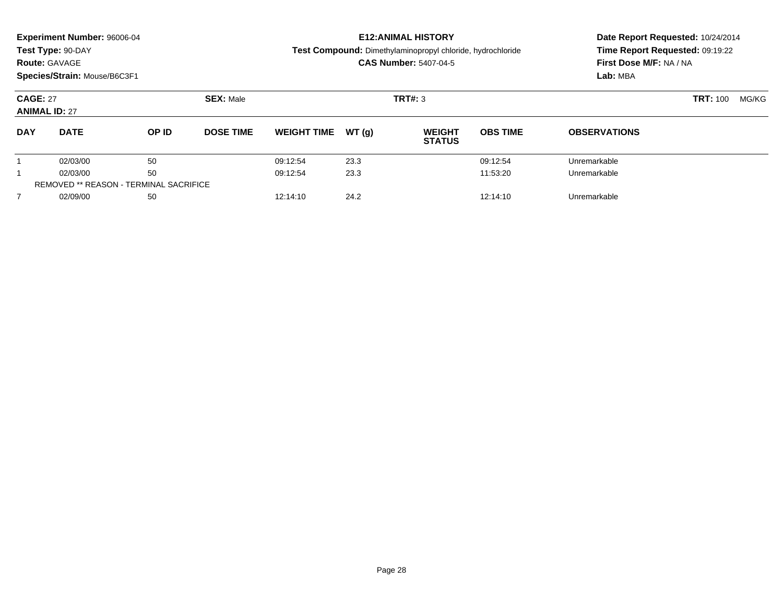|                | <b>Experiment Number: 96006-04</b><br>Test Type: 90-DAY<br><b>Route: GAVAGE</b><br>Species/Strain: Mouse/B6C3F1 | <b>E12: ANIMAL HISTORY</b><br>Test Compound: Dimethylaminopropyl chloride, hydrochloride<br><b>CAS Number: 5407-04-5</b> |                  |                    |       | Date Report Requested: 10/24/2014<br>Time Report Requested: 09:19:22<br>First Dose M/F: NA / NA<br>Lab: MBA |                 |                     |                 |       |
|----------------|-----------------------------------------------------------------------------------------------------------------|--------------------------------------------------------------------------------------------------------------------------|------------------|--------------------|-------|-------------------------------------------------------------------------------------------------------------|-----------------|---------------------|-----------------|-------|
|                | <b>CAGE: 27</b><br><b>ANIMAL ID: 27</b>                                                                         |                                                                                                                          | <b>SEX: Male</b> | TRT#: 3            |       |                                                                                                             |                 |                     | <b>TRT: 100</b> | MG/KG |
| <b>DAY</b>     | <b>DATE</b>                                                                                                     | OP ID                                                                                                                    | <b>DOSE TIME</b> | <b>WEIGHT TIME</b> | WT(q) | <b>WEIGHT</b><br><b>STATUS</b>                                                                              | <b>OBS TIME</b> | <b>OBSERVATIONS</b> |                 |       |
|                | 02/03/00                                                                                                        | 50                                                                                                                       |                  | 09:12:54           | 23.3  |                                                                                                             | 09:12:54        | Unremarkable        |                 |       |
|                | 02/03/00                                                                                                        | 50                                                                                                                       |                  | 09:12:54           | 23.3  |                                                                                                             | 11:53:20        | Unremarkable        |                 |       |
|                |                                                                                                                 | <b>REMOVED ** REASON - TERMINAL SACRIFICE</b>                                                                            |                  |                    |       |                                                                                                             |                 |                     |                 |       |
| $\overline{7}$ | 02/09/00                                                                                                        | 50                                                                                                                       |                  | 12:14:10           | 24.2  |                                                                                                             | 12:14:10        | Unremarkable        |                 |       |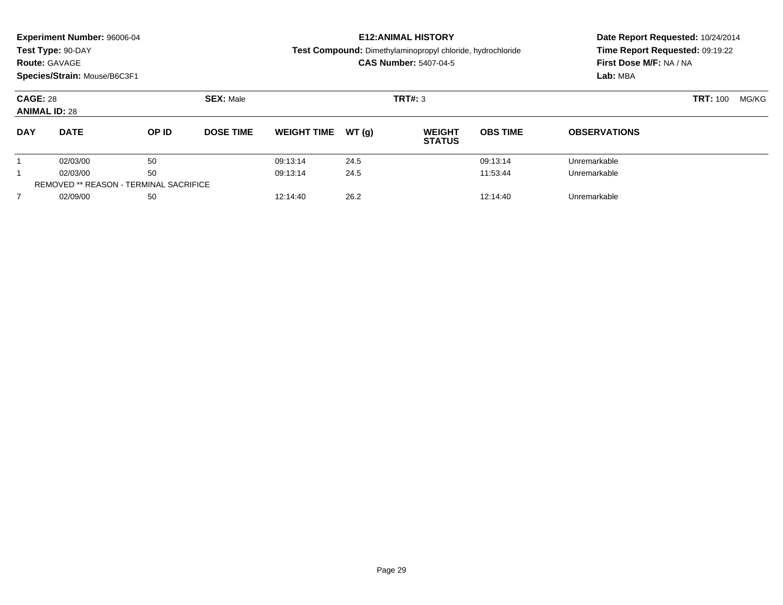|                | <b>Experiment Number: 96006-04</b><br>Test Type: 90-DAY<br><b>Route: GAVAGE</b><br>Species/Strain: Mouse/B6C3F1 |                                               |                  | <b>E12: ANIMAL HISTORY</b><br>Test Compound: Dimethylaminopropyl chloride, hydrochloride<br><b>CAS Number: 5407-04-5</b> |       |                                |                 | Date Report Requested: 10/24/2014<br>Time Report Requested: 09:19:22<br>First Dose M/F: NA / NA<br>Lab: MBA |                 |       |
|----------------|-----------------------------------------------------------------------------------------------------------------|-----------------------------------------------|------------------|--------------------------------------------------------------------------------------------------------------------------|-------|--------------------------------|-----------------|-------------------------------------------------------------------------------------------------------------|-----------------|-------|
|                | <b>CAGE: 28</b><br><b>ANIMAL ID: 28</b>                                                                         |                                               | <b>SEX: Male</b> |                                                                                                                          |       | TRT#: 3                        |                 |                                                                                                             | <b>TRT: 100</b> | MG/KG |
| <b>DAY</b>     | <b>DATE</b>                                                                                                     | OP ID                                         | <b>DOSE TIME</b> | <b>WEIGHT TIME</b>                                                                                                       | WT(q) | <b>WEIGHT</b><br><b>STATUS</b> | <b>OBS TIME</b> | <b>OBSERVATIONS</b>                                                                                         |                 |       |
|                | 02/03/00                                                                                                        | 50                                            |                  | 09:13:14                                                                                                                 | 24.5  |                                | 09:13:14        | Unremarkable                                                                                                |                 |       |
|                | 02/03/00                                                                                                        | 50                                            |                  | 09:13:14                                                                                                                 | 24.5  |                                | 11:53:44        | Unremarkable                                                                                                |                 |       |
|                |                                                                                                                 | <b>REMOVED ** REASON - TERMINAL SACRIFICE</b> |                  |                                                                                                                          |       |                                |                 |                                                                                                             |                 |       |
| $\overline{7}$ | 02/09/00                                                                                                        | 50                                            |                  | 12:14:40                                                                                                                 | 26.2  |                                | 12:14:40        | Unremarkable                                                                                                |                 |       |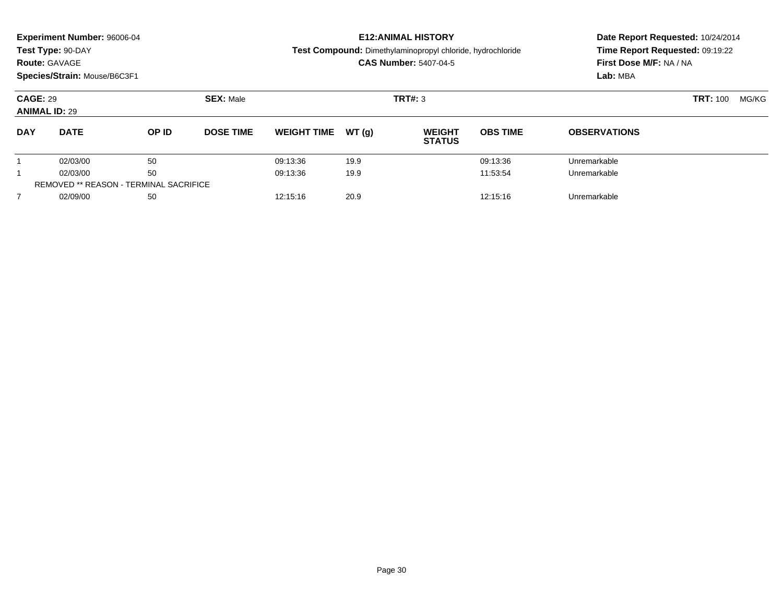|                                         | Experiment Number: 96006-04<br>Test Type: 90-DAY<br><b>Route: GAVAGE</b><br>Species/Strain: Mouse/B6C3F1 |                                               |                  |                    |       | <b>E12: ANIMAL HISTORY</b><br>Test Compound: Dimethylaminopropyl chloride, hydrochloride<br><b>CAS Number: 5407-04-5</b> | Date Report Requested: 10/24/2014<br>Time Report Requested: 09:19:22<br>First Dose M/F: NA / NA<br>Lab: MBA |                     |                 |       |
|-----------------------------------------|----------------------------------------------------------------------------------------------------------|-----------------------------------------------|------------------|--------------------|-------|--------------------------------------------------------------------------------------------------------------------------|-------------------------------------------------------------------------------------------------------------|---------------------|-----------------|-------|
| <b>CAGE: 29</b><br><b>ANIMAL ID: 29</b> |                                                                                                          |                                               | <b>SEX: Male</b> |                    |       | <b>TRT#: 3</b>                                                                                                           |                                                                                                             |                     | <b>TRT: 100</b> | MG/KG |
| <b>DAY</b>                              | <b>DATE</b>                                                                                              | OP ID                                         | <b>DOSE TIME</b> | <b>WEIGHT TIME</b> | WT(q) | <b>WEIGHT</b><br><b>STATUS</b>                                                                                           | <b>OBS TIME</b>                                                                                             | <b>OBSERVATIONS</b> |                 |       |
|                                         | 02/03/00                                                                                                 | 50                                            |                  | 09:13:36           | 19.9  |                                                                                                                          | 09:13:36                                                                                                    | Unremarkable        |                 |       |
| 1                                       | 02/03/00                                                                                                 | 50                                            |                  | 09:13:36           | 19.9  |                                                                                                                          | 11:53:54                                                                                                    | Unremarkable        |                 |       |
|                                         |                                                                                                          | <b>REMOVED ** REASON - TERMINAL SACRIFICE</b> |                  |                    |       |                                                                                                                          |                                                                                                             |                     |                 |       |
| $\overline{7}$                          | 02/09/00                                                                                                 | 50                                            |                  | 12:15:16           | 20.9  |                                                                                                                          | 12:15:16                                                                                                    | Unremarkable        |                 |       |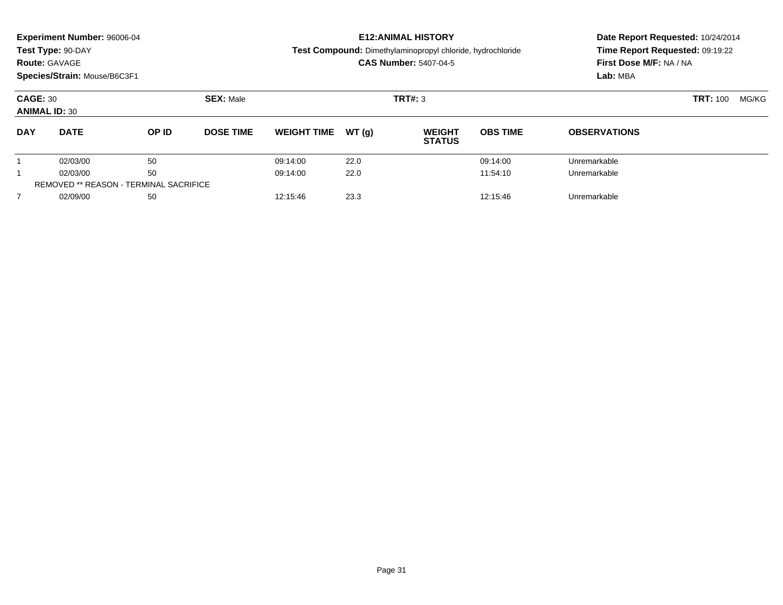|                | <b>Experiment Number: 96006-04</b><br>Test Type: 90-DAY<br><b>Route: GAVAGE</b><br>Species/Strain: Mouse/B6C3F1 |                                               |                  | <b>E12: ANIMAL HISTORY</b><br>Test Compound: Dimethylaminopropyl chloride, hydrochloride<br><b>CAS Number: 5407-04-5</b> |       |                                |                 | Date Report Requested: 10/24/2014<br>Time Report Requested: 09:19:22<br>First Dose M/F: NA / NA<br>Lab: MBA |                 |       |
|----------------|-----------------------------------------------------------------------------------------------------------------|-----------------------------------------------|------------------|--------------------------------------------------------------------------------------------------------------------------|-------|--------------------------------|-----------------|-------------------------------------------------------------------------------------------------------------|-----------------|-------|
|                | <b>CAGE: 30</b><br><b>ANIMAL ID: 30</b>                                                                         |                                               | <b>SEX: Male</b> |                                                                                                                          |       | TRT#: 3                        |                 |                                                                                                             | <b>TRT: 100</b> | MG/KG |
| <b>DAY</b>     | <b>DATE</b>                                                                                                     | OP ID                                         | <b>DOSE TIME</b> | <b>WEIGHT TIME</b>                                                                                                       | WT(q) | <b>WEIGHT</b><br><b>STATUS</b> | <b>OBS TIME</b> | <b>OBSERVATIONS</b>                                                                                         |                 |       |
|                | 02/03/00                                                                                                        | 50                                            |                  | 09:14:00                                                                                                                 | 22.0  |                                | 09:14:00        | Unremarkable                                                                                                |                 |       |
|                | 02/03/00                                                                                                        | 50                                            |                  | 09:14:00                                                                                                                 | 22.0  |                                | 11:54:10        | Unremarkable                                                                                                |                 |       |
|                |                                                                                                                 | <b>REMOVED ** REASON - TERMINAL SACRIFICE</b> |                  |                                                                                                                          |       |                                |                 |                                                                                                             |                 |       |
| $\overline{7}$ | 02/09/00                                                                                                        | 50                                            |                  | 12:15:46                                                                                                                 | 23.3  |                                | 12:15:46        | Unremarkable                                                                                                |                 |       |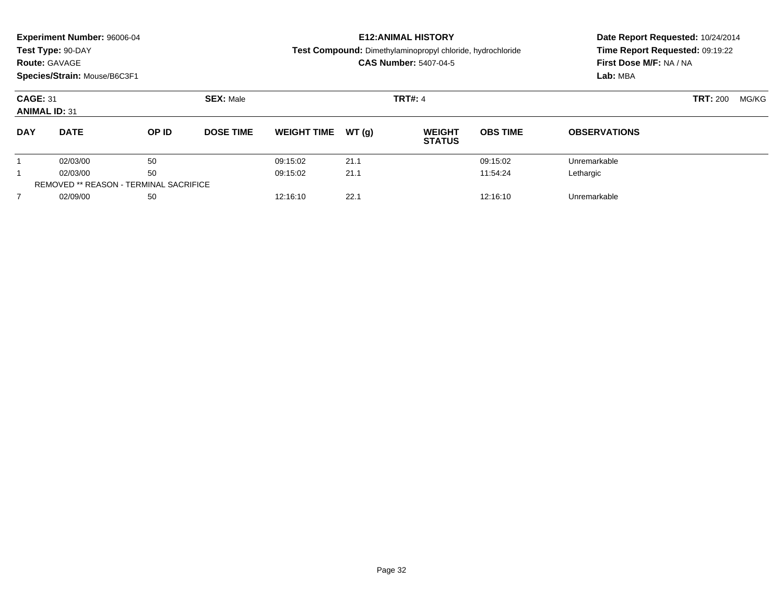|                | <b>Experiment Number: 96006-04</b><br>Test Type: 90-DAY<br><b>Route: GAVAGE</b><br>Species/Strain: Mouse/B6C3F1 |       |                  | <b>E12: ANIMAL HISTORY</b><br>Test Compound: Dimethylaminopropyl chloride, hydrochloride<br><b>CAS Number: 5407-04-5</b> |       |                                |                 | Date Report Requested: 10/24/2014<br>Time Report Requested: 09:19:22<br>First Dose M/F: NA / NA<br>Lab: MBA |       |  |
|----------------|-----------------------------------------------------------------------------------------------------------------|-------|------------------|--------------------------------------------------------------------------------------------------------------------------|-------|--------------------------------|-----------------|-------------------------------------------------------------------------------------------------------------|-------|--|
|                | <b>CAGE: 31</b><br><b>ANIMAL ID: 31</b>                                                                         |       | <b>SEX: Male</b> |                                                                                                                          |       | <b>TRT#: 4</b>                 |                 | <b>TRT: 200</b>                                                                                             | MG/KG |  |
| <b>DAY</b>     | <b>DATE</b>                                                                                                     | OP ID | <b>DOSE TIME</b> | <b>WEIGHT TIME</b>                                                                                                       | WT(q) | <b>WEIGHT</b><br><b>STATUS</b> | <b>OBS TIME</b> | <b>OBSERVATIONS</b>                                                                                         |       |  |
|                | 02/03/00                                                                                                        | 50    |                  | 09:15:02                                                                                                                 | 21.1  |                                | 09:15:02        | Unremarkable                                                                                                |       |  |
|                | 02/03/00                                                                                                        | 50    |                  | 09:15:02                                                                                                                 | 21.1  |                                | 11:54:24        | Lethargic                                                                                                   |       |  |
|                | <b>REMOVED ** REASON - TERMINAL SACRIFICE</b>                                                                   |       |                  |                                                                                                                          |       |                                |                 |                                                                                                             |       |  |
| $\overline{7}$ | 02/09/00                                                                                                        | 50    |                  | 12:16:10                                                                                                                 | 22.1  |                                | 12:16:10        | Unremarkable                                                                                                |       |  |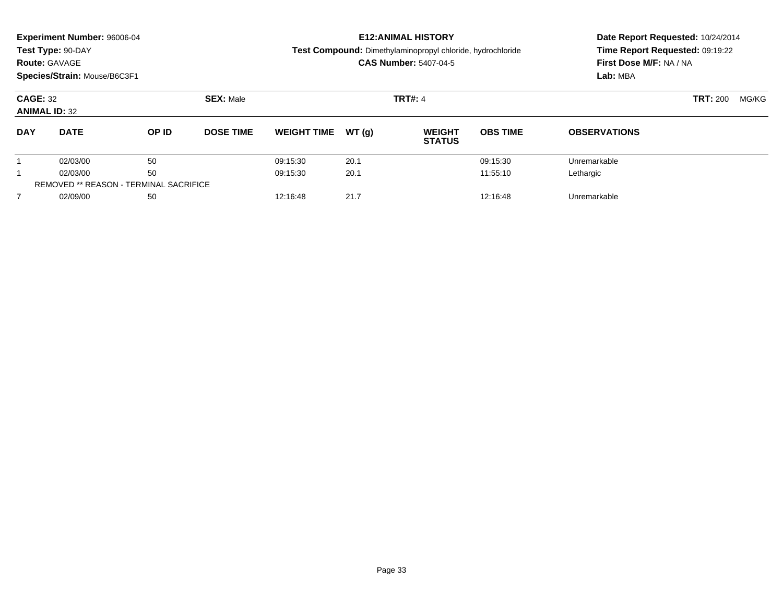|                | <b>Experiment Number: 96006-04</b><br>Test Type: 90-DAY<br><b>Route: GAVAGE</b><br>Species/Strain: Mouse/B6C3F1 |                                               |                  | <b>E12: ANIMAL HISTORY</b><br>Test Compound: Dimethylaminopropyl chloride, hydrochloride<br><b>CAS Number: 5407-04-5</b> |       |                                |                 | Date Report Requested: 10/24/2014<br>Time Report Requested: 09:19:22<br>First Dose M/F: NA / NA<br>Lab: MBA |                 |       |
|----------------|-----------------------------------------------------------------------------------------------------------------|-----------------------------------------------|------------------|--------------------------------------------------------------------------------------------------------------------------|-------|--------------------------------|-----------------|-------------------------------------------------------------------------------------------------------------|-----------------|-------|
|                | <b>CAGE: 32</b><br><b>ANIMAL ID: 32</b>                                                                         |                                               | <b>SEX: Male</b> | <b>TRT#: 4</b>                                                                                                           |       |                                |                 |                                                                                                             | <b>TRT: 200</b> | MG/KG |
| <b>DAY</b>     | <b>DATE</b>                                                                                                     | OP ID                                         | <b>DOSE TIME</b> | <b>WEIGHT TIME</b>                                                                                                       | WT(q) | <b>WEIGHT</b><br><b>STATUS</b> | <b>OBS TIME</b> | <b>OBSERVATIONS</b>                                                                                         |                 |       |
|                | 02/03/00                                                                                                        | 50                                            |                  | 09:15:30                                                                                                                 | 20.1  |                                | 09:15:30        | Unremarkable                                                                                                |                 |       |
|                | 02/03/00                                                                                                        | 50                                            |                  | 09:15:30                                                                                                                 | 20.1  |                                | 11:55:10        | Lethargic                                                                                                   |                 |       |
|                |                                                                                                                 | <b>REMOVED ** REASON - TERMINAL SACRIFICE</b> |                  |                                                                                                                          |       |                                |                 |                                                                                                             |                 |       |
| $\overline{7}$ | 02/09/00                                                                                                        | 50                                            |                  | 12:16:48                                                                                                                 | 21.7  |                                | 12:16:48        | Unremarkable                                                                                                |                 |       |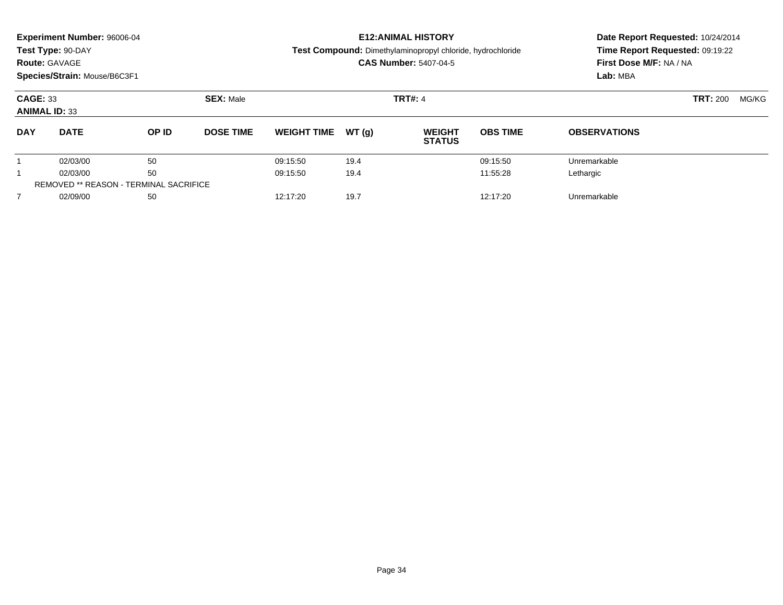|                                         | Experiment Number: 96006-04<br>Test Type: 90-DAY<br><b>Route: GAVAGE</b><br>Species/Strain: Mouse/B6C3F1 |                                               |                  | <b>E12: ANIMAL HISTORY</b><br>Test Compound: Dimethylaminopropyl chloride, hydrochloride<br><b>CAS Number: 5407-04-5</b> |       |                                |                 | Date Report Requested: 10/24/2014<br>Time Report Requested: 09:19:22<br>First Dose M/F: NA / NA<br>Lab: MBA |                 |       |
|-----------------------------------------|----------------------------------------------------------------------------------------------------------|-----------------------------------------------|------------------|--------------------------------------------------------------------------------------------------------------------------|-------|--------------------------------|-----------------|-------------------------------------------------------------------------------------------------------------|-----------------|-------|
| <b>CAGE: 33</b><br><b>ANIMAL ID: 33</b> |                                                                                                          |                                               | <b>SEX: Male</b> |                                                                                                                          |       | <b>TRT#: 4</b>                 |                 |                                                                                                             | <b>TRT: 200</b> | MG/KG |
| <b>DAY</b>                              | <b>DATE</b>                                                                                              | OP ID                                         | <b>DOSE TIME</b> | <b>WEIGHT TIME</b>                                                                                                       | WT(q) | <b>WEIGHT</b><br><b>STATUS</b> | <b>OBS TIME</b> | <b>OBSERVATIONS</b>                                                                                         |                 |       |
|                                         | 02/03/00                                                                                                 | 50                                            |                  | 09:15:50                                                                                                                 | 19.4  |                                | 09:15:50        | Unremarkable                                                                                                |                 |       |
| 1                                       | 02/03/00                                                                                                 | 50                                            |                  | 09:15:50                                                                                                                 | 19.4  |                                | 11:55:28        | Lethargic                                                                                                   |                 |       |
|                                         |                                                                                                          | <b>REMOVED ** REASON - TERMINAL SACRIFICE</b> |                  |                                                                                                                          |       |                                |                 |                                                                                                             |                 |       |
| $\overline{7}$                          | 02/09/00                                                                                                 | 50                                            |                  | 12:17:20                                                                                                                 | 19.7  |                                | 12:17:20        | Unremarkable                                                                                                |                 |       |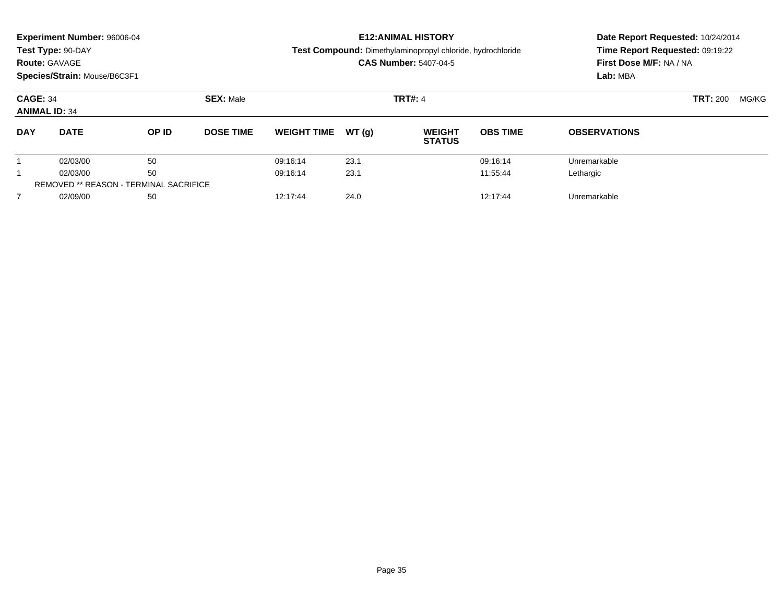|                | <b>Experiment Number: 96006-04</b><br>Test Type: 90-DAY<br><b>Route: GAVAGE</b><br>Species/Strain: Mouse/B6C3F1 |       |                  | <b>E12: ANIMAL HISTORY</b><br>Test Compound: Dimethylaminopropyl chloride, hydrochloride<br><b>CAS Number: 5407-04-5</b> |       |                                |                 | Date Report Requested: 10/24/2014<br>Time Report Requested: 09:19:22<br>First Dose M/F: NA / NA<br>Lab: MBA |                 |       |
|----------------|-----------------------------------------------------------------------------------------------------------------|-------|------------------|--------------------------------------------------------------------------------------------------------------------------|-------|--------------------------------|-----------------|-------------------------------------------------------------------------------------------------------------|-----------------|-------|
|                | <b>CAGE: 34</b><br><b>ANIMAL ID: 34</b>                                                                         |       | <b>SEX: Male</b> | <b>TRT#: 4</b>                                                                                                           |       |                                |                 |                                                                                                             | <b>TRT: 200</b> | MG/KG |
| <b>DAY</b>     | <b>DATE</b>                                                                                                     | OP ID | <b>DOSE TIME</b> | <b>WEIGHT TIME</b>                                                                                                       | WT(q) | <b>WEIGHT</b><br><b>STATUS</b> | <b>OBS TIME</b> | <b>OBSERVATIONS</b>                                                                                         |                 |       |
|                | 02/03/00                                                                                                        | 50    |                  | 09:16:14                                                                                                                 | 23.1  |                                | 09:16:14        | Unremarkable                                                                                                |                 |       |
|                | 02/03/00                                                                                                        | 50    |                  | 09:16:14                                                                                                                 | 23.1  |                                | 11:55:44        | Lethargic                                                                                                   |                 |       |
|                | <b>REMOVED ** REASON - TERMINAL SACRIFICE</b>                                                                   |       |                  |                                                                                                                          |       |                                |                 |                                                                                                             |                 |       |
| $\overline{7}$ | 02/09/00                                                                                                        | 50    |                  | 12:17:44                                                                                                                 | 24.0  |                                | 12:17:44        | Unremarkable                                                                                                |                 |       |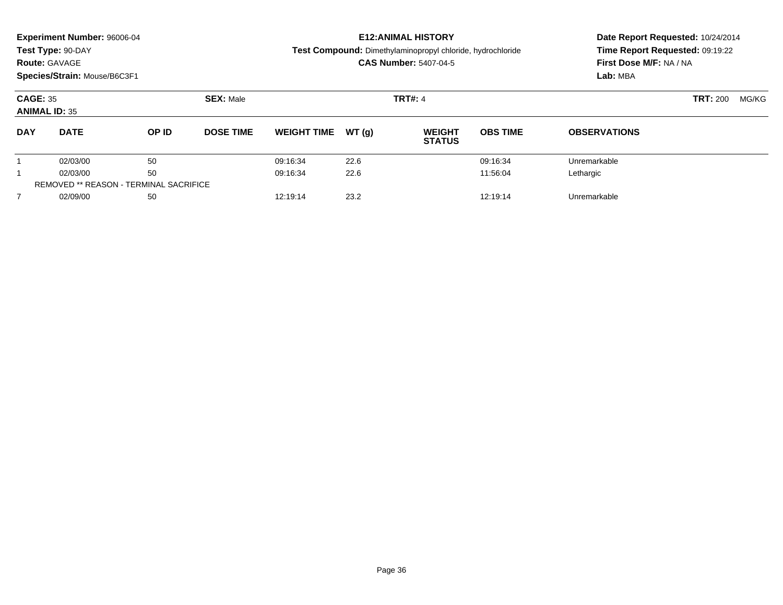| <b>Experiment Number: 96006-04</b><br>Test Type: 90-DAY<br><b>Route: GAVAGE</b><br>Species/Strain: Mouse/B6C3F1 |             |                                               |                  | <b>E12: ANIMAL HISTORY</b><br>Test Compound: Dimethylaminopropyl chloride, hydrochloride<br><b>CAS Number: 5407-04-5</b> |       |                                |                 | Date Report Requested: 10/24/2014<br>Time Report Requested: 09:19:22<br>First Dose M/F: NA / NA<br>Lab: MBA |                          |
|-----------------------------------------------------------------------------------------------------------------|-------------|-----------------------------------------------|------------------|--------------------------------------------------------------------------------------------------------------------------|-------|--------------------------------|-----------------|-------------------------------------------------------------------------------------------------------------|--------------------------|
| <b>CAGE: 35</b><br><b>ANIMAL ID: 35</b>                                                                         |             |                                               | <b>SEX: Male</b> | <b>TRT#: 4</b>                                                                                                           |       |                                |                 |                                                                                                             | <b>TRT: 200</b><br>MG/KG |
| <b>DAY</b>                                                                                                      | <b>DATE</b> | OP ID                                         | <b>DOSE TIME</b> | <b>WEIGHT TIME</b>                                                                                                       | WT(q) | <b>WEIGHT</b><br><b>STATUS</b> | <b>OBS TIME</b> | <b>OBSERVATIONS</b>                                                                                         |                          |
|                                                                                                                 | 02/03/00    | 50                                            |                  | 09:16:34                                                                                                                 | 22.6  |                                | 09:16:34        | Unremarkable                                                                                                |                          |
|                                                                                                                 | 02/03/00    | 50                                            |                  | 09:16:34                                                                                                                 | 22.6  |                                | 11:56:04        | Lethargic                                                                                                   |                          |
|                                                                                                                 |             | <b>REMOVED ** REASON - TERMINAL SACRIFICE</b> |                  |                                                                                                                          |       |                                |                 |                                                                                                             |                          |
| $\overline{7}$                                                                                                  | 02/09/00    | 50                                            |                  | 12:19:14                                                                                                                 | 23.2  |                                | 12:19:14        | Unremarkable                                                                                                |                          |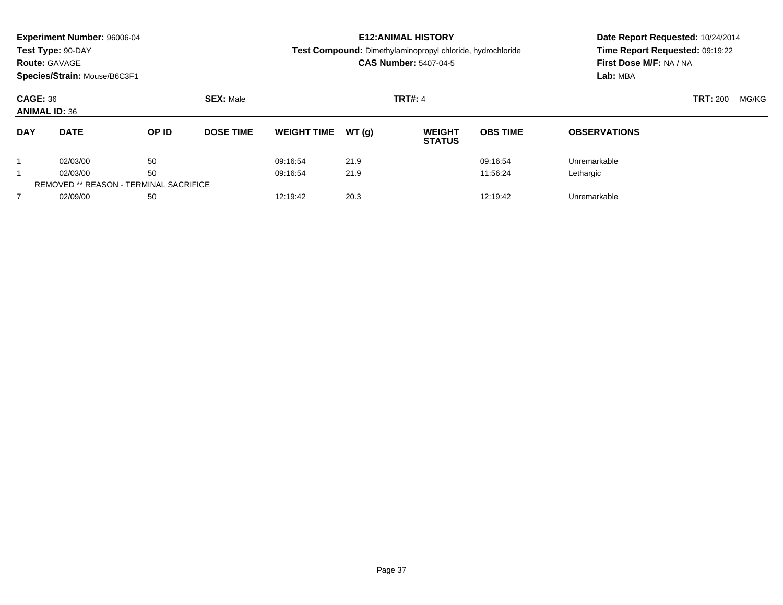|                | <b>Experiment Number: 96006-04</b><br>Test Type: 90-DAY<br><b>Route: GAVAGE</b><br>Species/Strain: Mouse/B6C3F1 |                                               |                                    |                    | <b>E12: ANIMAL HISTORY</b><br>Test Compound: Dimethylaminopropyl chloride, hydrochloride<br><b>CAS Number: 5407-04-5</b> | Date Report Requested: 10/24/2014<br>Time Report Requested: 09:19:22<br>First Dose M/F: NA / NA<br>Lab: MBA |                 |                     |       |  |
|----------------|-----------------------------------------------------------------------------------------------------------------|-----------------------------------------------|------------------------------------|--------------------|--------------------------------------------------------------------------------------------------------------------------|-------------------------------------------------------------------------------------------------------------|-----------------|---------------------|-------|--|
|                | <b>CAGE: 36</b><br><b>ANIMAL ID: 36</b>                                                                         |                                               | <b>SEX: Male</b><br><b>TRT#: 4</b> |                    |                                                                                                                          |                                                                                                             |                 | <b>TRT: 200</b>     | MG/KG |  |
| <b>DAY</b>     | <b>DATE</b>                                                                                                     | OP ID                                         | <b>DOSE TIME</b>                   | <b>WEIGHT TIME</b> | WT(q)                                                                                                                    | <b>WEIGHT</b><br><b>STATUS</b>                                                                              | <b>OBS TIME</b> | <b>OBSERVATIONS</b> |       |  |
|                | 02/03/00                                                                                                        | 50                                            |                                    | 09:16:54           | 21.9                                                                                                                     |                                                                                                             | 09:16:54        | Unremarkable        |       |  |
|                | 02/03/00                                                                                                        | 50                                            |                                    | 09:16:54           | 21.9                                                                                                                     |                                                                                                             | 11:56:24        | Lethargic           |       |  |
|                |                                                                                                                 | <b>REMOVED ** REASON - TERMINAL SACRIFICE</b> |                                    |                    |                                                                                                                          |                                                                                                             |                 |                     |       |  |
| $\overline{7}$ | 02/09/00                                                                                                        | 50                                            |                                    | 12:19:42           | 20.3                                                                                                                     |                                                                                                             | 12:19:42        | Unremarkable        |       |  |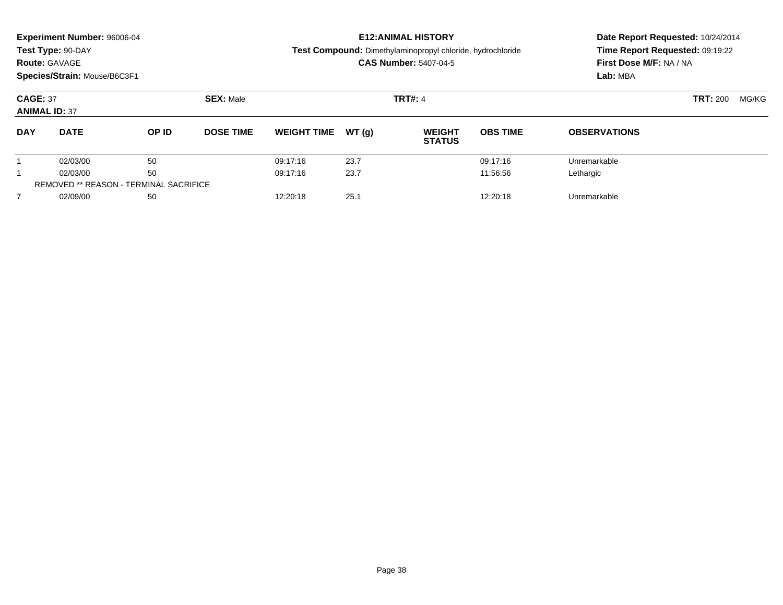|                | <b>Experiment Number: 96006-04</b><br>Test Type: 90-DAY<br><b>Route: GAVAGE</b><br>Species/Strain: Mouse/B6C3F1 |       |                                    |                    | <b>E12: ANIMAL HISTORY</b><br>Test Compound: Dimethylaminopropyl chloride, hydrochloride<br><b>CAS Number: 5407-04-5</b> | Date Report Requested: 10/24/2014<br>Time Report Requested: 09:19:22<br>First Dose M/F: NA / NA<br>Lab: MBA |                 |                     |       |  |
|----------------|-----------------------------------------------------------------------------------------------------------------|-------|------------------------------------|--------------------|--------------------------------------------------------------------------------------------------------------------------|-------------------------------------------------------------------------------------------------------------|-----------------|---------------------|-------|--|
|                | <b>CAGE: 37</b><br><b>ANIMAL ID: 37</b>                                                                         |       | <b>SEX: Male</b><br><b>TRT#: 4</b> |                    |                                                                                                                          |                                                                                                             |                 | <b>TRT: 200</b>     | MG/KG |  |
| <b>DAY</b>     | <b>DATE</b>                                                                                                     | OP ID | <b>DOSE TIME</b>                   | <b>WEIGHT TIME</b> | WT(q)                                                                                                                    | <b>WEIGHT</b><br><b>STATUS</b>                                                                              | <b>OBS TIME</b> | <b>OBSERVATIONS</b> |       |  |
|                | 02/03/00                                                                                                        | 50    |                                    | 09:17:16           | 23.7                                                                                                                     |                                                                                                             | 09:17:16        | Unremarkable        |       |  |
|                | 02/03/00                                                                                                        | 50    |                                    | 09:17:16           | 23.7                                                                                                                     |                                                                                                             | 11:56:56        | Lethargic           |       |  |
|                | <b>REMOVED ** REASON - TERMINAL SACRIFICE</b>                                                                   |       |                                    |                    |                                                                                                                          |                                                                                                             |                 |                     |       |  |
| $\overline{7}$ | 02/09/00                                                                                                        | 50    |                                    | 12:20:18           | 25.1                                                                                                                     |                                                                                                             | 12:20:18        | Unremarkable        |       |  |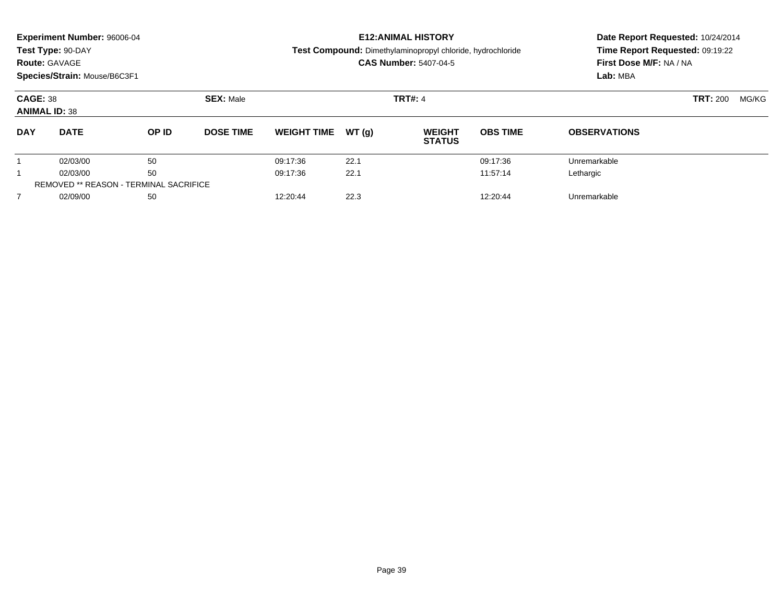|                                         | Experiment Number: 96006-04<br>Test Type: 90-DAY<br><b>Route: GAVAGE</b><br>Species/Strain: Mouse/B6C3F1 |                                               |                  |                    |       | <b>E12: ANIMAL HISTORY</b><br>Test Compound: Dimethylaminopropyl chloride, hydrochloride<br><b>CAS Number: 5407-04-5</b> | Date Report Requested: 10/24/2014<br>Time Report Requested: 09:19:22<br>First Dose M/F: NA / NA<br>Lab: MBA |                     |                 |       |
|-----------------------------------------|----------------------------------------------------------------------------------------------------------|-----------------------------------------------|------------------|--------------------|-------|--------------------------------------------------------------------------------------------------------------------------|-------------------------------------------------------------------------------------------------------------|---------------------|-----------------|-------|
| <b>CAGE: 38</b><br><b>ANIMAL ID: 38</b> |                                                                                                          |                                               | <b>SEX: Male</b> |                    |       | <b>TRT#: 4</b>                                                                                                           |                                                                                                             |                     | <b>TRT: 200</b> | MG/KG |
| <b>DAY</b>                              | <b>DATE</b>                                                                                              | OP ID                                         | <b>DOSE TIME</b> | <b>WEIGHT TIME</b> | WT(q) | <b>WEIGHT</b><br><b>STATUS</b>                                                                                           | <b>OBS TIME</b>                                                                                             | <b>OBSERVATIONS</b> |                 |       |
|                                         | 02/03/00                                                                                                 | 50                                            |                  | 09:17:36           | 22.1  |                                                                                                                          | 09:17:36                                                                                                    | Unremarkable        |                 |       |
| 1                                       | 02/03/00                                                                                                 | 50                                            |                  | 09:17:36           | 22.1  |                                                                                                                          | 11:57:14                                                                                                    | Lethargic           |                 |       |
|                                         |                                                                                                          | <b>REMOVED ** REASON - TERMINAL SACRIFICE</b> |                  |                    |       |                                                                                                                          |                                                                                                             |                     |                 |       |
| $\overline{7}$                          | 02/09/00                                                                                                 | 50                                            |                  | 12:20:44           | 22.3  |                                                                                                                          | 12:20:44                                                                                                    | Unremarkable        |                 |       |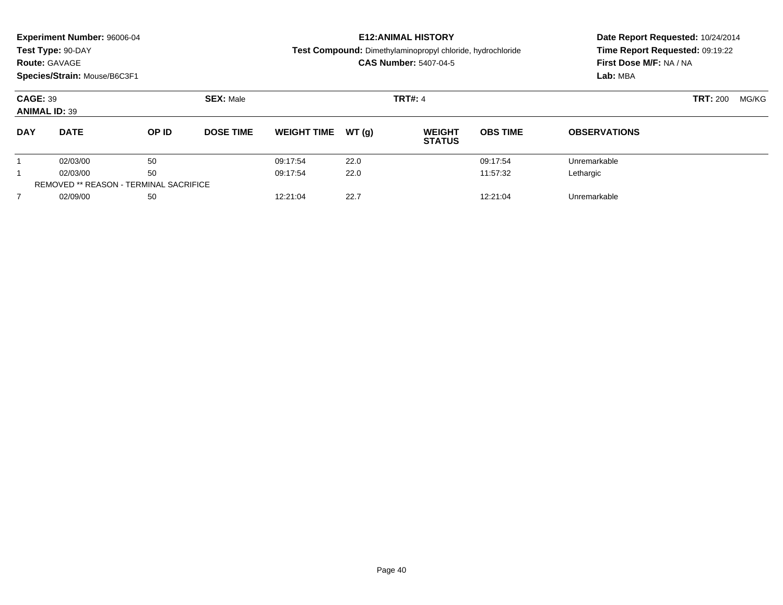|                | <b>Experiment Number: 96006-04</b><br>Test Type: 90-DAY<br><b>Route: GAVAGE</b><br>Species/Strain: Mouse/B6C3F1 |       | <b>E12: ANIMAL HISTORY</b><br>Test Compound: Dimethylaminopropyl chloride, hydrochloride<br><b>CAS Number: 5407-04-5</b> |                    |        |                                | Date Report Requested: 10/24/2014<br>Time Report Requested: 09:19:22<br>First Dose M/F: NA / NA<br>Lab: MBA |                     |                 |       |
|----------------|-----------------------------------------------------------------------------------------------------------------|-------|--------------------------------------------------------------------------------------------------------------------------|--------------------|--------|--------------------------------|-------------------------------------------------------------------------------------------------------------|---------------------|-----------------|-------|
|                | <b>CAGE: 39</b><br><b>ANIMAL ID: 39</b>                                                                         |       | <b>SEX: Male</b>                                                                                                         | <b>TRT#: 4</b>     |        |                                |                                                                                                             |                     | <b>TRT: 200</b> | MG/KG |
| <b>DAY</b>     | <b>DATE</b>                                                                                                     | OP ID | <b>DOSE TIME</b>                                                                                                         | <b>WEIGHT TIME</b> | WT (q) | <b>WEIGHT</b><br><b>STATUS</b> | <b>OBS TIME</b>                                                                                             | <b>OBSERVATIONS</b> |                 |       |
|                | 02/03/00                                                                                                        | 50    |                                                                                                                          | 09:17:54           | 22.0   |                                | 09:17:54                                                                                                    | Unremarkable        |                 |       |
|                | 50<br>02/03/00                                                                                                  |       |                                                                                                                          | 09:17:54           | 22.0   |                                | 11:57:32                                                                                                    | Lethargic           |                 |       |
|                | <b>REMOVED ** REASON - TERMINAL SACRIFICE</b>                                                                   |       |                                                                                                                          |                    |        |                                |                                                                                                             |                     |                 |       |
| $\overline{7}$ | 02/09/00                                                                                                        | 50    |                                                                                                                          | 12:21:04           | 22.7   |                                | 12:21:04                                                                                                    | Unremarkable        |                 |       |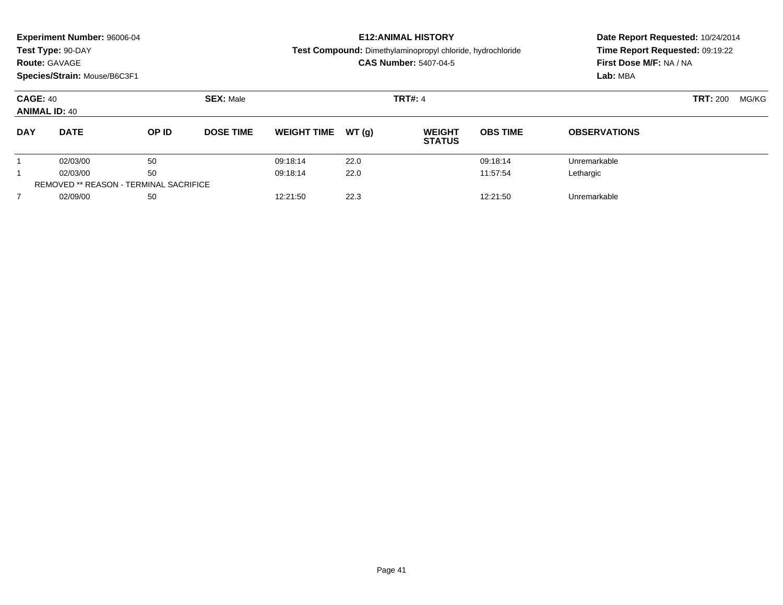|                | <b>Experiment Number: 96006-04</b><br>Test Type: 90-DAY<br><b>Route: GAVAGE</b><br>Species/Strain: Mouse/B6C3F1 |       | <b>E12: ANIMAL HISTORY</b><br>Test Compound: Dimethylaminopropyl chloride, hydrochloride<br><b>CAS Number: 5407-04-5</b> |                    |        |                                | Date Report Requested: 10/24/2014<br>Time Report Requested: 09:19:22<br>First Dose M/F: NA / NA<br>Lab: MBA |                     |                 |       |
|----------------|-----------------------------------------------------------------------------------------------------------------|-------|--------------------------------------------------------------------------------------------------------------------------|--------------------|--------|--------------------------------|-------------------------------------------------------------------------------------------------------------|---------------------|-----------------|-------|
|                | <b>CAGE: 40</b><br><b>ANIMAL ID: 40</b>                                                                         |       | <b>SEX: Male</b>                                                                                                         | <b>TRT#: 4</b>     |        |                                |                                                                                                             |                     | <b>TRT: 200</b> | MG/KG |
| <b>DAY</b>     | <b>DATE</b>                                                                                                     | OP ID | <b>DOSE TIME</b>                                                                                                         | <b>WEIGHT TIME</b> | WT (q) | <b>WEIGHT</b><br><b>STATUS</b> | <b>OBS TIME</b>                                                                                             | <b>OBSERVATIONS</b> |                 |       |
|                | 02/03/00                                                                                                        | 50    |                                                                                                                          | 09:18:14           | 22.0   |                                | 09:18:14                                                                                                    | Unremarkable        |                 |       |
|                | 50<br>02/03/00                                                                                                  |       |                                                                                                                          | 09:18:14           | 22.0   |                                | 11:57:54                                                                                                    | Lethargic           |                 |       |
|                | <b>REMOVED ** REASON - TERMINAL SACRIFICE</b>                                                                   |       |                                                                                                                          |                    |        |                                |                                                                                                             |                     |                 |       |
| $\overline{7}$ | 02/09/00                                                                                                        | 50    |                                                                                                                          | 12:21:50           | 22.3   |                                | 12:21:50                                                                                                    | Unremarkable        |                 |       |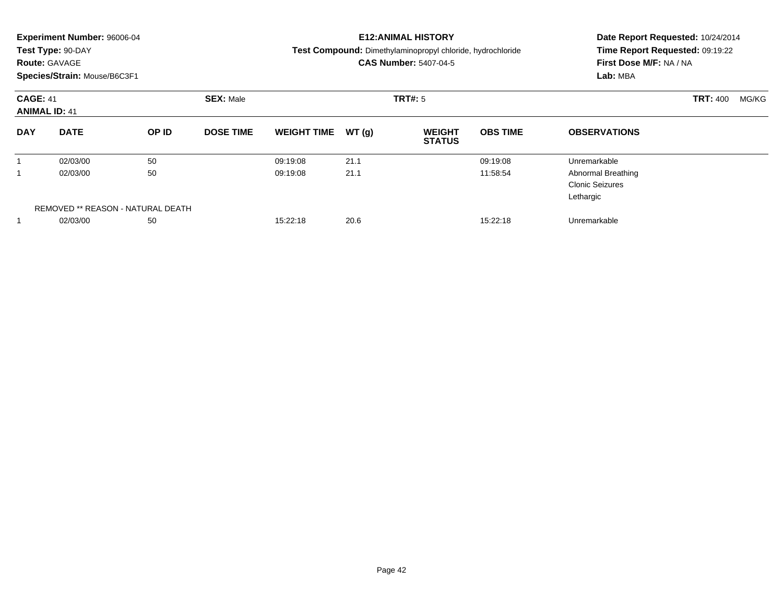|            | <b>Experiment Number: 96006-04</b><br>Test Type: 90-DAY<br><b>Route: GAVAGE</b><br>Species/Strain: Mouse/B6C3F1 |       |                  |                              |         | <b>E12:ANIMAL HISTORY</b><br>Test Compound: Dimethylaminopropyl chloride, hydrochloride<br><b>CAS Number: 5407-04-5</b> | Date Report Requested: 10/24/2014<br>Time Report Requested: 09:19:22<br>First Dose M/F: NA / NA<br>Lab: MBA |                                                                  |  |  |
|------------|-----------------------------------------------------------------------------------------------------------------|-------|------------------|------------------------------|---------|-------------------------------------------------------------------------------------------------------------------------|-------------------------------------------------------------------------------------------------------------|------------------------------------------------------------------|--|--|
|            | <b>SEX: Male</b><br><b>CAGE: 41</b><br><b>ANIMAL ID: 41</b>                                                     |       |                  |                              | TRT#: 5 |                                                                                                                         | <b>TRT: 400</b><br>MG/KG                                                                                    |                                                                  |  |  |
| <b>DAY</b> | <b>DATE</b>                                                                                                     | OP ID | <b>DOSE TIME</b> | <b>WEIGHT TIME</b>           | WT(q)   | <b>WEIGHT</b><br><b>STATUS</b>                                                                                          | <b>OBS TIME</b>                                                                                             | <b>OBSERVATIONS</b>                                              |  |  |
|            | 02/03/00                                                                                                        | 50    |                  | 09:19:08                     | 21.1    |                                                                                                                         | 09:19:08                                                                                                    | Unremarkable                                                     |  |  |
|            | 02/03/00                                                                                                        | 50    |                  | 09:19:08                     | 21.1    |                                                                                                                         | 11:58:54                                                                                                    | <b>Abnormal Breathing</b><br><b>Clonic Seizures</b><br>Lethargic |  |  |
|            | REMOVED ** REASON - NATURAL DEATH                                                                               |       |                  |                              |         |                                                                                                                         |                                                                                                             |                                                                  |  |  |
|            | 50<br>02/03/00                                                                                                  |       |                  | 20.6<br>15:22:18<br>15:22:18 |         |                                                                                                                         |                                                                                                             | Unremarkable                                                     |  |  |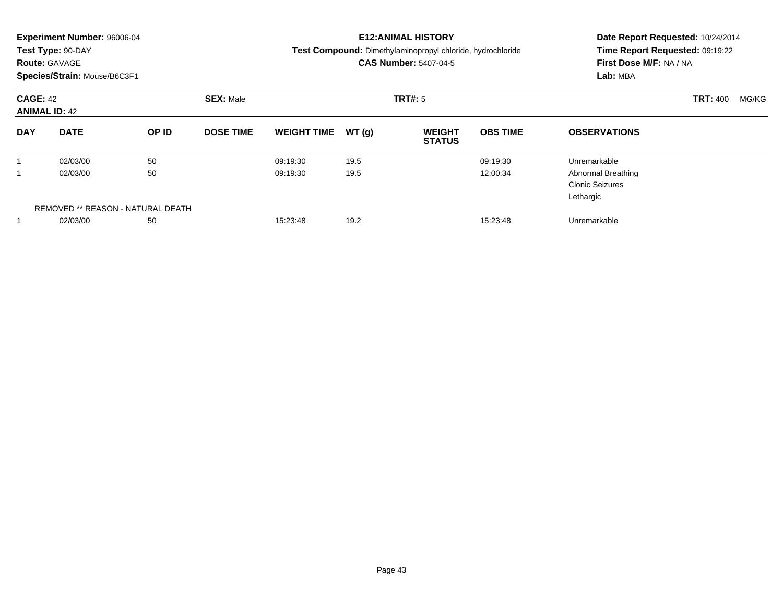| <b>Route: GAVAGE</b> | <b>Experiment Number: 96006-04</b><br>Test Type: 90-DAY<br>Species/Strain: Mouse/B6C3F1 |          |                  |                      | <b>E12:ANIMAL HISTORY</b><br>Test Compound: Dimethylaminopropyl chloride, hydrochloride<br><b>CAS Number: 5407-04-5</b> | Date Report Requested: 10/24/2014<br>Time Report Requested: 09:19:22<br>First Dose M/F: NA / NA<br>Lab: MBA |                      |                                                                                  |                 |       |
|----------------------|-----------------------------------------------------------------------------------------|----------|------------------|----------------------|-------------------------------------------------------------------------------------------------------------------------|-------------------------------------------------------------------------------------------------------------|----------------------|----------------------------------------------------------------------------------|-----------------|-------|
| <b>CAGE: 42</b>      | <b>ANIMAL ID: 42</b>                                                                    |          | <b>SEX: Male</b> |                      |                                                                                                                         | TRT#: 5                                                                                                     |                      |                                                                                  | <b>TRT: 400</b> | MG/KG |
| <b>DAY</b>           | <b>DATE</b>                                                                             | OP ID    | <b>DOSE TIME</b> | <b>WEIGHT TIME</b>   | WT(g)                                                                                                                   | <b>WEIGHT</b><br><b>STATUS</b>                                                                              | <b>OBS TIME</b>      | <b>OBSERVATIONS</b>                                                              |                 |       |
| 1<br>1               | 02/03/00<br>02/03/00                                                                    | 50<br>50 |                  | 09:19:30<br>09:19:30 | 19.5<br>19.5                                                                                                            |                                                                                                             | 09:19:30<br>12:00:34 | Unremarkable<br><b>Abnormal Breathing</b><br><b>Clonic Seizures</b><br>Lethargic |                 |       |
|                      | REMOVED ** REASON - NATURAL DEATH<br>50<br>02/03/00                                     |          |                  | 15:23:48             | 19.2                                                                                                                    |                                                                                                             | 15:23:48             | Unremarkable                                                                     |                 |       |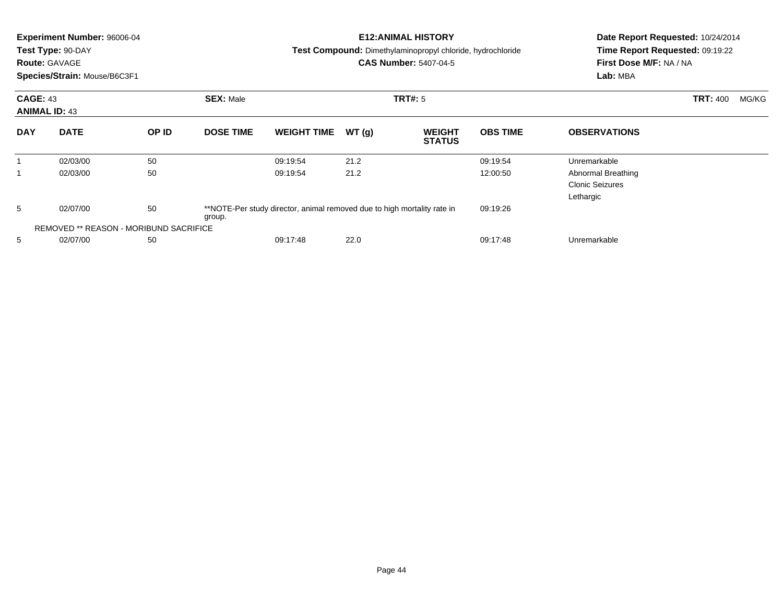|                                         | <b>Experiment Number: 96006-04</b><br>Test Type: 90-DAY<br><b>Route: GAVAGE</b><br>Species/Strain: Mouse/B6C3F1 |                                               |                  |                                                                         |       | <b>E12:ANIMAL HISTORY</b><br>Test Compound: Dimethylaminopropyl chloride, hydrochloride<br><b>CAS Number: 5407-04-5</b> | Date Report Requested: 10/24/2014<br>Time Report Requested: 09:19:22<br>First Dose M/F: NA / NA<br>Lab: MBA |                                                           |  |
|-----------------------------------------|-----------------------------------------------------------------------------------------------------------------|-----------------------------------------------|------------------|-------------------------------------------------------------------------|-------|-------------------------------------------------------------------------------------------------------------------------|-------------------------------------------------------------------------------------------------------------|-----------------------------------------------------------|--|
|                                         | <b>CAGE: 43</b><br><b>ANIMAL ID: 43</b>                                                                         |                                               | <b>SEX: Male</b> | <b>TRT#: 5</b>                                                          |       |                                                                                                                         | <b>TRT: 400</b><br>MG/KG                                                                                    |                                                           |  |
| <b>DAY</b>                              | <b>DATE</b>                                                                                                     | OP ID                                         | <b>DOSE TIME</b> | <b>WEIGHT TIME</b>                                                      | WT(g) | <b>WEIGHT</b><br><b>STATUS</b>                                                                                          | <b>OBS TIME</b>                                                                                             | <b>OBSERVATIONS</b>                                       |  |
|                                         | 02/03/00                                                                                                        | 50                                            |                  | 09:19:54                                                                | 21.2  |                                                                                                                         | 09:19:54                                                                                                    | Unremarkable                                              |  |
| -1                                      | 02/03/00                                                                                                        | 50                                            |                  | 09:19:54                                                                | 21.2  |                                                                                                                         | 12:00:50                                                                                                    | Abnormal Breathing<br><b>Clonic Seizures</b><br>Lethargic |  |
| 5                                       | 02/07/00                                                                                                        | 50                                            | group.           | **NOTE-Per study director, animal removed due to high mortality rate in |       |                                                                                                                         | 09:19:26                                                                                                    |                                                           |  |
|                                         |                                                                                                                 | <b>REMOVED ** REASON - MORIBUND SACRIFICE</b> |                  |                                                                         |       |                                                                                                                         |                                                                                                             |                                                           |  |
| 22.0<br>5<br>02/07/00<br>50<br>09:17:48 |                                                                                                                 |                                               |                  | 09:17:48<br>Unremarkable                                                |       |                                                                                                                         |                                                                                                             |                                                           |  |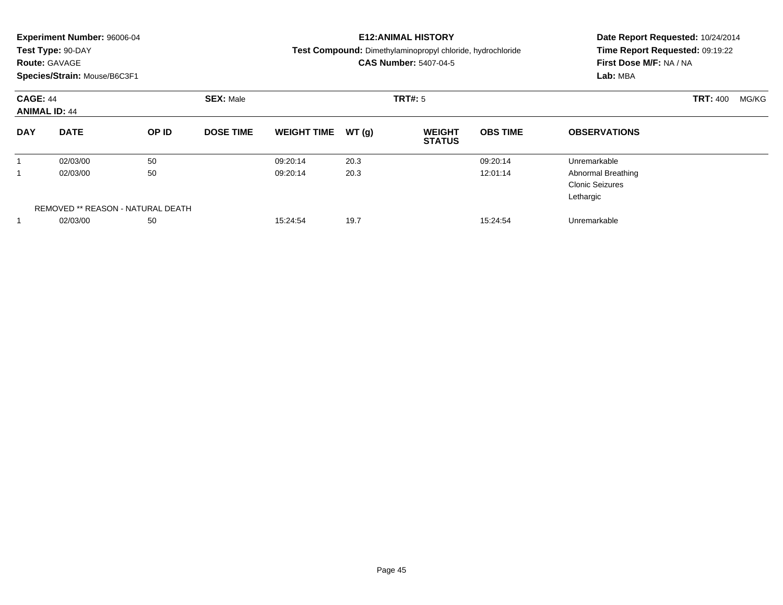|                 | <b>Experiment Number: 96006-04</b><br>Test Type: 90-DAY<br><b>Route: GAVAGE</b><br>Species/Strain: Mouse/B6C3F1 |                                         |                  |                      |              | <b>E12: ANIMAL HISTORY</b><br>Test Compound: Dimethylaminopropyl chloride, hydrochloride<br><b>CAS Number: 5407-04-5</b> | Date Report Requested: 10/24/2014<br>Time Report Requested: 09:19:22<br>First Dose M/F: NA / NA<br>Lab: MBA |                                                                                  |                 |       |
|-----------------|-----------------------------------------------------------------------------------------------------------------|-----------------------------------------|------------------|----------------------|--------------|--------------------------------------------------------------------------------------------------------------------------|-------------------------------------------------------------------------------------------------------------|----------------------------------------------------------------------------------|-----------------|-------|
| <b>CAGE: 44</b> | <b>ANIMAL ID: 44</b>                                                                                            |                                         | <b>SEX: Male</b> |                      |              | TRT#: 5                                                                                                                  |                                                                                                             |                                                                                  | <b>TRT: 400</b> | MG/KG |
| <b>DAY</b>      | <b>DATE</b>                                                                                                     | OP ID                                   | <b>DOSE TIME</b> | <b>WEIGHT TIME</b>   | WT(g)        | <b>WEIGHT</b><br><b>STATUS</b>                                                                                           | <b>OBS TIME</b>                                                                                             | <b>OBSERVATIONS</b>                                                              |                 |       |
| 1               | 02/03/00<br>02/03/00                                                                                            | 50<br>50                                |                  | 09:20:14<br>09:20:14 | 20.3<br>20.3 |                                                                                                                          | 09:20:14<br>12:01:14                                                                                        | Unremarkable<br><b>Abnormal Breathing</b><br><b>Clonic Seizures</b><br>Lethargic |                 |       |
|                 | 02/03/00                                                                                                        | REMOVED ** REASON - NATURAL DEATH<br>50 |                  | 15:24:54             | 19.7         |                                                                                                                          | 15:24:54                                                                                                    | Unremarkable                                                                     |                 |       |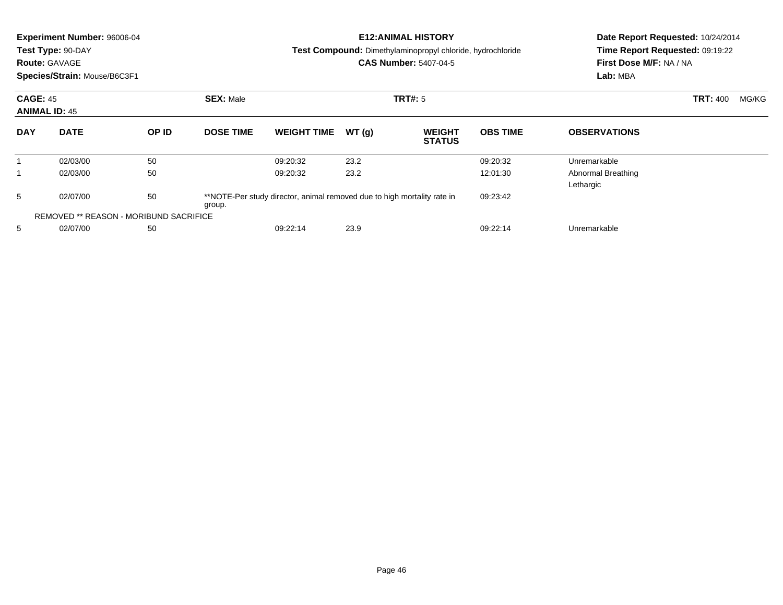|                                         | Experiment Number: 96006-04<br>Test Type: 90-DAY<br><b>Route: GAVAGE</b><br>Species/Strain: Mouse/B6C3F1 |       |                  |                                                                         | <b>E12: ANIMAL HISTORY</b><br><b>Test Compound:</b> Dimethylaminopropyl chloride, hydrochloride<br><b>CAS Number: 5407-04-5</b> | Date Report Requested: 10/24/2014<br>Time Report Requested: 09:19:22<br>First Dose M/F: NA / NA<br>Lab: MBA |                 |                                 |                          |
|-----------------------------------------|----------------------------------------------------------------------------------------------------------|-------|------------------|-------------------------------------------------------------------------|---------------------------------------------------------------------------------------------------------------------------------|-------------------------------------------------------------------------------------------------------------|-----------------|---------------------------------|--------------------------|
|                                         | <b>CAGE: 45</b><br><b>ANIMAL ID: 45</b>                                                                  |       | <b>SEX: Male</b> | TRT#: 5                                                                 |                                                                                                                                 |                                                                                                             |                 |                                 | <b>TRT: 400</b><br>MG/KG |
| <b>DAY</b>                              | <b>DATE</b>                                                                                              | OP ID | <b>DOSE TIME</b> | <b>WEIGHT TIME</b>                                                      | WT(g)                                                                                                                           | <b>WEIGHT</b><br><b>STATUS</b>                                                                              | <b>OBS TIME</b> | <b>OBSERVATIONS</b>             |                          |
|                                         | 02/03/00                                                                                                 | 50    |                  | 09:20:32                                                                | 23.2                                                                                                                            |                                                                                                             | 09:20:32        | Unremarkable                    |                          |
|                                         | 02/03/00                                                                                                 | 50    |                  | 09:20:32                                                                | 23.2                                                                                                                            |                                                                                                             | 12:01:30        | Abnormal Breathing<br>Lethargic |                          |
| 5                                       | 02/07/00                                                                                                 | 50    | group.           | **NOTE-Per study director, animal removed due to high mortality rate in |                                                                                                                                 |                                                                                                             | 09:23:42        |                                 |                          |
|                                         | <b>REMOVED ** REASON - MORIBUND SACRIFICE</b>                                                            |       |                  |                                                                         |                                                                                                                                 |                                                                                                             |                 |                                 |                          |
| 5<br>02/07/00<br>50<br>23.9<br>09:22:14 |                                                                                                          |       |                  | 09:22:14                                                                | Unremarkable                                                                                                                    |                                                                                                             |                 |                                 |                          |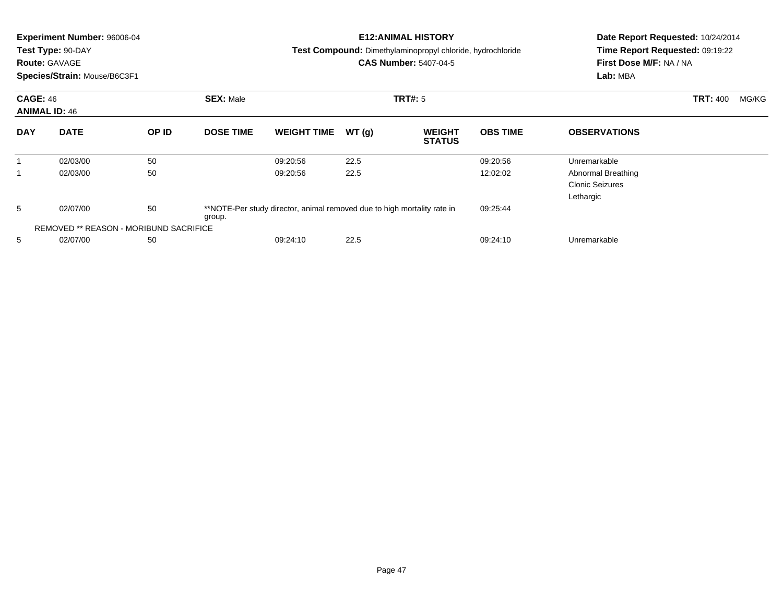|            | <b>Experiment Number: 96006-04</b><br>Test Type: 90-DAY<br><b>Route: GAVAGE</b><br>Species/Strain: Mouse/B6C3F1 |       |                  |                                                                         |       | <b>E12:ANIMAL HISTORY</b><br>Test Compound: Dimethylaminopropyl chloride, hydrochloride<br><b>CAS Number: 5407-04-5</b> | Date Report Requested: 10/24/2014<br>Time Report Requested: 09:19:22<br>First Dose M/F: NA / NA<br>Lab: MBA |                                                           |                          |  |
|------------|-----------------------------------------------------------------------------------------------------------------|-------|------------------|-------------------------------------------------------------------------|-------|-------------------------------------------------------------------------------------------------------------------------|-------------------------------------------------------------------------------------------------------------|-----------------------------------------------------------|--------------------------|--|
|            | <b>CAGE: 46</b><br><b>ANIMAL ID: 46</b>                                                                         |       | <b>SEX: Male</b> | <b>TRT#: 5</b>                                                          |       |                                                                                                                         |                                                                                                             |                                                           | <b>TRT: 400</b><br>MG/KG |  |
| <b>DAY</b> | <b>DATE</b>                                                                                                     | OP ID | <b>DOSE TIME</b> | <b>WEIGHT TIME</b>                                                      | WT(g) | <b>WEIGHT</b><br><b>STATUS</b>                                                                                          | <b>OBS TIME</b>                                                                                             | <b>OBSERVATIONS</b>                                       |                          |  |
|            | 02/03/00                                                                                                        | 50    |                  | 09:20:56                                                                | 22.5  |                                                                                                                         | 09:20:56                                                                                                    | Unremarkable                                              |                          |  |
|            | 02/03/00                                                                                                        | 50    |                  | 09:20:56                                                                | 22.5  |                                                                                                                         | 12:02:02                                                                                                    | Abnormal Breathing<br><b>Clonic Seizures</b><br>Lethargic |                          |  |
| 5          | 02/07/00                                                                                                        | 50    | group.           | **NOTE-Per study director, animal removed due to high mortality rate in |       |                                                                                                                         | 09:25:44                                                                                                    |                                                           |                          |  |
|            | <b>REMOVED ** REASON - MORIBUND SACRIFICE</b>                                                                   |       |                  |                                                                         |       |                                                                                                                         |                                                                                                             |                                                           |                          |  |
| 5          | 50<br>02/07/00                                                                                                  |       |                  | 09:24:10                                                                | 22.5  |                                                                                                                         | 09:24:10                                                                                                    | Unremarkable                                              |                          |  |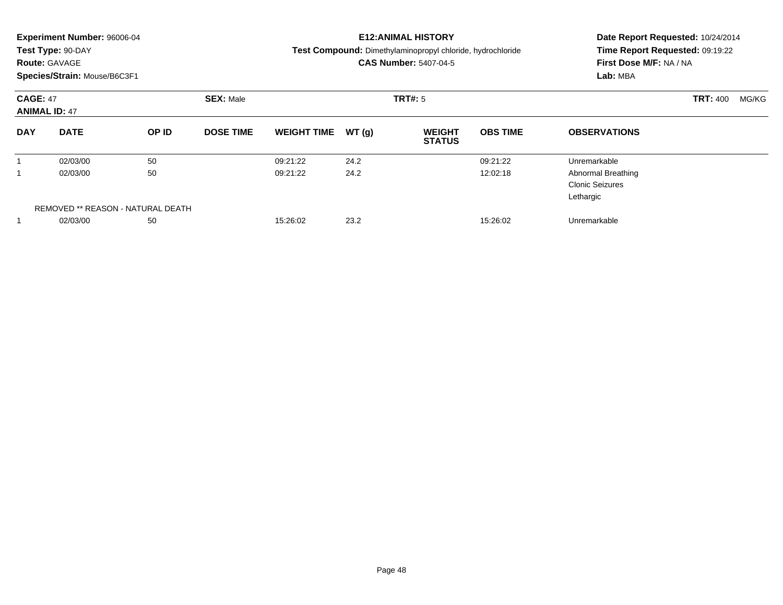|                                         | <b>Experiment Number: 96006-04</b><br>Test Type: 90-DAY<br><b>Route: GAVAGE</b><br>Species/Strain: Mouse/B6C3F1 |                                   |                  |                              |       | <b>E12:ANIMAL HISTORY</b><br>Test Compound: Dimethylaminopropyl chloride, hydrochloride<br><b>CAS Number: 5407-04-5</b> | Date Report Requested: 10/24/2014<br>Time Report Requested: 09:19:22<br>First Dose M/F: NA / NA<br>Lab: MBA |                                                                  |  |  |  |
|-----------------------------------------|-----------------------------------------------------------------------------------------------------------------|-----------------------------------|------------------|------------------------------|-------|-------------------------------------------------------------------------------------------------------------------------|-------------------------------------------------------------------------------------------------------------|------------------------------------------------------------------|--|--|--|
| <b>CAGE: 47</b><br><b>ANIMAL ID: 47</b> |                                                                                                                 |                                   | <b>SEX: Male</b> |                              |       | TRT#: 5                                                                                                                 |                                                                                                             | <b>TRT: 400</b><br>MG/KG                                         |  |  |  |
| <b>DAY</b>                              | <b>DATE</b>                                                                                                     | OP ID                             | <b>DOSE TIME</b> | <b>WEIGHT TIME</b>           | WT(q) | <b>WEIGHT</b><br><b>STATUS</b>                                                                                          | <b>OBS TIME</b>                                                                                             | <b>OBSERVATIONS</b>                                              |  |  |  |
|                                         | 02/03/00                                                                                                        | 50                                |                  | 09:21:22                     | 24.2  |                                                                                                                         | 09:21:22                                                                                                    | Unremarkable                                                     |  |  |  |
|                                         | 02/03/00                                                                                                        | 50                                |                  | 09:21:22                     | 24.2  |                                                                                                                         | 12:02:18                                                                                                    | <b>Abnormal Breathing</b><br><b>Clonic Seizures</b><br>Lethargic |  |  |  |
|                                         |                                                                                                                 | REMOVED ** REASON - NATURAL DEATH |                  |                              |       |                                                                                                                         |                                                                                                             |                                                                  |  |  |  |
|                                         | 50<br>02/03/00                                                                                                  |                                   |                  | 23.2<br>15:26:02<br>15:26:02 |       |                                                                                                                         |                                                                                                             | Unremarkable                                                     |  |  |  |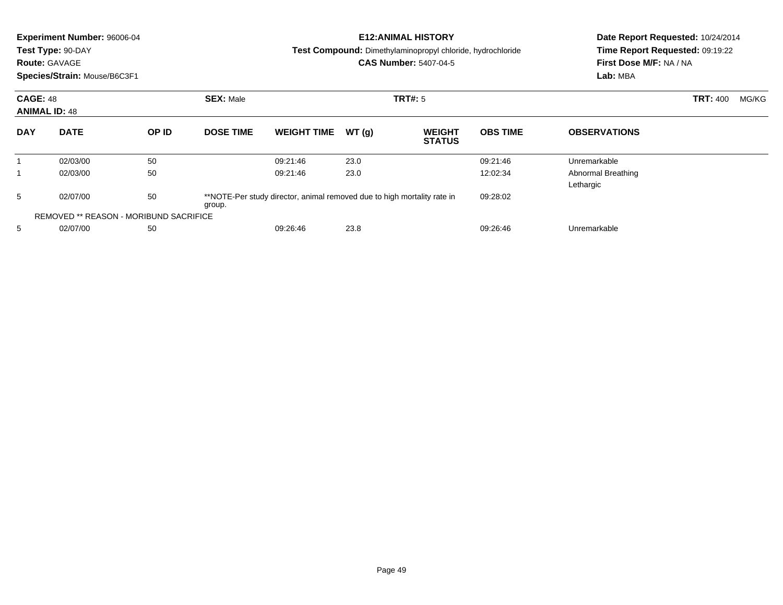|                                         | Experiment Number: 96006-04<br>Test Type: 90-DAY<br><b>Route: GAVAGE</b><br>Species/Strain: Mouse/B6C3F1 |       |                  |                                                                         |       | <b>E12: ANIMAL HISTORY</b><br><b>Test Compound:</b> Dimethylaminopropyl chloride, hydrochloride<br><b>CAS Number: 5407-04-5</b> | Date Report Requested: 10/24/2014<br>Time Report Requested: 09:19:22<br>First Dose M/F: NA / NA<br>Lab: MBA |                                 |                          |
|-----------------------------------------|----------------------------------------------------------------------------------------------------------|-------|------------------|-------------------------------------------------------------------------|-------|---------------------------------------------------------------------------------------------------------------------------------|-------------------------------------------------------------------------------------------------------------|---------------------------------|--------------------------|
| <b>CAGE: 48</b><br><b>ANIMAL ID: 48</b> |                                                                                                          |       | <b>SEX: Male</b> |                                                                         |       | TRT#: 5                                                                                                                         |                                                                                                             |                                 | <b>TRT: 400</b><br>MG/KG |
| <b>DAY</b>                              | <b>DATE</b>                                                                                              | OP ID | <b>DOSE TIME</b> | <b>WEIGHT TIME</b>                                                      | WT(g) | <b>WEIGHT</b><br><b>STATUS</b>                                                                                                  | <b>OBS TIME</b>                                                                                             | <b>OBSERVATIONS</b>             |                          |
|                                         | 02/03/00                                                                                                 | 50    |                  | 09:21:46                                                                | 23.0  |                                                                                                                                 | 09:21:46                                                                                                    | Unremarkable                    |                          |
|                                         | 02/03/00                                                                                                 | 50    |                  | 09:21:46                                                                | 23.0  |                                                                                                                                 | 12:02:34                                                                                                    | Abnormal Breathing<br>Lethargic |                          |
| 5                                       | 02/07/00                                                                                                 | 50    | group.           | **NOTE-Per study director, animal removed due to high mortality rate in |       |                                                                                                                                 | 09:28:02                                                                                                    |                                 |                          |
|                                         | <b>REMOVED ** REASON - MORIBUND SACRIFICE</b>                                                            |       |                  |                                                                         |       |                                                                                                                                 |                                                                                                             |                                 |                          |
| 5                                       | 02/07/00                                                                                                 | 50    |                  | 09:26:46                                                                | 23.8  |                                                                                                                                 | 09:26:46                                                                                                    | Unremarkable                    |                          |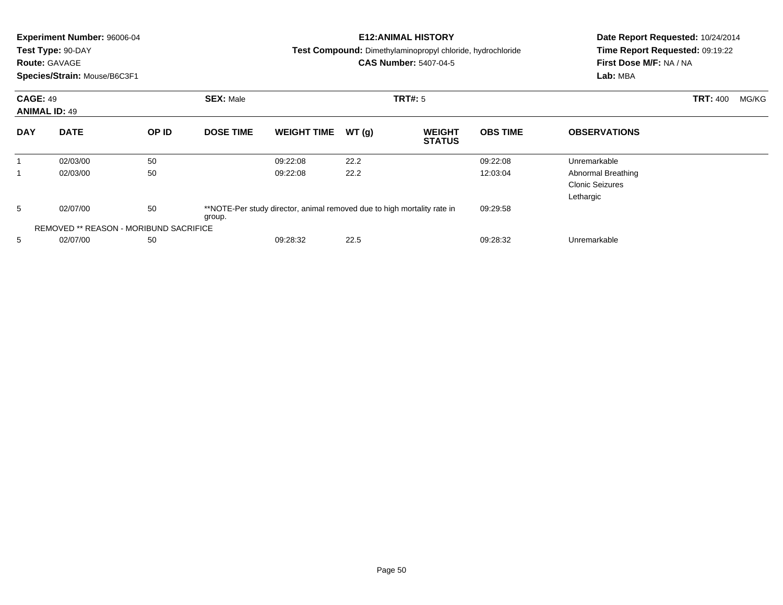|            | <b>Experiment Number: 96006-04</b><br>Test Type: 90-DAY<br><b>Route: GAVAGE</b><br>Species/Strain: Mouse/B6C3F1 |    |                  |                                                                         |       | <b>E12:ANIMAL HISTORY</b><br>Test Compound: Dimethylaminopropyl chloride, hydrochloride<br><b>CAS Number: 5407-04-5</b> | Date Report Requested: 10/24/2014<br>Time Report Requested: 09:19:22<br>First Dose M/F: NA / NA<br>Lab: MBA |                                                           |                          |
|------------|-----------------------------------------------------------------------------------------------------------------|----|------------------|-------------------------------------------------------------------------|-------|-------------------------------------------------------------------------------------------------------------------------|-------------------------------------------------------------------------------------------------------------|-----------------------------------------------------------|--------------------------|
|            | <b>CAGE: 49</b><br><b>ANIMAL ID: 49</b><br><b>DATE</b><br>OP ID                                                 |    | <b>SEX: Male</b> |                                                                         |       | <b>TRT#: 5</b>                                                                                                          |                                                                                                             |                                                           | <b>TRT: 400</b><br>MG/KG |
| <b>DAY</b> |                                                                                                                 |    | <b>DOSE TIME</b> | <b>WEIGHT TIME</b>                                                      | WT(g) | <b>WEIGHT</b><br><b>STATUS</b>                                                                                          | <b>OBS TIME</b>                                                                                             | <b>OBSERVATIONS</b>                                       |                          |
|            | 02/03/00                                                                                                        | 50 |                  | 09:22:08                                                                | 22.2  |                                                                                                                         | 09:22:08                                                                                                    | Unremarkable                                              |                          |
|            | 02/03/00                                                                                                        | 50 |                  | 09:22:08                                                                | 22.2  |                                                                                                                         | 12:03:04                                                                                                    | Abnormal Breathing<br><b>Clonic Seizures</b><br>Lethargic |                          |
| 5          | 02/07/00                                                                                                        | 50 | group.           | **NOTE-Per study director, animal removed due to high mortality rate in |       |                                                                                                                         | 09:29:58                                                                                                    |                                                           |                          |
|            | <b>REMOVED ** REASON - MORIBUND SACRIFICE</b>                                                                   |    |                  |                                                                         |       |                                                                                                                         |                                                                                                             |                                                           |                          |
| 5          | 02/07/00                                                                                                        | 50 |                  | 09:28:32                                                                | 22.5  |                                                                                                                         | 09:28:32                                                                                                    | Unremarkable                                              |                          |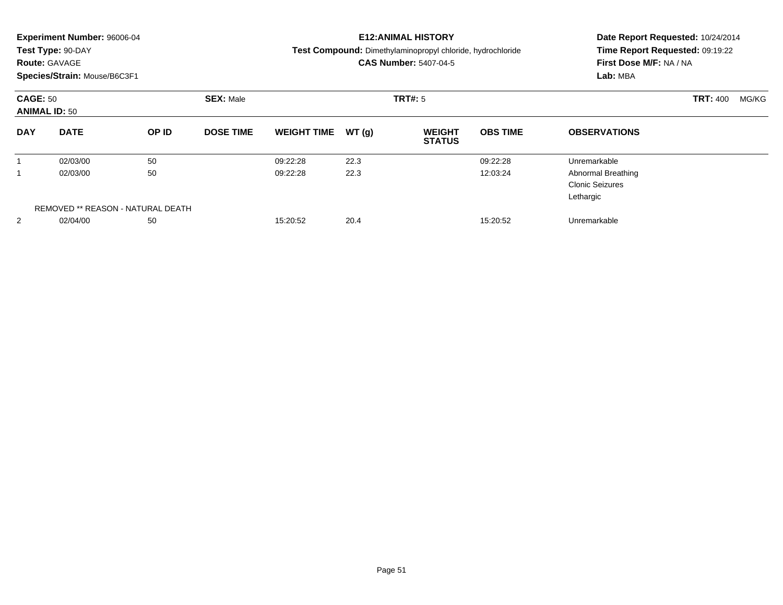|            | <b>Experiment Number: 96006-04</b><br>Test Type: 90-DAY<br><b>Route: GAVAGE</b><br>Species/Strain: Mouse/B6C3F1 |                                   |                  |                    |       | <b>E12:ANIMAL HISTORY</b><br>Test Compound: Dimethylaminopropyl chloride, hydrochloride<br><b>CAS Number: 5407-04-5</b> | Date Report Requested: 10/24/2014<br>Time Report Requested: 09:19:22<br>First Dose M/F: NA / NA<br>Lab: MBA |                                                                  |                          |
|------------|-----------------------------------------------------------------------------------------------------------------|-----------------------------------|------------------|--------------------|-------|-------------------------------------------------------------------------------------------------------------------------|-------------------------------------------------------------------------------------------------------------|------------------------------------------------------------------|--------------------------|
|            | <b>CAGE: 50</b><br><b>ANIMAL ID: 50</b><br><b>DATE</b>                                                          |                                   | <b>SEX: Male</b> |                    |       | TRT#: 5                                                                                                                 |                                                                                                             |                                                                  | <b>TRT: 400</b><br>MG/KG |
| <b>DAY</b> |                                                                                                                 | OP ID                             | <b>DOSE TIME</b> | <b>WEIGHT TIME</b> | WT(q) | <b>WEIGHT</b><br><b>STATUS</b>                                                                                          | <b>OBS TIME</b>                                                                                             | <b>OBSERVATIONS</b>                                              |                          |
|            | 02/03/00                                                                                                        | 50                                |                  | 09:22:28           | 22.3  |                                                                                                                         | 09:22:28                                                                                                    | Unremarkable                                                     |                          |
|            | 02/03/00                                                                                                        | 50                                |                  | 09:22:28           | 22.3  |                                                                                                                         | 12:03:24                                                                                                    | <b>Abnormal Breathing</b><br><b>Clonic Seizures</b><br>Lethargic |                          |
|            |                                                                                                                 | REMOVED ** REASON - NATURAL DEATH |                  |                    |       |                                                                                                                         |                                                                                                             |                                                                  |                          |
| 2          | 02/04/00                                                                                                        | 50                                |                  | 15:20:52           | 20.4  |                                                                                                                         | 15:20:52                                                                                                    | Unremarkable                                                     |                          |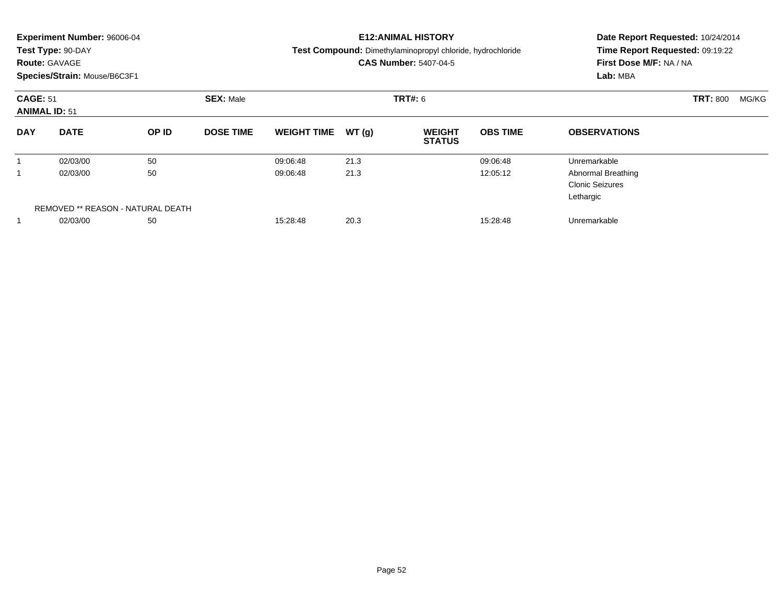|                                         | <b>Experiment Number: 96006-04</b><br>Test Type: 90-DAY<br><b>Route: GAVAGE</b><br>Species/Strain: Mouse/B6C3F1 |                                   |                  |                    |       | <b>E12:ANIMAL HISTORY</b><br>Test Compound: Dimethylaminopropyl chloride, hydrochloride<br><b>CAS Number: 5407-04-5</b> | Date Report Requested: 10/24/2014<br>Time Report Requested: 09:19:22<br>First Dose M/F: NA / NA<br>Lab: MBA |                                                                  |                 |       |
|-----------------------------------------|-----------------------------------------------------------------------------------------------------------------|-----------------------------------|------------------|--------------------|-------|-------------------------------------------------------------------------------------------------------------------------|-------------------------------------------------------------------------------------------------------------|------------------------------------------------------------------|-----------------|-------|
| <b>CAGE: 51</b><br><b>ANIMAL ID: 51</b> |                                                                                                                 |                                   | <b>SEX: Male</b> |                    |       | TRT#: 6                                                                                                                 |                                                                                                             |                                                                  | <b>TRT: 800</b> | MG/KG |
| <b>DAY</b>                              | <b>DATE</b>                                                                                                     | OP ID                             | <b>DOSE TIME</b> | <b>WEIGHT TIME</b> | WT(q) | <b>WEIGHT</b><br><b>STATUS</b>                                                                                          | <b>OBS TIME</b>                                                                                             | <b>OBSERVATIONS</b>                                              |                 |       |
|                                         | 02/03/00                                                                                                        | 50                                |                  | 09:06:48           | 21.3  |                                                                                                                         | 09:06:48                                                                                                    | Unremarkable                                                     |                 |       |
|                                         | 02/03/00                                                                                                        | 50                                |                  | 09:06:48           | 21.3  |                                                                                                                         | 12:05:12                                                                                                    | <b>Abnormal Breathing</b><br><b>Clonic Seizures</b><br>Lethargic |                 |       |
|                                         |                                                                                                                 | REMOVED ** REASON - NATURAL DEATH |                  |                    |       |                                                                                                                         |                                                                                                             |                                                                  |                 |       |
|                                         | 02/03/00                                                                                                        | 50                                |                  | 15:28:48           | 20.3  |                                                                                                                         | 15:28:48                                                                                                    | Unremarkable                                                     |                 |       |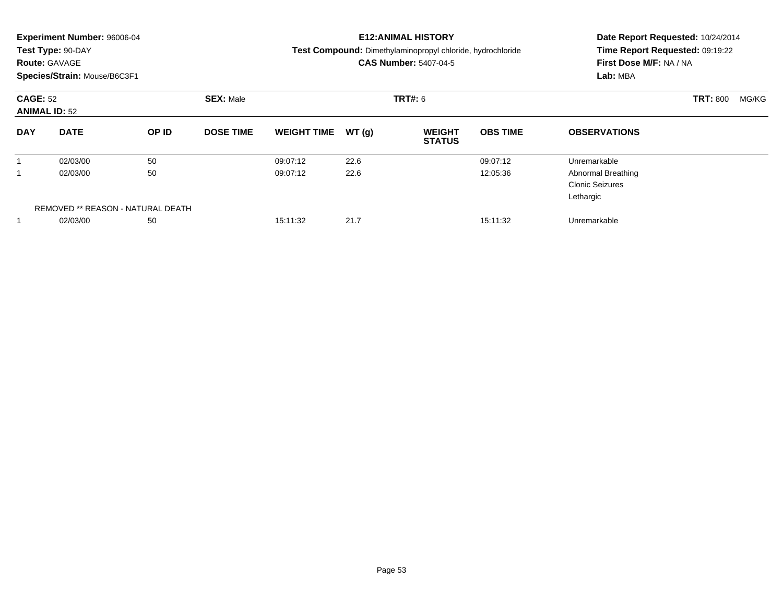| <b>Route: GAVAGE</b>                    | <b>Experiment Number: 96006-04</b><br>Test Type: 90-DAY<br>Species/Strain: Mouse/B6C3F1 |                                         |                  |                      |              | <b>E12: ANIMAL HISTORY</b><br>Test Compound: Dimethylaminopropyl chloride, hydrochloride<br><b>CAS Number: 5407-04-5</b> | Date Report Requested: 10/24/2014<br>Time Report Requested: 09:19:22<br>First Dose M/F: NA / NA<br>Lab: MBA |                                                                                  |                 |       |
|-----------------------------------------|-----------------------------------------------------------------------------------------|-----------------------------------------|------------------|----------------------|--------------|--------------------------------------------------------------------------------------------------------------------------|-------------------------------------------------------------------------------------------------------------|----------------------------------------------------------------------------------|-----------------|-------|
| <b>CAGE: 52</b><br><b>ANIMAL ID: 52</b> |                                                                                         |                                         | <b>SEX: Male</b> |                      |              | TRT#: 6                                                                                                                  |                                                                                                             |                                                                                  | <b>TRT: 800</b> | MG/KG |
| <b>DAY</b>                              | <b>DATE</b>                                                                             | OP ID                                   | <b>DOSE TIME</b> | <b>WEIGHT TIME</b>   | WT(g)        | <b>WEIGHT</b><br><b>STATUS</b>                                                                                           | <b>OBS TIME</b>                                                                                             | <b>OBSERVATIONS</b>                                                              |                 |       |
| 1<br>1                                  | 02/03/00<br>02/03/00                                                                    | 50<br>50                                |                  | 09:07:12<br>09:07:12 | 22.6<br>22.6 |                                                                                                                          | 09:07:12<br>12:05:36                                                                                        | Unremarkable<br><b>Abnormal Breathing</b><br><b>Clonic Seizures</b><br>Lethargic |                 |       |
|                                         | 02/03/00                                                                                | REMOVED ** REASON - NATURAL DEATH<br>50 |                  | 15:11:32             | 21.7         |                                                                                                                          | 15:11:32                                                                                                    | Unremarkable                                                                     |                 |       |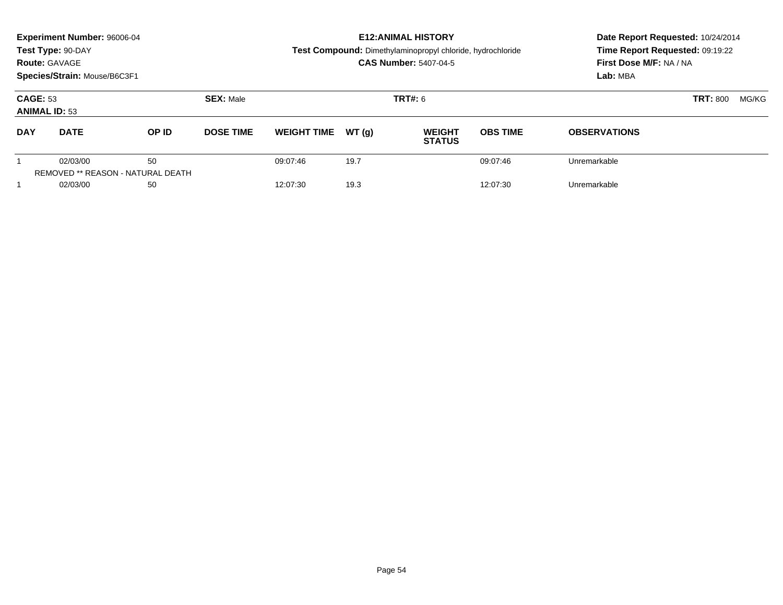|                                         | <b>Experiment Number: 96006-04</b>                                        |                                                |                  |                                                                                            |       | <b>E12: ANIMAL HISTORY</b>     | Date Report Requested: 10/24/2014 |                                                                        |  |  |
|-----------------------------------------|---------------------------------------------------------------------------|------------------------------------------------|------------------|--------------------------------------------------------------------------------------------|-------|--------------------------------|-----------------------------------|------------------------------------------------------------------------|--|--|
|                                         | Test Type: 90-DAY<br><b>Route: GAVAGE</b><br>Species/Strain: Mouse/B6C3F1 |                                                |                  | Test Compound: Dimethylaminopropyl chloride, hydrochloride<br><b>CAS Number: 5407-04-5</b> |       |                                |                                   | Time Report Requested: 09:19:22<br>First Dose M/F: NA / NA<br>Lab: MBA |  |  |
| <b>CAGE: 53</b><br><b>ANIMAL ID: 53</b> |                                                                           |                                                | <b>SEX: Male</b> |                                                                                            |       | <b>TRT#: 6</b>                 |                                   | <b>TRT: 800</b><br>MG/KG                                               |  |  |
| <b>DAY</b>                              | <b>DATE</b>                                                               | OP ID                                          | <b>DOSE TIME</b> | <b>WEIGHT TIME</b>                                                                         | WT(q) | <b>WEIGHT</b><br><b>STATUS</b> | <b>OBS TIME</b>                   | <b>OBSERVATIONS</b>                                                    |  |  |
|                                         | 02/03/00                                                                  | 50<br><b>REMOVED ** REASON - NATURAL DEATH</b> |                  | 09:07:46                                                                                   | 19.7  |                                | 09:07:46                          | Unremarkable                                                           |  |  |
|                                         | 02/03/00                                                                  | 50                                             |                  | 12:07:30                                                                                   | 19.3  |                                | 12:07:30                          | Unremarkable                                                           |  |  |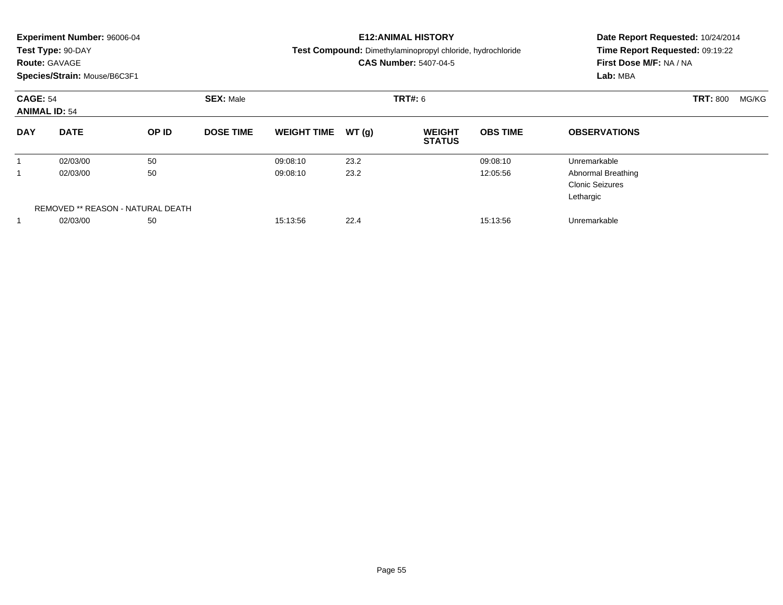| <b>Route: GAVAGE</b>                    | <b>Experiment Number: 96006-04</b><br>Test Type: 90-DAY<br>Species/Strain: Mouse/B6C3F1 |                                         |                  |                      |              | <b>E12: ANIMAL HISTORY</b><br>Test Compound: Dimethylaminopropyl chloride, hydrochloride<br><b>CAS Number: 5407-04-5</b> | Date Report Requested: 10/24/2014<br>Time Report Requested: 09:19:22<br>First Dose M/F: NA / NA<br>Lab: MBA |                                                                                  |                 |       |
|-----------------------------------------|-----------------------------------------------------------------------------------------|-----------------------------------------|------------------|----------------------|--------------|--------------------------------------------------------------------------------------------------------------------------|-------------------------------------------------------------------------------------------------------------|----------------------------------------------------------------------------------|-----------------|-------|
| <b>CAGE: 54</b><br><b>ANIMAL ID: 54</b> |                                                                                         |                                         | <b>SEX: Male</b> |                      |              | TRT#: 6                                                                                                                  |                                                                                                             |                                                                                  | <b>TRT: 800</b> | MG/KG |
| <b>DAY</b>                              | <b>DATE</b>                                                                             | OP ID                                   | <b>DOSE TIME</b> | <b>WEIGHT TIME</b>   | WT(g)        | <b>WEIGHT</b><br><b>STATUS</b>                                                                                           | <b>OBS TIME</b>                                                                                             | <b>OBSERVATIONS</b>                                                              |                 |       |
| 1                                       | 02/03/00<br>02/03/00                                                                    | 50<br>50                                |                  | 09:08:10<br>09:08:10 | 23.2<br>23.2 |                                                                                                                          | 09:08:10<br>12:05:56                                                                                        | Unremarkable<br><b>Abnormal Breathing</b><br><b>Clonic Seizures</b><br>Lethargic |                 |       |
|                                         | 02/03/00                                                                                | REMOVED ** REASON - NATURAL DEATH<br>50 |                  | 15:13:56             | 22.4         |                                                                                                                          | 15:13:56                                                                                                    | Unremarkable                                                                     |                 |       |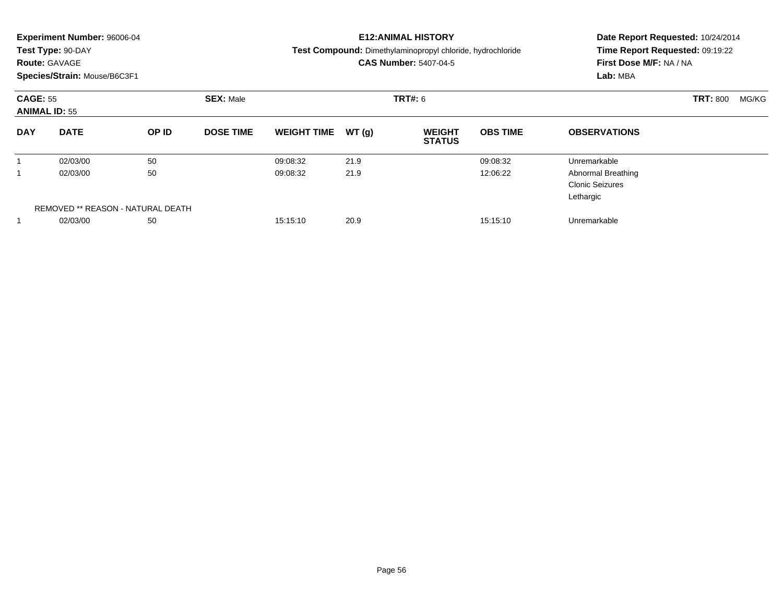| <b>Route: GAVAGE</b>                    | <b>Experiment Number: 96006-04</b><br>Test Type: 90-DAY<br>Species/Strain: Mouse/B6C3F1 |                                         |                  |                      |              | <b>E12: ANIMAL HISTORY</b><br>Test Compound: Dimethylaminopropyl chloride, hydrochloride<br><b>CAS Number: 5407-04-5</b> | Date Report Requested: 10/24/2014<br>Time Report Requested: 09:19:22<br>First Dose M/F: NA / NA<br>Lab: MBA |                                                                                  |                 |       |
|-----------------------------------------|-----------------------------------------------------------------------------------------|-----------------------------------------|------------------|----------------------|--------------|--------------------------------------------------------------------------------------------------------------------------|-------------------------------------------------------------------------------------------------------------|----------------------------------------------------------------------------------|-----------------|-------|
| <b>CAGE: 55</b><br><b>ANIMAL ID: 55</b> |                                                                                         |                                         | <b>SEX: Male</b> |                      |              | TRT#: 6                                                                                                                  |                                                                                                             |                                                                                  | <b>TRT: 800</b> | MG/KG |
| <b>DAY</b>                              | <b>DATE</b>                                                                             | OP ID                                   | <b>DOSE TIME</b> | <b>WEIGHT TIME</b>   | WT(g)        | <b>WEIGHT</b><br><b>STATUS</b>                                                                                           | <b>OBS TIME</b>                                                                                             | <b>OBSERVATIONS</b>                                                              |                 |       |
| 1                                       | 02/03/00<br>02/03/00                                                                    | 50<br>50                                |                  | 09:08:32<br>09:08:32 | 21.9<br>21.9 |                                                                                                                          | 09:08:32<br>12:06:22                                                                                        | Unremarkable<br><b>Abnormal Breathing</b><br><b>Clonic Seizures</b><br>Lethargic |                 |       |
|                                         | 02/03/00                                                                                | REMOVED ** REASON - NATURAL DEATH<br>50 |                  | 15:15:10             | 20.9         |                                                                                                                          | 15:15:10                                                                                                    | Unremarkable                                                                     |                 |       |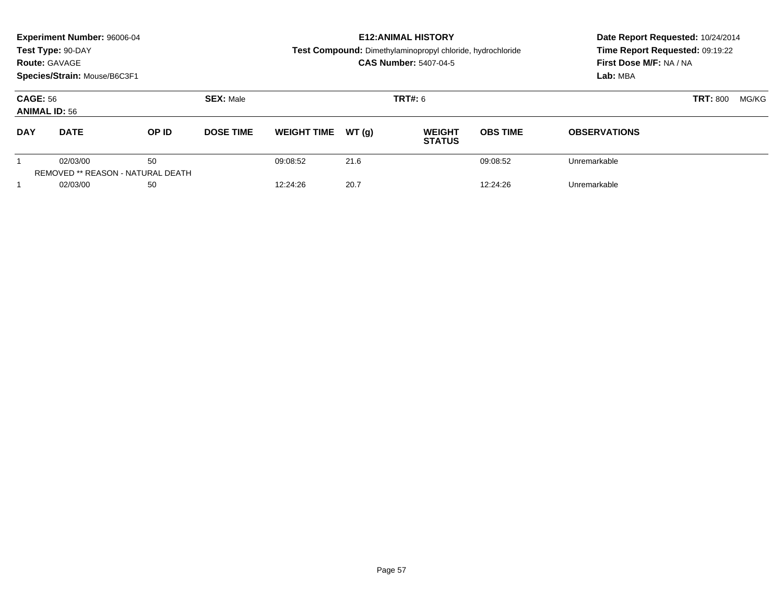|                                         | <b>Experiment Number: 96006-04</b><br>Test Type: 90-DAY<br><b>Route: GAVAGE</b><br>Species/Strain: Mouse/B6C3F1 |                                                |                  |                    | <b>E12: ANIMAL HISTORY</b><br>Test Compound: Dimethylaminopropyl chloride, hydrochloride<br><b>CAS Number: 5407-04-5</b> | Date Report Requested: 10/24/2014<br>Time Report Requested: 09:19:22<br>First Dose M/F: NA / NA<br>Lab: MBA |                          |                     |
|-----------------------------------------|-----------------------------------------------------------------------------------------------------------------|------------------------------------------------|------------------|--------------------|--------------------------------------------------------------------------------------------------------------------------|-------------------------------------------------------------------------------------------------------------|--------------------------|---------------------|
| <b>CAGE: 56</b><br><b>ANIMAL ID: 56</b> |                                                                                                                 |                                                | <b>SEX: Male</b> |                    |                                                                                                                          | <b>TRT#: 6</b>                                                                                              | <b>TRT: 800</b><br>MG/KG |                     |
| <b>DAY</b>                              | <b>DATE</b>                                                                                                     | OP ID                                          | <b>DOSE TIME</b> | <b>WEIGHT TIME</b> | WT(q)                                                                                                                    | <b>WEIGHT</b><br><b>STATUS</b>                                                                              | <b>OBS TIME</b>          | <b>OBSERVATIONS</b> |
|                                         | 02/03/00                                                                                                        | 50<br><b>REMOVED ** REASON - NATURAL DEATH</b> |                  | 09:08:52           | 21.6                                                                                                                     |                                                                                                             | 09:08:52                 | Unremarkable        |
|                                         | 02/03/00                                                                                                        | 50                                             |                  | 12:24:26           | 20.7                                                                                                                     |                                                                                                             | 12:24:26                 | Unremarkable        |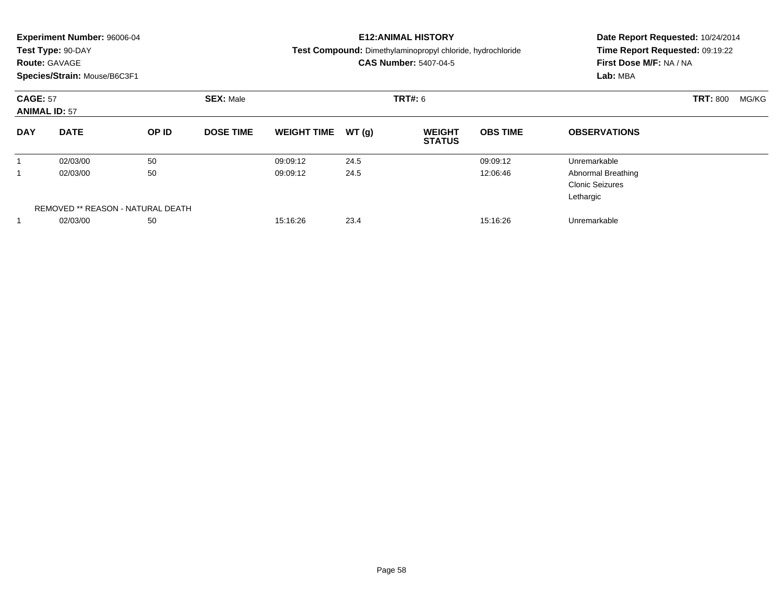| <b>Route: GAVAGE</b>                    | <b>Experiment Number: 96006-04</b><br>Test Type: 90-DAY<br>Species/Strain: Mouse/B6C3F1 |                                         |                  |                      |              | <b>E12: ANIMAL HISTORY</b><br>Test Compound: Dimethylaminopropyl chloride, hydrochloride<br><b>CAS Number: 5407-04-5</b> | Date Report Requested: 10/24/2014<br>Time Report Requested: 09:19:22<br>First Dose M/F: NA / NA<br>Lab: MBA |                                                                                  |                 |       |
|-----------------------------------------|-----------------------------------------------------------------------------------------|-----------------------------------------|------------------|----------------------|--------------|--------------------------------------------------------------------------------------------------------------------------|-------------------------------------------------------------------------------------------------------------|----------------------------------------------------------------------------------|-----------------|-------|
| <b>CAGE: 57</b><br><b>ANIMAL ID: 57</b> |                                                                                         |                                         | <b>SEX: Male</b> |                      |              | TRT#: 6                                                                                                                  |                                                                                                             |                                                                                  | <b>TRT: 800</b> | MG/KG |
| <b>DAY</b>                              | <b>DATE</b>                                                                             | OP ID                                   | <b>DOSE TIME</b> | <b>WEIGHT TIME</b>   | WT(g)        | <b>WEIGHT</b><br><b>STATUS</b>                                                                                           | <b>OBS TIME</b>                                                                                             | <b>OBSERVATIONS</b>                                                              |                 |       |
| 1                                       | 02/03/00<br>02/03/00                                                                    | 50<br>50                                |                  | 09:09:12<br>09:09:12 | 24.5<br>24.5 |                                                                                                                          | 09:09:12<br>12:06:46                                                                                        | Unremarkable<br><b>Abnormal Breathing</b><br><b>Clonic Seizures</b><br>Lethargic |                 |       |
|                                         | 02/03/00                                                                                | REMOVED ** REASON - NATURAL DEATH<br>50 |                  | 15:16:26             | 23.4         |                                                                                                                          | 15:16:26                                                                                                    | Unremarkable                                                                     |                 |       |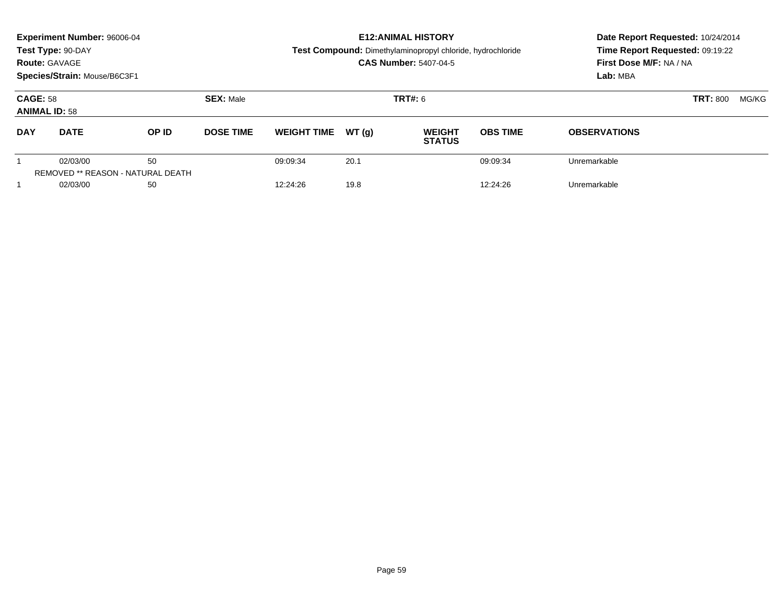|                                         | <b>Experiment Number: 96006-04</b> |                                          |                  |                    |       | <b>E12: ANIMAL HISTORY</b>                                 | Date Report Requested: 10/24/2014 |                                 |  |  |
|-----------------------------------------|------------------------------------|------------------------------------------|------------------|--------------------|-------|------------------------------------------------------------|-----------------------------------|---------------------------------|--|--|
|                                         | Test Type: 90-DAY                  |                                          |                  |                    |       | Test Compound: Dimethylaminopropyl chloride, hydrochloride |                                   | Time Report Requested: 09:19:22 |  |  |
|                                         | <b>Route: GAVAGE</b>               |                                          |                  |                    |       | <b>CAS Number: 5407-04-5</b>                               |                                   | First Dose M/F: NA / NA         |  |  |
|                                         | Species/Strain: Mouse/B6C3F1       |                                          |                  |                    |       |                                                            |                                   | Lab: MBA                        |  |  |
| <b>CAGE: 58</b><br><b>ANIMAL ID: 58</b> |                                    |                                          | <b>SEX: Male</b> |                    |       | <b>TRT#: 6</b>                                             |                                   | <b>TRT: 800</b><br>MG/KG        |  |  |
| <b>DAY</b>                              | <b>DATE</b>                        | OP ID                                    | <b>DOSE TIME</b> | <b>WEIGHT TIME</b> | WT(q) | <b>WEIGHT</b><br><b>STATUS</b>                             | <b>OBS TIME</b>                   | <b>OBSERVATIONS</b>             |  |  |
|                                         | 02/03/00                           | 50                                       |                  | 09:09:34           | 20.1  |                                                            | 09:09:34                          | Unremarkable                    |  |  |
|                                         |                                    | <b>REMOVED ** REASON - NATURAL DEATH</b> |                  |                    |       |                                                            |                                   |                                 |  |  |
|                                         | 02/03/00                           | 50                                       |                  | 12:24:26           | 19.8  |                                                            | 12:24:26                          | Unremarkable                    |  |  |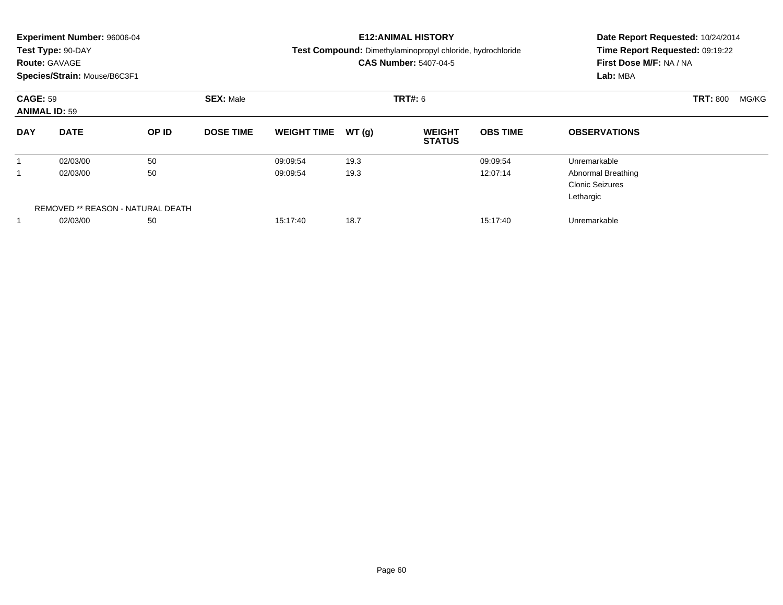|                 | <b>Experiment Number: 96006-04</b><br>Test Type: 90-DAY<br><b>Route: GAVAGE</b> |                                         |                  |                      |              | <b>E12:ANIMAL HISTORY</b><br>Test Compound: Dimethylaminopropyl chloride, hydrochloride<br><b>CAS Number: 5407-04-5</b> | Date Report Requested: 10/24/2014<br>Time Report Requested: 09:19:22<br>First Dose M/F: NA / NA<br>Lab: MBA |                                           |                 |       |
|-----------------|---------------------------------------------------------------------------------|-----------------------------------------|------------------|----------------------|--------------|-------------------------------------------------------------------------------------------------------------------------|-------------------------------------------------------------------------------------------------------------|-------------------------------------------|-----------------|-------|
| <b>CAGE: 59</b> | Species/Strain: Mouse/B6C3F1<br><b>ANIMAL ID: 59</b>                            |                                         | <b>SEX: Male</b> |                      |              | TRT#: 6                                                                                                                 |                                                                                                             |                                           | <b>TRT: 800</b> | MG/KG |
| <b>DAY</b>      | <b>DATE</b>                                                                     | OP ID                                   | <b>DOSE TIME</b> | <b>WEIGHT TIME</b>   | WT(g)        | <b>WEIGHT</b><br><b>STATUS</b>                                                                                          | <b>OBS TIME</b>                                                                                             | <b>OBSERVATIONS</b>                       |                 |       |
| 1<br>1          | 02/03/00<br>02/03/00                                                            | 50<br>50                                |                  | 09:09:54<br>09:09:54 | 19.3<br>19.3 |                                                                                                                         | 09:09:54<br>12:07:14                                                                                        | Unremarkable<br><b>Abnormal Breathing</b> |                 |       |
|                 |                                                                                 |                                         |                  |                      |              |                                                                                                                         |                                                                                                             | <b>Clonic Seizures</b><br>Lethargic       |                 |       |
|                 | 02/03/00                                                                        | REMOVED ** REASON - NATURAL DEATH<br>50 |                  | 15:17:40             | 18.7         |                                                                                                                         | 15:17:40                                                                                                    | Unremarkable                              |                 |       |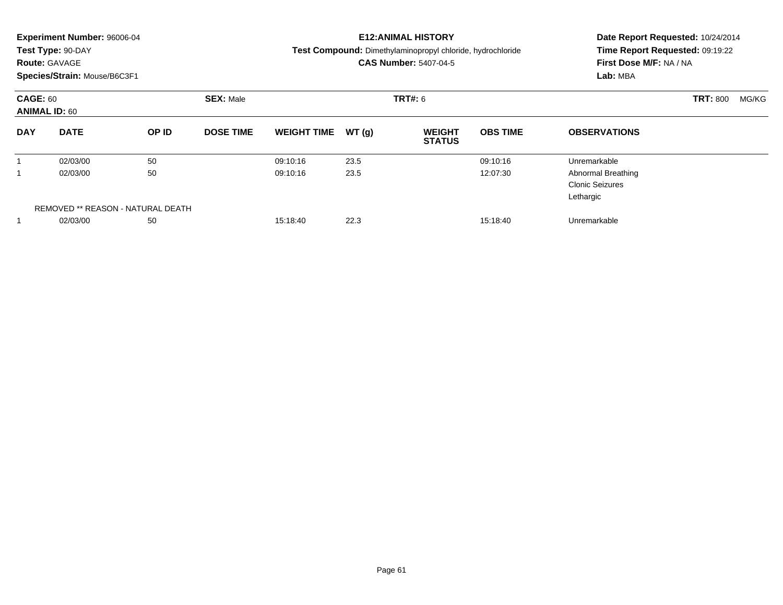| <b>Experiment Number: 96006-04</b><br>Test Type: 90-DAY<br><b>Route: GAVAGE</b><br>Species/Strain: Mouse/B6C3F1 |                                                     |          |                  |                      |              | <b>E12: ANIMAL HISTORY</b><br>Test Compound: Dimethylaminopropyl chloride, hydrochloride<br><b>CAS Number: 5407-04-5</b> | Date Report Requested: 10/24/2014<br>Time Report Requested: 09:19:22<br>First Dose M/F: NA / NA<br>Lab: MBA |                                                                                  |                 |       |
|-----------------------------------------------------------------------------------------------------------------|-----------------------------------------------------|----------|------------------|----------------------|--------------|--------------------------------------------------------------------------------------------------------------------------|-------------------------------------------------------------------------------------------------------------|----------------------------------------------------------------------------------|-----------------|-------|
| <b>CAGE: 60</b><br><b>ANIMAL ID: 60</b>                                                                         |                                                     |          | <b>SEX: Male</b> |                      | TRT#: 6      |                                                                                                                          |                                                                                                             |                                                                                  | <b>TRT: 800</b> | MG/KG |
| <b>DAY</b>                                                                                                      | <b>DATE</b>                                         | OP ID    | <b>DOSE TIME</b> | <b>WEIGHT TIME</b>   | WT(g)        | <b>WEIGHT</b><br><b>STATUS</b>                                                                                           | <b>OBS TIME</b>                                                                                             | <b>OBSERVATIONS</b>                                                              |                 |       |
| 1                                                                                                               | 02/03/00<br>02/03/00                                | 50<br>50 |                  | 09:10:16<br>09:10:16 | 23.5<br>23.5 |                                                                                                                          | 09:10:16<br>12:07:30                                                                                        | Unremarkable<br><b>Abnormal Breathing</b><br><b>Clonic Seizures</b><br>Lethargic |                 |       |
|                                                                                                                 | REMOVED ** REASON - NATURAL DEATH<br>50<br>02/03/00 |          |                  | 15:18:40             | 22.3         |                                                                                                                          | 15:18:40                                                                                                    | Unremarkable                                                                     |                 |       |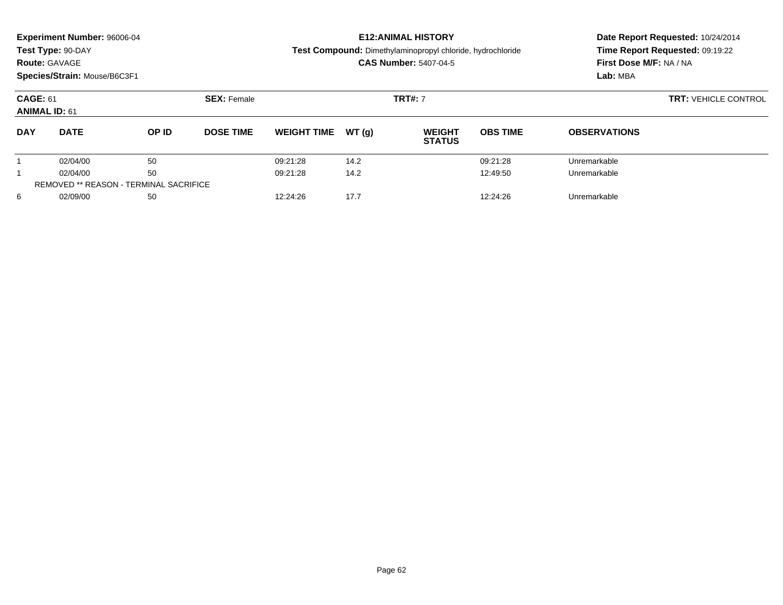| <b>Experiment Number: 96006-04</b><br>Test Type: 90-DAY<br><b>Route: GAVAGE</b><br>Species/Strain: Mouse/B6C3F1 |                                               |       |                    |                    |                | <b>E12: ANIMAL HISTORY</b><br>Test Compound: Dimethylaminopropyl chloride, hydrochloride<br><b>CAS Number: 5407-04-5</b> | Date Report Requested: 10/24/2014<br>Time Report Requested: 09:19:22<br>First Dose M/F: NA / NA<br>Lab: MBA<br><b>TRT: VEHICLE CONTROL</b> |                     |  |
|-----------------------------------------------------------------------------------------------------------------|-----------------------------------------------|-------|--------------------|--------------------|----------------|--------------------------------------------------------------------------------------------------------------------------|--------------------------------------------------------------------------------------------------------------------------------------------|---------------------|--|
| <b>CAGE: 61</b><br><b>ANIMAL ID: 61</b>                                                                         |                                               |       | <b>SEX: Female</b> |                    | <b>TRT#: 7</b> |                                                                                                                          |                                                                                                                                            |                     |  |
| <b>DAY</b>                                                                                                      | <b>DATE</b>                                   | OP ID | <b>DOSE TIME</b>   | <b>WEIGHT TIME</b> | WT(q)          | <b>WEIGHT</b><br><b>STATUS</b>                                                                                           | <b>OBS TIME</b>                                                                                                                            | <b>OBSERVATIONS</b> |  |
|                                                                                                                 | 02/04/00                                      | 50    |                    | 09:21:28           | 14.2           |                                                                                                                          | 09:21:28                                                                                                                                   | Unremarkable        |  |
|                                                                                                                 | 02/04/00                                      | 50    |                    | 09:21:28           | 14.2           |                                                                                                                          | 12:49:50                                                                                                                                   | Unremarkable        |  |
|                                                                                                                 | <b>REMOVED ** REASON - TERMINAL SACRIFICE</b> |       |                    |                    |                |                                                                                                                          |                                                                                                                                            |                     |  |
| 6                                                                                                               | 02/09/00                                      | 50    |                    | 12:24:26           | 17.7           |                                                                                                                          | 12:24:26                                                                                                                                   | Unremarkable        |  |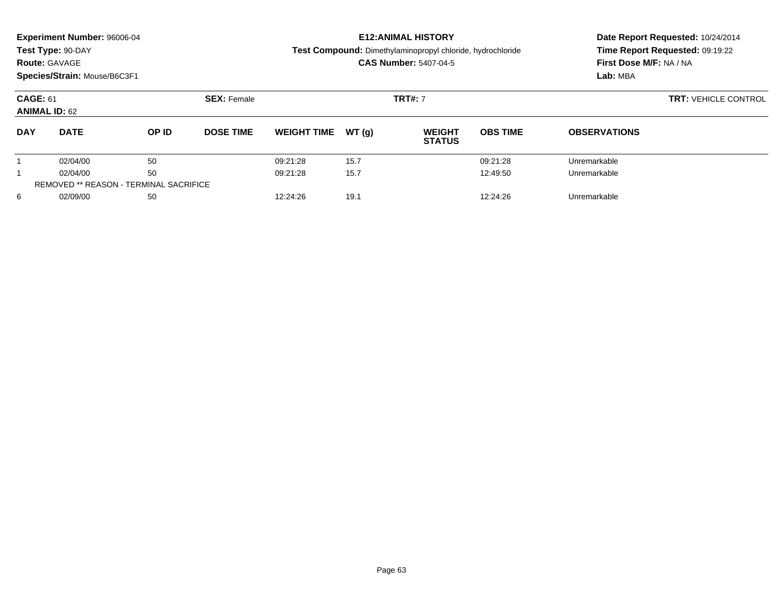|                                               | Experiment Number: 96006-04<br>Test Type: 90-DAY |       |                    |                    |                | <b>E12: ANIMAL HISTORY</b><br>Test Compound: Dimethylaminopropyl chloride, hydrochloride | Date Report Requested: 10/24/2014<br>Time Report Requested: 09:19:22 |                         |  |  |
|-----------------------------------------------|--------------------------------------------------|-------|--------------------|--------------------|----------------|------------------------------------------------------------------------------------------|----------------------------------------------------------------------|-------------------------|--|--|
| <b>Route: GAVAGE</b>                          |                                                  |       |                    |                    |                | <b>CAS Number: 5407-04-5</b>                                                             |                                                                      | First Dose M/F: NA / NA |  |  |
|                                               | Species/Strain: Mouse/B6C3F1                     |       |                    |                    |                |                                                                                          |                                                                      | Lab: MBA                |  |  |
| <b>CAGE: 61</b><br><b>ANIMAL ID: 62</b>       |                                                  |       | <b>SEX: Female</b> |                    | <b>TRT#: 7</b> | <b>TRT: VEHICLE CONTROL</b>                                                              |                                                                      |                         |  |  |
| <b>DAY</b>                                    | <b>DATE</b>                                      | OP ID | <b>DOSE TIME</b>   | <b>WEIGHT TIME</b> | WT(q)          | <b>WEIGHT</b><br><b>STATUS</b>                                                           | <b>OBS TIME</b>                                                      | <b>OBSERVATIONS</b>     |  |  |
|                                               | 02/04/00                                         | 50    |                    | 09:21:28           | 15.7           |                                                                                          | 09:21:28                                                             | Unremarkable            |  |  |
|                                               | 02/04/00                                         | 50    |                    | 09:21:28           | 15.7           |                                                                                          | 12:49:50                                                             | Unremarkable            |  |  |
| <b>REMOVED ** REASON - TERMINAL SACRIFICE</b> |                                                  |       |                    |                    |                |                                                                                          |                                                                      |                         |  |  |
| 6                                             | 02/09/00                                         | 50    |                    | 12:24:26           | 19.1           |                                                                                          | 12:24:26                                                             | Unremarkable            |  |  |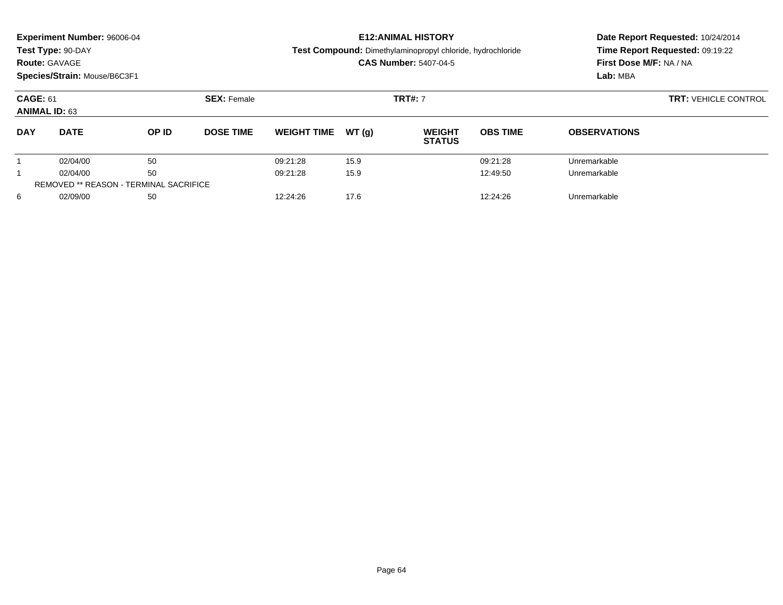| <b>Experiment Number: 96006-04</b><br>Test Type: 90-DAY<br><b>Route: GAVAGE</b><br>Species/Strain: Mouse/B6C3F1 |                                               |       |                    |                    |                | <b>E12: ANIMAL HISTORY</b><br>Test Compound: Dimethylaminopropyl chloride, hydrochloride<br><b>CAS Number: 5407-04-5</b> | Date Report Requested: 10/24/2014<br>Time Report Requested: 09:19:22<br>First Dose M/F: NA / NA<br>Lab: MBA<br><b>TRT: VEHICLE CONTROL</b> |                     |  |
|-----------------------------------------------------------------------------------------------------------------|-----------------------------------------------|-------|--------------------|--------------------|----------------|--------------------------------------------------------------------------------------------------------------------------|--------------------------------------------------------------------------------------------------------------------------------------------|---------------------|--|
| <b>CAGE: 61</b><br><b>ANIMAL ID: 63</b>                                                                         |                                               |       | <b>SEX: Female</b> |                    | <b>TRT#: 7</b> |                                                                                                                          |                                                                                                                                            |                     |  |
| <b>DAY</b>                                                                                                      | <b>DATE</b>                                   | OP ID | <b>DOSE TIME</b>   | <b>WEIGHT TIME</b> | WT(q)          | <b>WEIGHT</b><br><b>STATUS</b>                                                                                           | <b>OBS TIME</b>                                                                                                                            | <b>OBSERVATIONS</b> |  |
|                                                                                                                 | 02/04/00                                      | 50    |                    | 09:21:28           | 15.9           |                                                                                                                          | 09:21:28                                                                                                                                   | Unremarkable        |  |
|                                                                                                                 | 02/04/00                                      | 50    |                    | 09:21:28           | 15.9           |                                                                                                                          | 12:49:50                                                                                                                                   | Unremarkable        |  |
|                                                                                                                 | <b>REMOVED ** REASON - TERMINAL SACRIFICE</b> |       |                    |                    |                |                                                                                                                          |                                                                                                                                            |                     |  |
| 6                                                                                                               | 02/09/00                                      | 50    |                    | 12:24:26           | 17.6           |                                                                                                                          | 12:24:26                                                                                                                                   | Unremarkable        |  |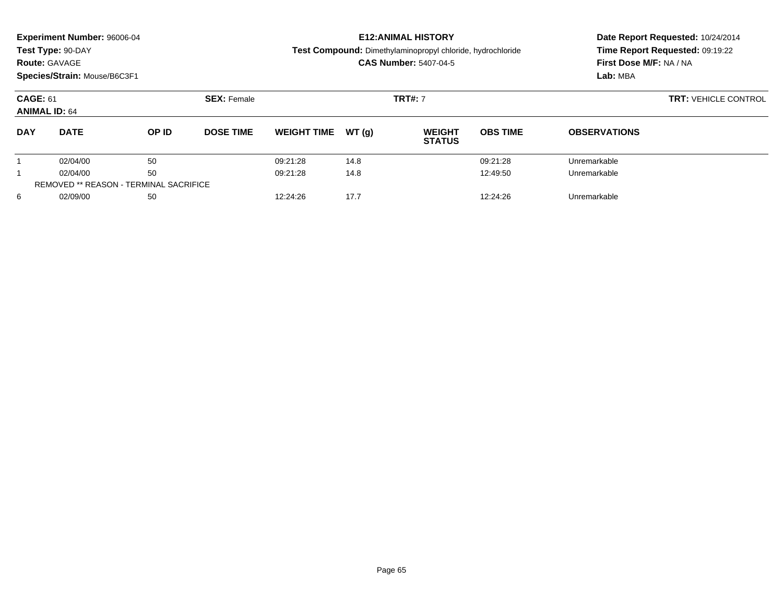| <b>Experiment Number: 96006-04</b><br>Test Type: 90-DAY<br><b>Route: GAVAGE</b><br>Species/Strain: Mouse/B6C3F1 |                                               |       |                    |                    |                | <b>E12: ANIMAL HISTORY</b><br>Test Compound: Dimethylaminopropyl chloride, hydrochloride<br><b>CAS Number: 5407-04-5</b> | Date Report Requested: 10/24/2014<br>Time Report Requested: 09:19:22<br>First Dose M/F: NA / NA<br>Lab: MBA<br><b>TRT: VEHICLE CONTROL</b> |                     |  |
|-----------------------------------------------------------------------------------------------------------------|-----------------------------------------------|-------|--------------------|--------------------|----------------|--------------------------------------------------------------------------------------------------------------------------|--------------------------------------------------------------------------------------------------------------------------------------------|---------------------|--|
| <b>CAGE: 61</b><br><b>ANIMAL ID: 64</b>                                                                         |                                               |       | <b>SEX: Female</b> |                    | <b>TRT#: 7</b> |                                                                                                                          |                                                                                                                                            |                     |  |
| <b>DAY</b>                                                                                                      | <b>DATE</b>                                   | OP ID | <b>DOSE TIME</b>   | <b>WEIGHT TIME</b> | WT(q)          | <b>WEIGHT</b><br><b>STATUS</b>                                                                                           | <b>OBS TIME</b>                                                                                                                            | <b>OBSERVATIONS</b> |  |
|                                                                                                                 | 02/04/00                                      | 50    |                    | 09:21:28           | 14.8           |                                                                                                                          | 09:21:28                                                                                                                                   | Unremarkable        |  |
|                                                                                                                 | 02/04/00                                      | 50    |                    | 09:21:28           | 14.8           |                                                                                                                          | 12:49:50                                                                                                                                   | Unremarkable        |  |
|                                                                                                                 | <b>REMOVED ** REASON - TERMINAL SACRIFICE</b> |       |                    |                    |                |                                                                                                                          |                                                                                                                                            |                     |  |
| 6                                                                                                               | 02/09/00                                      | 50    |                    | 12:24:26           | 17.7           |                                                                                                                          | 12:24:26                                                                                                                                   | Unremarkable        |  |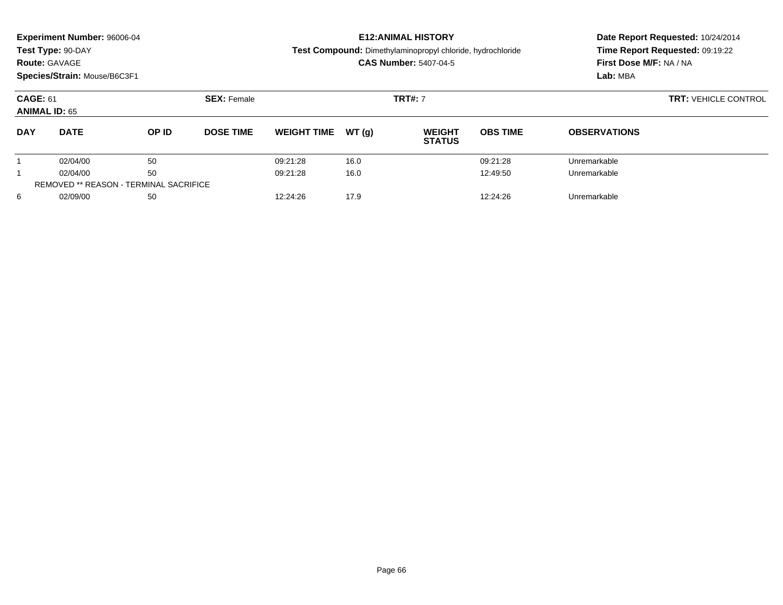| <b>Route: GAVAGE</b>                    | Experiment Number: 96006-04<br>Test Type: 90-DAY<br>Species/Strain: Mouse/B6C3F1 |       |                    |                    |                | <b>E12: ANIMAL HISTORY</b><br>Test Compound: Dimethylaminopropyl chloride, hydrochloride<br><b>CAS Number: 5407-04-5</b> | Date Report Requested: 10/24/2014<br>Time Report Requested: 09:19:22<br>First Dose M/F: NA / NA<br>Lab: MBA |                     |
|-----------------------------------------|----------------------------------------------------------------------------------|-------|--------------------|--------------------|----------------|--------------------------------------------------------------------------------------------------------------------------|-------------------------------------------------------------------------------------------------------------|---------------------|
| <b>CAGE: 61</b><br><b>ANIMAL ID: 65</b> |                                                                                  |       | <b>SEX: Female</b> |                    | <b>TRT#: 7</b> | <b>TRT: VEHICLE CONTROL</b>                                                                                              |                                                                                                             |                     |
| <b>DAY</b>                              | <b>DATE</b>                                                                      | OP ID | <b>DOSE TIME</b>   | <b>WEIGHT TIME</b> | WT(q)          | <b>WEIGHT</b><br><b>STATUS</b>                                                                                           | <b>OBS TIME</b>                                                                                             | <b>OBSERVATIONS</b> |
|                                         | 02/04/00                                                                         | 50    |                    | 09:21:28           | 16.0           |                                                                                                                          | 09:21:28                                                                                                    | Unremarkable        |
|                                         | 02/04/00                                                                         | 50    |                    | 09:21:28           | 16.0           |                                                                                                                          | 12:49:50                                                                                                    | Unremarkable        |
|                                         | <b>REMOVED ** REASON - TERMINAL SACRIFICE</b>                                    |       |                    |                    |                |                                                                                                                          |                                                                                                             |                     |
| 6                                       | 02/09/00                                                                         | 50    |                    | 12:24:26           | 17.9           |                                                                                                                          | 12:24:26                                                                                                    | Unremarkable        |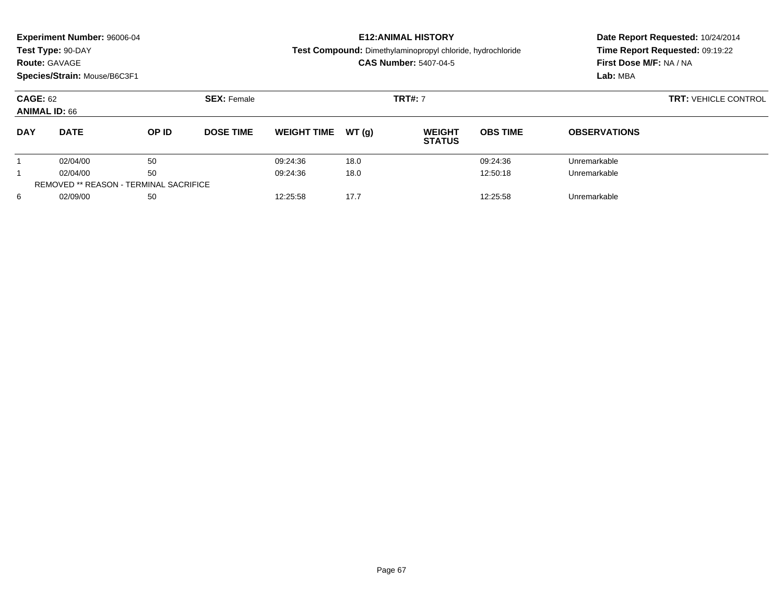|                                               | Experiment Number: 96006-04  |       |                    |                    |                | <b>E12: ANIMAL HISTORY</b>                                 | Date Report Requested: 10/24/2014 |                         |  |  |
|-----------------------------------------------|------------------------------|-------|--------------------|--------------------|----------------|------------------------------------------------------------|-----------------------------------|-------------------------|--|--|
|                                               | Test Type: 90-DAY            |       |                    |                    |                | Test Compound: Dimethylaminopropyl chloride, hydrochloride | Time Report Requested: 09:19:22   |                         |  |  |
| <b>Route: GAVAGE</b>                          |                              |       |                    |                    |                | <b>CAS Number: 5407-04-5</b>                               |                                   | First Dose M/F: NA / NA |  |  |
|                                               | Species/Strain: Mouse/B6C3F1 |       |                    |                    |                |                                                            |                                   | Lab: MBA                |  |  |
| <b>CAGE: 62</b><br><b>ANIMAL ID: 66</b>       |                              |       | <b>SEX: Female</b> |                    | <b>TRT#: 7</b> | <b>TRT: VEHICLE CONTROL</b>                                |                                   |                         |  |  |
| <b>DAY</b>                                    | <b>DATE</b>                  | OP ID | <b>DOSE TIME</b>   | <b>WEIGHT TIME</b> | WT(q)          | <b>WEIGHT</b><br><b>STATUS</b>                             | <b>OBS TIME</b>                   | <b>OBSERVATIONS</b>     |  |  |
|                                               | 02/04/00                     | 50    |                    | 09:24:36           | 18.0           |                                                            | 09:24:36                          | Unremarkable            |  |  |
|                                               | 02/04/00                     | 50    |                    | 09:24:36           | 18.0           |                                                            | 12:50:18                          | Unremarkable            |  |  |
| <b>REMOVED ** REASON - TERMINAL SACRIFICE</b> |                              |       |                    |                    |                |                                                            |                                   |                         |  |  |
| 6                                             | 02/09/00                     | 50    |                    | 12:25:58           | 17.7           |                                                            | 12:25:58                          | Unremarkable            |  |  |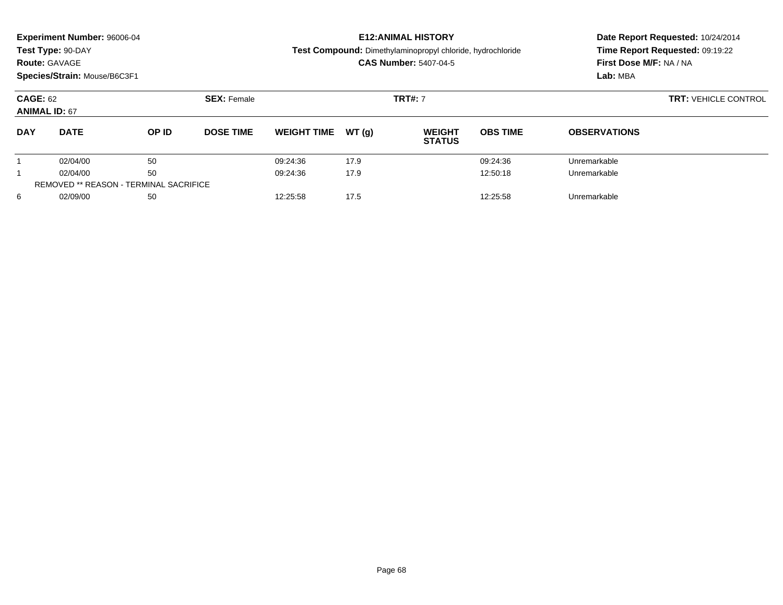| <b>Route: GAVAGE</b>                          | <b>Experiment Number: 96006-04</b><br>Test Type: 90-DAY<br>Species/Strain: Mouse/B6C3F1 |       |                    |                    |                | <b>E12: ANIMAL HISTORY</b><br>Test Compound: Dimethylaminopropyl chloride, hydrochloride<br><b>CAS Number: 5407-04-5</b> | Date Report Requested: 10/24/2014<br>Time Report Requested: 09:19:22<br>First Dose M/F: NA / NA<br>Lab: MBA |                     |  |
|-----------------------------------------------|-----------------------------------------------------------------------------------------|-------|--------------------|--------------------|----------------|--------------------------------------------------------------------------------------------------------------------------|-------------------------------------------------------------------------------------------------------------|---------------------|--|
| <b>CAGE: 62</b><br><b>ANIMAL ID: 67</b>       |                                                                                         |       | <b>SEX: Female</b> |                    | <b>TRT#: 7</b> | <b>TRT: VEHICLE CONTROL</b>                                                                                              |                                                                                                             |                     |  |
| <b>DAY</b>                                    | <b>DATE</b>                                                                             | OP ID | <b>DOSE TIME</b>   | <b>WEIGHT TIME</b> | WT(q)          | <b>WEIGHT</b><br><b>STATUS</b>                                                                                           | <b>OBS TIME</b>                                                                                             | <b>OBSERVATIONS</b> |  |
|                                               | 02/04/00                                                                                | 50    |                    | 09:24:36           | 17.9           |                                                                                                                          | 09:24:36                                                                                                    | Unremarkable        |  |
|                                               | 02/04/00                                                                                | 50    |                    | 09:24:36           | 17.9           |                                                                                                                          | 12:50:18                                                                                                    | Unremarkable        |  |
| <b>REMOVED ** REASON - TERMINAL SACRIFICE</b> |                                                                                         |       |                    |                    |                |                                                                                                                          |                                                                                                             |                     |  |
| 6                                             | 02/09/00                                                                                | 50    |                    | 12:25:58           | 17.5           |                                                                                                                          | 12:25:58                                                                                                    | Unremarkable        |  |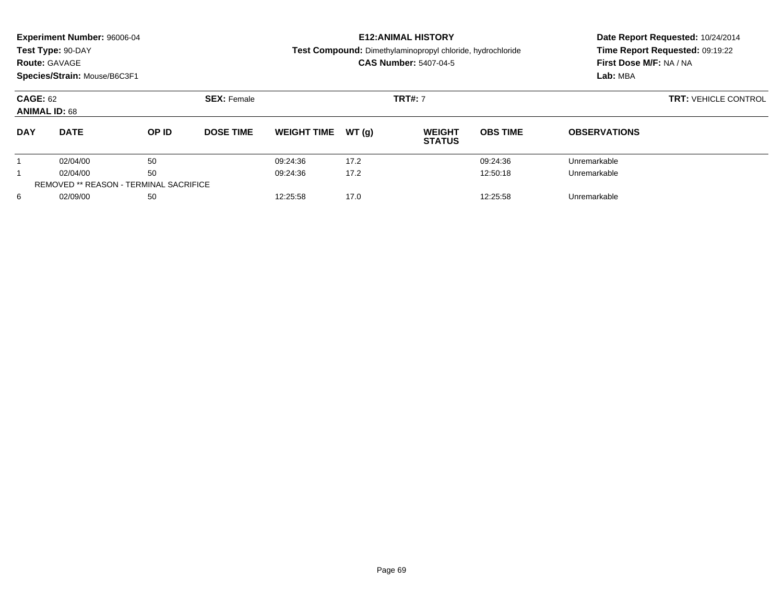|                                               | Experiment Number: 96006-04  |       |                    |                    |                | <b>E12: ANIMAL HISTORY</b>                                 | Date Report Requested: 10/24/2014<br>Time Report Requested: 09:19:22 |                                     |  |  |
|-----------------------------------------------|------------------------------|-------|--------------------|--------------------|----------------|------------------------------------------------------------|----------------------------------------------------------------------|-------------------------------------|--|--|
|                                               | Test Type: 90-DAY            |       |                    |                    |                | Test Compound: Dimethylaminopropyl chloride, hydrochloride |                                                                      |                                     |  |  |
|                                               | <b>Route: GAVAGE</b>         |       |                    |                    |                | <b>CAS Number: 5407-04-5</b>                               |                                                                      | First Dose M/F: NA / NA<br>Lab: MBA |  |  |
|                                               | Species/Strain: Mouse/B6C3F1 |       |                    |                    |                |                                                            |                                                                      |                                     |  |  |
| <b>CAGE: 62</b><br><b>ANIMAL ID: 68</b>       |                              |       | <b>SEX: Female</b> |                    | <b>TRT#: 7</b> | <b>TRT: VEHICLE CONTROL</b>                                |                                                                      |                                     |  |  |
| <b>DAY</b>                                    | <b>DATE</b>                  | OP ID | <b>DOSE TIME</b>   | <b>WEIGHT TIME</b> | WT(q)          | <b>WEIGHT</b><br><b>STATUS</b>                             | <b>OBS TIME</b>                                                      | <b>OBSERVATIONS</b>                 |  |  |
|                                               | 02/04/00                     | 50    |                    | 09:24:36           | 17.2           |                                                            | 09:24:36                                                             | Unremarkable                        |  |  |
|                                               | 02/04/00                     | 50    |                    | 09:24:36           | 17.2           |                                                            | 12:50:18                                                             | Unremarkable                        |  |  |
| <b>REMOVED ** REASON - TERMINAL SACRIFICE</b> |                              |       |                    |                    |                |                                                            |                                                                      |                                     |  |  |
| 6                                             | 02/09/00<br>50               |       |                    | 12:25:58           | 17.0           |                                                            | 12:25:58                                                             | Unremarkable                        |  |  |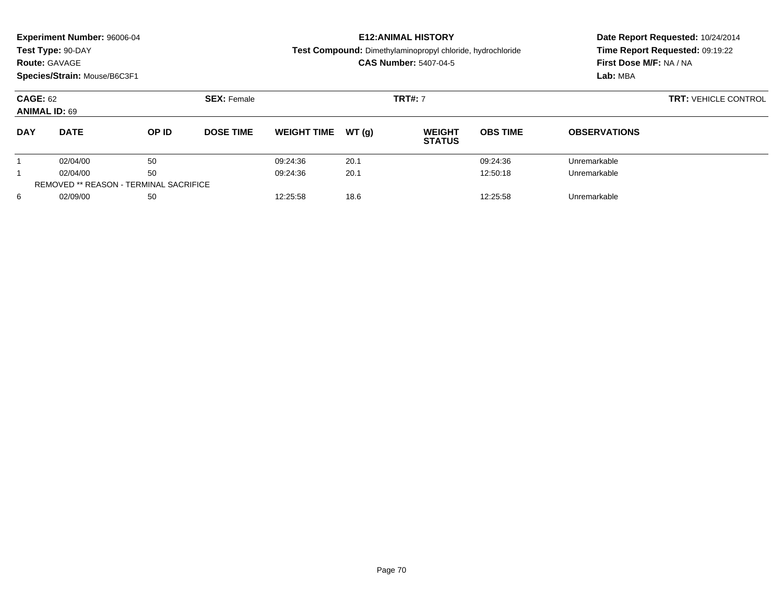| <b>Route: GAVAGE</b>                    | <b>Experiment Number: 96006-04</b><br>Test Type: 90-DAY<br>Species/Strain: Mouse/B6C3F1 |       |                    |                    |                | <b>E12: ANIMAL HISTORY</b><br>Test Compound: Dimethylaminopropyl chloride, hydrochloride<br><b>CAS Number: 5407-04-5</b> | Date Report Requested: 10/24/2014<br>Time Report Requested: 09:19:22<br>First Dose M/F: NA / NA<br>Lab: MBA |                     |  |
|-----------------------------------------|-----------------------------------------------------------------------------------------|-------|--------------------|--------------------|----------------|--------------------------------------------------------------------------------------------------------------------------|-------------------------------------------------------------------------------------------------------------|---------------------|--|
| <b>CAGE: 62</b><br><b>ANIMAL ID: 69</b> |                                                                                         |       | <b>SEX: Female</b> |                    | <b>TRT#: 7</b> | <b>TRT: VEHICLE CONTROL</b>                                                                                              |                                                                                                             |                     |  |
| <b>DAY</b>                              | <b>DATE</b>                                                                             | OP ID | <b>DOSE TIME</b>   | <b>WEIGHT TIME</b> | WT(q)          | <b>WEIGHT</b><br><b>STATUS</b>                                                                                           | <b>OBS TIME</b>                                                                                             | <b>OBSERVATIONS</b> |  |
|                                         | 02/04/00                                                                                | 50    |                    | 09:24:36           | 20.1           |                                                                                                                          | 09:24:36                                                                                                    | Unremarkable        |  |
|                                         | 02/04/00                                                                                | 50    |                    | 09:24:36           | 20.1           |                                                                                                                          | 12:50:18                                                                                                    | Unremarkable        |  |
|                                         | <b>REMOVED ** REASON - TERMINAL SACRIFICE</b>                                           |       |                    |                    |                |                                                                                                                          |                                                                                                             |                     |  |
| 6                                       | 02/09/00                                                                                | 50    |                    | 12:25:58           | 18.6           |                                                                                                                          | 12:25:58                                                                                                    | Unremarkable        |  |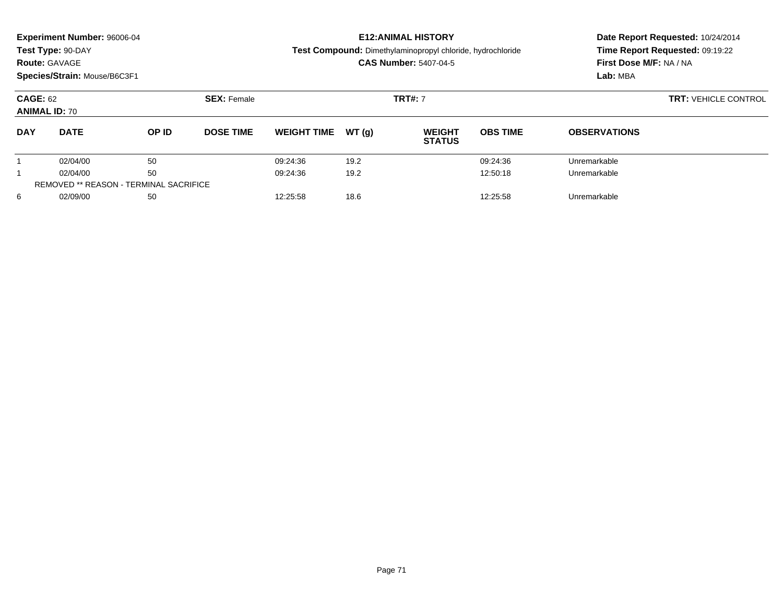| <b>Route: GAVAGE</b>                    | <b>Experiment Number: 96006-04</b><br>Test Type: 90-DAY<br>Species/Strain: Mouse/B6C3F1 |       |                    |                    |                | <b>E12: ANIMAL HISTORY</b><br>Test Compound: Dimethylaminopropyl chloride, hydrochloride<br><b>CAS Number: 5407-04-5</b> | Date Report Requested: 10/24/2014<br>Time Report Requested: 09:19:22<br>First Dose M/F: NA / NA<br>Lab: MBA |                     |  |
|-----------------------------------------|-----------------------------------------------------------------------------------------|-------|--------------------|--------------------|----------------|--------------------------------------------------------------------------------------------------------------------------|-------------------------------------------------------------------------------------------------------------|---------------------|--|
| <b>CAGE: 62</b><br><b>ANIMAL ID: 70</b> |                                                                                         |       | <b>SEX: Female</b> |                    | <b>TRT#: 7</b> | <b>TRT: VEHICLE CONTROL</b>                                                                                              |                                                                                                             |                     |  |
| <b>DAY</b>                              | <b>DATE</b>                                                                             | OP ID | <b>DOSE TIME</b>   | <b>WEIGHT TIME</b> | WT(q)          | <b>WEIGHT</b><br><b>STATUS</b>                                                                                           | <b>OBS TIME</b>                                                                                             | <b>OBSERVATIONS</b> |  |
|                                         | 02/04/00                                                                                | 50    |                    | 09:24:36           | 19.2           |                                                                                                                          | 09:24:36                                                                                                    | Unremarkable        |  |
|                                         | 02/04/00                                                                                | 50    |                    | 09:24:36           | 19.2           |                                                                                                                          | 12:50:18                                                                                                    | Unremarkable        |  |
|                                         | <b>REMOVED ** REASON - TERMINAL SACRIFICE</b>                                           |       |                    |                    |                |                                                                                                                          |                                                                                                             |                     |  |
| 6                                       | 02/09/00                                                                                | 50    |                    | 12:25:58           | 18.6           |                                                                                                                          | 12:25:58                                                                                                    | Unremarkable        |  |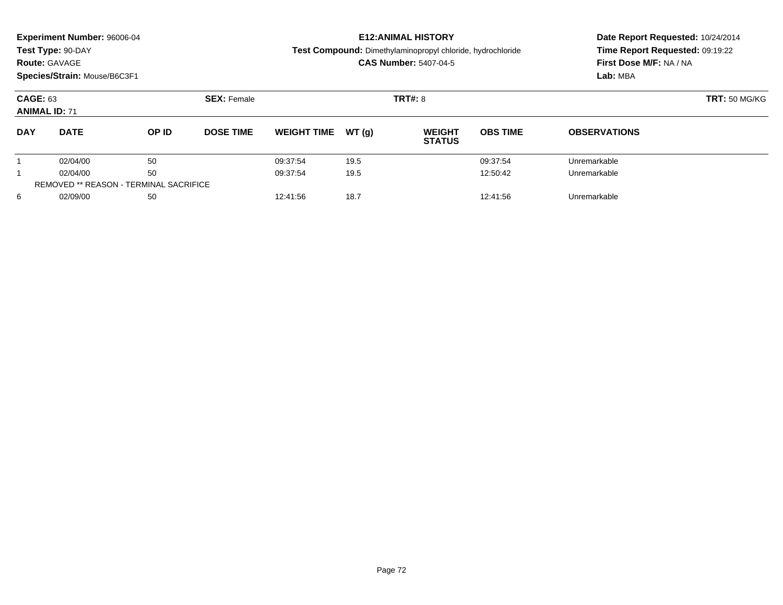| <b>Route: GAVAGE</b>                    | <b>Experiment Number: 96006-04</b><br>Test Type: 90-DAY<br>Species/Strain: Mouse/B6C3F1 |       |                    |                    |                | <b>E12: ANIMAL HISTORY</b><br>Test Compound: Dimethylaminopropyl chloride, hydrochloride<br><b>CAS Number: 5407-04-5</b> | Date Report Requested: 10/24/2014<br>Time Report Requested: 09:19:22<br>First Dose M/F: NA / NA<br>Lab: MBA |                     |
|-----------------------------------------|-----------------------------------------------------------------------------------------|-------|--------------------|--------------------|----------------|--------------------------------------------------------------------------------------------------------------------------|-------------------------------------------------------------------------------------------------------------|---------------------|
| <b>CAGE: 63</b><br><b>ANIMAL ID: 71</b> |                                                                                         |       | <b>SEX: Female</b> |                    | <b>TRT#: 8</b> | <b>TRT: 50 MG/KG</b>                                                                                                     |                                                                                                             |                     |
| <b>DAY</b>                              | <b>DATE</b>                                                                             | OP ID | <b>DOSE TIME</b>   | <b>WEIGHT TIME</b> | WT(q)          | <b>WEIGHT</b><br><b>STATUS</b>                                                                                           | <b>OBS TIME</b>                                                                                             | <b>OBSERVATIONS</b> |
|                                         | 02/04/00                                                                                | 50    |                    | 09:37:54           | 19.5           |                                                                                                                          | 09:37:54                                                                                                    | Unremarkable        |
|                                         | 02/04/00                                                                                | 50    |                    | 09:37:54           | 19.5           |                                                                                                                          | 12:50:42                                                                                                    | Unremarkable        |
|                                         | <b>REMOVED ** REASON - TERMINAL SACRIFICE</b>                                           |       |                    |                    |                |                                                                                                                          |                                                                                                             |                     |
| 6                                       | 02/09/00                                                                                | 50    |                    | 12:41:56           | 18.7           |                                                                                                                          | 12:41:56                                                                                                    | Unremarkable        |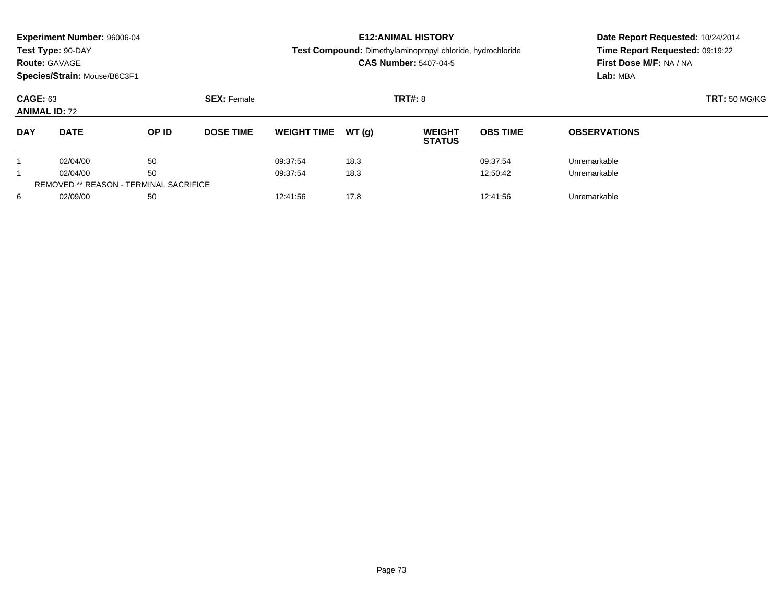|                                         | <b>Experiment Number: 96006-04</b><br>Test Type: 90-DAY<br><b>Route: GAVAGE</b><br>Species/Strain: Mouse/B6C3F1 |                    |                  |                    |                | <b>E12: ANIMAL HISTORY</b><br>Test Compound: Dimethylaminopropyl chloride, hydrochloride<br><b>CAS Number: 5407-04-5</b> | Date Report Requested: 10/24/2014<br>Time Report Requested: 09:19:22<br>First Dose M/F: NA / NA<br>Lab: MBA |                     |
|-----------------------------------------|-----------------------------------------------------------------------------------------------------------------|--------------------|------------------|--------------------|----------------|--------------------------------------------------------------------------------------------------------------------------|-------------------------------------------------------------------------------------------------------------|---------------------|
| <b>CAGE: 63</b><br><b>ANIMAL ID: 72</b> |                                                                                                                 | <b>SEX: Female</b> |                  |                    | <b>TRT#: 8</b> | <b>TRT: 50 MG/KG</b>                                                                                                     |                                                                                                             |                     |
| <b>DAY</b>                              | <b>DATE</b>                                                                                                     | OP ID              | <b>DOSE TIME</b> | <b>WEIGHT TIME</b> | WT(q)          | <b>WEIGHT</b><br><b>STATUS</b>                                                                                           | <b>OBS TIME</b>                                                                                             | <b>OBSERVATIONS</b> |
|                                         | 02/04/00                                                                                                        | 50                 |                  | 09:37:54           | 18.3           |                                                                                                                          | 09:37:54                                                                                                    | Unremarkable        |
|                                         | 02/04/00                                                                                                        | 50                 |                  | 09:37:54           | 18.3           |                                                                                                                          | 12:50:42                                                                                                    | Unremarkable        |
|                                         | <b>REMOVED ** REASON - TERMINAL SACRIFICE</b>                                                                   |                    |                  |                    |                |                                                                                                                          |                                                                                                             |                     |
| 6                                       | 02/09/00                                                                                                        | 50                 |                  | 12:41:56           | 17.8           |                                                                                                                          | 12:41:56                                                                                                    | Unremarkable        |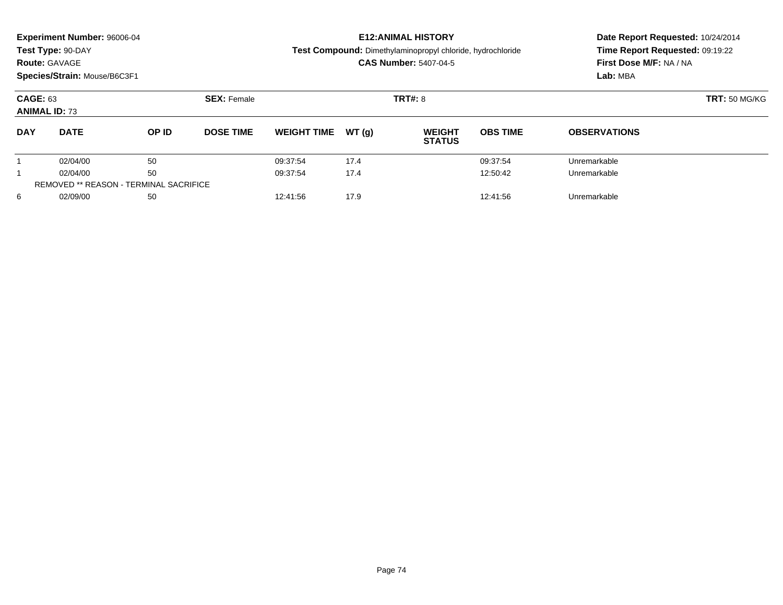| <b>Route: GAVAGE</b>                    | <b>Experiment Number: 96006-04</b><br>Test Type: 90-DAY<br>Species/Strain: Mouse/B6C3F1 |                    |                  |                    |                | <b>E12: ANIMAL HISTORY</b><br>Test Compound: Dimethylaminopropyl chloride, hydrochloride<br><b>CAS Number: 5407-04-5</b> | Date Report Requested: 10/24/2014<br>Time Report Requested: 09:19:22<br>First Dose M/F: NA / NA<br>Lab: MBA |                     |
|-----------------------------------------|-----------------------------------------------------------------------------------------|--------------------|------------------|--------------------|----------------|--------------------------------------------------------------------------------------------------------------------------|-------------------------------------------------------------------------------------------------------------|---------------------|
| <b>CAGE: 63</b><br><b>ANIMAL ID: 73</b> |                                                                                         | <b>SEX: Female</b> |                  |                    | <b>TRT#: 8</b> | <b>TRT: 50 MG/KG</b>                                                                                                     |                                                                                                             |                     |
| <b>DAY</b>                              | <b>DATE</b>                                                                             | OP ID              | <b>DOSE TIME</b> | <b>WEIGHT TIME</b> | WT(q)          | <b>WEIGHT</b><br><b>STATUS</b>                                                                                           | <b>OBS TIME</b>                                                                                             | <b>OBSERVATIONS</b> |
|                                         | 02/04/00                                                                                | 50                 |                  | 09:37:54           | 17.4           |                                                                                                                          | 09:37:54                                                                                                    | Unremarkable        |
|                                         | 02/04/00                                                                                | 50                 |                  | 09:37:54           | 17.4           |                                                                                                                          | 12:50:42                                                                                                    | Unremarkable        |
|                                         | <b>REMOVED ** REASON - TERMINAL SACRIFICE</b>                                           |                    |                  |                    |                |                                                                                                                          |                                                                                                             |                     |
| 6                                       | 02/09/00                                                                                | 50                 |                  | 12:41:56           | 17.9           |                                                                                                                          | 12:41:56                                                                                                    | Unremarkable        |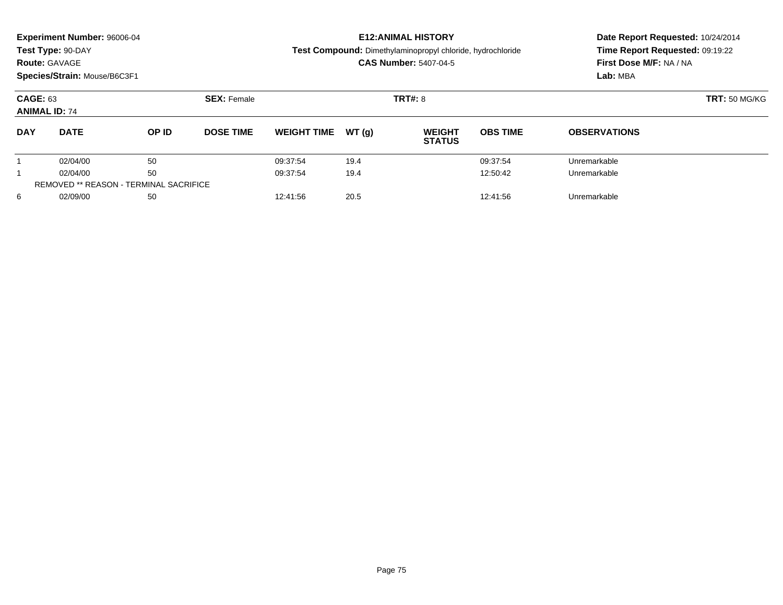| <b>Route: GAVAGE</b>                    | <b>Experiment Number: 96006-04</b><br>Test Type: 90-DAY<br>Species/Strain: Mouse/B6C3F1 |                                               |                    |                    |       | <b>E12: ANIMAL HISTORY</b><br>Test Compound: Dimethylaminopropyl chloride, hydrochloride<br><b>CAS Number: 5407-04-5</b> | Date Report Requested: 10/24/2014<br>Time Report Requested: 09:19:22<br>First Dose M/F: NA / NA<br>Lab: MBA |                     |
|-----------------------------------------|-----------------------------------------------------------------------------------------|-----------------------------------------------|--------------------|--------------------|-------|--------------------------------------------------------------------------------------------------------------------------|-------------------------------------------------------------------------------------------------------------|---------------------|
| <b>CAGE: 63</b><br><b>ANIMAL ID: 74</b> |                                                                                         |                                               | <b>SEX: Female</b> |                    |       | <b>TRT#: 8</b>                                                                                                           | <b>TRT: 50 MG/KG</b>                                                                                        |                     |
| <b>DAY</b>                              | <b>DATE</b>                                                                             | OP ID                                         | <b>DOSE TIME</b>   | <b>WEIGHT TIME</b> | WT(q) | <b>WEIGHT</b><br><b>STATUS</b>                                                                                           | <b>OBS TIME</b>                                                                                             | <b>OBSERVATIONS</b> |
|                                         | 02/04/00                                                                                | 50                                            |                    | 09:37:54           | 19.4  |                                                                                                                          | 09:37:54                                                                                                    | Unremarkable        |
|                                         | 02/04/00                                                                                | 50                                            |                    | 09:37:54           | 19.4  |                                                                                                                          | 12:50:42                                                                                                    | Unremarkable        |
|                                         |                                                                                         | <b>REMOVED ** REASON - TERMINAL SACRIFICE</b> |                    |                    |       |                                                                                                                          |                                                                                                             |                     |
| 6                                       | 02/09/00                                                                                | 50                                            |                    | 12:41:56           | 20.5  |                                                                                                                          | 12:41:56                                                                                                    | Unremarkable        |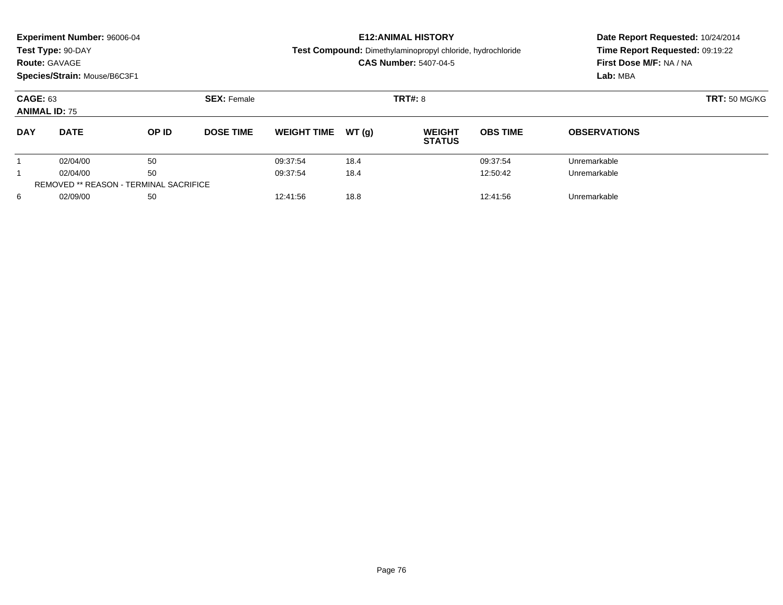|                                         | <b>Experiment Number: 96006-04</b><br>Test Type: 90-DAY<br><b>Route: GAVAGE</b><br>Species/Strain: Mouse/B6C3F1 |                                               |                    |                    |       | <b>E12: ANIMAL HISTORY</b><br>Test Compound: Dimethylaminopropyl chloride, hydrochloride<br><b>CAS Number: 5407-04-5</b> | Date Report Requested: 10/24/2014<br>Time Report Requested: 09:19:22<br>First Dose M/F: NA / NA<br>Lab: MBA |                     |
|-----------------------------------------|-----------------------------------------------------------------------------------------------------------------|-----------------------------------------------|--------------------|--------------------|-------|--------------------------------------------------------------------------------------------------------------------------|-------------------------------------------------------------------------------------------------------------|---------------------|
| <b>CAGE: 63</b><br><b>ANIMAL ID: 75</b> |                                                                                                                 |                                               | <b>SEX: Female</b> |                    |       | <b>TRT#: 8</b>                                                                                                           | <b>TRT: 50 MG/KG</b>                                                                                        |                     |
| <b>DAY</b>                              | <b>DATE</b>                                                                                                     | OP ID                                         | <b>DOSE TIME</b>   | <b>WEIGHT TIME</b> | WT(q) | <b>WEIGHT</b><br><b>STATUS</b>                                                                                           | <b>OBS TIME</b>                                                                                             | <b>OBSERVATIONS</b> |
|                                         | 02/04/00                                                                                                        | 50                                            |                    | 09:37:54           | 18.4  |                                                                                                                          | 09:37:54                                                                                                    | Unremarkable        |
|                                         | 02/04/00                                                                                                        | 50                                            |                    | 09:37:54           | 18.4  |                                                                                                                          | 12:50:42                                                                                                    | Unremarkable        |
|                                         |                                                                                                                 | <b>REMOVED ** REASON - TERMINAL SACRIFICE</b> |                    |                    |       |                                                                                                                          |                                                                                                             |                     |
| 6                                       | 02/09/00                                                                                                        | 50                                            |                    | 12:41:56           | 18.8  |                                                                                                                          | 12:41:56                                                                                                    | Unremarkable        |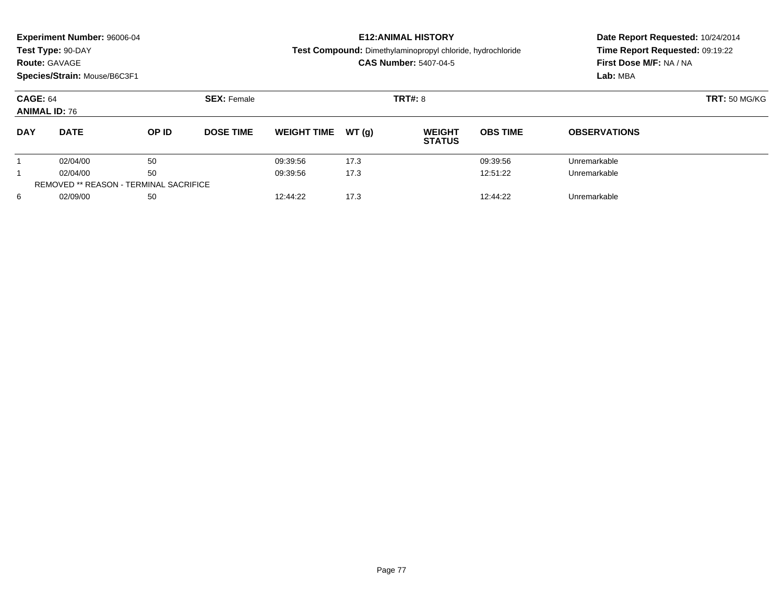|                                         | <b>Experiment Number: 96006-04</b><br>Test Type: 90-DAY<br><b>Route: GAVAGE</b><br>Species/Strain: Mouse/B6C3F1 |                                               |                    |                    |       | <b>E12: ANIMAL HISTORY</b><br>Test Compound: Dimethylaminopropyl chloride, hydrochloride<br><b>CAS Number: 5407-04-5</b> | Date Report Requested: 10/24/2014<br>Time Report Requested: 09:19:22<br>First Dose M/F: NA / NA<br>Lab: MBA |                     |
|-----------------------------------------|-----------------------------------------------------------------------------------------------------------------|-----------------------------------------------|--------------------|--------------------|-------|--------------------------------------------------------------------------------------------------------------------------|-------------------------------------------------------------------------------------------------------------|---------------------|
| <b>CAGE: 64</b><br><b>ANIMAL ID: 76</b> |                                                                                                                 |                                               | <b>SEX: Female</b> |                    |       | <b>TRT#: 8</b>                                                                                                           | <b>TRT: 50 MG/KG</b>                                                                                        |                     |
| <b>DAY</b>                              | <b>DATE</b>                                                                                                     | OP ID                                         | <b>DOSE TIME</b>   | <b>WEIGHT TIME</b> | WT(q) | <b>WEIGHT</b><br><b>STATUS</b>                                                                                           | <b>OBS TIME</b>                                                                                             | <b>OBSERVATIONS</b> |
|                                         | 02/04/00                                                                                                        | 50                                            |                    | 09:39:56           | 17.3  |                                                                                                                          | 09:39:56                                                                                                    | Unremarkable        |
|                                         | 02/04/00                                                                                                        | 50                                            |                    | 09:39:56           | 17.3  |                                                                                                                          | 12:51:22                                                                                                    | Unremarkable        |
|                                         |                                                                                                                 | <b>REMOVED ** REASON - TERMINAL SACRIFICE</b> |                    |                    |       |                                                                                                                          |                                                                                                             |                     |
| 6                                       | 02/09/00                                                                                                        | 50                                            |                    | 12:44:22           | 17.3  |                                                                                                                          | 12:44:22                                                                                                    | Unremarkable        |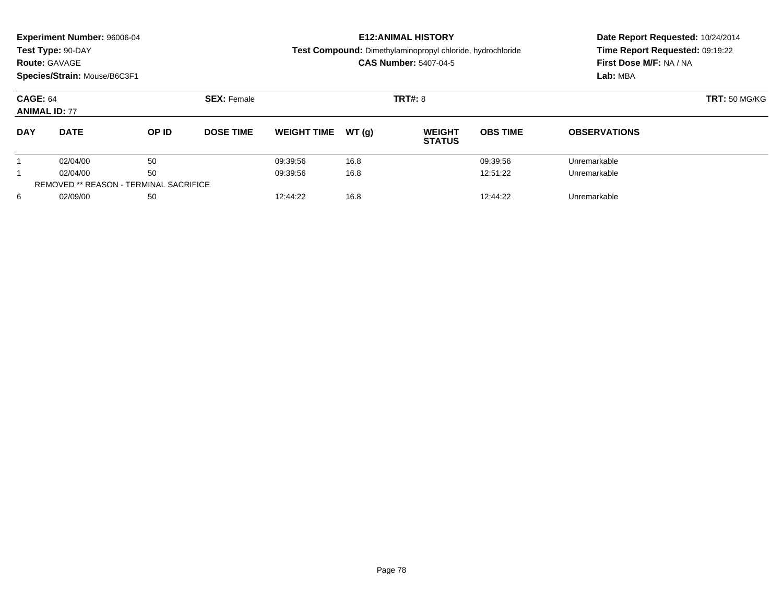| <b>Route: GAVAGE</b>                          | <b>Experiment Number: 96006-04</b><br>Test Type: 90-DAY<br>Species/Strain: Mouse/B6C3F1 |       |                    |                    |       | <b>E12: ANIMAL HISTORY</b><br>Test Compound: Dimethylaminopropyl chloride, hydrochloride<br><b>CAS Number: 5407-04-5</b> | Date Report Requested: 10/24/2014<br>Time Report Requested: 09:19:22<br>First Dose M/F: NA / NA<br>Lab: MBA |                     |
|-----------------------------------------------|-----------------------------------------------------------------------------------------|-------|--------------------|--------------------|-------|--------------------------------------------------------------------------------------------------------------------------|-------------------------------------------------------------------------------------------------------------|---------------------|
| <b>CAGE: 64</b><br><b>ANIMAL ID: 77</b>       |                                                                                         |       | <b>SEX: Female</b> |                    |       | <b>TRT#: 8</b>                                                                                                           | <b>TRT: 50 MG/KG</b>                                                                                        |                     |
| <b>DAY</b>                                    | <b>DATE</b>                                                                             | OP ID | <b>DOSE TIME</b>   | <b>WEIGHT TIME</b> | WT(q) | <b>WEIGHT</b><br><b>STATUS</b>                                                                                           | <b>OBS TIME</b>                                                                                             | <b>OBSERVATIONS</b> |
|                                               | 02/04/00                                                                                | 50    |                    | 09:39:56           | 16.8  |                                                                                                                          | 09:39:56                                                                                                    | Unremarkable        |
|                                               | 02/04/00                                                                                | 50    |                    | 09:39:56           | 16.8  |                                                                                                                          | 12:51:22                                                                                                    | Unremarkable        |
| <b>REMOVED ** REASON - TERMINAL SACRIFICE</b> |                                                                                         |       |                    |                    |       |                                                                                                                          |                                                                                                             |                     |
| 6                                             | 02/09/00                                                                                | 50    |                    | 12:44:22           | 16.8  |                                                                                                                          | 12:44:22                                                                                                    | Unremarkable        |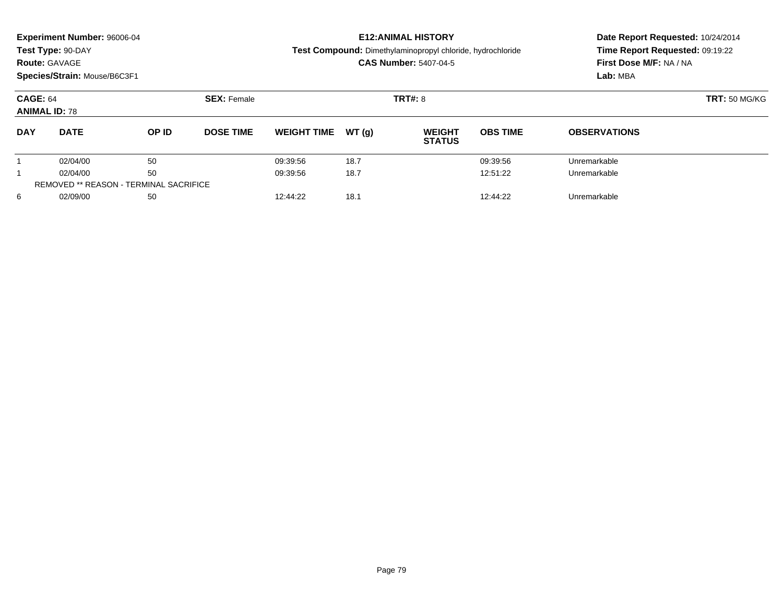|                                         | <b>Experiment Number: 96006-04</b><br>Test Type: 90-DAY<br><b>Route: GAVAGE</b><br>Species/Strain: Mouse/B6C3F1 |                                               |                    |                    |       | <b>E12: ANIMAL HISTORY</b><br>Test Compound: Dimethylaminopropyl chloride, hydrochloride<br><b>CAS Number: 5407-04-5</b> | Date Report Requested: 10/24/2014<br>Time Report Requested: 09:19:22<br>First Dose M/F: NA / NA<br>Lab: MBA |                     |
|-----------------------------------------|-----------------------------------------------------------------------------------------------------------------|-----------------------------------------------|--------------------|--------------------|-------|--------------------------------------------------------------------------------------------------------------------------|-------------------------------------------------------------------------------------------------------------|---------------------|
| <b>CAGE: 64</b><br><b>ANIMAL ID: 78</b> |                                                                                                                 |                                               | <b>SEX: Female</b> |                    |       | <b>TRT#: 8</b>                                                                                                           | <b>TRT: 50 MG/KG</b>                                                                                        |                     |
| <b>DAY</b>                              | <b>DATE</b>                                                                                                     | OP ID                                         | <b>DOSE TIME</b>   | <b>WEIGHT TIME</b> | WT(q) | <b>WEIGHT</b><br><b>STATUS</b>                                                                                           | <b>OBS TIME</b>                                                                                             | <b>OBSERVATIONS</b> |
|                                         | 02/04/00                                                                                                        | 50                                            |                    | 09:39:56           | 18.7  |                                                                                                                          | 09:39:56                                                                                                    | Unremarkable        |
|                                         | 02/04/00                                                                                                        | 50                                            |                    | 09:39:56           | 18.7  |                                                                                                                          | 12:51:22                                                                                                    | Unremarkable        |
|                                         |                                                                                                                 | <b>REMOVED ** REASON - TERMINAL SACRIFICE</b> |                    |                    |       |                                                                                                                          |                                                                                                             |                     |
| 6                                       | 02/09/00                                                                                                        | 50                                            |                    | 12:44:22           | 18.1  |                                                                                                                          | 12:44:22                                                                                                    | Unremarkable        |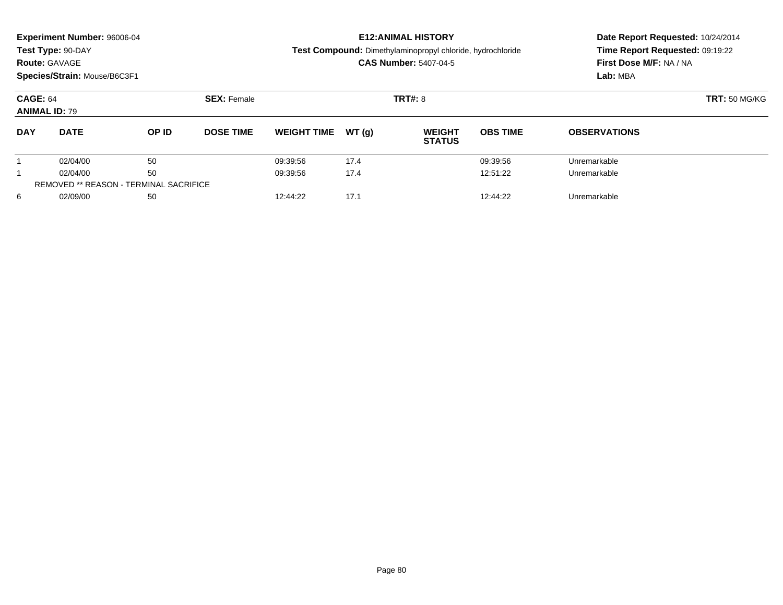| <b>Route: GAVAGE</b>                    | <b>Experiment Number: 96006-04</b><br>Test Type: 90-DAY<br>Species/Strain: Mouse/B6C3F1 |       |                    |                    |       | <b>E12: ANIMAL HISTORY</b><br>Test Compound: Dimethylaminopropyl chloride, hydrochloride<br><b>CAS Number: 5407-04-5</b> | Date Report Requested: 10/24/2014<br>Time Report Requested: 09:19:22<br>First Dose M/F: NA / NA<br>Lab: MBA |                     |
|-----------------------------------------|-----------------------------------------------------------------------------------------|-------|--------------------|--------------------|-------|--------------------------------------------------------------------------------------------------------------------------|-------------------------------------------------------------------------------------------------------------|---------------------|
| <b>CAGE: 64</b><br><b>ANIMAL ID: 79</b> |                                                                                         |       | <b>SEX: Female</b> |                    |       | <b>TRT#: 8</b>                                                                                                           | <b>TRT: 50 MG/KG</b>                                                                                        |                     |
| <b>DAY</b>                              | <b>DATE</b>                                                                             | OP ID | <b>DOSE TIME</b>   | <b>WEIGHT TIME</b> | WT(q) | <b>WEIGHT</b><br><b>STATUS</b>                                                                                           | <b>OBS TIME</b>                                                                                             | <b>OBSERVATIONS</b> |
|                                         | 02/04/00                                                                                | 50    |                    | 09:39:56           | 17.4  |                                                                                                                          | 09:39:56                                                                                                    | Unremarkable        |
|                                         | 02/04/00                                                                                | 50    |                    | 09:39:56           | 17.4  |                                                                                                                          | 12:51:22                                                                                                    | Unremarkable        |
|                                         | <b>REMOVED ** REASON - TERMINAL SACRIFICE</b>                                           |       |                    |                    |       |                                                                                                                          |                                                                                                             |                     |
| 6                                       | 02/09/00                                                                                | 50    |                    | 12:44:22           | 17.1  |                                                                                                                          | 12:44:22                                                                                                    | Unremarkable        |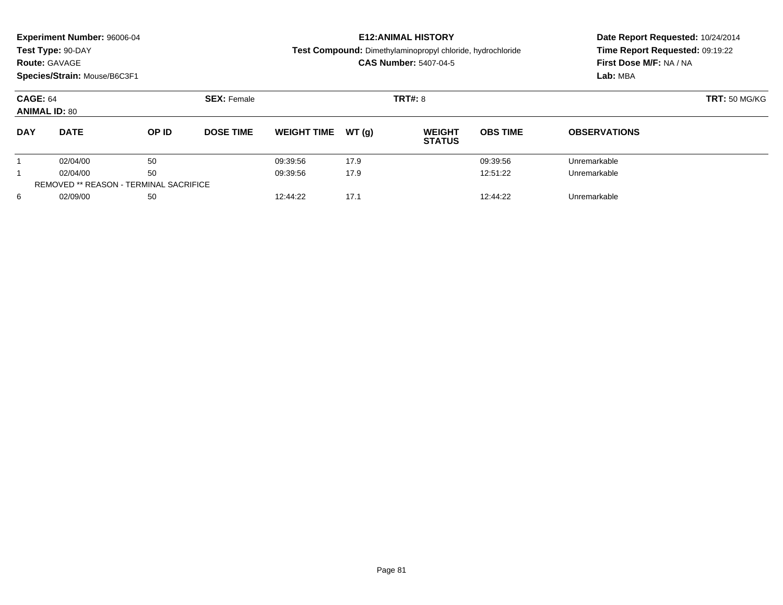| <b>Route: GAVAGE</b>                    | <b>Experiment Number: 96006-04</b><br>Test Type: 90-DAY<br>Species/Strain: Mouse/B6C3F1 |                                               |                    |                    |       | <b>E12: ANIMAL HISTORY</b><br><b>Test Compound:</b> Dimethylaminopropyl chloride, hydrochloride<br><b>CAS Number: 5407-04-5</b> | Date Report Requested: 10/24/2014<br>Time Report Requested: 09:19:22<br>First Dose M/F: NA / NA<br>Lab: MBA |                      |  |
|-----------------------------------------|-----------------------------------------------------------------------------------------|-----------------------------------------------|--------------------|--------------------|-------|---------------------------------------------------------------------------------------------------------------------------------|-------------------------------------------------------------------------------------------------------------|----------------------|--|
| <b>CAGE: 64</b><br><b>ANIMAL ID: 80</b> |                                                                                         |                                               | <b>SEX: Female</b> |                    |       | <b>TRT#: 8</b>                                                                                                                  |                                                                                                             | <b>TRT: 50 MG/KG</b> |  |
| <b>DAY</b>                              | <b>DATE</b>                                                                             | OP ID                                         | <b>DOSE TIME</b>   | <b>WEIGHT TIME</b> | WT(q) | <b>WEIGHT</b><br><b>STATUS</b>                                                                                                  | <b>OBS TIME</b>                                                                                             | <b>OBSERVATIONS</b>  |  |
|                                         | 02/04/00                                                                                | 50                                            |                    | 09:39:56           | 17.9  |                                                                                                                                 | 09:39:56                                                                                                    | Unremarkable         |  |
|                                         | 02/04/00                                                                                | 50                                            |                    | 09:39:56           | 17.9  |                                                                                                                                 | 12:51:22                                                                                                    | Unremarkable         |  |
|                                         |                                                                                         | <b>REMOVED ** REASON - TERMINAL SACRIFICE</b> |                    |                    |       |                                                                                                                                 |                                                                                                             |                      |  |
| 6                                       | 02/09/00                                                                                | 50                                            |                    | 12:44:22           | 17.1  |                                                                                                                                 | 12:44:22                                                                                                    | Unremarkable         |  |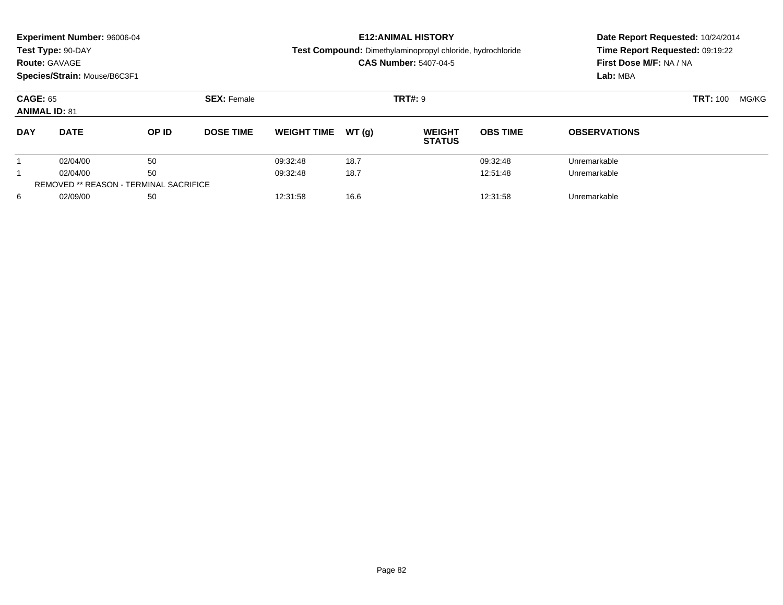| <b>Route: GAVAGE</b>                    | Experiment Number: 96006-04<br>Test Type: 90-DAY<br>Species/Strain: Mouse/B6C3F1 |                                               |                                      |                    |       | <b>E12: ANIMAL HISTORY</b><br>Test Compound: Dimethylaminopropyl chloride, hydrochloride<br><b>CAS Number: 5407-04-5</b> | Date Report Requested: 10/24/2014<br>Time Report Requested: 09:19:22<br>First Dose M/F: NA / NA<br>Lab: MBA |                     |  |       |
|-----------------------------------------|----------------------------------------------------------------------------------|-----------------------------------------------|--------------------------------------|--------------------|-------|--------------------------------------------------------------------------------------------------------------------------|-------------------------------------------------------------------------------------------------------------|---------------------|--|-------|
| <b>CAGE: 65</b><br><b>ANIMAL ID: 81</b> |                                                                                  |                                               | <b>SEX: Female</b><br><b>TRT#: 9</b> |                    |       |                                                                                                                          |                                                                                                             | <b>TRT: 100</b>     |  | MG/KG |
| <b>DAY</b>                              | <b>DATE</b>                                                                      | OP ID                                         | <b>DOSE TIME</b>                     | <b>WEIGHT TIME</b> | WT(q) | <b>WEIGHT</b><br><b>STATUS</b>                                                                                           | <b>OBS TIME</b>                                                                                             | <b>OBSERVATIONS</b> |  |       |
|                                         | 02/04/00                                                                         | 50                                            |                                      | 09:32:48           | 18.7  |                                                                                                                          | 09:32:48                                                                                                    | Unremarkable        |  |       |
|                                         | 02/04/00                                                                         | 50                                            |                                      | 09:32:48           | 18.7  |                                                                                                                          | 12:51:48                                                                                                    | Unremarkable        |  |       |
|                                         |                                                                                  | <b>REMOVED ** REASON - TERMINAL SACRIFICE</b> |                                      |                    |       |                                                                                                                          |                                                                                                             |                     |  |       |
| 6                                       | 02/09/00                                                                         | 50                                            |                                      | 12:31:58           | 16.6  |                                                                                                                          | 12:31:58                                                                                                    | Unremarkable        |  |       |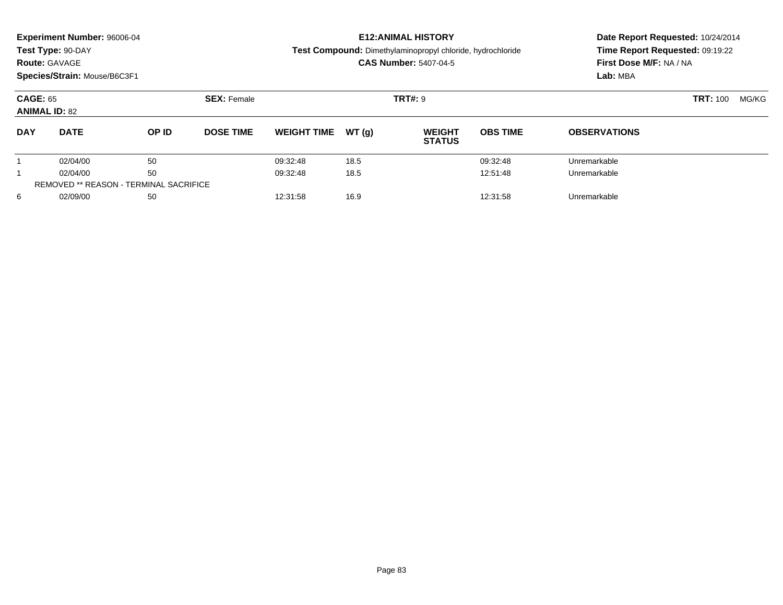| <b>Route: GAVAGE</b>                    | Experiment Number: 96006-04<br>Test Type: 90-DAY<br>Species/Strain: Mouse/B6C3F1 |                                               |                                      |                    |       | <b>E12: ANIMAL HISTORY</b><br>Test Compound: Dimethylaminopropyl chloride, hydrochloride<br><b>CAS Number: 5407-04-5</b> | Date Report Requested: 10/24/2014<br>Time Report Requested: 09:19:22<br>First Dose M/F: NA / NA<br>Lab: MBA |                     |  |       |
|-----------------------------------------|----------------------------------------------------------------------------------|-----------------------------------------------|--------------------------------------|--------------------|-------|--------------------------------------------------------------------------------------------------------------------------|-------------------------------------------------------------------------------------------------------------|---------------------|--|-------|
| <b>CAGE: 65</b><br><b>ANIMAL ID: 82</b> |                                                                                  |                                               | <b>SEX: Female</b><br><b>TRT#: 9</b> |                    |       |                                                                                                                          |                                                                                                             | <b>TRT: 100</b>     |  | MG/KG |
| <b>DAY</b>                              | <b>DATE</b>                                                                      | OP ID                                         | <b>DOSE TIME</b>                     | <b>WEIGHT TIME</b> | WT(q) | <b>WEIGHT</b><br><b>STATUS</b>                                                                                           | <b>OBS TIME</b>                                                                                             | <b>OBSERVATIONS</b> |  |       |
|                                         | 02/04/00                                                                         | 50                                            |                                      | 09:32:48           | 18.5  |                                                                                                                          | 09:32:48                                                                                                    | Unremarkable        |  |       |
|                                         | 02/04/00                                                                         | 50                                            |                                      | 09:32:48           | 18.5  |                                                                                                                          | 12:51:48                                                                                                    | Unremarkable        |  |       |
|                                         |                                                                                  | <b>REMOVED ** REASON - TERMINAL SACRIFICE</b> |                                      |                    |       |                                                                                                                          |                                                                                                             |                     |  |       |
| 6                                       | 02/09/00                                                                         | 50                                            |                                      | 12:31:58           | 16.9  |                                                                                                                          | 12:31:58                                                                                                    | Unremarkable        |  |       |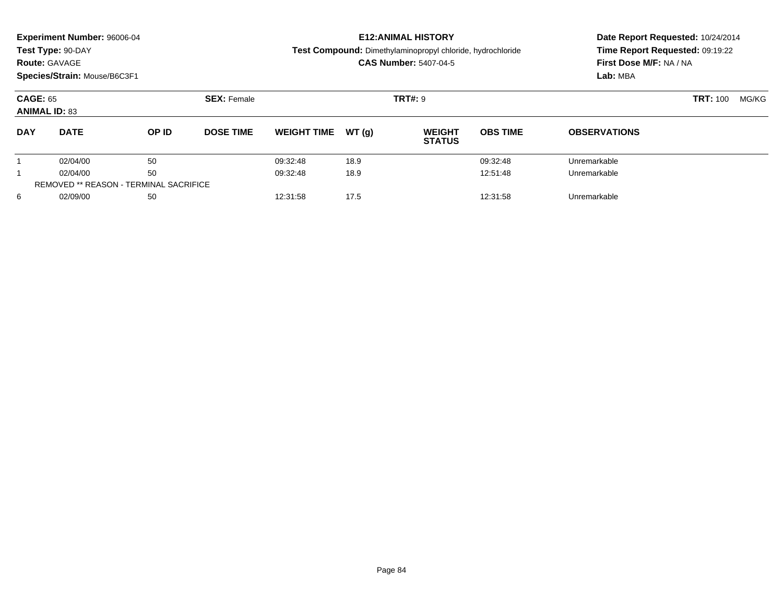|                                         | Experiment Number: 96006-04  |                                               |                    |                    |                | <b>E12: ANIMAL HISTORY</b>                                        | Date Report Requested: 10/24/2014<br>Time Report Requested: 09:19:22<br>First Dose M/F: NA / NA |                     |  |  |
|-----------------------------------------|------------------------------|-----------------------------------------------|--------------------|--------------------|----------------|-------------------------------------------------------------------|-------------------------------------------------------------------------------------------------|---------------------|--|--|
|                                         | Test Type: 90-DAY            |                                               |                    |                    |                | <b>Test Compound:</b> Dimethylaminopropyl chloride, hydrochloride |                                                                                                 |                     |  |  |
| <b>Route: GAVAGE</b>                    |                              |                                               |                    |                    |                | <b>CAS Number: 5407-04-5</b>                                      |                                                                                                 |                     |  |  |
|                                         | Species/Strain: Mouse/B6C3F1 |                                               |                    |                    |                |                                                                   |                                                                                                 | Lab: MBA            |  |  |
| <b>CAGE: 65</b><br><b>ANIMAL ID: 83</b> |                              |                                               | <b>SEX: Female</b> |                    | <b>TRT#: 9</b> |                                                                   | <b>TRT: 100</b>                                                                                 | MG/KG               |  |  |
| <b>DAY</b>                              | <b>DATE</b>                  | OP ID                                         | <b>DOSE TIME</b>   | <b>WEIGHT TIME</b> | WT(q)          | <b>WEIGHT</b><br><b>STATUS</b>                                    | <b>OBS TIME</b>                                                                                 | <b>OBSERVATIONS</b> |  |  |
|                                         | 02/04/00                     | 50                                            |                    | 09:32:48           | 18.9           |                                                                   | 09:32:48                                                                                        | Unremarkable        |  |  |
|                                         | 02/04/00                     | 50                                            |                    | 09:32:48           | 18.9           |                                                                   | 12:51:48                                                                                        | Unremarkable        |  |  |
|                                         |                              | <b>REMOVED ** REASON - TERMINAL SACRIFICE</b> |                    |                    |                |                                                                   |                                                                                                 |                     |  |  |
| 6                                       | 02/09/00<br>50               |                                               |                    | 12:31:58           | 17.5           |                                                                   | 12:31:58                                                                                        | Unremarkable        |  |  |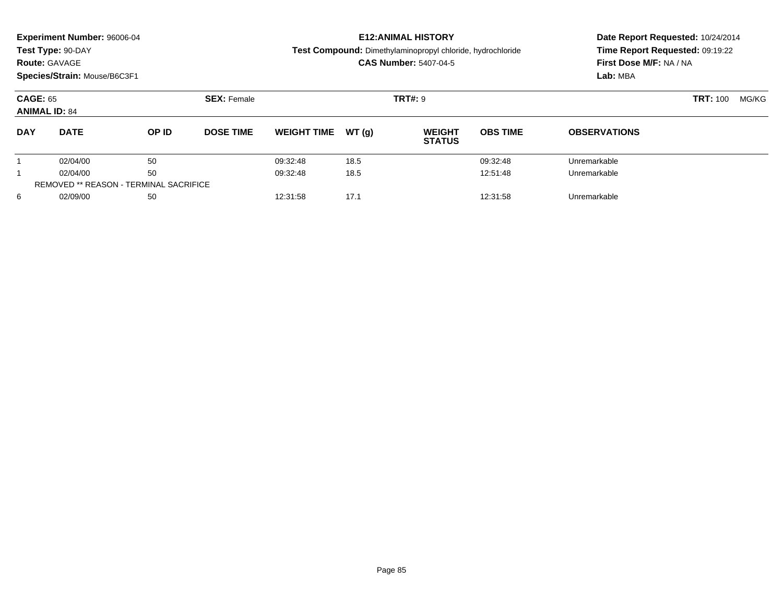| <b>Route: GAVAGE</b>                    | Experiment Number: 96006-04<br>Test Type: 90-DAY<br>Species/Strain: Mouse/B6C3F1 |       |                    |                    |                | <b>E12: ANIMAL HISTORY</b><br>Test Compound: Dimethylaminopropyl chloride, hydrochloride<br><b>CAS Number: 5407-04-5</b> | Date Report Requested: 10/24/2014<br>Time Report Requested: 09:19:22<br>First Dose M/F: NA / NA<br>Lab: MBA |                     |  |  |
|-----------------------------------------|----------------------------------------------------------------------------------|-------|--------------------|--------------------|----------------|--------------------------------------------------------------------------------------------------------------------------|-------------------------------------------------------------------------------------------------------------|---------------------|--|--|
| <b>CAGE: 65</b><br><b>ANIMAL ID: 84</b> |                                                                                  |       | <b>SEX: Female</b> |                    | <b>TRT#: 9</b> |                                                                                                                          | <b>TRT: 100</b>                                                                                             | MG/KG               |  |  |
| <b>DAY</b>                              | <b>DATE</b>                                                                      | OP ID | <b>DOSE TIME</b>   | <b>WEIGHT TIME</b> | WT(q)          | <b>WEIGHT</b><br><b>STATUS</b>                                                                                           | <b>OBS TIME</b>                                                                                             | <b>OBSERVATIONS</b> |  |  |
|                                         | 02/04/00                                                                         | 50    |                    | 09:32:48           | 18.5           |                                                                                                                          | 09:32:48                                                                                                    | Unremarkable        |  |  |
|                                         | 02/04/00                                                                         | 50    |                    | 09:32:48           | 18.5           |                                                                                                                          | 12:51:48                                                                                                    | Unremarkable        |  |  |
|                                         | <b>REMOVED ** REASON - TERMINAL SACRIFICE</b>                                    |       |                    |                    |                |                                                                                                                          |                                                                                                             |                     |  |  |
| 6                                       | 02/09/00                                                                         | 50    |                    | 12:31:58           | 17.1           |                                                                                                                          | 12:31:58                                                                                                    | Unremarkable        |  |  |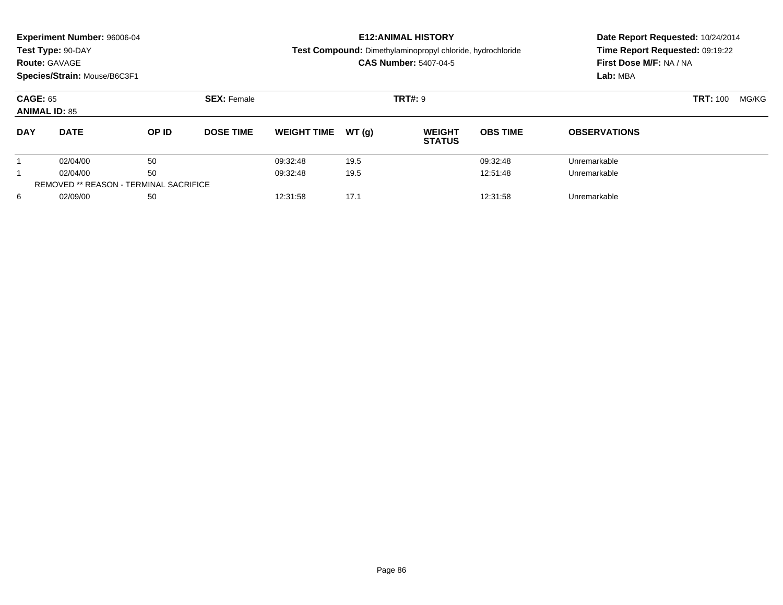| <b>Route: GAVAGE</b>                    | Experiment Number: 96006-04<br>Test Type: 90-DAY<br>Species/Strain: Mouse/B6C3F1 |       |                    |                    |                | <b>E12: ANIMAL HISTORY</b><br>Test Compound: Dimethylaminopropyl chloride, hydrochloride<br><b>CAS Number: 5407-04-5</b> | Date Report Requested: 10/24/2014<br>Time Report Requested: 09:19:22<br>First Dose M/F: NA / NA<br>Lab: MBA |                     |  |  |
|-----------------------------------------|----------------------------------------------------------------------------------|-------|--------------------|--------------------|----------------|--------------------------------------------------------------------------------------------------------------------------|-------------------------------------------------------------------------------------------------------------|---------------------|--|--|
| <b>CAGE: 65</b><br><b>ANIMAL ID: 85</b> |                                                                                  |       | <b>SEX: Female</b> |                    | <b>TRT#: 9</b> |                                                                                                                          | <b>TRT: 100</b>                                                                                             | MG/KG               |  |  |
| <b>DAY</b>                              | <b>DATE</b>                                                                      | OP ID | <b>DOSE TIME</b>   | <b>WEIGHT TIME</b> | WT(q)          | <b>WEIGHT</b><br><b>STATUS</b>                                                                                           | <b>OBS TIME</b>                                                                                             | <b>OBSERVATIONS</b> |  |  |
|                                         | 02/04/00                                                                         | 50    |                    | 09:32:48           | 19.5           |                                                                                                                          | 09:32:48                                                                                                    | Unremarkable        |  |  |
|                                         | 02/04/00                                                                         | 50    |                    | 09:32:48           | 19.5           |                                                                                                                          | 12:51:48                                                                                                    | Unremarkable        |  |  |
|                                         | <b>REMOVED ** REASON - TERMINAL SACRIFICE</b>                                    |       |                    |                    |                |                                                                                                                          |                                                                                                             |                     |  |  |
| 6                                       | 02/09/00                                                                         | 50    |                    | 12:31:58           | 17.1           |                                                                                                                          | 12:31:58                                                                                                    | Unremarkable        |  |  |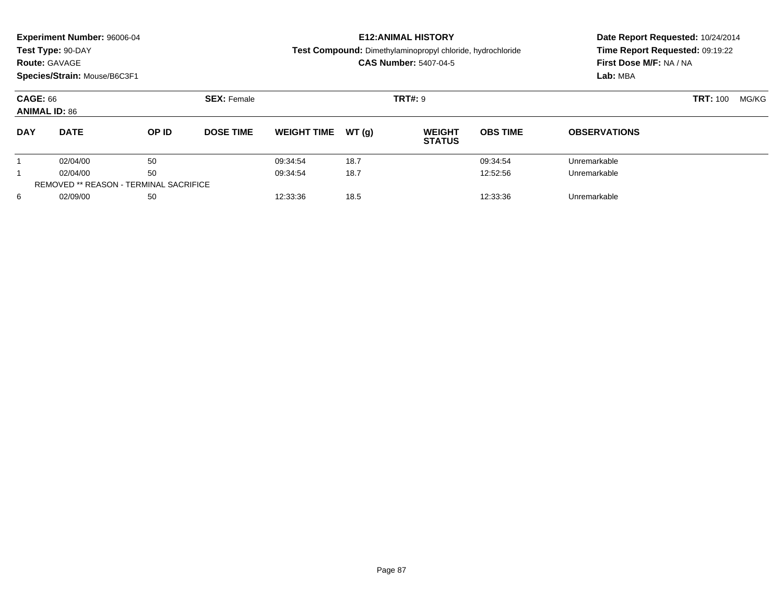| <b>Route: GAVAGE</b>                    | <b>Experiment Number: 96006-04</b><br>Test Type: 90-DAY<br>Species/Strain: Mouse/B6C3F1 |       |                    |                    |       | <b>E12: ANIMAL HISTORY</b><br><b>Test Compound:</b> Dimethylaminopropyl chloride, hydrochloride<br><b>CAS Number: 5407-04-5</b> | Date Report Requested: 10/24/2014<br>Time Report Requested: 09:19:22<br>First Dose M/F: NA / NA<br>Lab: MBA |                          |  |
|-----------------------------------------|-----------------------------------------------------------------------------------------|-------|--------------------|--------------------|-------|---------------------------------------------------------------------------------------------------------------------------------|-------------------------------------------------------------------------------------------------------------|--------------------------|--|
| <b>CAGE: 66</b><br><b>ANIMAL ID: 86</b> |                                                                                         |       | <b>SEX: Female</b> |                    |       | <b>TRT#: 9</b>                                                                                                                  |                                                                                                             | <b>TRT: 100</b><br>MG/KG |  |
| <b>DAY</b>                              | <b>DATE</b>                                                                             | OP ID | <b>DOSE TIME</b>   | <b>WEIGHT TIME</b> | WT(g) | <b>WEIGHT</b><br><b>STATUS</b>                                                                                                  | <b>OBS TIME</b>                                                                                             | <b>OBSERVATIONS</b>      |  |
|                                         | 02/04/00                                                                                | 50    |                    | 09:34:54           | 18.7  |                                                                                                                                 | 09:34:54                                                                                                    | Unremarkable             |  |
|                                         | 02/04/00                                                                                | 50    |                    | 09:34:54           | 18.7  |                                                                                                                                 | 12:52:56                                                                                                    | Unremarkable             |  |
|                                         | <b>REMOVED ** REASON - TERMINAL SACRIFICE</b>                                           |       |                    |                    |       |                                                                                                                                 |                                                                                                             |                          |  |
| 6                                       | 02/09/00                                                                                | 50    |                    | 12:33:36           | 18.5  |                                                                                                                                 | 12:33:36                                                                                                    | Unremarkable             |  |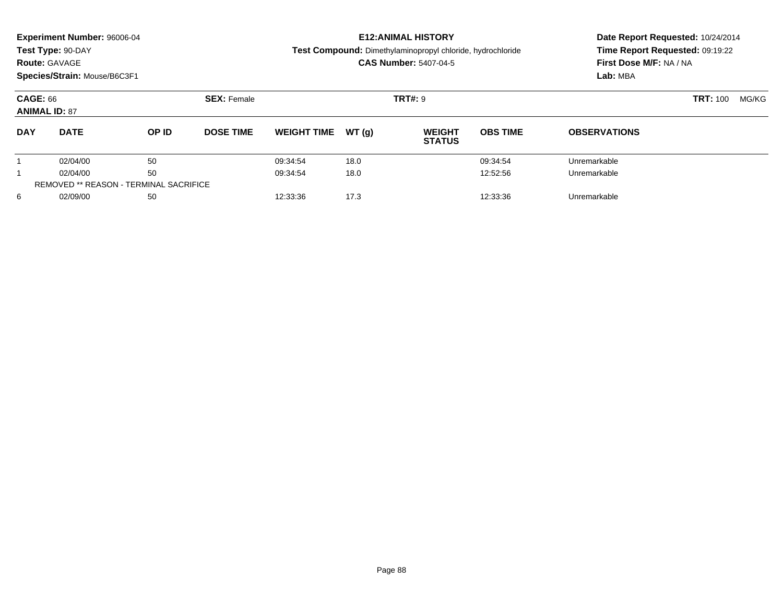| <b>Route: GAVAGE</b>                    | <b>Experiment Number: 96006-04</b><br>Test Type: 90-DAY<br>Species/Strain: Mouse/B6C3F1 |       |                    |                    |                | <b>E12: ANIMAL HISTORY</b><br><b>Test Compound:</b> Dimethylaminopropyl chloride, hydrochloride<br><b>CAS Number: 5407-04-5</b> | Time Report Requested: 09:19:22<br>First Dose M/F: NA / NA<br>Lab: MBA | Date Report Requested: 10/24/2014 |  |
|-----------------------------------------|-----------------------------------------------------------------------------------------|-------|--------------------|--------------------|----------------|---------------------------------------------------------------------------------------------------------------------------------|------------------------------------------------------------------------|-----------------------------------|--|
| <b>CAGE: 66</b><br><b>ANIMAL ID: 87</b> |                                                                                         |       | <b>SEX: Female</b> |                    | <b>TRT#: 9</b> |                                                                                                                                 | <b>TRT: 100</b><br>MG/KG                                               |                                   |  |
| <b>DAY</b>                              | <b>DATE</b>                                                                             | OP ID | <b>DOSE TIME</b>   | <b>WEIGHT TIME</b> | WT(q)          | <b>WEIGHT</b><br><b>STATUS</b>                                                                                                  | <b>OBS TIME</b>                                                        | <b>OBSERVATIONS</b>               |  |
|                                         | 02/04/00                                                                                | 50    |                    | 09:34:54           | 18.0           |                                                                                                                                 | 09:34:54                                                               | Unremarkable                      |  |
|                                         | 02/04/00                                                                                | 50    |                    | 09:34:54           | 18.0           |                                                                                                                                 | 12:52:56                                                               | Unremarkable                      |  |
|                                         | <b>REMOVED ** REASON - TERMINAL SACRIFICE</b>                                           |       |                    |                    |                |                                                                                                                                 |                                                                        |                                   |  |
| 6                                       | 02/09/00<br>50                                                                          |       | 12:33:36           | 17.3               |                | 12:33:36                                                                                                                        | Unremarkable                                                           |                                   |  |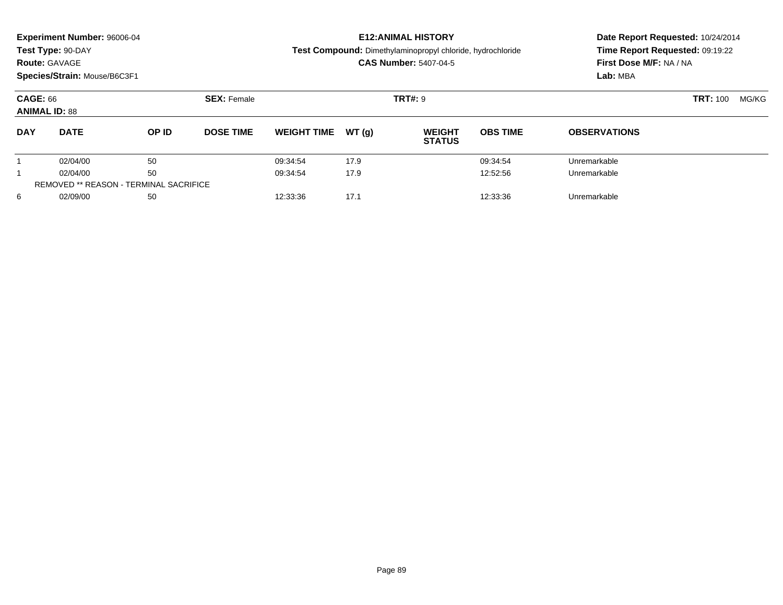| <b>Route: GAVAGE</b>                    | Experiment Number: 96006-04<br>Test Type: 90-DAY<br>Species/Strain: Mouse/B6C3F1 |       |                    |                    |       | <b>E12: ANIMAL HISTORY</b><br>Test Compound: Dimethylaminopropyl chloride, hydrochloride<br><b>CAS Number: 5407-04-5</b> | Date Report Requested: 10/24/2014<br>Time Report Requested: 09:19:22<br>First Dose M/F: NA / NA<br>Lab: MBA |                     |       |  |
|-----------------------------------------|----------------------------------------------------------------------------------|-------|--------------------|--------------------|-------|--------------------------------------------------------------------------------------------------------------------------|-------------------------------------------------------------------------------------------------------------|---------------------|-------|--|
| <b>CAGE: 66</b><br><b>ANIMAL ID: 88</b> |                                                                                  |       | <b>SEX: Female</b> |                    |       | <b>TRT#: 9</b>                                                                                                           |                                                                                                             | <b>TRT: 100</b>     | MG/KG |  |
| <b>DAY</b>                              | <b>DATE</b>                                                                      | OP ID | <b>DOSE TIME</b>   | <b>WEIGHT TIME</b> | WT(q) | <b>WEIGHT</b><br><b>STATUS</b>                                                                                           | <b>OBS TIME</b>                                                                                             | <b>OBSERVATIONS</b> |       |  |
|                                         | 02/04/00                                                                         | 50    |                    | 09:34:54           | 17.9  |                                                                                                                          | 09:34:54                                                                                                    | Unremarkable        |       |  |
|                                         | 02/04/00                                                                         | 50    |                    | 09:34:54           | 17.9  |                                                                                                                          | 12:52:56                                                                                                    | Unremarkable        |       |  |
|                                         | <b>REMOVED ** REASON - TERMINAL SACRIFICE</b>                                    |       |                    |                    |       |                                                                                                                          |                                                                                                             |                     |       |  |
| 6                                       | 02/09/00                                                                         | 50    |                    | 12:33:36           | 17.1  |                                                                                                                          | 12:33:36                                                                                                    | Unremarkable        |       |  |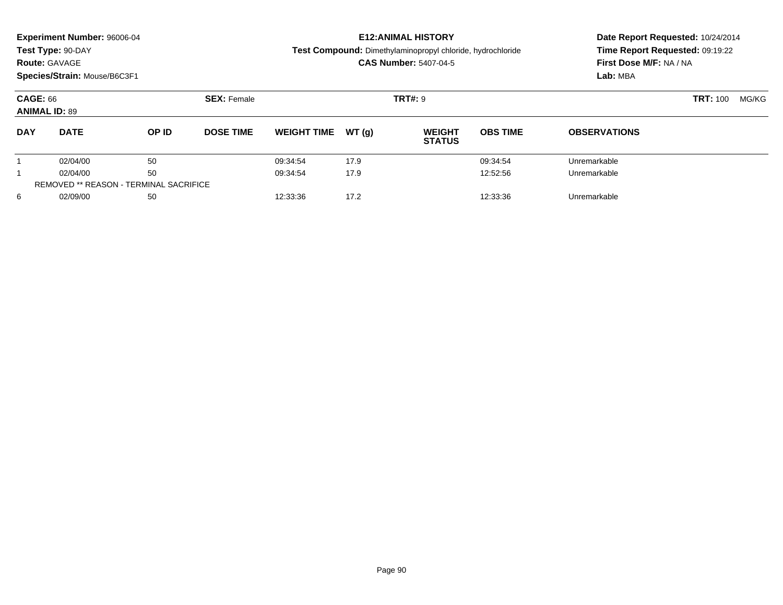| <b>Route: GAVAGE</b>                    | <b>Experiment Number: 96006-04</b><br>Test Type: 90-DAY<br>Species/Strain: Mouse/B6C3F1 |       |                    |                    |       | <b>E12: ANIMAL HISTORY</b><br><b>Test Compound:</b> Dimethylaminopropyl chloride, hydrochloride<br><b>CAS Number: 5407-04-5</b> | Date Report Requested: 10/24/2014<br>Time Report Requested: 09:19:22<br>First Dose M/F: NA / NA<br>Lab: MBA |                          |  |
|-----------------------------------------|-----------------------------------------------------------------------------------------|-------|--------------------|--------------------|-------|---------------------------------------------------------------------------------------------------------------------------------|-------------------------------------------------------------------------------------------------------------|--------------------------|--|
| <b>CAGE: 66</b><br><b>ANIMAL ID: 89</b> |                                                                                         |       | <b>SEX: Female</b> |                    |       | <b>TRT#: 9</b>                                                                                                                  |                                                                                                             | <b>TRT: 100</b><br>MG/KG |  |
| <b>DAY</b>                              | <b>DATE</b>                                                                             | OP ID | <b>DOSE TIME</b>   | <b>WEIGHT TIME</b> | WT(g) | <b>WEIGHT</b><br><b>STATUS</b>                                                                                                  | <b>OBS TIME</b>                                                                                             | <b>OBSERVATIONS</b>      |  |
|                                         | 02/04/00                                                                                | 50    |                    | 09:34:54           | 17.9  |                                                                                                                                 | 09:34:54                                                                                                    | Unremarkable             |  |
|                                         | 50<br>02/04/00                                                                          |       | 09:34:54           | 17.9               |       | 12:52:56                                                                                                                        | Unremarkable                                                                                                |                          |  |
|                                         | <b>REMOVED ** REASON - TERMINAL SACRIFICE</b>                                           |       |                    |                    |       |                                                                                                                                 |                                                                                                             |                          |  |
| 6                                       | 02/09/00                                                                                | 50    |                    | 12:33:36           | 17.2  |                                                                                                                                 | 12:33:36                                                                                                    | Unremarkable             |  |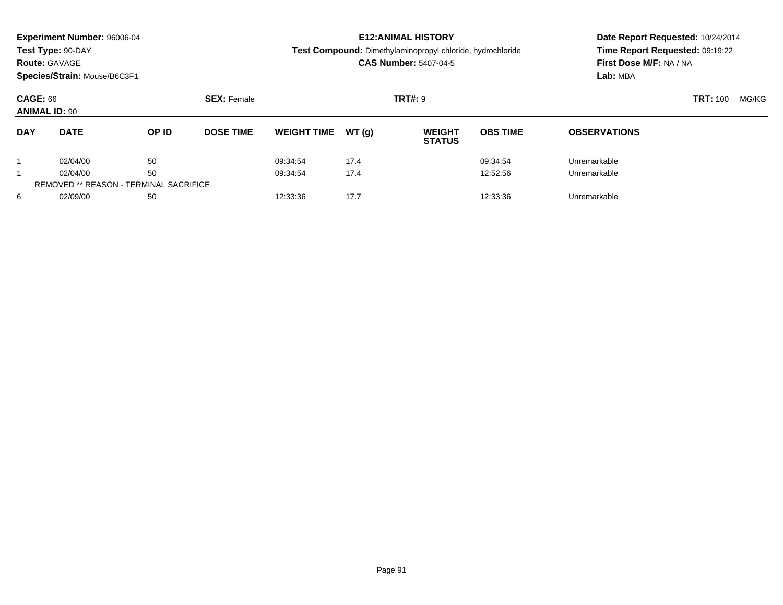|                                         | Experiment Number: 96006-04                   |       |                    |                    |       | <b>E12: ANIMAL HISTORY</b>                                        | Date Report Requested: 10/24/2014 |                                 |       |  |
|-----------------------------------------|-----------------------------------------------|-------|--------------------|--------------------|-------|-------------------------------------------------------------------|-----------------------------------|---------------------------------|-------|--|
|                                         | Test Type: 90-DAY                             |       |                    |                    |       | <b>Test Compound:</b> Dimethylaminopropyl chloride, hydrochloride |                                   | Time Report Requested: 09:19:22 |       |  |
| <b>Route: GAVAGE</b>                    |                                               |       |                    |                    |       | <b>CAS Number: 5407-04-5</b>                                      |                                   | First Dose M/F: NA / NA         |       |  |
|                                         | Species/Strain: Mouse/B6C3F1                  |       |                    |                    |       |                                                                   |                                   | Lab: MBA                        |       |  |
| <b>CAGE: 66</b><br><b>ANIMAL ID: 90</b> |                                               |       | <b>SEX: Female</b> |                    |       | <b>TRT#: 9</b>                                                    |                                   | <b>TRT: 100</b>                 | MG/KG |  |
| <b>DAY</b>                              | <b>DATE</b>                                   | OP ID | <b>DOSE TIME</b>   | <b>WEIGHT TIME</b> | WT(q) | <b>WEIGHT</b><br><b>STATUS</b>                                    | <b>OBS TIME</b>                   | <b>OBSERVATIONS</b>             |       |  |
|                                         | 02/04/00                                      | 50    |                    | 09:34:54           | 17.4  |                                                                   | 09:34:54                          | Unremarkable                    |       |  |
|                                         | 50<br>02/04/00                                |       |                    | 09:34:54           | 17.4  |                                                                   | 12:52:56                          | Unremarkable                    |       |  |
|                                         | <b>REMOVED ** REASON - TERMINAL SACRIFICE</b> |       |                    |                    |       |                                                                   |                                   |                                 |       |  |
| 6                                       | 02/09/00                                      | 50    |                    | 12:33:36           | 17.7  |                                                                   | 12:33:36                          | Unremarkable                    |       |  |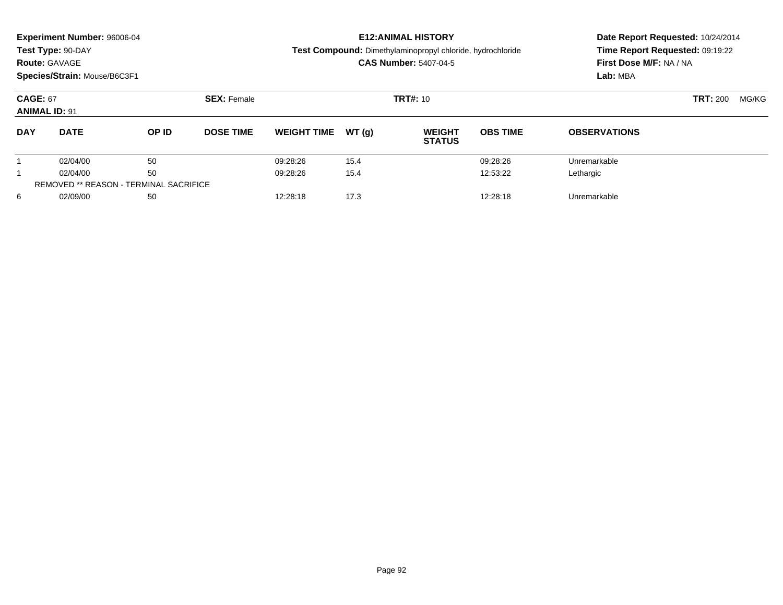| <b>Route: GAVAGE</b>                    | <b>Experiment Number: 96006-04</b><br>Test Type: 90-DAY<br>Species/Strain: Mouse/B6C3F1 |       |                              |                    |       | <b>E12: ANIMAL HISTORY</b><br><b>Test Compound:</b> Dimethylaminopropyl chloride, hydrochloride<br><b>CAS Number: 5407-04-5</b> | Time Report Requested: 09:19:22<br>First Dose M/F: NA / NA<br>Lab: MBA | Date Report Requested: 10/24/2014 |  |
|-----------------------------------------|-----------------------------------------------------------------------------------------|-------|------------------------------|--------------------|-------|---------------------------------------------------------------------------------------------------------------------------------|------------------------------------------------------------------------|-----------------------------------|--|
| <b>CAGE: 67</b><br><b>ANIMAL ID: 91</b> |                                                                                         |       | <b>SEX: Female</b>           |                    |       | <b>TRT#: 10</b>                                                                                                                 |                                                                        | <b>TRT: 200</b><br>MG/KG          |  |
| <b>DAY</b>                              | <b>DATE</b>                                                                             | OP ID | <b>DOSE TIME</b>             | <b>WEIGHT TIME</b> | WT(q) | <b>WEIGHT</b><br><b>STATUS</b>                                                                                                  | <b>OBS TIME</b>                                                        | <b>OBSERVATIONS</b>               |  |
|                                         | 02/04/00                                                                                | 50    |                              | 09:28:26           | 15.4  |                                                                                                                                 | 09:28:26                                                               | Unremarkable                      |  |
|                                         | 50<br>02/04/00                                                                          |       | 09:28:26                     | 15.4               |       | 12:53:22                                                                                                                        | Lethargic                                                              |                                   |  |
|                                         | <b>REMOVED ** REASON - TERMINAL SACRIFICE</b>                                           |       |                              |                    |       |                                                                                                                                 |                                                                        |                                   |  |
| 6                                       | 02/09/00<br>50                                                                          |       | 17.3<br>12:28:18<br>12:28:18 |                    |       |                                                                                                                                 | Unremarkable                                                           |                                   |  |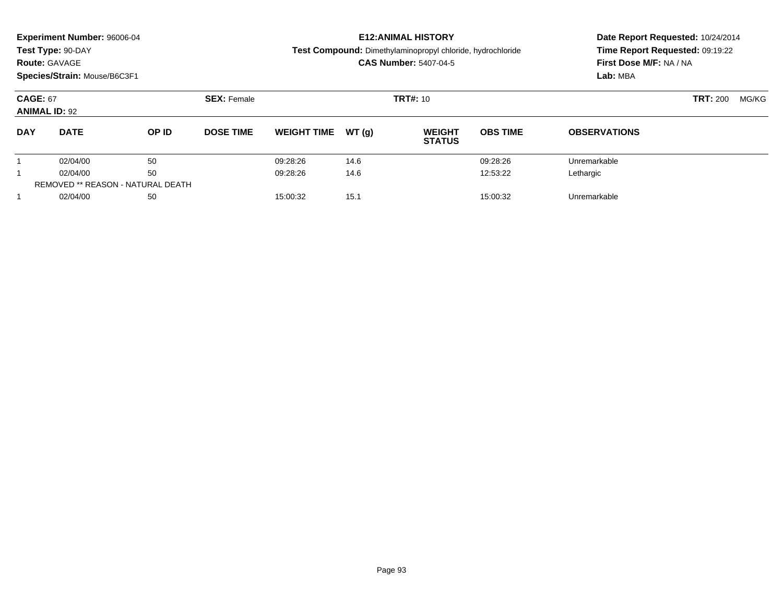|                                         | <b>Experiment Number: 96006-04</b><br>Test Type: 90-DAY<br><b>Route: GAVAGE</b><br>Species/Strain: Mouse/B6C3F1 |                                          |                    |          |                  | <b>E12: ANIMAL HISTORY</b><br>Test Compound: Dimethylaminopropyl chloride, hydrochloride<br><b>CAS Number: 5407-04-5</b> | Date Report Requested: 10/24/2014<br>Time Report Requested: 09:19:22<br>First Dose M/F: NA / NA<br>Lab: MBA |                                |                 |                     |  |
|-----------------------------------------|-----------------------------------------------------------------------------------------------------------------|------------------------------------------|--------------------|----------|------------------|--------------------------------------------------------------------------------------------------------------------------|-------------------------------------------------------------------------------------------------------------|--------------------------------|-----------------|---------------------|--|
| <b>CAGE: 67</b><br><b>ANIMAL ID: 92</b> |                                                                                                                 |                                          | <b>SEX: Female</b> |          | <b>TRT#: 10</b>  |                                                                                                                          | <b>TRT: 200</b><br>MG/KG                                                                                    |                                |                 |                     |  |
| <b>DAY</b>                              | <b>DATE</b>                                                                                                     |                                          |                    | OP ID    | <b>DOSE TIME</b> | <b>WEIGHT TIME</b>                                                                                                       | WT(q)                                                                                                       | <b>WEIGHT</b><br><b>STATUS</b> | <b>OBS TIME</b> | <b>OBSERVATIONS</b> |  |
|                                         | 02/04/00                                                                                                        | 50                                       |                    | 09:28:26 | 14.6             |                                                                                                                          | 09:28:26                                                                                                    | Unremarkable                   |                 |                     |  |
|                                         | 02/04/00                                                                                                        |                                          |                    | 09:28:26 | 14.6             |                                                                                                                          | 12:53:22                                                                                                    | Lethargic                      |                 |                     |  |
|                                         |                                                                                                                 | <b>REMOVED ** REASON - NATURAL DEATH</b> |                    |          |                  |                                                                                                                          |                                                                                                             |                                |                 |                     |  |
|                                         | 02/04/00                                                                                                        | 50                                       |                    | 15:00:32 | 15.1             |                                                                                                                          | 15:00:32                                                                                                    | Unremarkable                   |                 |                     |  |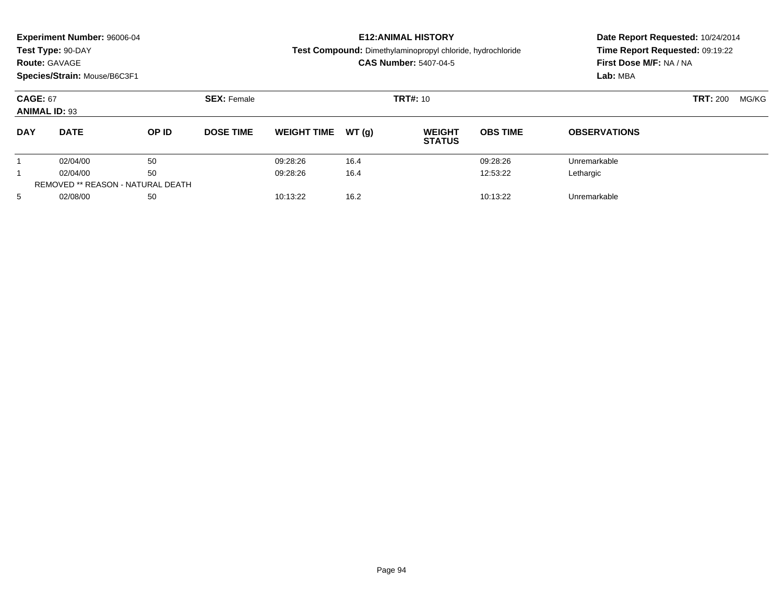|                                         | <b>Experiment Number: 96006-04</b><br>Test Type: 90-DAY<br><b>Route: GAVAGE</b><br>Species/Strain: Mouse/B6C3F1<br><b>SEX: Female</b> |       |                              |                    |       | <b>E12: ANIMAL HISTORY</b><br><b>Test Compound:</b> Dimethylaminopropyl chloride, hydrochloride<br><b>CAS Number: 5407-04-5</b> | Time Report Requested: 09:19:22<br>First Dose M/F: NA / NA<br>Lab: MBA | Date Report Requested: 10/24/2014 |  |
|-----------------------------------------|---------------------------------------------------------------------------------------------------------------------------------------|-------|------------------------------|--------------------|-------|---------------------------------------------------------------------------------------------------------------------------------|------------------------------------------------------------------------|-----------------------------------|--|
| <b>CAGE: 67</b><br><b>ANIMAL ID: 93</b> |                                                                                                                                       |       |                              |                    |       | <b>TRT#: 10</b>                                                                                                                 |                                                                        | <b>TRT: 200</b><br>MG/KG          |  |
| <b>DAY</b>                              | <b>DATE</b>                                                                                                                           | OP ID | <b>DOSE TIME</b>             | <b>WEIGHT TIME</b> | WT(q) | <b>WEIGHT</b><br><b>STATUS</b>                                                                                                  | <b>OBS TIME</b>                                                        | <b>OBSERVATIONS</b>               |  |
|                                         | 02/04/00                                                                                                                              | 50    |                              | 09:28:26           | 16.4  |                                                                                                                                 | 09:28:26                                                               | Unremarkable                      |  |
|                                         | 50<br>02/04/00                                                                                                                        |       |                              | 09:28:26           | 16.4  |                                                                                                                                 | 12:53:22                                                               | Lethargic                         |  |
|                                         | REMOVED ** REASON - NATURAL DEATH                                                                                                     |       |                              |                    |       |                                                                                                                                 |                                                                        |                                   |  |
| 5                                       | 02/08/00<br>50                                                                                                                        |       | 10:13:22<br>16.2<br>10:13:22 |                    |       |                                                                                                                                 | Unremarkable                                                           |                                   |  |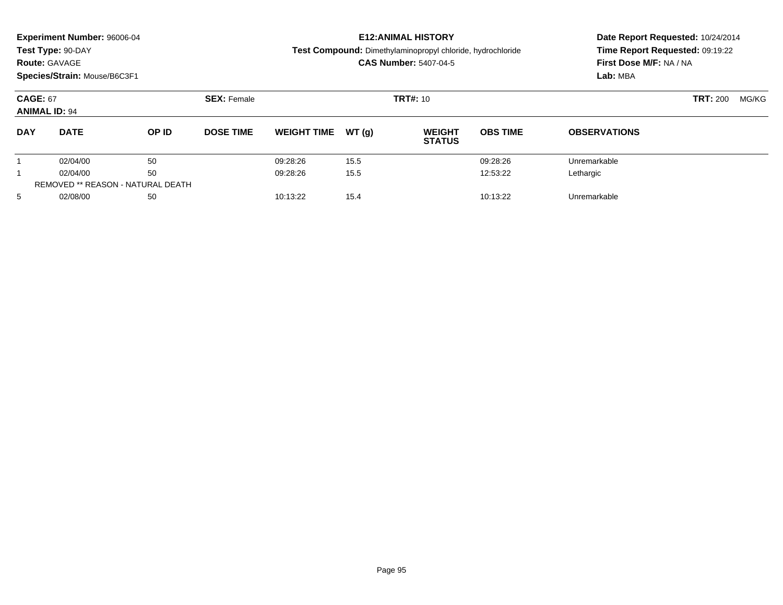|                                         | <b>Experiment Number: 96006-04</b><br>Test Type: 90-DAY<br><b>Route: GAVAGE</b><br>Species/Strain: Mouse/B6C3F1 |       |                    |                    |       | <b>E12: ANIMAL HISTORY</b><br><b>Test Compound:</b> Dimethylaminopropyl chloride, hydrochloride<br><b>CAS Number: 5407-04-5</b> | Time Report Requested: 09:19:22<br>First Dose M/F: NA / NA<br>Lab: MBA | Date Report Requested: 10/24/2014 |  |
|-----------------------------------------|-----------------------------------------------------------------------------------------------------------------|-------|--------------------|--------------------|-------|---------------------------------------------------------------------------------------------------------------------------------|------------------------------------------------------------------------|-----------------------------------|--|
| <b>CAGE: 67</b><br><b>ANIMAL ID: 94</b> |                                                                                                                 |       | <b>SEX: Female</b> |                    |       | <b>TRT#: 10</b>                                                                                                                 |                                                                        | <b>TRT: 200</b><br>MG/KG          |  |
| <b>DAY</b>                              | <b>DATE</b>                                                                                                     | OP ID | <b>DOSE TIME</b>   | <b>WEIGHT TIME</b> | WT(q) | <b>WEIGHT</b><br><b>STATUS</b>                                                                                                  | <b>OBS TIME</b>                                                        | <b>OBSERVATIONS</b>               |  |
|                                         | 02/04/00                                                                                                        | 50    |                    | 09:28:26           | 15.5  |                                                                                                                                 | 09:28:26                                                               | Unremarkable                      |  |
|                                         | 50<br>02/04/00                                                                                                  |       | 09:28:26           | 15.5               |       | 12:53:22                                                                                                                        | Lethargic                                                              |                                   |  |
|                                         | REMOVED ** REASON - NATURAL DEATH                                                                               |       |                    |                    |       |                                                                                                                                 |                                                                        |                                   |  |
| 5                                       | 02/08/00<br>50                                                                                                  |       | 10:13:22           | 15.4               |       | 10:13:22                                                                                                                        | Unremarkable                                                           |                                   |  |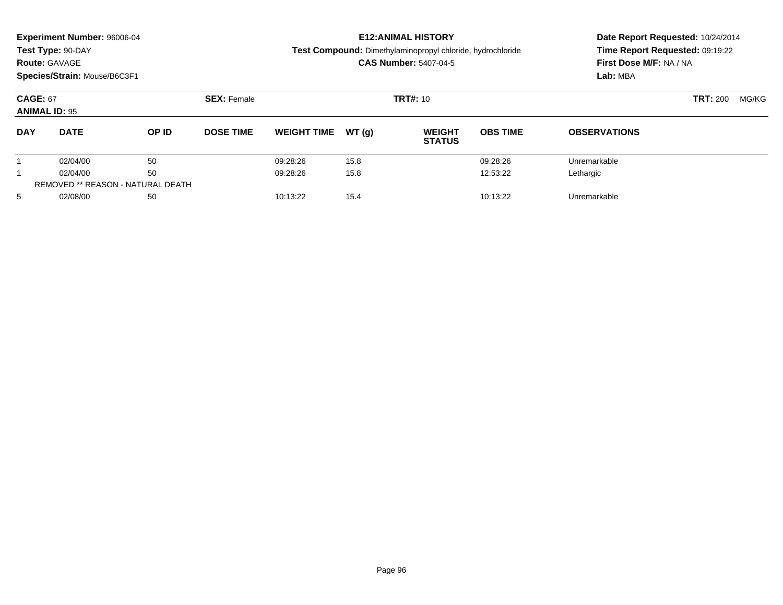|                                         | <b>Experiment Number: 96006-04</b><br>Test Type: 90-DAY<br><b>Route: GAVAGE</b><br>Species/Strain: Mouse/B6C3F1<br><b>SEX: Female</b> |       |                              |                    |       | <b>E12: ANIMAL HISTORY</b><br><b>Test Compound:</b> Dimethylaminopropyl chloride, hydrochloride<br><b>CAS Number: 5407-04-5</b> | Time Report Requested: 09:19:22<br>First Dose M/F: NA / NA<br>Lab: MBA | Date Report Requested: 10/24/2014 |  |
|-----------------------------------------|---------------------------------------------------------------------------------------------------------------------------------------|-------|------------------------------|--------------------|-------|---------------------------------------------------------------------------------------------------------------------------------|------------------------------------------------------------------------|-----------------------------------|--|
| <b>CAGE: 67</b><br><b>ANIMAL ID: 95</b> |                                                                                                                                       |       |                              |                    |       | <b>TRT#: 10</b>                                                                                                                 |                                                                        | <b>TRT: 200</b><br>MG/KG          |  |
| <b>DAY</b>                              | <b>DATE</b>                                                                                                                           | OP ID | <b>DOSE TIME</b>             | <b>WEIGHT TIME</b> | WT(q) | <b>WEIGHT</b><br><b>STATUS</b>                                                                                                  | <b>OBS TIME</b>                                                        | <b>OBSERVATIONS</b>               |  |
|                                         | 02/04/00                                                                                                                              | 50    |                              | 09:28:26           | 15.8  |                                                                                                                                 | 09:28:26                                                               | Unremarkable                      |  |
|                                         | 50<br>02/04/00                                                                                                                        |       | 09:28:26                     | 15.8               |       | 12:53:22                                                                                                                        | Lethargic                                                              |                                   |  |
|                                         | REMOVED ** REASON - NATURAL DEATH                                                                                                     |       |                              |                    |       |                                                                                                                                 |                                                                        |                                   |  |
| 5                                       | 02/08/00<br>50                                                                                                                        |       | 10:13:22<br>15.4<br>10:13:22 |                    |       |                                                                                                                                 | Unremarkable                                                           |                                   |  |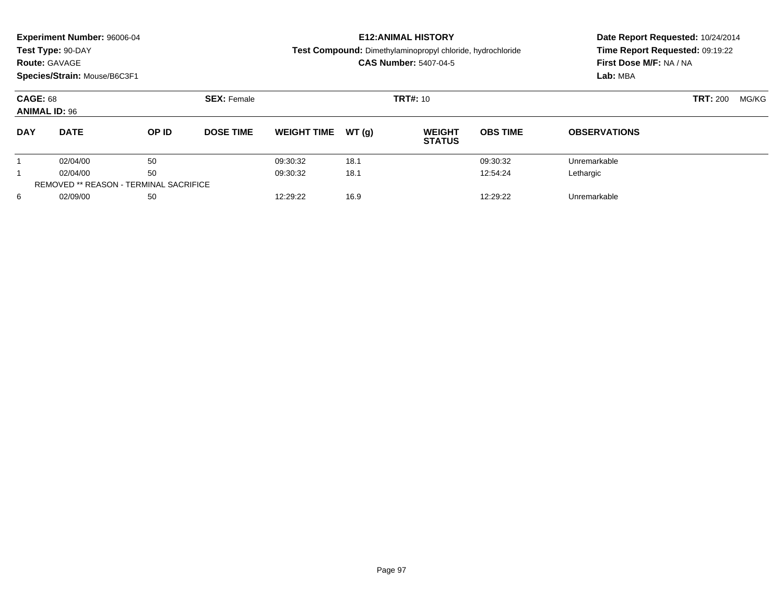|                                         | Experiment Number: 96006-04<br>Test Type: 90-DAY<br><b>Route: GAVAGE</b><br>Species/Strain: Mouse/B6C3F1 |                                               |                  |                              |       | <b>E12: ANIMAL HISTORY</b><br><b>Test Compound:</b> Dimethylaminopropyl chloride, hydrochloride<br><b>CAS Number: 5407-04-5</b> | Date Report Requested: 10/24/2014<br>Time Report Requested: 09:19:22<br>First Dose M/F: NA / NA<br>Lab: MBA |                          |  |
|-----------------------------------------|----------------------------------------------------------------------------------------------------------|-----------------------------------------------|------------------|------------------------------|-------|---------------------------------------------------------------------------------------------------------------------------------|-------------------------------------------------------------------------------------------------------------|--------------------------|--|
| <b>CAGE: 68</b><br><b>ANIMAL ID: 96</b> |                                                                                                          | <b>SEX: Female</b>                            | <b>TRT#: 10</b>  |                              |       |                                                                                                                                 |                                                                                                             | <b>TRT:</b> 200<br>MG/KG |  |
| <b>DAY</b>                              | <b>DATE</b>                                                                                              | OP ID                                         | <b>DOSE TIME</b> | <b>WEIGHT TIME</b>           | WT(q) | <b>WEIGHT</b><br><b>STATUS</b>                                                                                                  | <b>OBS TIME</b>                                                                                             | <b>OBSERVATIONS</b>      |  |
|                                         | 02/04/00                                                                                                 | 50                                            |                  | 09:30:32                     | 18.1  |                                                                                                                                 | 09:30:32                                                                                                    | Unremarkable             |  |
|                                         | 02/04/00                                                                                                 | 50                                            |                  | 18.1<br>12:54:24<br>09:30:32 |       | Lethargic                                                                                                                       |                                                                                                             |                          |  |
|                                         |                                                                                                          | <b>REMOVED ** REASON - TERMINAL SACRIFICE</b> |                  |                              |       |                                                                                                                                 |                                                                                                             |                          |  |
| 6                                       | 02/09/00                                                                                                 | 50                                            |                  | 12:29:22                     | 16.9  |                                                                                                                                 | 12:29:22                                                                                                    | Unremarkable             |  |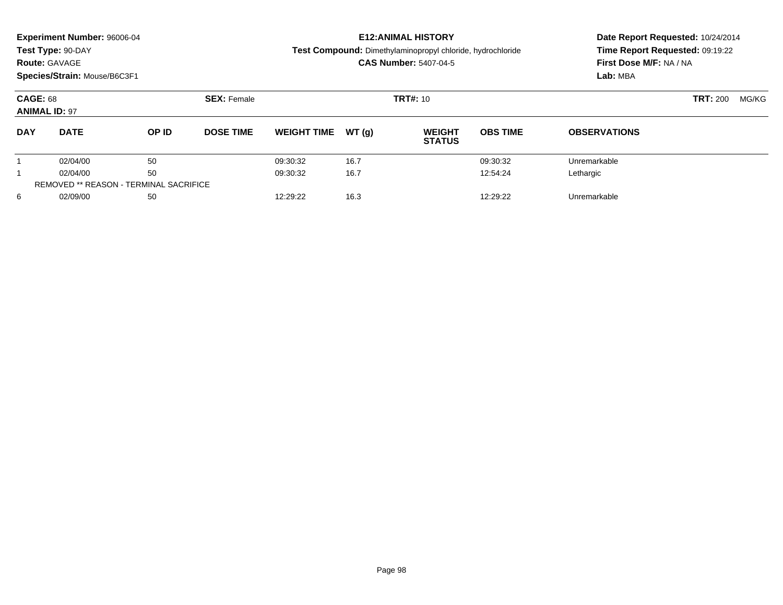|                                         | <b>Experiment Number: 96006-04</b><br>Test Type: 90-DAY<br><b>Route: GAVAGE</b><br>Species/Strain: Mouse/B6C3F1 |                                               |                  |                    |       | <b>E12: ANIMAL HISTORY</b><br>Test Compound: Dimethylaminopropyl chloride, hydrochloride<br><b>CAS Number: 5407-04-5</b> | Date Report Requested: 10/24/2014<br>Time Report Requested: 09:19:22<br>First Dose M/F: NA / NA<br>Lab: MBA |                     |       |  |
|-----------------------------------------|-----------------------------------------------------------------------------------------------------------------|-----------------------------------------------|------------------|--------------------|-------|--------------------------------------------------------------------------------------------------------------------------|-------------------------------------------------------------------------------------------------------------|---------------------|-------|--|
| <b>CAGE: 68</b><br><b>ANIMAL ID: 97</b> |                                                                                                                 | <b>SEX: Female</b>                            | <b>TRT#: 10</b>  |                    |       |                                                                                                                          |                                                                                                             | <b>TRT: 200</b>     | MG/KG |  |
| <b>DAY</b>                              | <b>DATE</b>                                                                                                     | OP ID                                         | <b>DOSE TIME</b> | <b>WEIGHT TIME</b> | WT(q) | <b>WEIGHT</b><br><b>STATUS</b>                                                                                           | <b>OBS TIME</b>                                                                                             | <b>OBSERVATIONS</b> |       |  |
|                                         | 02/04/00                                                                                                        | 50                                            |                  | 09:30:32           | 16.7  |                                                                                                                          | 09:30:32                                                                                                    | Unremarkable        |       |  |
|                                         | 02/04/00                                                                                                        | 50                                            |                  | 09:30:32           | 16.7  |                                                                                                                          | 12:54:24                                                                                                    | Lethargic           |       |  |
|                                         |                                                                                                                 | <b>REMOVED ** REASON - TERMINAL SACRIFICE</b> |                  |                    |       |                                                                                                                          |                                                                                                             |                     |       |  |
| 6                                       | 02/09/00                                                                                                        | 50                                            |                  | 12:29:22           | 16.3  |                                                                                                                          | 12:29:22                                                                                                    | Unremarkable        |       |  |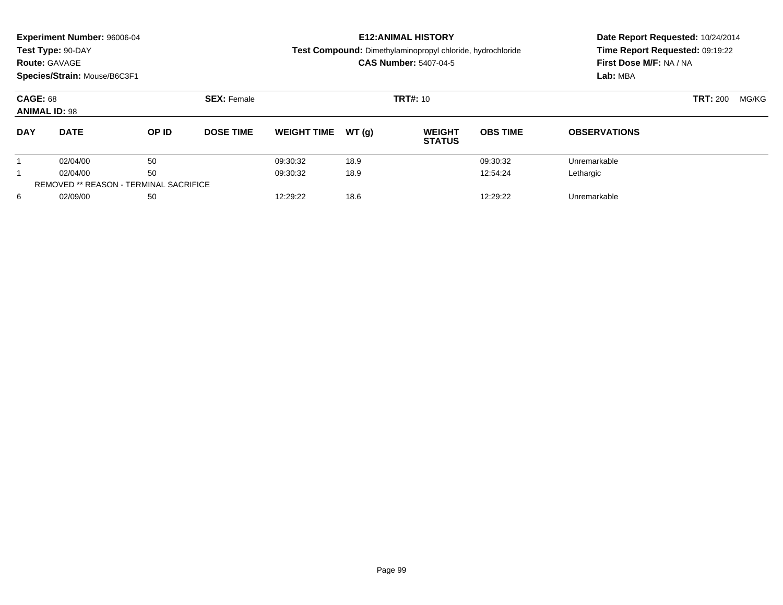|                                         | <b>Experiment Number: 96006-04</b><br>Test Type: 90-DAY<br><b>Route: GAVAGE</b><br>Species/Strain: Mouse/B6C3F1 |                                               |                  |                    |                  | <b>E12: ANIMAL HISTORY</b><br><b>Test Compound:</b> Dimethylaminopropyl chloride, hydrochloride<br><b>CAS Number: 5407-04-5</b> | Date Report Requested: 10/24/2014<br>Time Report Requested: 09:19:22<br>First Dose M/F: NA / NA<br>Lab: MBA |                          |  |
|-----------------------------------------|-----------------------------------------------------------------------------------------------------------------|-----------------------------------------------|------------------|--------------------|------------------|---------------------------------------------------------------------------------------------------------------------------------|-------------------------------------------------------------------------------------------------------------|--------------------------|--|
| <b>CAGE: 68</b><br><b>ANIMAL ID: 98</b> |                                                                                                                 | <b>SEX: Female</b>                            | <b>TRT#: 10</b>  |                    |                  |                                                                                                                                 |                                                                                                             | <b>TRT: 200</b><br>MG/KG |  |
| <b>DAY</b>                              | <b>DATE</b>                                                                                                     | OP ID                                         | <b>DOSE TIME</b> | <b>WEIGHT TIME</b> | WT(q)            | <b>WEIGHT</b><br><b>STATUS</b>                                                                                                  | <b>OBS TIME</b>                                                                                             | <b>OBSERVATIONS</b>      |  |
|                                         | 02/04/00                                                                                                        | 50                                            |                  | 09:30:32           | 18.9             |                                                                                                                                 | 09:30:32                                                                                                    | Unremarkable             |  |
|                                         | 02/04/00                                                                                                        | 50                                            |                  | 09:30:32           | 12:54:24<br>18.9 |                                                                                                                                 | Lethargic                                                                                                   |                          |  |
|                                         |                                                                                                                 | <b>REMOVED ** REASON - TERMINAL SACRIFICE</b> |                  |                    |                  |                                                                                                                                 |                                                                                                             |                          |  |
| 6                                       | 02/09/00                                                                                                        | 50                                            |                  | 12:29:22           | 18.6             |                                                                                                                                 | 12:29:22                                                                                                    | Unremarkable             |  |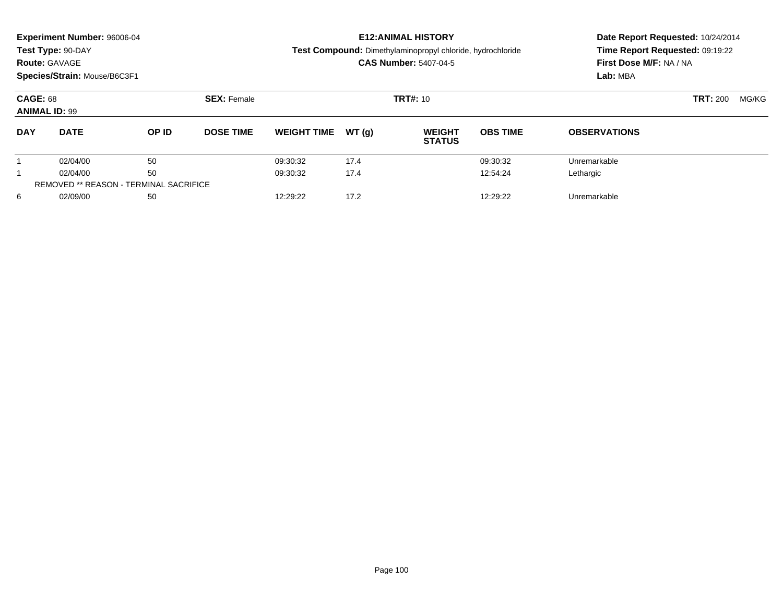|                                         | <b>Experiment Number: 96006-04</b><br>Test Type: 90-DAY<br><b>Route: GAVAGE</b><br>Species/Strain: Mouse/B6C3F1 |                                               |                  |                    |        | <b>E12: ANIMAL HISTORY</b><br>Test Compound: Dimethylaminopropyl chloride, hydrochloride<br><b>CAS Number: 5407-04-5</b> | Date Report Requested: 10/24/2014<br>Time Report Requested: 09:19:22<br>First Dose M/F: NA / NA<br>Lab: MBA |                     |  |  |
|-----------------------------------------|-----------------------------------------------------------------------------------------------------------------|-----------------------------------------------|------------------|--------------------|--------|--------------------------------------------------------------------------------------------------------------------------|-------------------------------------------------------------------------------------------------------------|---------------------|--|--|
| <b>CAGE: 68</b><br><b>ANIMAL ID: 99</b> |                                                                                                                 | <b>SEX: Female</b>                            |                  | <b>TRT#: 10</b>    |        | <b>TRT: 200</b>                                                                                                          | MG/KG                                                                                                       |                     |  |  |
| <b>DAY</b>                              | <b>DATE</b>                                                                                                     | OP ID                                         | <b>DOSE TIME</b> | <b>WEIGHT TIME</b> | WT (q) | <b>WEIGHT</b><br><b>STATUS</b>                                                                                           | <b>OBS TIME</b>                                                                                             | <b>OBSERVATIONS</b> |  |  |
|                                         | 02/04/00                                                                                                        | 50                                            |                  | 09:30:32           | 17.4   |                                                                                                                          | 09:30:32                                                                                                    | Unremarkable        |  |  |
|                                         | 02/04/00                                                                                                        | 50                                            |                  | 09:30:32           | 17.4   |                                                                                                                          | 12:54:24                                                                                                    | Lethargic           |  |  |
|                                         |                                                                                                                 | <b>REMOVED ** REASON - TERMINAL SACRIFICE</b> |                  |                    |        |                                                                                                                          |                                                                                                             |                     |  |  |
| 6                                       | 02/09/00                                                                                                        | 50                                            |                  | 12:29:22           | 17.2   |                                                                                                                          | 12:29:22                                                                                                    | Unremarkable        |  |  |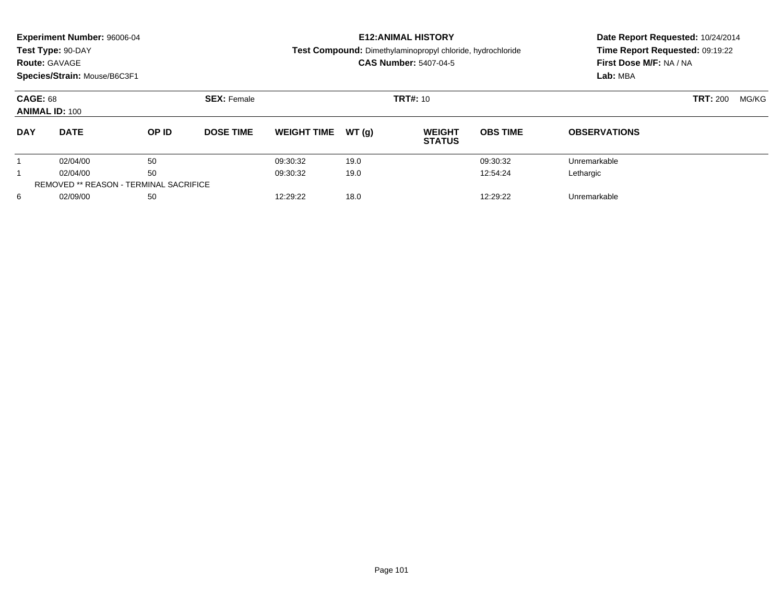|                                          | <b>Experiment Number: 96006-04</b><br>Test Type: 90-DAY<br><b>Route: GAVAGE</b><br>Species/Strain: Mouse/B6C3F1 |                                               |                  |                    |        | <b>E12:ANIMAL HISTORY</b><br>Test Compound: Dimethylaminopropyl chloride, hydrochloride<br><b>CAS Number: 5407-04-5</b> | Date Report Requested: 10/24/2014<br>Time Report Requested: 09:19:22<br>First Dose M/F: NA / NA<br>Lab: MBA |                     |  |  |
|------------------------------------------|-----------------------------------------------------------------------------------------------------------------|-----------------------------------------------|------------------|--------------------|--------|-------------------------------------------------------------------------------------------------------------------------|-------------------------------------------------------------------------------------------------------------|---------------------|--|--|
| <b>CAGE: 68</b><br><b>ANIMAL ID: 100</b> |                                                                                                                 | <b>SEX: Female</b>                            |                  | <b>TRT#: 10</b>    |        | <b>TRT: 200</b>                                                                                                         | MG/KG                                                                                                       |                     |  |  |
| <b>DAY</b>                               | <b>DATE</b>                                                                                                     | OP ID                                         | <b>DOSE TIME</b> | <b>WEIGHT TIME</b> | WT (q) | <b>WEIGHT</b><br><b>STATUS</b>                                                                                          | <b>OBS TIME</b>                                                                                             | <b>OBSERVATIONS</b> |  |  |
|                                          | 02/04/00                                                                                                        | 50                                            |                  | 09:30:32           | 19.0   |                                                                                                                         | 09:30:32                                                                                                    | Unremarkable        |  |  |
|                                          | 02/04/00                                                                                                        | 50                                            |                  | 09:30:32           | 19.0   |                                                                                                                         | 12:54:24                                                                                                    | Lethargic           |  |  |
|                                          |                                                                                                                 | <b>REMOVED ** REASON - TERMINAL SACRIFICE</b> |                  |                    |        |                                                                                                                         |                                                                                                             |                     |  |  |
| 6                                        | 02/09/00                                                                                                        | 50                                            |                  | 12:29:22           | 18.0   |                                                                                                                         | 12:29:22                                                                                                    | Unremarkable        |  |  |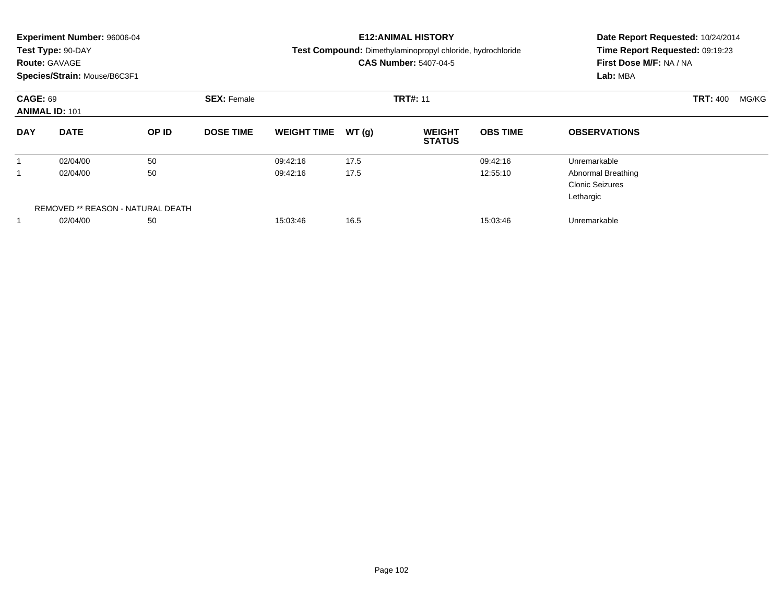|                 | <b>Experiment Number: 96006-04</b><br>Test Type: 90-DAY<br><b>Route: GAVAGE</b><br>Species/Strain: Mouse/B6C3F1 |                                   |                                       | <b>E12:ANIMAL HISTORY</b><br>Test Compound: Dimethylaminopropyl chloride, hydrochloride<br><b>CAS Number: 5407-04-5</b> | Date Report Requested: 10/24/2014<br>Time Report Requested: 09:19:23<br>First Dose M/F: NA / NA<br>Lab: MBA |                                |                 |                                                                  |                          |
|-----------------|-----------------------------------------------------------------------------------------------------------------|-----------------------------------|---------------------------------------|-------------------------------------------------------------------------------------------------------------------------|-------------------------------------------------------------------------------------------------------------|--------------------------------|-----------------|------------------------------------------------------------------|--------------------------|
| <b>CAGE: 69</b> | <b>ANIMAL ID: 101</b>                                                                                           |                                   | <b>TRT#: 11</b><br><b>SEX: Female</b> |                                                                                                                         |                                                                                                             |                                |                 |                                                                  | <b>TRT: 400</b><br>MG/KG |
| <b>DAY</b>      | <b>DATE</b>                                                                                                     | OP ID                             | <b>DOSE TIME</b>                      | <b>WEIGHT TIME</b>                                                                                                      | WT(q)                                                                                                       | <b>WEIGHT</b><br><b>STATUS</b> | <b>OBS TIME</b> | <b>OBSERVATIONS</b>                                              |                          |
|                 | 02/04/00                                                                                                        | 50                                |                                       | 09:42:16                                                                                                                | 17.5                                                                                                        |                                | 09:42:16        | Unremarkable                                                     |                          |
|                 | 02/04/00                                                                                                        | 50                                |                                       | 09:42:16                                                                                                                | 17.5                                                                                                        |                                | 12:55:10        | <b>Abnormal Breathing</b><br><b>Clonic Seizures</b><br>Lethargic |                          |
|                 |                                                                                                                 | REMOVED ** REASON - NATURAL DEATH |                                       |                                                                                                                         |                                                                                                             |                                |                 |                                                                  |                          |
|                 | 02/04/00                                                                                                        | 50                                |                                       | 15:03:46                                                                                                                | 16.5                                                                                                        |                                | 15:03:46        | Unremarkable                                                     |                          |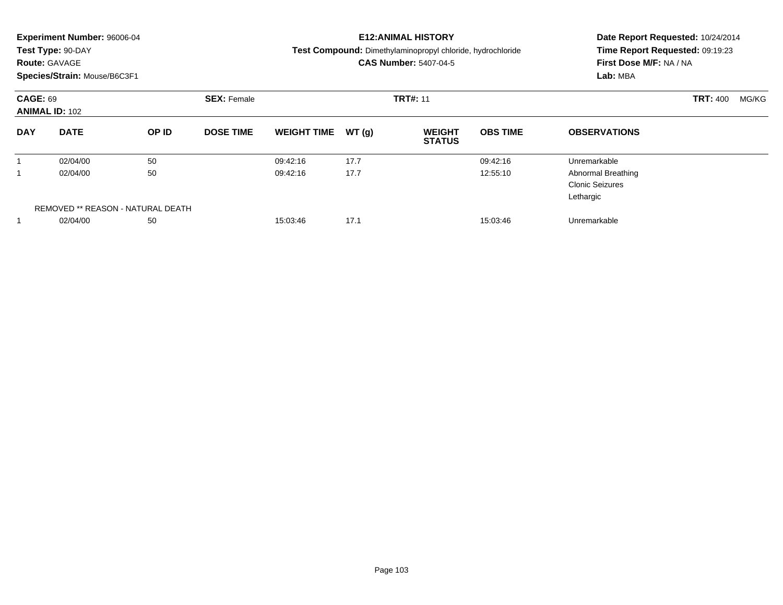|                 | <b>Experiment Number: 96006-04</b><br>Test Type: 90-DAY<br><b>Route: GAVAGE</b><br>Species/Strain: Mouse/B6C3F1 |                                   |                    | <b>E12:ANIMAL HISTORY</b><br>Test Compound: Dimethylaminopropyl chloride, hydrochloride<br><b>CAS Number: 5407-04-5</b> | Date Report Requested: 10/24/2014<br>Time Report Requested: 09:19:23<br>First Dose M/F: NA / NA<br>Lab: MBA |                                |                 |                                                                  |  |  |
|-----------------|-----------------------------------------------------------------------------------------------------------------|-----------------------------------|--------------------|-------------------------------------------------------------------------------------------------------------------------|-------------------------------------------------------------------------------------------------------------|--------------------------------|-----------------|------------------------------------------------------------------|--|--|
| <b>CAGE: 69</b> | <b>ANIMAL ID: 102</b>                                                                                           |                                   | <b>SEX: Female</b> |                                                                                                                         |                                                                                                             | <b>TRT#: 11</b>                | <b>TRT: 400</b> |                                                                  |  |  |
| <b>DAY</b>      | <b>DATE</b>                                                                                                     | OP ID                             | <b>DOSE TIME</b>   | <b>WEIGHT TIME</b>                                                                                                      | WT(q)                                                                                                       | <b>WEIGHT</b><br><b>STATUS</b> | <b>OBS TIME</b> | <b>OBSERVATIONS</b>                                              |  |  |
|                 | 02/04/00                                                                                                        | 50                                |                    | 09:42:16                                                                                                                | 17.7                                                                                                        |                                | 09:42:16        | Unremarkable                                                     |  |  |
|                 | 02/04/00                                                                                                        | 50                                |                    | 09:42:16                                                                                                                | 17.7                                                                                                        |                                | 12:55:10        | <b>Abnormal Breathing</b><br><b>Clonic Seizures</b><br>Lethargic |  |  |
|                 |                                                                                                                 | REMOVED ** REASON - NATURAL DEATH |                    |                                                                                                                         |                                                                                                             |                                |                 |                                                                  |  |  |
|                 | 02/04/00                                                                                                        | 50                                |                    | 15:03:46                                                                                                                | 17.1                                                                                                        |                                | 15:03:46        | Unremarkable                                                     |  |  |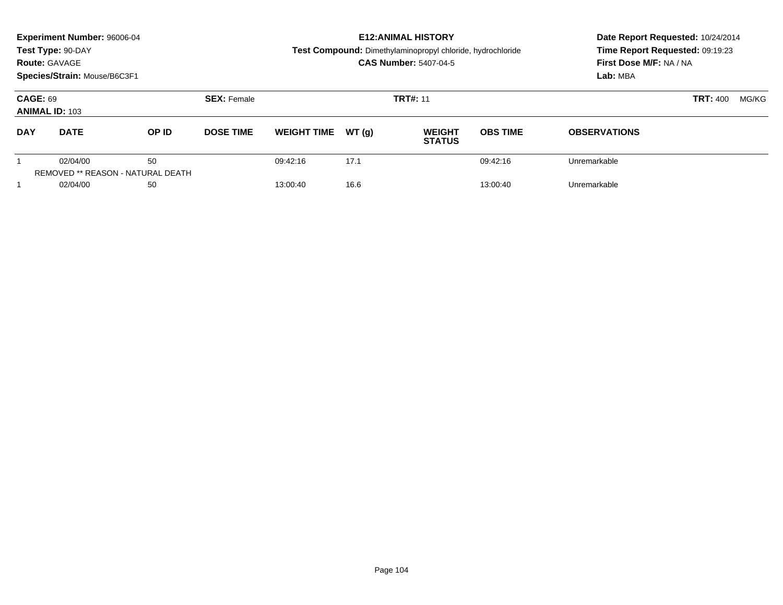|                                          | Experiment Number: 96006-04<br>Test Type: 90-DAY<br><b>Route: GAVAGE</b><br>Species/Strain: Mouse/B6C3F1 |                                                |                  |                    |                 | <b>E12: ANIMAL HISTORY</b><br><b>Test Compound:</b> Dimethylaminopropyl chloride, hydrochloride<br><b>CAS Number: 5407-04-5</b> | Date Report Requested: 10/24/2014<br>Time Report Requested: 09:19:23<br>First Dose M/F: NA / NA<br>Lab: MBA |                     |
|------------------------------------------|----------------------------------------------------------------------------------------------------------|------------------------------------------------|------------------|--------------------|-----------------|---------------------------------------------------------------------------------------------------------------------------------|-------------------------------------------------------------------------------------------------------------|---------------------|
| <b>CAGE: 69</b><br><b>ANIMAL ID: 103</b> |                                                                                                          | <b>SEX: Female</b>                             |                  |                    | <b>TRT#: 11</b> | <b>TRT: 400</b><br>MG/KG                                                                                                        |                                                                                                             |                     |
| <b>DAY</b>                               | <b>DATE</b>                                                                                              | OP ID                                          | <b>DOSE TIME</b> | <b>WEIGHT TIME</b> | WT(q)           | <b>WEIGHT</b><br><b>STATUS</b>                                                                                                  | <b>OBS TIME</b>                                                                                             | <b>OBSERVATIONS</b> |
|                                          | 02/04/00                                                                                                 | 50<br><b>REMOVED ** REASON - NATURAL DEATH</b> |                  | 09:42:16           | 17.1            |                                                                                                                                 | 09:42:16                                                                                                    | Unremarkable        |
|                                          | 02/04/00                                                                                                 | 50                                             |                  | 13:00:40           | 16.6            |                                                                                                                                 | 13:00:40                                                                                                    | Unremarkable        |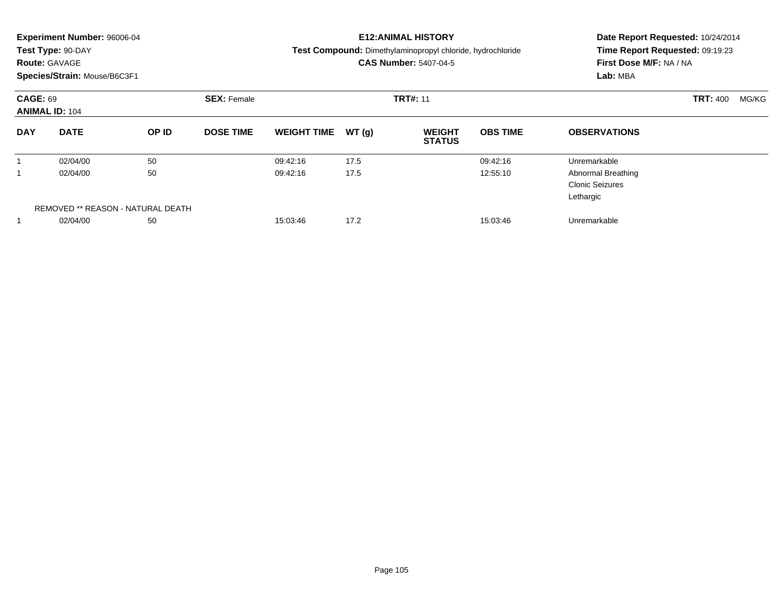|                 | <b>Experiment Number: 96006-04</b><br>Test Type: 90-DAY<br><b>Route: GAVAGE</b><br>Species/Strain: Mouse/B6C3F1 |                                   |                                       | <b>E12:ANIMAL HISTORY</b><br>Test Compound: Dimethylaminopropyl chloride, hydrochloride<br><b>CAS Number: 5407-04-5</b> | Date Report Requested: 10/24/2014<br>Time Report Requested: 09:19:23<br>First Dose M/F: NA / NA<br>Lab: MBA |                                |                 |                                                                  |                          |
|-----------------|-----------------------------------------------------------------------------------------------------------------|-----------------------------------|---------------------------------------|-------------------------------------------------------------------------------------------------------------------------|-------------------------------------------------------------------------------------------------------------|--------------------------------|-----------------|------------------------------------------------------------------|--------------------------|
| <b>CAGE: 69</b> | <b>ANIMAL ID: 104</b>                                                                                           |                                   | <b>TRT#: 11</b><br><b>SEX: Female</b> |                                                                                                                         |                                                                                                             |                                |                 |                                                                  | <b>TRT: 400</b><br>MG/KG |
| <b>DAY</b>      | <b>DATE</b>                                                                                                     | OP ID                             | <b>DOSE TIME</b>                      | <b>WEIGHT TIME</b>                                                                                                      | WT(q)                                                                                                       | <b>WEIGHT</b><br><b>STATUS</b> | <b>OBS TIME</b> | <b>OBSERVATIONS</b>                                              |                          |
|                 | 02/04/00                                                                                                        | 50                                |                                       | 09:42:16                                                                                                                | 17.5                                                                                                        |                                | 09:42:16        | Unremarkable                                                     |                          |
|                 | 02/04/00                                                                                                        | 50                                |                                       | 09:42:16                                                                                                                | 17.5                                                                                                        |                                | 12:55:10        | <b>Abnormal Breathing</b><br><b>Clonic Seizures</b><br>Lethargic |                          |
|                 |                                                                                                                 | REMOVED ** REASON - NATURAL DEATH |                                       |                                                                                                                         |                                                                                                             |                                |                 |                                                                  |                          |
|                 | 02/04/00                                                                                                        | 50                                |                                       | 15:03:46                                                                                                                | 17.2                                                                                                        |                                | 15:03:46        | Unremarkable                                                     |                          |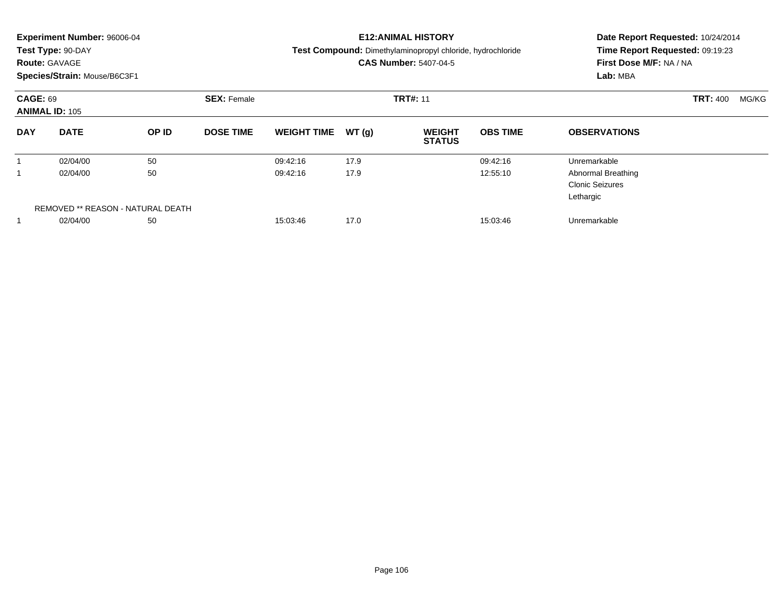|                 | <b>Experiment Number: 96006-04</b><br>Test Type: 90-DAY<br><b>Route: GAVAGE</b><br>Species/Strain: Mouse/B6C3F1 |                                   |                                       | <b>E12:ANIMAL HISTORY</b><br>Test Compound: Dimethylaminopropyl chloride, hydrochloride<br><b>CAS Number: 5407-04-5</b> | Date Report Requested: 10/24/2014<br>Time Report Requested: 09:19:23<br>First Dose M/F: NA / NA<br>Lab: MBA |                                |                 |                                                                  |                          |
|-----------------|-----------------------------------------------------------------------------------------------------------------|-----------------------------------|---------------------------------------|-------------------------------------------------------------------------------------------------------------------------|-------------------------------------------------------------------------------------------------------------|--------------------------------|-----------------|------------------------------------------------------------------|--------------------------|
| <b>CAGE: 69</b> | <b>ANIMAL ID: 105</b>                                                                                           |                                   | <b>TRT#: 11</b><br><b>SEX: Female</b> |                                                                                                                         |                                                                                                             |                                |                 |                                                                  | <b>TRT: 400</b><br>MG/KG |
| <b>DAY</b>      | <b>DATE</b>                                                                                                     | OP ID                             | <b>DOSE TIME</b>                      | <b>WEIGHT TIME</b>                                                                                                      | WT(q)                                                                                                       | <b>WEIGHT</b><br><b>STATUS</b> | <b>OBS TIME</b> | <b>OBSERVATIONS</b>                                              |                          |
|                 | 02/04/00                                                                                                        | 50                                |                                       | 09:42:16                                                                                                                | 17.9                                                                                                        |                                | 09:42:16        | Unremarkable                                                     |                          |
|                 | 02/04/00                                                                                                        | 50                                |                                       | 09:42:16                                                                                                                | 17.9                                                                                                        |                                | 12:55:10        | <b>Abnormal Breathing</b><br><b>Clonic Seizures</b><br>Lethargic |                          |
|                 |                                                                                                                 | REMOVED ** REASON - NATURAL DEATH |                                       |                                                                                                                         |                                                                                                             |                                |                 |                                                                  |                          |
|                 | 02/04/00                                                                                                        | 50                                |                                       | 15:03:46                                                                                                                | 17.0                                                                                                        |                                | 15:03:46        | Unremarkable                                                     |                          |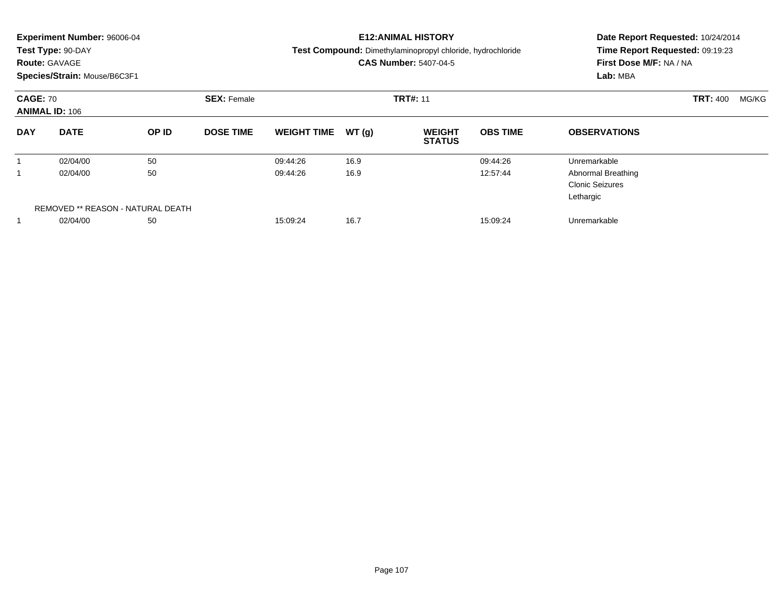|                 | <b>Experiment Number: 96006-04</b><br>Test Type: 90-DAY<br><b>Route: GAVAGE</b><br>Species/Strain: Mouse/B6C3F1 |                                   |                                       |                    |       | <b>E12:ANIMAL HISTORY</b><br>Test Compound: Dimethylaminopropyl chloride, hydrochloride<br><b>CAS Number: 5407-04-5</b> | Date Report Requested: 10/24/2014<br>Time Report Requested: 09:19:23<br>First Dose M/F: NA / NA<br>Lab: MBA |                                                                  |  |
|-----------------|-----------------------------------------------------------------------------------------------------------------|-----------------------------------|---------------------------------------|--------------------|-------|-------------------------------------------------------------------------------------------------------------------------|-------------------------------------------------------------------------------------------------------------|------------------------------------------------------------------|--|
| <b>CAGE: 70</b> | <b>ANIMAL ID: 106</b>                                                                                           |                                   | <b>TRT#: 11</b><br><b>SEX: Female</b> |                    |       |                                                                                                                         | <b>TRT: 400</b>                                                                                             |                                                                  |  |
| <b>DAY</b>      | <b>DATE</b>                                                                                                     | OP ID                             | <b>DOSE TIME</b>                      | <b>WEIGHT TIME</b> | WT(q) | <b>WEIGHT</b><br><b>STATUS</b>                                                                                          | <b>OBS TIME</b>                                                                                             | <b>OBSERVATIONS</b>                                              |  |
|                 | 02/04/00                                                                                                        | 50                                |                                       | 09:44:26           | 16.9  |                                                                                                                         | 09:44:26                                                                                                    | Unremarkable                                                     |  |
|                 | 02/04/00                                                                                                        | 50                                |                                       | 09:44:26           | 16.9  |                                                                                                                         | 12:57:44                                                                                                    | <b>Abnormal Breathing</b><br><b>Clonic Seizures</b><br>Lethargic |  |
|                 |                                                                                                                 | REMOVED ** REASON - NATURAL DEATH |                                       |                    |       |                                                                                                                         |                                                                                                             |                                                                  |  |
|                 | 02/04/00                                                                                                        | 50                                |                                       | 15:09:24           | 16.7  |                                                                                                                         | 15:09:24                                                                                                    | Unremarkable                                                     |  |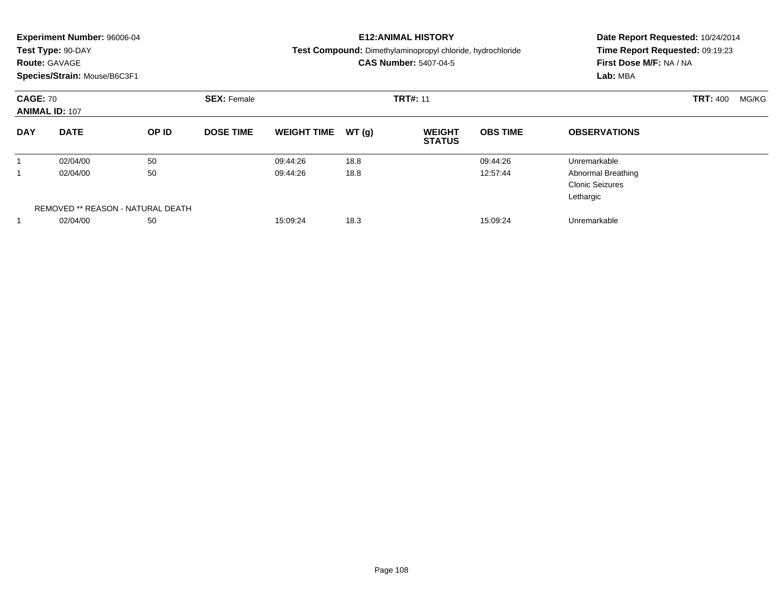|                 | <b>Experiment Number: 96006-04</b><br>Test Type: 90-DAY<br><b>Route: GAVAGE</b><br>Species/Strain: Mouse/B6C3F1 |                                   |                                       | <b>E12:ANIMAL HISTORY</b><br>Test Compound: Dimethylaminopropyl chloride, hydrochloride<br><b>CAS Number: 5407-04-5</b> | Date Report Requested: 10/24/2014<br>Time Report Requested: 09:19:23<br>First Dose M/F: NA / NA<br>Lab: MBA |                                |                 |                                                                  |                          |  |
|-----------------|-----------------------------------------------------------------------------------------------------------------|-----------------------------------|---------------------------------------|-------------------------------------------------------------------------------------------------------------------------|-------------------------------------------------------------------------------------------------------------|--------------------------------|-----------------|------------------------------------------------------------------|--------------------------|--|
| <b>CAGE: 70</b> | <b>ANIMAL ID: 107</b>                                                                                           |                                   | <b>TRT#: 11</b><br><b>SEX: Female</b> |                                                                                                                         |                                                                                                             |                                |                 |                                                                  | <b>TRT: 400</b><br>MG/KG |  |
| <b>DAY</b>      | <b>DATE</b>                                                                                                     | OP ID                             | <b>DOSE TIME</b>                      | <b>WEIGHT TIME</b>                                                                                                      | WT(q)                                                                                                       | <b>WEIGHT</b><br><b>STATUS</b> | <b>OBS TIME</b> | <b>OBSERVATIONS</b>                                              |                          |  |
|                 | 02/04/00                                                                                                        | 50                                |                                       | 09:44:26                                                                                                                | 18.8                                                                                                        |                                | 09:44:26        | Unremarkable                                                     |                          |  |
|                 | 02/04/00                                                                                                        | 50                                |                                       | 09:44:26                                                                                                                | 18.8                                                                                                        |                                | 12:57:44        | <b>Abnormal Breathing</b><br><b>Clonic Seizures</b><br>Lethargic |                          |  |
|                 |                                                                                                                 | REMOVED ** REASON - NATURAL DEATH |                                       |                                                                                                                         |                                                                                                             |                                |                 |                                                                  |                          |  |
|                 | 50<br>02/04/00                                                                                                  |                                   |                                       | 15:09:24                                                                                                                | 18.3                                                                                                        |                                | 15:09:24        | Unremarkable                                                     |                          |  |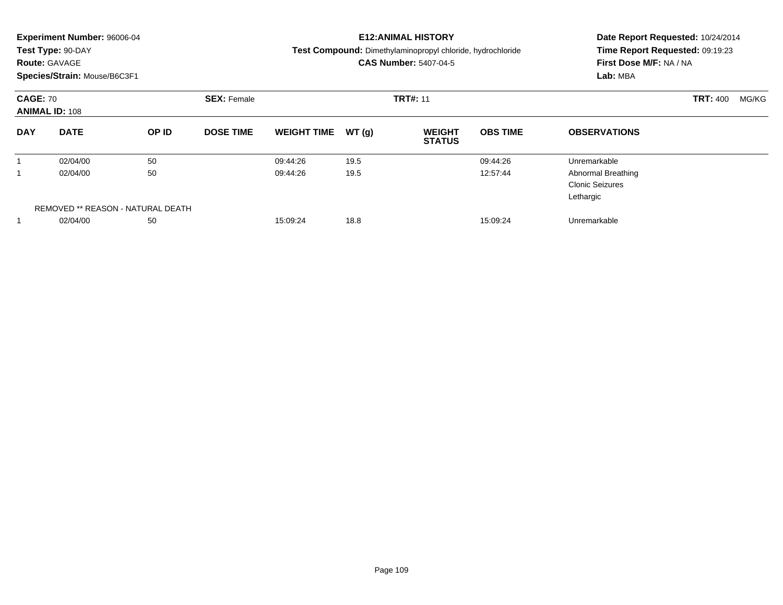|                 | <b>Experiment Number: 96006-04</b><br>Test Type: 90-DAY<br><b>Route: GAVAGE</b><br>Species/Strain: Mouse/B6C3F1 |                                   |                    |                    |                 | <b>E12:ANIMAL HISTORY</b><br>Test Compound: Dimethylaminopropyl chloride, hydrochloride<br><b>CAS Number: 5407-04-5</b> | Date Report Requested: 10/24/2014<br>Time Report Requested: 09:19:23<br>First Dose M/F: NA / NA<br>Lab: MBA |                                                                  |                          |
|-----------------|-----------------------------------------------------------------------------------------------------------------|-----------------------------------|--------------------|--------------------|-----------------|-------------------------------------------------------------------------------------------------------------------------|-------------------------------------------------------------------------------------------------------------|------------------------------------------------------------------|--------------------------|
| <b>CAGE: 70</b> | <b>ANIMAL ID: 108</b>                                                                                           |                                   | <b>SEX: Female</b> |                    | <b>TRT#: 11</b> |                                                                                                                         |                                                                                                             |                                                                  | <b>TRT: 400</b><br>MG/KG |
| <b>DAY</b>      | <b>DATE</b>                                                                                                     | OP ID                             | <b>DOSE TIME</b>   | <b>WEIGHT TIME</b> | WT(q)           | <b>WEIGHT</b><br><b>STATUS</b>                                                                                          | <b>OBS TIME</b>                                                                                             | <b>OBSERVATIONS</b>                                              |                          |
|                 | 02/04/00                                                                                                        | 50                                |                    | 09:44:26           | 19.5            |                                                                                                                         | 09:44:26                                                                                                    | Unremarkable                                                     |                          |
|                 | 02/04/00                                                                                                        | 50                                |                    | 09:44:26           | 19.5            |                                                                                                                         | 12:57:44                                                                                                    | <b>Abnormal Breathing</b><br><b>Clonic Seizures</b><br>Lethargic |                          |
|                 |                                                                                                                 | REMOVED ** REASON - NATURAL DEATH |                    |                    |                 |                                                                                                                         |                                                                                                             |                                                                  |                          |
|                 | 02/04/00                                                                                                        | 50                                |                    | 15:09:24           | 18.8            |                                                                                                                         | 15:09:24                                                                                                    | Unremarkable                                                     |                          |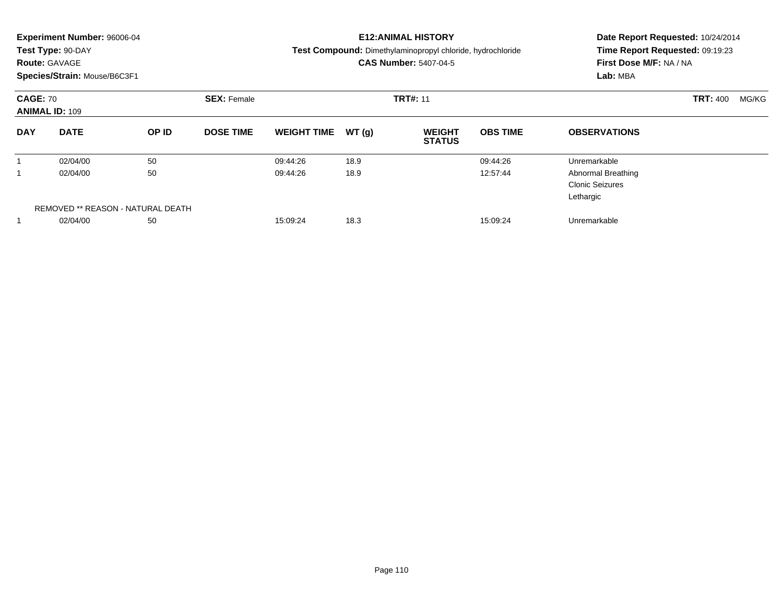|                 | <b>Experiment Number: 96006-04</b><br>Test Type: 90-DAY<br><b>Route: GAVAGE</b><br>Species/Strain: Mouse/B6C3F1 |                                   |                    |                    |                 | <b>E12:ANIMAL HISTORY</b><br>Test Compound: Dimethylaminopropyl chloride, hydrochloride<br><b>CAS Number: 5407-04-5</b> | Date Report Requested: 10/24/2014<br>Time Report Requested: 09:19:23<br>First Dose M/F: NA / NA<br>Lab: MBA |                                                                  |                          |
|-----------------|-----------------------------------------------------------------------------------------------------------------|-----------------------------------|--------------------|--------------------|-----------------|-------------------------------------------------------------------------------------------------------------------------|-------------------------------------------------------------------------------------------------------------|------------------------------------------------------------------|--------------------------|
| <b>CAGE: 70</b> | <b>ANIMAL ID: 109</b>                                                                                           |                                   | <b>SEX: Female</b> |                    | <b>TRT#: 11</b> |                                                                                                                         |                                                                                                             |                                                                  | <b>TRT: 400</b><br>MG/KG |
| <b>DAY</b>      | <b>DATE</b>                                                                                                     | OP ID                             | <b>DOSE TIME</b>   | <b>WEIGHT TIME</b> | WT(q)           | <b>WEIGHT</b><br><b>STATUS</b>                                                                                          | <b>OBS TIME</b>                                                                                             | <b>OBSERVATIONS</b>                                              |                          |
|                 | 02/04/00                                                                                                        | 50                                |                    | 09:44:26           | 18.9            |                                                                                                                         | 09:44:26                                                                                                    | Unremarkable                                                     |                          |
|                 | 02/04/00                                                                                                        | 50                                |                    | 09:44:26           | 18.9            |                                                                                                                         | 12:57:44                                                                                                    | <b>Abnormal Breathing</b><br><b>Clonic Seizures</b><br>Lethargic |                          |
|                 |                                                                                                                 | REMOVED ** REASON - NATURAL DEATH |                    |                    |                 |                                                                                                                         |                                                                                                             |                                                                  |                          |
|                 | 02/04/00                                                                                                        | 50                                |                    | 15:09:24           | 18.3            |                                                                                                                         | 15:09:24                                                                                                    | Unremarkable                                                     |                          |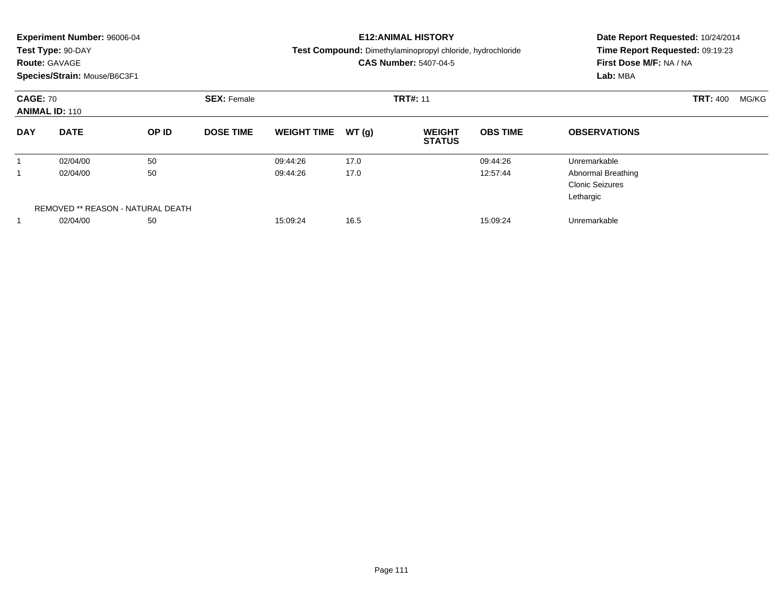|                 | <b>Experiment Number: 96006-04</b><br>Test Type: 90-DAY<br><b>Route: GAVAGE</b><br>Species/Strain: Mouse/B6C3F1 |                                   |                    |                    |                 | <b>E12:ANIMAL HISTORY</b><br>Test Compound: Dimethylaminopropyl chloride, hydrochloride<br><b>CAS Number: 5407-04-5</b> | Date Report Requested: 10/24/2014<br>Time Report Requested: 09:19:23<br>First Dose M/F: NA / NA<br>Lab: MBA |                                                                  |                          |
|-----------------|-----------------------------------------------------------------------------------------------------------------|-----------------------------------|--------------------|--------------------|-----------------|-------------------------------------------------------------------------------------------------------------------------|-------------------------------------------------------------------------------------------------------------|------------------------------------------------------------------|--------------------------|
| <b>CAGE: 70</b> | <b>ANIMAL ID: 110</b>                                                                                           |                                   | <b>SEX: Female</b> |                    | <b>TRT#: 11</b> |                                                                                                                         |                                                                                                             |                                                                  | <b>TRT: 400</b><br>MG/KG |
| <b>DAY</b>      | <b>DATE</b>                                                                                                     | OP ID                             | <b>DOSE TIME</b>   | <b>WEIGHT TIME</b> | WT(q)           | <b>WEIGHT</b><br><b>STATUS</b>                                                                                          | <b>OBS TIME</b>                                                                                             | <b>OBSERVATIONS</b>                                              |                          |
|                 | 02/04/00                                                                                                        | 50                                |                    | 09:44:26           | 17.0            |                                                                                                                         | 09:44:26                                                                                                    | Unremarkable                                                     |                          |
|                 | 02/04/00                                                                                                        | 50                                |                    | 09:44:26           | 17.0            |                                                                                                                         | 12:57:44                                                                                                    | <b>Abnormal Breathing</b><br><b>Clonic Seizures</b><br>Lethargic |                          |
|                 |                                                                                                                 | REMOVED ** REASON - NATURAL DEATH |                    |                    |                 |                                                                                                                         |                                                                                                             |                                                                  |                          |
|                 | 02/04/00                                                                                                        | 50                                |                    | 15:09:24           | 16.5            |                                                                                                                         | 15:09:24                                                                                                    | Unremarkable                                                     |                          |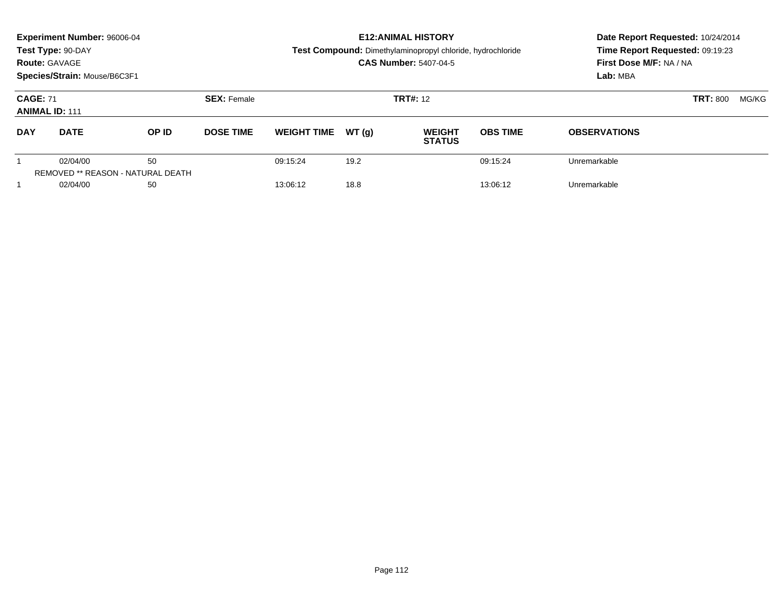|                                          | <b>Experiment Number: 96006-04</b><br>Test Type: 90-DAY<br><b>Route: GAVAGE</b><br>Species/Strain: Mouse/B6C3F1 |                                         |                    |                    | <b>E12: ANIMAL HISTORY</b><br><b>Test Compound:</b> Dimethylaminopropyl chloride, hydrochloride<br><b>CAS Number: 5407-04-5</b> | Date Report Requested: 10/24/2014<br>Time Report Requested: 09:19:23<br>First Dose M/F: NA / NA<br>Lab: MBA |                          |                     |  |
|------------------------------------------|-----------------------------------------------------------------------------------------------------------------|-----------------------------------------|--------------------|--------------------|---------------------------------------------------------------------------------------------------------------------------------|-------------------------------------------------------------------------------------------------------------|--------------------------|---------------------|--|
| <b>CAGE: 71</b><br><b>ANIMAL ID: 111</b> |                                                                                                                 |                                         | <b>SEX: Female</b> |                    |                                                                                                                                 | <b>TRT#: 12</b>                                                                                             | <b>TRT: 800</b><br>MG/KG |                     |  |
| <b>DAY</b>                               | <b>DATE</b>                                                                                                     | OP ID                                   | <b>DOSE TIME</b>   | <b>WEIGHT TIME</b> | WT(q)                                                                                                                           | <b>WEIGHT</b><br><b>STATUS</b>                                                                              | <b>OBS TIME</b>          | <b>OBSERVATIONS</b> |  |
|                                          | 02/04/00                                                                                                        | 50<br>REMOVED ** REASON - NATURAL DEATH |                    | 09:15:24           | 19.2                                                                                                                            |                                                                                                             | 09:15:24                 | Unremarkable        |  |
|                                          | 02/04/00                                                                                                        | 50                                      |                    | 13:06:12           | 18.8                                                                                                                            |                                                                                                             | 13:06:12                 | Unremarkable        |  |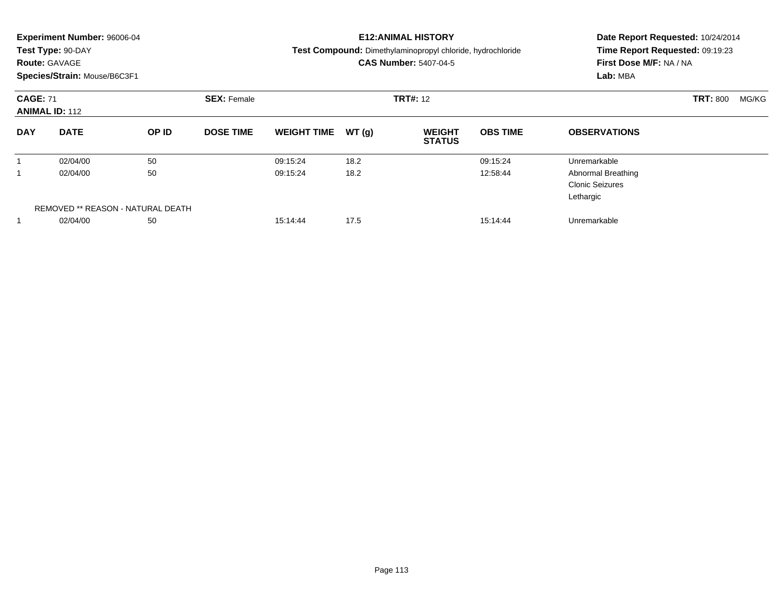|                 | <b>Experiment Number: 96006-04</b><br>Test Type: 90-DAY<br><b>Route: GAVAGE</b><br>Species/Strain: Mouse/B6C3F1 |                                   |                    |                    |                 | <b>E12:ANIMAL HISTORY</b><br>Test Compound: Dimethylaminopropyl chloride, hydrochloride<br><b>CAS Number: 5407-04-5</b> | Date Report Requested: 10/24/2014<br>Time Report Requested: 09:19:23<br>First Dose M/F: NA / NA<br>Lab: MBA |                                                                  |                          |  |
|-----------------|-----------------------------------------------------------------------------------------------------------------|-----------------------------------|--------------------|--------------------|-----------------|-------------------------------------------------------------------------------------------------------------------------|-------------------------------------------------------------------------------------------------------------|------------------------------------------------------------------|--------------------------|--|
| <b>CAGE: 71</b> | <b>ANIMAL ID: 112</b>                                                                                           |                                   | <b>SEX: Female</b> |                    | <b>TRT#: 12</b> |                                                                                                                         |                                                                                                             |                                                                  | <b>TRT: 800</b><br>MG/KG |  |
| <b>DAY</b>      | <b>DATE</b>                                                                                                     | OP ID                             | <b>DOSE TIME</b>   | <b>WEIGHT TIME</b> | WT(q)           | <b>WEIGHT</b><br><b>STATUS</b>                                                                                          | <b>OBS TIME</b>                                                                                             | <b>OBSERVATIONS</b>                                              |                          |  |
|                 | 02/04/00                                                                                                        | 50                                |                    | 09:15:24           | 18.2            |                                                                                                                         | 09:15:24                                                                                                    | Unremarkable                                                     |                          |  |
|                 | 02/04/00                                                                                                        | 50                                |                    | 09:15:24           | 18.2            |                                                                                                                         | 12:58:44                                                                                                    | <b>Abnormal Breathing</b><br><b>Clonic Seizures</b><br>Lethargic |                          |  |
|                 |                                                                                                                 | REMOVED ** REASON - NATURAL DEATH |                    |                    |                 |                                                                                                                         |                                                                                                             |                                                                  |                          |  |
|                 | 02/04/00                                                                                                        | 50                                |                    | 15:14:44           | 17.5            |                                                                                                                         | 15:14:44                                                                                                    | Unremarkable                                                     |                          |  |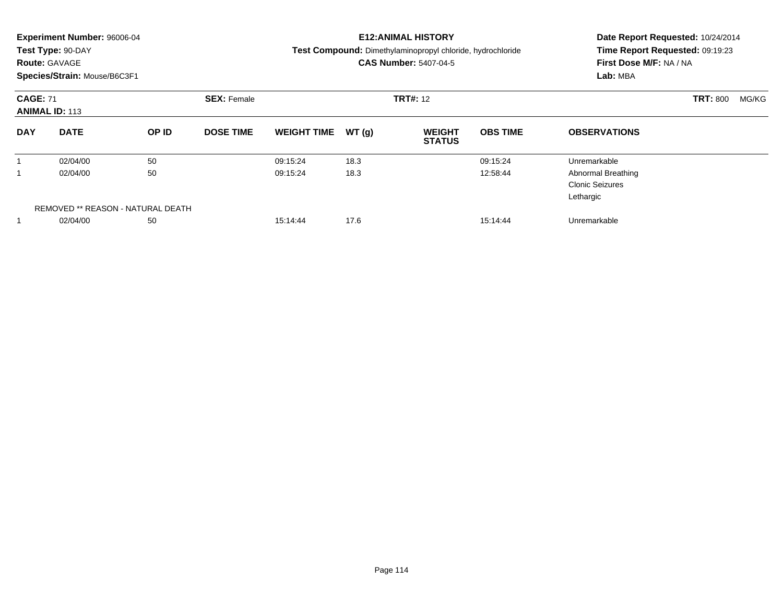|                 | <b>Experiment Number: 96006-04</b><br>Test Type: 90-DAY<br><b>Route: GAVAGE</b><br>Species/Strain: Mouse/B6C3F1 |                                   |                    |                    |                 | <b>E12:ANIMAL HISTORY</b><br>Test Compound: Dimethylaminopropyl chloride, hydrochloride<br><b>CAS Number: 5407-04-5</b> | Date Report Requested: 10/24/2014<br>Time Report Requested: 09:19:23<br>First Dose M/F: NA / NA<br>Lab: MBA |                                                                  |                 |       |
|-----------------|-----------------------------------------------------------------------------------------------------------------|-----------------------------------|--------------------|--------------------|-----------------|-------------------------------------------------------------------------------------------------------------------------|-------------------------------------------------------------------------------------------------------------|------------------------------------------------------------------|-----------------|-------|
| <b>CAGE: 71</b> | <b>ANIMAL ID: 113</b>                                                                                           |                                   | <b>SEX: Female</b> |                    | <b>TRT#: 12</b> |                                                                                                                         |                                                                                                             |                                                                  | <b>TRT: 800</b> | MG/KG |
| <b>DAY</b>      | <b>DATE</b>                                                                                                     | OP ID                             | <b>DOSE TIME</b>   | <b>WEIGHT TIME</b> | WT(q)           | <b>WEIGHT</b><br><b>STATUS</b>                                                                                          | <b>OBS TIME</b>                                                                                             | <b>OBSERVATIONS</b>                                              |                 |       |
|                 | 02/04/00                                                                                                        | 50                                |                    | 09:15:24           | 18.3            |                                                                                                                         | 09:15:24                                                                                                    | Unremarkable                                                     |                 |       |
|                 | 02/04/00                                                                                                        | 50                                |                    | 09:15:24           | 18.3            |                                                                                                                         | 12:58:44                                                                                                    | <b>Abnormal Breathing</b><br><b>Clonic Seizures</b><br>Lethargic |                 |       |
|                 |                                                                                                                 | REMOVED ** REASON - NATURAL DEATH |                    |                    |                 |                                                                                                                         |                                                                                                             |                                                                  |                 |       |
|                 | 02/04/00                                                                                                        | 50                                |                    | 15:14:44           | 17.6            |                                                                                                                         | 15:14:44                                                                                                    | Unremarkable                                                     |                 |       |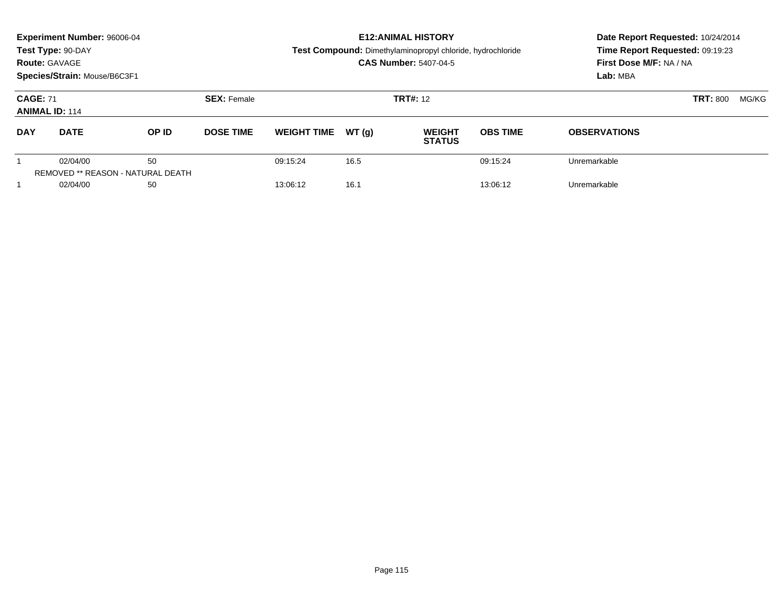|                                          | <b>Experiment Number: 96006-04</b><br>Test Type: 90-DAY<br><b>Route: GAVAGE</b><br>Species/Strain: Mouse/B6C3F1 |                                         |                    |                    |       | <b>E12: ANIMAL HISTORY</b><br><b>Test Compound:</b> Dimethylaminopropyl chloride, hydrochloride<br><b>CAS Number: 5407-04-5</b> | Date Report Requested: 10/24/2014<br>Time Report Requested: 09:19:23<br>First Dose M/F: NA / NA<br>Lab: MBA |                     |  |
|------------------------------------------|-----------------------------------------------------------------------------------------------------------------|-----------------------------------------|--------------------|--------------------|-------|---------------------------------------------------------------------------------------------------------------------------------|-------------------------------------------------------------------------------------------------------------|---------------------|--|
| <b>CAGE: 71</b><br><b>ANIMAL ID: 114</b> |                                                                                                                 |                                         | <b>SEX: Female</b> |                    |       | <b>TRT#: 12</b>                                                                                                                 | <b>TRT: 800</b><br>MG/KG                                                                                    |                     |  |
| <b>DAY</b>                               | <b>DATE</b>                                                                                                     | OP ID                                   | <b>DOSE TIME</b>   | <b>WEIGHT TIME</b> | WT(q) | <b>WEIGHT</b><br><b>STATUS</b>                                                                                                  | <b>OBS TIME</b>                                                                                             | <b>OBSERVATIONS</b> |  |
|                                          | 02/04/00                                                                                                        | 50<br>REMOVED ** REASON - NATURAL DEATH |                    | 09:15:24           | 16.5  |                                                                                                                                 | 09:15:24                                                                                                    | Unremarkable        |  |
|                                          | 02/04/00                                                                                                        | 50                                      |                    | 13:06:12           | 16.1  |                                                                                                                                 | 13:06:12                                                                                                    | Unremarkable        |  |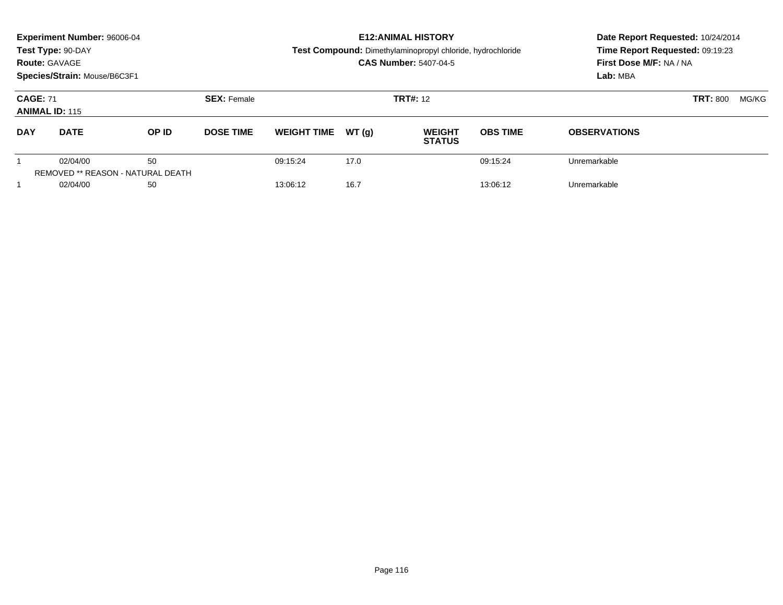|                                                            | <b>Experiment Number: 96006-04</b><br>Test Type: 90-DAY<br><b>Route: GAVAGE</b><br>Species/Strain: Mouse/B6C3F1 |       |                    |                    |       | <b>E12: ANIMAL HISTORY</b><br><b>Test Compound:</b> Dimethylaminopropyl chloride, hydrochloride<br><b>CAS Number: 5407-04-5</b> | Date Report Requested: 10/24/2014<br>Time Report Requested: 09:19:23<br>First Dose M/F: NA / NA<br>Lab: MBA |                     |       |  |
|------------------------------------------------------------|-----------------------------------------------------------------------------------------------------------------|-------|--------------------|--------------------|-------|---------------------------------------------------------------------------------------------------------------------------------|-------------------------------------------------------------------------------------------------------------|---------------------|-------|--|
| <b>CAGE: 71</b><br><b>ANIMAL ID: 115</b>                   |                                                                                                                 |       | <b>SEX: Female</b> |                    |       | <b>TRT#: 12</b>                                                                                                                 |                                                                                                             | <b>TRT: 800</b>     | MG/KG |  |
| <b>DAY</b>                                                 | <b>DATE</b>                                                                                                     | OP ID | <b>DOSE TIME</b>   | <b>WEIGHT TIME</b> | WT(q) | <b>WEIGHT</b><br><b>STATUS</b>                                                                                                  | <b>OBS TIME</b>                                                                                             | <b>OBSERVATIONS</b> |       |  |
| 50<br>02/04/00<br><b>REMOVED ** REASON - NATURAL DEATH</b> |                                                                                                                 |       | 09:15:24           | 17.0               |       | 09:15:24                                                                                                                        | Unremarkable                                                                                                |                     |       |  |
|                                                            | 02/04/00                                                                                                        | 50    |                    | 13:06:12           | 16.7  |                                                                                                                                 | 13:06:12                                                                                                    | Unremarkable        |       |  |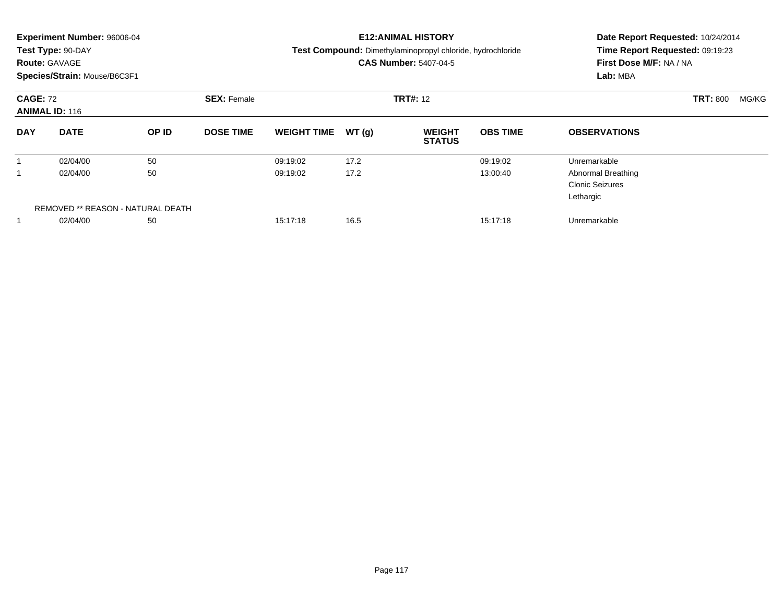|                 | <b>Experiment Number: 96006-04</b><br>Test Type: 90-DAY<br><b>Route: GAVAGE</b><br>Species/Strain: Mouse/B6C3F1 |                                   |                    |                    |                 | <b>E12:ANIMAL HISTORY</b><br>Test Compound: Dimethylaminopropyl chloride, hydrochloride<br><b>CAS Number: 5407-04-5</b> | Date Report Requested: 10/24/2014<br>Time Report Requested: 09:19:23<br>First Dose M/F: NA / NA<br>Lab: MBA |                                                                  |                          |
|-----------------|-----------------------------------------------------------------------------------------------------------------|-----------------------------------|--------------------|--------------------|-----------------|-------------------------------------------------------------------------------------------------------------------------|-------------------------------------------------------------------------------------------------------------|------------------------------------------------------------------|--------------------------|
| <b>CAGE: 72</b> | <b>ANIMAL ID: 116</b>                                                                                           |                                   | <b>SEX: Female</b> |                    | <b>TRT#: 12</b> |                                                                                                                         |                                                                                                             |                                                                  | <b>TRT: 800</b><br>MG/KG |
| <b>DAY</b>      | <b>DATE</b>                                                                                                     | OP ID                             | <b>DOSE TIME</b>   | <b>WEIGHT TIME</b> | WT(q)           | <b>WEIGHT</b><br><b>STATUS</b>                                                                                          | <b>OBS TIME</b>                                                                                             | <b>OBSERVATIONS</b>                                              |                          |
|                 | 02/04/00                                                                                                        | 50                                |                    | 09:19:02           | 17.2            |                                                                                                                         | 09:19:02                                                                                                    | Unremarkable                                                     |                          |
|                 | 02/04/00                                                                                                        | 50                                |                    | 09:19:02           | 17.2            |                                                                                                                         | 13:00:40                                                                                                    | <b>Abnormal Breathing</b><br><b>Clonic Seizures</b><br>Lethargic |                          |
|                 |                                                                                                                 | REMOVED ** REASON - NATURAL DEATH |                    |                    |                 |                                                                                                                         |                                                                                                             |                                                                  |                          |
|                 | 02/04/00                                                                                                        | 50                                |                    | 15:17:18           | 16.5            |                                                                                                                         | 15:17:18                                                                                                    | Unremarkable                                                     |                          |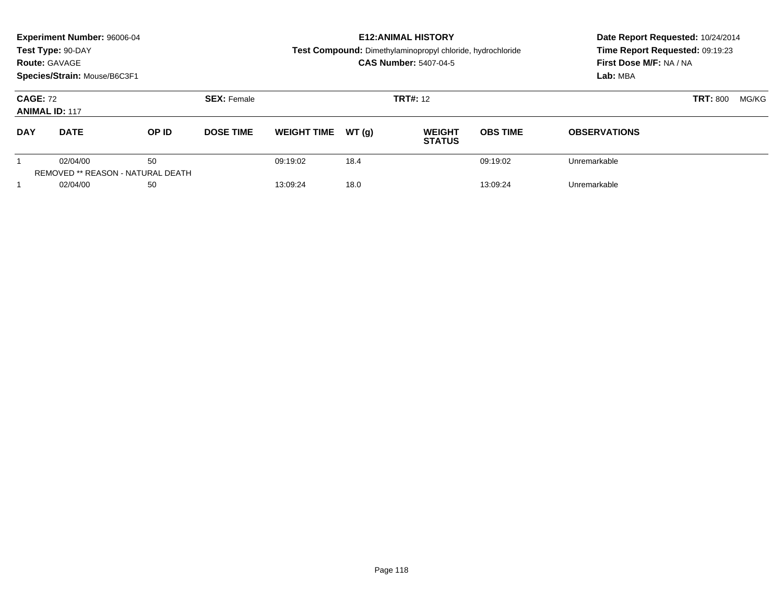|                                          | <b>Experiment Number: 96006-04</b><br>Test Type: 90-DAY<br><b>Route: GAVAGE</b><br>Species/Strain: Mouse/B6C3F1 |                                         |                    |                    |       | <b>E12: ANIMAL HISTORY</b><br><b>Test Compound:</b> Dimethylaminopropyl chloride, hydrochloride<br><b>CAS Number: 5407-04-5</b> | Date Report Requested: 10/24/2014<br>Time Report Requested: 09:19:23<br>First Dose M/F: NA / NA<br>Lab: MBA |                     |  |
|------------------------------------------|-----------------------------------------------------------------------------------------------------------------|-----------------------------------------|--------------------|--------------------|-------|---------------------------------------------------------------------------------------------------------------------------------|-------------------------------------------------------------------------------------------------------------|---------------------|--|
| <b>CAGE: 72</b><br><b>ANIMAL ID: 117</b> |                                                                                                                 |                                         | <b>SEX: Female</b> |                    |       | <b>TRT#: 12</b>                                                                                                                 | <b>TRT: 800</b><br>MG/KG                                                                                    |                     |  |
| <b>DAY</b>                               | <b>DATE</b>                                                                                                     | OP ID                                   | <b>DOSE TIME</b>   | <b>WEIGHT TIME</b> | WT(q) | <b>WEIGHT</b><br><b>STATUS</b>                                                                                                  | <b>OBS TIME</b>                                                                                             | <b>OBSERVATIONS</b> |  |
|                                          | 02/04/00                                                                                                        | 50<br>REMOVED ** REASON - NATURAL DEATH |                    | 09:19:02           | 18.4  |                                                                                                                                 | 09:19:02                                                                                                    | Unremarkable        |  |
|                                          | 02/04/00                                                                                                        | 50                                      |                    | 13:09:24           | 18.0  |                                                                                                                                 | 13:09:24                                                                                                    | Unremarkable        |  |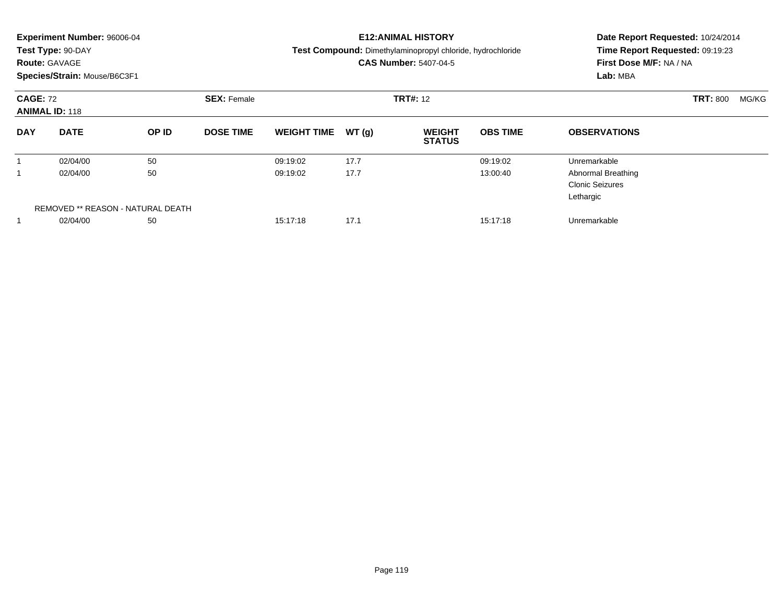|                 | <b>Experiment Number: 96006-04</b><br>Test Type: 90-DAY<br><b>Route: GAVAGE</b><br>Species/Strain: Mouse/B6C3F1 |                                   |                    |                    |                 | <b>E12:ANIMAL HISTORY</b><br>Test Compound: Dimethylaminopropyl chloride, hydrochloride<br><b>CAS Number: 5407-04-5</b> | Date Report Requested: 10/24/2014<br>Time Report Requested: 09:19:23<br>First Dose M/F: NA / NA<br>Lab: MBA |                                                                  |                          |
|-----------------|-----------------------------------------------------------------------------------------------------------------|-----------------------------------|--------------------|--------------------|-----------------|-------------------------------------------------------------------------------------------------------------------------|-------------------------------------------------------------------------------------------------------------|------------------------------------------------------------------|--------------------------|
| <b>CAGE: 72</b> | <b>ANIMAL ID: 118</b>                                                                                           |                                   | <b>SEX: Female</b> |                    | <b>TRT#: 12</b> |                                                                                                                         |                                                                                                             |                                                                  | <b>TRT: 800</b><br>MG/KG |
| <b>DAY</b>      | <b>DATE</b>                                                                                                     | OP ID                             | <b>DOSE TIME</b>   | <b>WEIGHT TIME</b> | WT(q)           | <b>WEIGHT</b><br><b>STATUS</b>                                                                                          | <b>OBS TIME</b>                                                                                             | <b>OBSERVATIONS</b>                                              |                          |
|                 | 02/04/00                                                                                                        | 50                                |                    | 09:19:02           | 17.7            |                                                                                                                         | 09:19:02                                                                                                    | Unremarkable                                                     |                          |
|                 | 02/04/00                                                                                                        | 50                                |                    | 09:19:02           | 17.7            |                                                                                                                         | 13:00:40                                                                                                    | <b>Abnormal Breathing</b><br><b>Clonic Seizures</b><br>Lethargic |                          |
|                 |                                                                                                                 | REMOVED ** REASON - NATURAL DEATH |                    |                    |                 |                                                                                                                         |                                                                                                             |                                                                  |                          |
|                 | 02/04/00                                                                                                        | 50                                |                    | 15:17:18           | 17.1            |                                                                                                                         | 15:17:18                                                                                                    | Unremarkable                                                     |                          |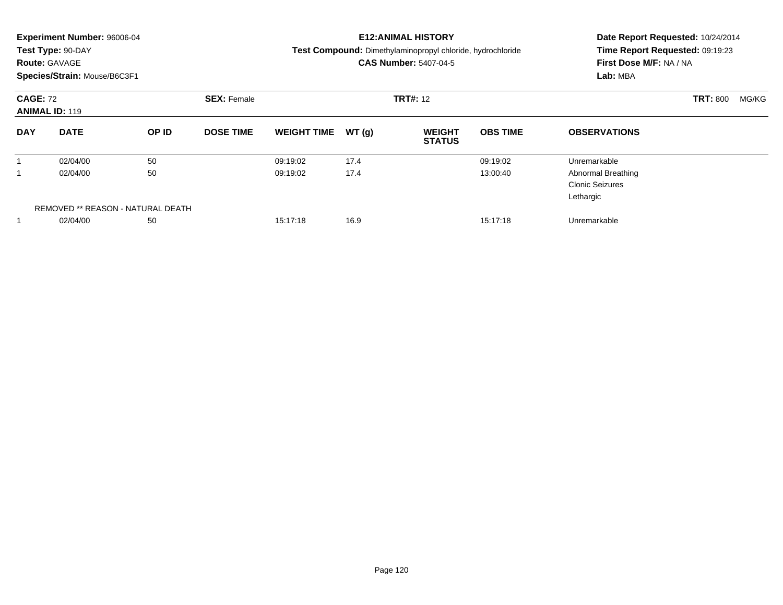|                 | <b>Experiment Number: 96006-04</b><br>Test Type: 90-DAY<br><b>Route: GAVAGE</b><br>Species/Strain: Mouse/B6C3F1 |                                   |                    |                    |                 | <b>E12:ANIMAL HISTORY</b><br>Test Compound: Dimethylaminopropyl chloride, hydrochloride<br><b>CAS Number: 5407-04-5</b> | Date Report Requested: 10/24/2014<br>Time Report Requested: 09:19:23<br>First Dose M/F: NA / NA<br>Lab: MBA |                                                                  |                          |  |
|-----------------|-----------------------------------------------------------------------------------------------------------------|-----------------------------------|--------------------|--------------------|-----------------|-------------------------------------------------------------------------------------------------------------------------|-------------------------------------------------------------------------------------------------------------|------------------------------------------------------------------|--------------------------|--|
| <b>CAGE: 72</b> | <b>ANIMAL ID: 119</b>                                                                                           |                                   | <b>SEX: Female</b> |                    | <b>TRT#: 12</b> |                                                                                                                         |                                                                                                             |                                                                  | <b>TRT: 800</b><br>MG/KG |  |
| <b>DAY</b>      | <b>DATE</b>                                                                                                     | OP ID                             | <b>DOSE TIME</b>   | <b>WEIGHT TIME</b> | WT(q)           | <b>WEIGHT</b><br><b>STATUS</b>                                                                                          | <b>OBS TIME</b>                                                                                             | <b>OBSERVATIONS</b>                                              |                          |  |
|                 | 02/04/00                                                                                                        | 50                                |                    | 09:19:02           | 17.4            |                                                                                                                         | 09:19:02                                                                                                    | Unremarkable                                                     |                          |  |
|                 | 02/04/00                                                                                                        | 50                                |                    | 09:19:02           | 17.4            |                                                                                                                         | 13:00:40                                                                                                    | <b>Abnormal Breathing</b><br><b>Clonic Seizures</b><br>Lethargic |                          |  |
|                 |                                                                                                                 | REMOVED ** REASON - NATURAL DEATH |                    |                    |                 |                                                                                                                         |                                                                                                             |                                                                  |                          |  |
|                 | 02/04/00                                                                                                        | 50                                |                    | 15:17:18           | 16.9            |                                                                                                                         | 15:17:18                                                                                                    | Unremarkable                                                     |                          |  |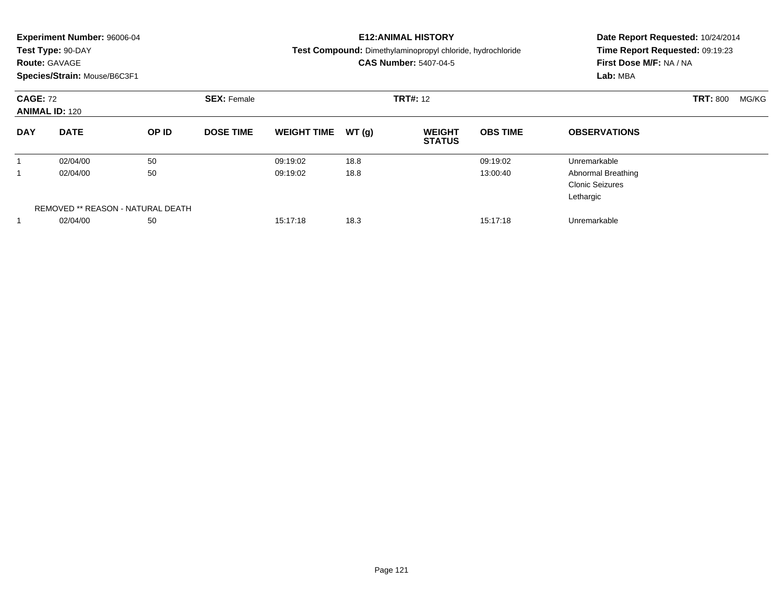| <b>Experiment Number: 96006-04</b><br>Test Type: 90-DAY<br><b>Route: GAVAGE</b><br>Species/Strain: Mouse/B6C3F1 |             |                                   |                    | <b>E12:ANIMAL HISTORY</b><br>Test Compound: Dimethylaminopropyl chloride, hydrochloride<br><b>CAS Number: 5407-04-5</b> |       |                                |                 | Date Report Requested: 10/24/2014<br>Time Report Requested: 09:19:23<br>First Dose M/F: NA / NA<br>Lab: MBA |                 |       |
|-----------------------------------------------------------------------------------------------------------------|-------------|-----------------------------------|--------------------|-------------------------------------------------------------------------------------------------------------------------|-------|--------------------------------|-----------------|-------------------------------------------------------------------------------------------------------------|-----------------|-------|
| <b>CAGE: 72</b><br><b>ANIMAL ID: 120</b>                                                                        |             |                                   | <b>SEX: Female</b> | <b>TRT#: 12</b>                                                                                                         |       |                                |                 |                                                                                                             | <b>TRT: 800</b> | MG/KG |
| <b>DAY</b>                                                                                                      | <b>DATE</b> | OP ID                             | <b>DOSE TIME</b>   | <b>WEIGHT TIME</b>                                                                                                      | WT(q) | <b>WEIGHT</b><br><b>STATUS</b> | <b>OBS TIME</b> | <b>OBSERVATIONS</b>                                                                                         |                 |       |
|                                                                                                                 | 02/04/00    | 50                                |                    | 09:19:02                                                                                                                | 18.8  |                                | 09:19:02        | Unremarkable                                                                                                |                 |       |
|                                                                                                                 | 02/04/00    | 50                                |                    | 09:19:02                                                                                                                | 18.8  |                                | 13:00:40        | <b>Abnormal Breathing</b><br><b>Clonic Seizures</b><br>Lethargic                                            |                 |       |
|                                                                                                                 |             | REMOVED ** REASON - NATURAL DEATH |                    |                                                                                                                         |       |                                |                 |                                                                                                             |                 |       |
|                                                                                                                 | 02/04/00    | 50                                |                    | 15:17:18                                                                                                                | 18.3  |                                | 15:17:18        | Unremarkable                                                                                                |                 |       |